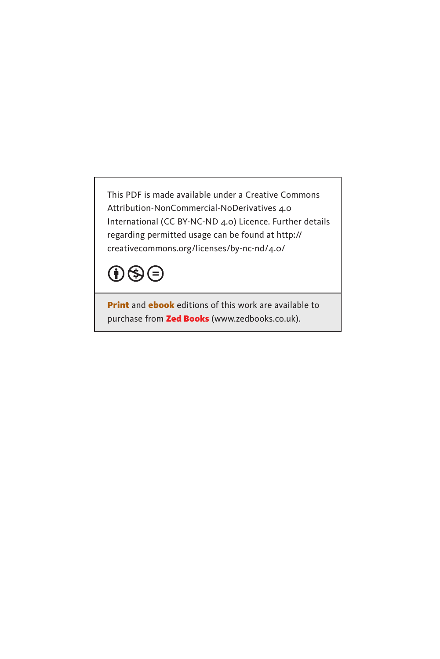This PDF is made available under a Creative Commons Attribution-NonCommercial-NoDerivatives 4.0 International (CC BY-NC-ND 4.0) Licence. Further details regarding permitted usage can be found at http:// creativecommons.org/licenses/by-nc-nd/4.0/



**Print** and **ebook** editions of this work are available to purchase from Zed Books (www.zedbooks.co.uk).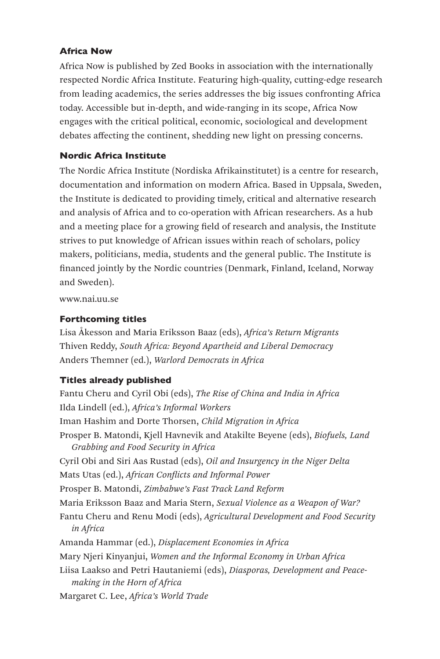### Africa Now

Africa Now is published by Zed Books in association with the internationally respected Nordic Africa Institute. Featuring high-quality, cutting-edge research from leading academics, the series addresses the big issues confronting Africa today. Accessible but in-depth, and wide-ranging in its scope, Africa Now engages with the critical political, economic, sociological and development debates affecting the continent, shedding new light on pressing concerns.

### Nordic Africa Institute

The Nordic Africa Institute (Nordiska Afrikainstitutet) is a centre for research, documentation and information on modern Africa. Based in Uppsala, Sweden, the Institute is dedicated to providing timely, critical and alternative research and analysis of Africa and to co-operation with African researchers. As a hub and a meeting place for a growing field of research and analysis, the Institute strives to put knowledge of African issues within reach of scholars, policy makers, politicians, media, students and the general public. The Institute is financed jointly by the Nordic countries (Denmark, Finland, Iceland, Norway and Sweden).

www.nai.uu.se

### Forthcoming titles

Lisa Åkesson and Maria Eriksson Baaz (eds), *Africa's Return Migrants* Thiven Reddy, *South Africa: Beyond Apartheid and Liberal Democracy* Anders Themner (ed.), *Warlord Democrats in Africa*

### Titles already published

Fantu Cheru and Cyril Obi (eds), *The Rise of China and India in Africa* Ilda Lindell (ed.), *Africa's Informal Workers* Iman Hashim and Dorte Thorsen, *Child Migration in Africa* Prosper B. Matondi, Kjell Havnevik and Atakilte Beyene (eds), *Biofuels, Land Grabbing and Food Security in Africa* Cyril Obi and Siri Aas Rustad (eds), *Oil and Insurgency in the Niger Delta* Mats Utas (ed.), *African Conflicts and Informal Power* Prosper B. Matondi, *Zimbabwe's Fast Track Land Reform* Maria Eriksson Baaz and Maria Stern, *Sexual Violence as a Weapon of War?* Fantu Cheru and Renu Modi (eds), *Agricultural Development and Food Security in Africa* Amanda Hammar (ed.), *Displacement Economies in Africa* Mary Njeri Kinyanjui, *Women and the Informal Economy in Urban Africa* Liisa Laakso and Petri Hautaniemi (eds), *Diasporas, Development and Peacemaking in the Horn of Africa* Margaret C. Lee, *Africa's World Trade*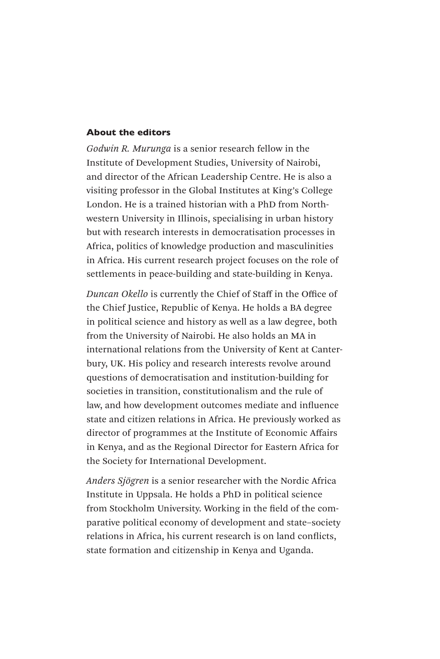#### About the editors

*Godwin R. Murunga* is a senior research fellow in the Institute of Development Studies, University of Nairobi, and director of the African Leadership Centre. He is also a visiting professor in the Global Institutes at King's College London. He is a trained historian with a PhD from Northwestern University in Illinois, specialising in urban history but with research interests in democratisation processes in Africa, politics of knowledge production and masculinities in Africa. His current research project focuses on the role of settlements in peace-building and state-building in Kenya.

*Duncan Okello* is currently the Chief of Staff in the Office of the Chief Justice, Republic of Kenya. He holds a BA degree in political science and history as well as a law degree, both from the University of Nairobi. He also holds an MA in international relations from the University of Kent at Canterbury, UK. His policy and research interests revolve around questions of democratisation and institution-building for societies in transition, constitutionalism and the rule of law, and how development outcomes mediate and influence state and citizen relations in Africa. He previously worked as director of programmes at the Institute of Economic Affairs in Kenya, and as the Regional Director for Eastern Africa for the Society for International Development.

*Anders Sjögren* is a senior researcher with the Nordic Africa Institute in Uppsala. He holds a PhD in political science from Stockholm University. Working in the field of the comparative political economy of development and state–society relations in Africa, his current research is on land conflicts, state formation and citizenship in Kenya and Uganda.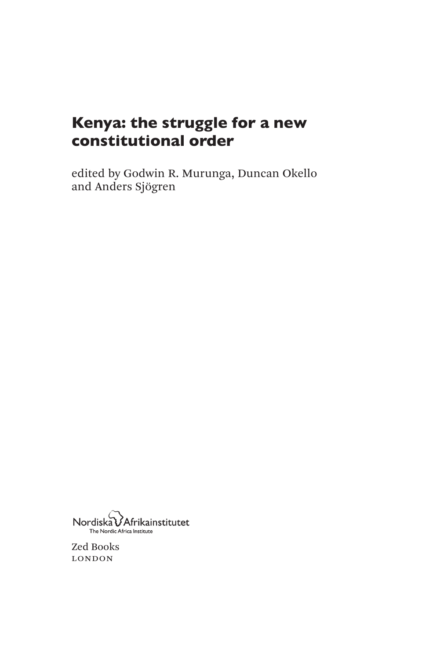# Kenya: the struggle for a new constitutional order

edited by Godwin R. Murunga, Duncan Okello and Anders Sjögren



Zed Books london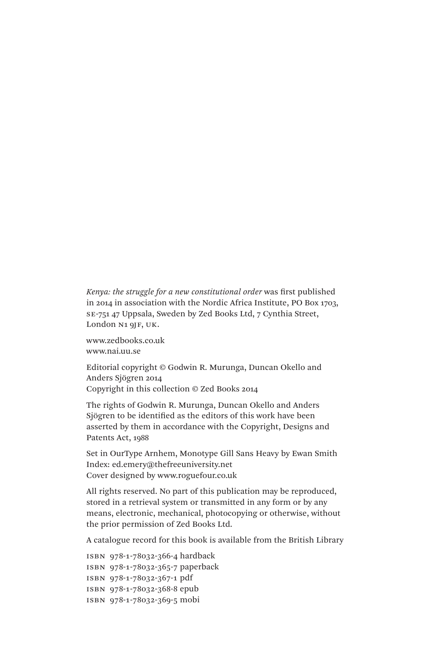*Kenya: the struggle for a new constitutional order* was first published in 2014 in association with the Nordic Africa Institute, PO Box 1703, se-751 47 Uppsala, Sweden by Zed Books Ltd, 7 Cynthia Street, London N<sub>1</sub> 9JF, UK.

www.zedbooks.co.uk www.nai.uu.se

Editorial copyright © Godwin R. Murunga, Duncan Okello and Anders Sjögren 2014 Copyright in this collection © Zed Books 2014

The rights of Godwin R. Murunga, Duncan Okello and Anders Sjögren to be identified as the editors of this work have been asserted by them in accordance with the Copyright, Designs and Patents Act, 1988

Set in OurType Arnhem, Monotype Gill Sans Heavy by Ewan Smith Index: ed.emery@thefreeuniversity.net Cover designed by www.roguefour.co.uk

All rights reserved. No part of this publication may be reproduced, stored in a retrieval system or transmitted in any form or by any means, electronic, mechanical, photocopying or otherwise, without the prior permission of Zed Books Ltd.

A catalogue record for this book is available from the British Library

```
isbn 978-1-78032-366-4 hardback
isbn 978-1-78032-365-7 paperback
isbn 978-1-78032-367-1 pdf
isbn 978-1-78032-368-8 epub
isbn 978-1-78032-369-5 mobi
```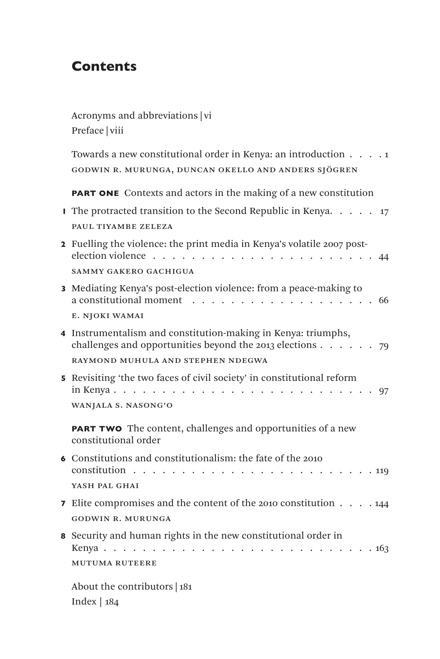## **Contents**

 Acronyms and abbreviations | vi Preface | viii

Towards a new constitutional order in Kenya: an introduction . . . . 1 godwin r. murunga, duncan okello and anders sjögren

**PART ONE** Contexts and actors in the making of a new constitution

| <b>I</b> The protracted transition to the Second Republic in Kenya. $\ldots$ . $\ldots$ 17 |  |  |  |
|--------------------------------------------------------------------------------------------|--|--|--|
| PAUL TIYAMBE ZELEZA                                                                        |  |  |  |

- 2 Fuelling the violence: the print media in Kenya's volatile 2007 postelection violence . . . . . . . . . . . . . . . . . . . . . . . 44 sammy gakero gachigua
- 3 Mediating Kenya's post-election violence: from a peace-making to a constitutional moment . . . . . . . . . . . . . . . . . . . 66 e. njoki wamai
- 4 Instrumentalism and constitution-making in Kenya: triumphs, challenges and opportunities beyond the 2013 elections . . . . . . 79 raymond muhula and stephen ndegwa
- 5 Revisiting 'the two faces of civil society' in constitutional reform in Kenya . . . . . . . . . . . . . . . . . . . . . . . . . . . 97 wanjala s. nasong'o

**PART TWO** The content, challenges and opportunities of a new constitutional order

- 6 Constitutions and constitutionalism: the fate of the 2010 constitution . . . . . . . . . . . . . . . . . . . . . . . . . 119 YASH PAL GHAI 7 Elite compromises and the content of the 2010 constitution . . . . 144 godwin r. murunga
- 8 Security and human rights in the new constitutional order in Kenya . . . . . . . . . . . . . . . . . . . . . . . . . . . . 163 mutuma ruteere

 About the contributors | 181 Index | 184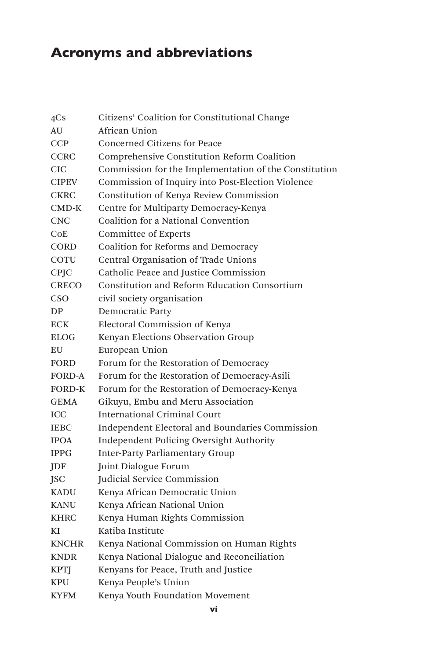# Acronyms and abbreviations

| 4Cs           | Citizens' Coalition for Constitutional Change         |
|---------------|-------------------------------------------------------|
| AU            | African Union                                         |
| <b>CCP</b>    | Concerned Citizens for Peace                          |
| <b>CCRC</b>   | Comprehensive Constitution Reform Coalition           |
| <b>CIC</b>    | Commission for the Implementation of the Constitution |
| <b>CIPEV</b>  | Commission of Inquiry into Post-Election Violence     |
| <b>CKRC</b>   | Constitution of Kenya Review Commission               |
| $CMD-K$       | Centre for Multiparty Democracy-Kenya                 |
| <b>CNC</b>    | Coalition for a National Convention                   |
| CoE           | <b>Committee of Experts</b>                           |
| <b>CORD</b>   | Coalition for Reforms and Democracy                   |
| <b>COTU</b>   | Central Organisation of Trade Unions                  |
| <b>CPJC</b>   | Catholic Peace and Justice Commission                 |
| <b>CRECO</b>  | Constitution and Reform Education Consortium          |
| CSO           | civil society organisation                            |
| DP            | Democratic Party                                      |
| <b>ECK</b>    | Electoral Commission of Kenya                         |
| <b>ELOG</b>   | Kenyan Elections Observation Group                    |
| EU            | European Union                                        |
| <b>FORD</b>   | Forum for the Restoration of Democracy                |
| <b>FORD-A</b> | Forum for the Restoration of Democracy-Asili          |
| <b>FORD-K</b> | Forum for the Restoration of Democracy-Kenya          |
| <b>GEMA</b>   | Gikuyu, Embu and Meru Association                     |
| ICC           | <b>International Criminal Court</b>                   |
| <b>IEBC</b>   | Independent Electoral and Boundaries Commission       |
| <b>IPOA</b>   | Independent Policing Oversight Authority              |
| <b>IPPG</b>   | <b>Inter-Party Parliamentary Group</b>                |
| <b>IDF</b>    | Joint Dialogue Forum                                  |
| <b>ISC</b>    | Judicial Service Commission                           |
| <b>KADU</b>   | Kenya African Democratic Union                        |
| <b>KANU</b>   | Kenya African National Union                          |
| <b>KHRC</b>   | Kenya Human Rights Commission                         |
| КI            | Katiba Institute                                      |
| <b>KNCHR</b>  | Kenya National Commission on Human Rights             |
| <b>KNDR</b>   | Kenya National Dialogue and Reconciliation            |
| <b>KPTI</b>   | Kenyans for Peace, Truth and Justice                  |
| <b>KPU</b>    | Kenya People's Union                                  |
| <b>KYFM</b>   | Kenya Youth Foundation Movement                       |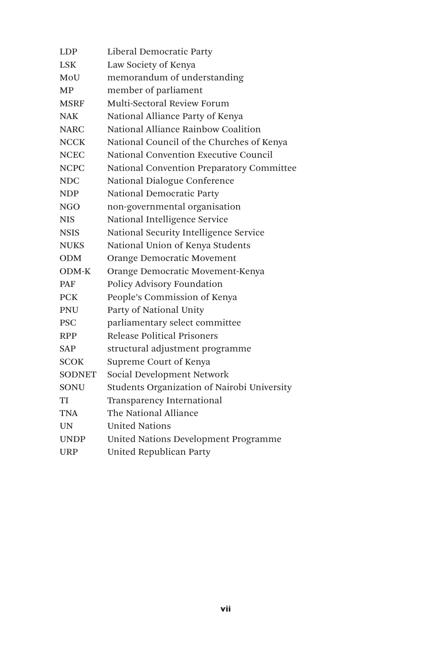| LDP           | Liberal Democratic Party                    |
|---------------|---------------------------------------------|
| LSK           | Law Society of Kenya                        |
| MoU           | memorandum of understanding                 |
| МP            | member of parliament                        |
| <b>MSRF</b>   | Multi-Sectoral Review Forum                 |
| <b>NAK</b>    | National Alliance Party of Kenya            |
| <b>NARC</b>   | National Alliance Rainbow Coalition         |
| <b>NCCK</b>   | National Council of the Churches of Kenya   |
| <b>NCEC</b>   | National Convention Executive Council       |
| <b>NCPC</b>   | National Convention Preparatory Committee   |
| <b>NDC</b>    | National Dialogue Conference                |
| <b>NDP</b>    | National Democratic Party                   |
| NGO           | non-governmental organisation               |
| <b>NIS</b>    | National Intelligence Service               |
| <b>NSIS</b>   | National Security Intelligence Service      |
| <b>NUKS</b>   | National Union of Kenya Students            |
| <b>ODM</b>    | Orange Democratic Movement                  |
| ODM-K         | Orange Democratic Movement-Kenya            |
| <b>PAF</b>    | Policy Advisory Foundation                  |
| <b>PCK</b>    | People's Commission of Kenya                |
| <b>PNU</b>    | Party of National Unity                     |
| <b>PSC</b>    | parliamentary select committee              |
| <b>RPP</b>    | Release Political Prisoners                 |
| SAP           | structural adjustment programme             |
| <b>SCOK</b>   | Supreme Court of Kenya                      |
| <b>SODNET</b> | Social Development Network                  |
| <b>SONU</b>   | Students Organization of Nairobi University |
| TI            | Transparency International                  |
| TNA           | The National Alliance                       |
| UN            | <b>United Nations</b>                       |
| <b>UNDP</b>   | United Nations Development Programme        |
| <b>URP</b>    | United Republican Party                     |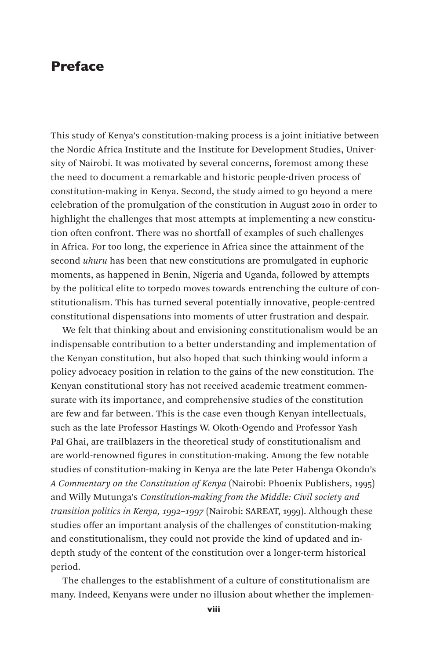### Preface

This study of Kenya's constitution-making process is a joint initiative between the Nordic Africa Institute and the Institute for Development Studies, University of Nairobi. It was motivated by several concerns, foremost among these the need to document a remarkable and historic people-driven process of constitution-making in Kenya. Second, the study aimed to go beyond a mere celebration of the promulgation of the constitution in August 2010 in order to highlight the challenges that most attempts at implementing a new constitution often confront. There was no shortfall of examples of such challenges in Africa. For too long, the experience in Africa since the attainment of the second *uhuru* has been that new constitutions are promulgated in euphoric moments, as happened in Benin, Nigeria and Uganda, followed by attempts by the political elite to torpedo moves towards entrenching the culture of constitutionalism. This has turned several potentially innovative, people-centred constitutional dispensations into moments of utter frustration and despair.

We felt that thinking about and envisioning constitutionalism would be an indispensable contribution to a better understanding and implementation of the Kenyan constitution, but also hoped that such thinking would inform a policy advocacy position in relation to the gains of the new constitution. The Kenyan constitutional story has not received academic treatment commensurate with its importance, and comprehensive studies of the constitution are few and far between. This is the case even though Kenyan intellectuals, such as the late Professor Hastings W. Okoth-Ogendo and Professor Yash Pal Ghai, are trailblazers in the theoretical study of constitutionalism and are world-renowned figures in constitution-making. Among the few notable studies of constitution-making in Kenya are the late Peter Habenga Okondo's *A Commentary on the Constitution of Kenya* (Nairobi: Phoenix Publishers, 1995) and Willy Mutunga's *Constitution-making from the Middle: Civil society and transition politics in Kenya, 1992–1997* (Nairobi: SAREAT, 1999). Although these studies offer an important analysis of the challenges of constitution-making and constitutionalism, they could not provide the kind of updated and indepth study of the content of the constitution over a longer-term historical period.

The challenges to the establishment of a culture of constitutionalism are many. Indeed, Kenyans were under no illusion about whether the implemen-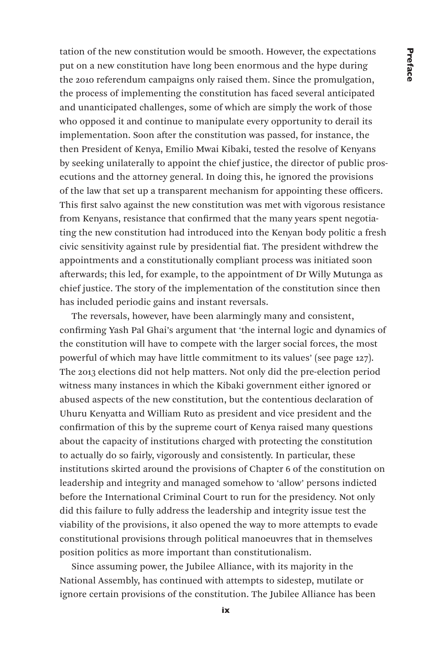tation of the new constitution would be smooth. However, the expectations put on a new constitution have long been enormous and the hype during the 2010 referendum campaigns only raised them. Since the promulgation, the process of implementing the constitution has faced several anticipated and unanticipated challenges, some of which are simply the work of those who opposed it and continue to manipulate every opportunity to derail its implementation. Soon after the constitution was passed, for instance, the then President of Kenya, Emilio Mwai Kibaki, tested the resolve of Kenyans by seeking unilaterally to appoint the chief justice, the director of public prosecutions and the attorney general. In doing this, he ignored the provisions of the law that set up a transparent mechanism for appointing these officers. This first salvo against the new constitution was met with vigorous resistance from Kenyans, resistance that confirmed that the many years spent negotiating the new constitution had introduced into the Kenyan body politic a fresh civic sensitivity against rule by presidential fiat. The president withdrew the appointments and a constitutionally compliant process was initiated soon afterwards; this led, for example, to the appointment of Dr Willy Mutunga as chief justice. The story of the implementation of the constitution since then has included periodic gains and instant reversals.

The reversals, however, have been alarmingly many and consistent, confirming Yash Pal Ghai's argument that 'the internal logic and dynamics of the constitution will have to compete with the larger social forces, the most powerful of which may have little commitment to its values' (see page 127). The 2013 elections did not help matters. Not only did the pre-election period witness many instances in which the Kibaki government either ignored or abused aspects of the new constitution, but the contentious declaration of Uhuru Kenyatta and William Ruto as president and vice president and the confirmation of this by the supreme court of Kenya raised many questions about the capacity of institutions charged with protecting the constitution to actually do so fairly, vigorously and consistently. In particular, these institutions skirted around the provisions of Chapter 6 of the constitution on leadership and integrity and managed somehow to 'allow' persons indicted before the International Criminal Court to run for the presidency. Not only did this failure to fully address the leadership and integrity issue test the viability of the provisions, it also opened the way to more attempts to evade constitutional provisions through political manoeuvres that in themselves position politics as more important than constitutionalism.

Since assuming power, the Jubilee Alliance, with its majority in the National Assembly, has continued with attempts to sidestep, mutilate or ignore certain provisions of the constitution. The Jubilee Alliance has been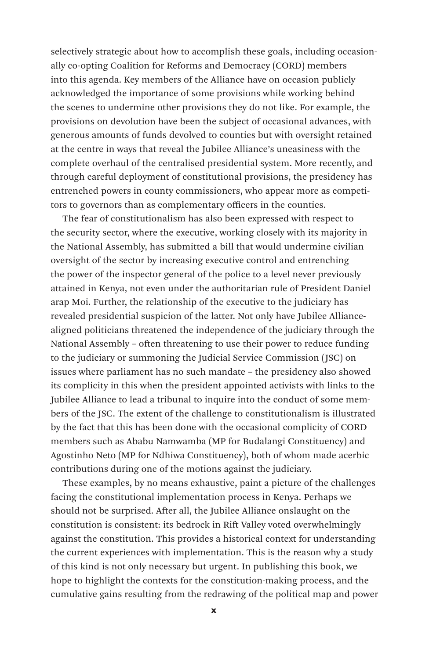selectively strategic about how to accomplish these goals, including occasionally co-opting Coalition for Reforms and Democracy (CORD) members into this agenda. Key members of the Alliance have on occasion publicly acknowledged the importance of some provisions while working behind the scenes to undermine other provisions they do not like. For example, the provisions on devolution have been the subject of occasional advances, with generous amounts of funds devolved to counties but with oversight retained at the centre in ways that reveal the Jubilee Alliance's uneasiness with the complete overhaul of the centralised presidential system. More recently, and through careful deployment of constitutional provisions, the presidency has entrenched powers in county commissioners, who appear more as competitors to governors than as complementary officers in the counties.

The fear of constitutionalism has also been expressed with respect to the security sector, where the executive, working closely with its majority in the National Assembly, has submitted a bill that would undermine civilian oversight of the sector by increasing executive control and entrenching the power of the inspector general of the police to a level never previously attained in Kenya, not even under the authoritarian rule of President Daniel arap Moi. Further, the relationship of the executive to the judiciary has revealed presidential suspicion of the latter. Not only have Jubilee Alliancealigned politicians threatened the independence of the judiciary through the National Assembly – often threatening to use their power to reduce funding to the judiciary or summoning the Judicial Service Commission (JSC) on issues where parliament has no such mandate – the presidency also showed its complicity in this when the president appointed activists with links to the Jubilee Alliance to lead a tribunal to inquire into the conduct of some members of the JSC. The extent of the challenge to constitutionalism is illustrated by the fact that this has been done with the occasional complicity of CORD members such as Ababu Namwamba (MP for Budalangi Constituency) and Agostinho Neto (MP for Ndhiwa Constituency), both of whom made acerbic contributions during one of the motions against the judiciary.

These examples, by no means exhaustive, paint a picture of the challenges facing the constitutional implementation process in Kenya. Perhaps we should not be surprised. After all, the Jubilee Alliance onslaught on the constitution is consistent: its bedrock in Rift Valley voted overwhelmingly against the constitution. This provides a historical context for understanding the current experiences with implementation. This is the reason why a study of this kind is not only necessary but urgent. In publishing this book, we hope to highlight the contexts for the constitution-making process, and the cumulative gains resulting from the redrawing of the political map and power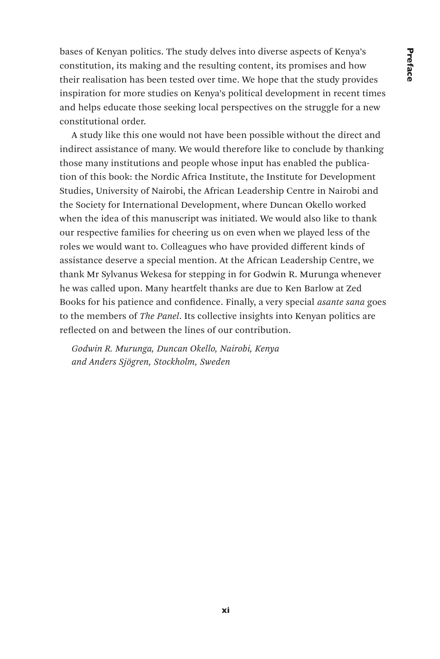bases of Kenyan politics. The study delves into diverse aspects of Kenya's constitution, its making and the resulting content, its promises and how their realisation has been tested over time. We hope that the study provides inspiration for more studies on Kenya's political development in recent times and helps educate those seeking local perspectives on the struggle for a new constitutional order.

A study like this one would not have been possible without the direct and indirect assistance of many. We would therefore like to conclude by thanking those many institutions and people whose input has enabled the publication of this book: the Nordic Africa Institute, the Institute for Development Studies, University of Nairobi, the African Leadership Centre in Nairobi and the Society for International Development, where Duncan Okello worked when the idea of this manuscript was initiated. We would also like to thank our respective families for cheering us on even when we played less of the roles we would want to. Colleagues who have provided different kinds of assistance deserve a special mention. At the African Leadership Centre, we thank Mr Sylvanus Wekesa for stepping in for Godwin R. Murunga whenever he was called upon. Many heartfelt thanks are due to Ken Barlow at Zed Books for his patience and confidence. Finally, a very special *asante sana* goes to the members of *The Panel*. Its collective insights into Kenyan politics are reflected on and between the lines of our contribution.

*Godwin R. Murunga, Duncan Okello, Nairobi, Kenya and Anders Sjögren, Stockholm, Sweden*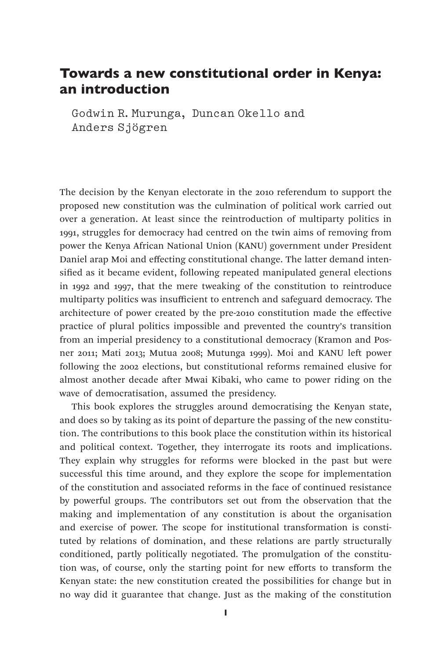### Towards a new constitutional order in Kenya: an introduction

Godwin R.Murunga, Duncan Okello and Anders Sjögren

The decision by the Kenyan electorate in the 2010 referendum to support the proposed new constitution was the culmination of political work carried out over a generation. At least since the reintroduction of multiparty politics in 1991, struggles for democracy had centred on the twin aims of removing from power the Kenya African National Union (KANU) government under President Daniel arap Moi and effecting constitutional change. The latter demand intensified as it became evident, following repeated manipulated general elections in 1992 and 1997, that the mere tweaking of the constitution to reintroduce multiparty politics was insufficient to entrench and safeguard democracy. The architecture of power created by the pre-2010 constitution made the effective practice of plural politics impossible and prevented the country's transition from an imperial presidency to a constitutional democracy (Kramon and Posner 2011; Mati 2013; Mutua 2008; Mutunga 1999). Moi and KANU left power following the 2002 elections, but constitutional reforms remained elusive for almost another decade after Mwai Kibaki, who came to power riding on the wave of democratisation, assumed the presidency.

This book explores the struggles around democratising the Kenyan state, and does so by taking as its point of departure the passing of the new constitution. The contributions to this book place the constitution within its historical and political context. Together, they interrogate its roots and implications. They explain why struggles for reforms were blocked in the past but were successful this time around, and they explore the scope for implementation of the constitution and associated reforms in the face of continued resistance by powerful groups. The contributors set out from the observation that the making and implementation of any constitution is about the organisation and exercise of power. The scope for institutional transformation is constituted by relations of domination, and these relations are partly structurally conditioned, partly politically negotiated. The promulgation of the constitution was, of course, only the starting point for new efforts to transform the Kenyan state: the new constitution created the possibilities for change but in no way did it guarantee that change. Just as the making of the constitution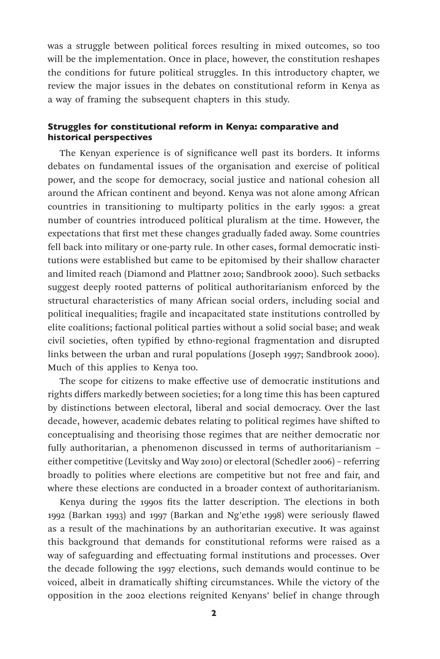was a struggle between political forces resulting in mixed outcomes, so too will be the implementation. Once in place, however, the constitution reshapes the conditions for future political struggles. In this introductory chapter, we review the major issues in the debates on constitutional reform in Kenya as a way of framing the subsequent chapters in this study.

### Struggles for constitutional reform in Kenya: comparative and historical perspectives

The Kenyan experience is of significance well past its borders. It informs debates on fundamental issues of the organisation and exercise of political power, and the scope for democracy, social justice and national cohesion all around the African continent and beyond. Kenya was not alone among African countries in transitioning to multiparty politics in the early 1990s: a great number of countries introduced political pluralism at the time. However, the expectations that first met these changes gradually faded away. Some countries fell back into military or one-party rule. In other cases, formal democratic institutions were established but came to be epitomised by their shallow character and limited reach (Diamond and Plattner 2010; Sandbrook 2000). Such setbacks suggest deeply rooted patterns of political authoritarianism enforced by the structural characteristics of many African social orders, including social and political inequalities; fragile and incapacitated state institutions controlled by elite coalitions; factional political parties without a solid social base; and weak civil societies, often typified by ethno-regional fragmentation and disrupted links between the urban and rural populations (Joseph 1997; Sandbrook 2000). Much of this applies to Kenya too.

The scope for citizens to make effective use of democratic institutions and rights differs markedly between societies; for a long time this has been captured by distinctions between electoral, liberal and social democracy. Over the last decade, however, academic debates relating to political regimes have shifted to conceptualising and theorising those regimes that are neither democratic nor fully authoritarian, a phenomenon discussed in terms of authoritarianism – either competitive (Levitsky and Way 2010) or electoral (Schedler 2006) – referring broadly to polities where elections are competitive but not free and fair, and where these elections are conducted in a broader context of authoritarianism.

Kenya during the 1990s fits the latter description. The elections in both 1992 (Barkan 1993) and 1997 (Barkan and Ng'ethe 1998) were seriously flawed as a result of the machinations by an authoritarian executive. It was against this background that demands for constitutional reforms were raised as a way of safeguarding and effectuating formal institutions and processes. Over the decade following the 1997 elections, such demands would continue to be voiced, albeit in dramatically shifting circumstances. While the victory of the opposition in the 2002 elections reignited Kenyans' belief in change through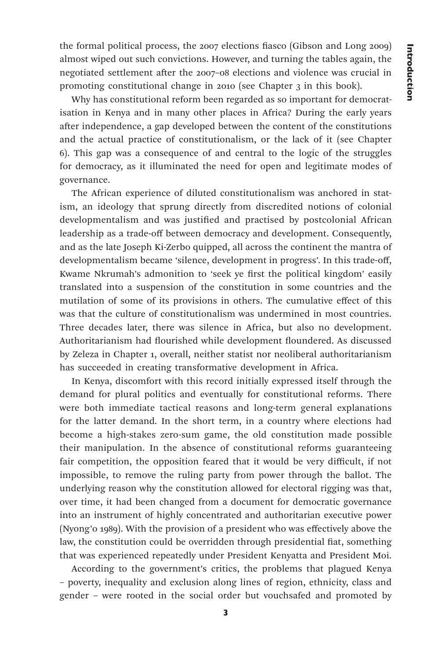the formal political process, the 2007 elections fiasco (Gibson and Long 2009) almost wiped out such convictions. However, and turning the tables again, the negotiated settlement after the 2007–08 elections and violence was crucial in promoting constitutional change in 2010 (see Chapter 3 in this book).

Why has constitutional reform been regarded as so important for democratisation in Kenya and in many other places in Africa? During the early years after independence, a gap developed between the content of the constitutions and the actual practice of constitutionalism, or the lack of it (see Chapter 6). This gap was a consequence of and central to the logic of the struggles for democracy, as it illuminated the need for open and legitimate modes of governance.

The African experience of diluted constitutionalism was anchored in statism, an ideology that sprung directly from discredited notions of colonial developmentalism and was justified and practised by postcolonial African leadership as a trade-off between democracy and development. Consequently, and as the late Joseph Ki-Zerbo quipped, all across the continent the mantra of developmentalism became 'silence, development in progress'. In this trade-off, Kwame Nkrumah's admonition to 'seek ye first the political kingdom' easily translated into a suspension of the constitution in some countries and the mutilation of some of its provisions in others. The cumulative effect of this was that the culture of constitutionalism was undermined in most countries. Three decades later, there was silence in Africa, but also no development. Authoritarianism had flourished while development floundered. As discussed by Zeleza in Chapter 1, overall, neither statist nor neoliberal authoritarianism has succeeded in creating transformative development in Africa.

In Kenya, discomfort with this record initially expressed itself through the demand for plural politics and eventually for constitutional reforms. There were both immediate tactical reasons and long-term general explanations for the latter demand. In the short term, in a country where elections had become a high-stakes zero-sum game, the old constitution made possible their manipulation. In the absence of constitutional reforms guaranteeing fair competition, the opposition feared that it would be very difficult, if not impossible, to remove the ruling party from power through the ballot. The underlying reason why the constitution allowed for electoral rigging was that, over time, it had been changed from a document for democratic governance into an instrument of highly concentrated and authoritarian executive power (Nyong'o 1989). With the provision of a president who was effectively above the law, the constitution could be overridden through presidential fiat, something that was experienced repeatedly under President Kenyatta and President Moi.

According to the government's critics, the problems that plagued Kenya – poverty, inequality and exclusion along lines of region, ethnicity, class and gender – were rooted in the social order but vouchsafed and promoted by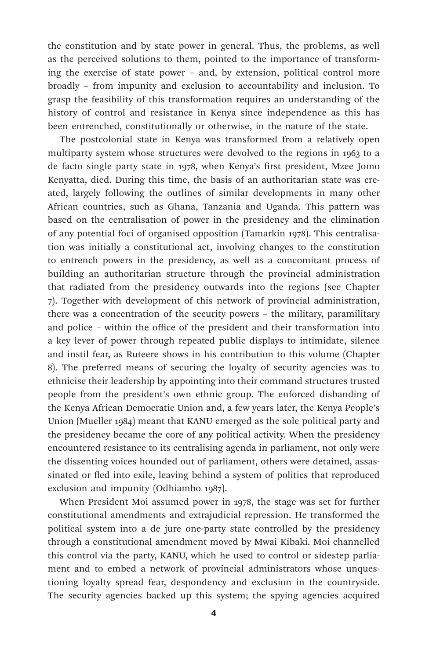the constitution and by state power in general. Thus, the problems, as well as the perceived solutions to them, pointed to the importance of transforming the exercise of state power – and, by extension, political control more broadly – from impunity and exclusion to accountability and inclusion. To grasp the feasibility of this transformation requires an understanding of the history of control and resistance in Kenya since independence as this has been entrenched, constitutionally or otherwise, in the nature of the state.

The postcolonial state in Kenya was transformed from a relatively open multiparty system whose structures were devolved to the regions in 1963 to a de facto single party state in 1978, when Kenya's first president, Mzee Jomo Kenyatta, died. During this time, the basis of an authoritarian state was created, largely following the outlines of similar developments in many other African countries, such as Ghana, Tanzania and Uganda. This pattern was based on the centralisation of power in the presidency and the elimination of any potential foci of organised opposition (Tamarkin 1978). This centralisation was initially a constitutional act, involving changes to the constitution to entrench powers in the presidency, as well as a concomitant process of building an authoritarian structure through the provincial administration that radiated from the presidency outwards into the regions (see Chapter 7). Together with development of this network of provincial administration, there was a concentration of the security powers – the military, paramilitary and police – within the office of the president and their transformation into a key lever of power through repeated public displays to intimidate, silence and instil fear, as Ruteere shows in his contribution to this volume (Chapter 8). The preferred means of securing the loyalty of security agencies was to ethnicise their leadership by appointing into their command structures trusted people from the president's own ethnic group. The enforced disbanding of the Kenya African Democratic Union and, a few years later, the Kenya People's Union (Mueller 1984) meant that KANU emerged as the sole political party and the presidency became the core of any political activity. When the presidency encountered resistance to its centralising agenda in parliament, not only were the dissenting voices hounded out of parliament, others were detained, assassinated or fled into exile, leaving behind a system of politics that reproduced exclusion and impunity (Odhiambo 1987).

When President Moi assumed power in 1978, the stage was set for further constitutional amendments and extrajudicial repression. He transformed the political system into a de jure one-party state controlled by the presidency through a constitutional amendment moved by Mwai Kibaki. Moi channelled this control via the party, KANU, which he used to control or sidestep parliament and to embed a network of provincial administrators whose unquestioning loyalty spread fear, despondency and exclusion in the countryside. The security agencies backed up this system; the spying agencies acquired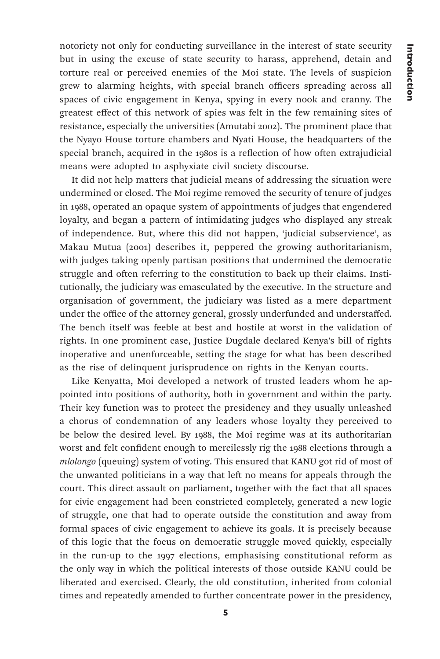notoriety not only for conducting surveillance in the interest of state security but in using the excuse of state security to harass, apprehend, detain and torture real or perceived enemies of the Moi state. The levels of suspicion grew to alarming heights, with special branch officers spreading across all spaces of civic engagement in Kenya, spying in every nook and cranny. The greatest effect of this network of spies was felt in the few remaining sites of resistance, especially the universities (Amutabi 2002). The prominent place that the Nyayo House torture chambers and Nyati House, the headquarters of the special branch, acquired in the 1980s is a reflection of how often extrajudicial means were adopted to asphyxiate civil society discourse.

It did not help matters that judicial means of addressing the situation were undermined or closed. The Moi regime removed the security of tenure of judges in 1988, operated an opaque system of appointments of judges that engendered loyalty, and began a pattern of intimidating judges who displayed any streak of independence. But, where this did not happen, 'judicial subservience', as Makau Mutua (2001) describes it, peppered the growing authoritarianism, with judges taking openly partisan positions that undermined the democratic struggle and often referring to the constitution to back up their claims. Institutionally, the judiciary was emasculated by the executive. In the structure and organisation of government, the judiciary was listed as a mere department under the office of the attorney general, grossly underfunded and understaffed. The bench itself was feeble at best and hostile at worst in the validation of rights. In one prominent case, Justice Dugdale declared Kenya's bill of rights inoperative and unenforceable, setting the stage for what has been described as the rise of delinquent jurisprudence on rights in the Kenyan courts.

Like Kenyatta, Moi developed a network of trusted leaders whom he appointed into positions of authority, both in government and within the party. Their key function was to protect the presidency and they usually unleashed a chorus of condemnation of any leaders whose loyalty they perceived to be below the desired level. By 1988, the Moi regime was at its authoritarian worst and felt confident enough to mercilessly rig the 1988 elections through a *mlolongo* (queuing) system of voting. This ensured that KANU got rid of most of the unwanted politicians in a way that left no means for appeals through the court. This direct assault on parliament, together with the fact that all spaces for civic engagement had been constricted completely, generated a new logic of struggle, one that had to operate outside the constitution and away from formal spaces of civic engagement to achieve its goals. It is precisely because of this logic that the focus on democratic struggle moved quickly, especially in the run-up to the 1997 elections, emphasising constitutional reform as the only way in which the political interests of those outside KANU could be liberated and exercised. Clearly, the old constitution, inherited from colonial times and repeatedly amended to further concentrate power in the presidency,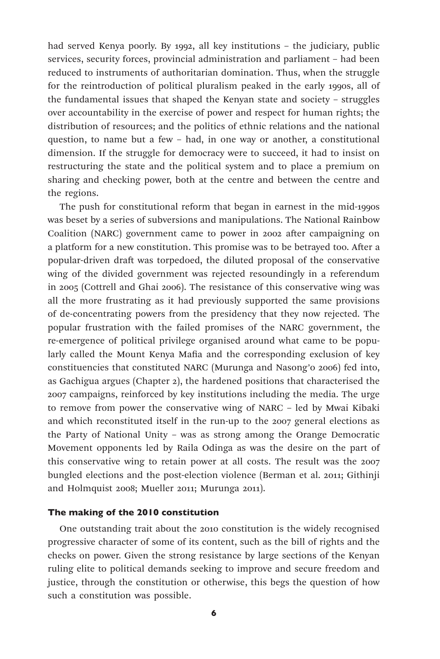had served Kenya poorly. By 1992, all key institutions – the judiciary, public services, security forces, provincial administration and parliament – had been reduced to instruments of authoritarian domination. Thus, when the struggle for the reintroduction of political pluralism peaked in the early 1990s, all of the fundamental issues that shaped the Kenyan state and society – struggles over accountability in the exercise of power and respect for human rights; the distribution of resources; and the politics of ethnic relations and the national question, to name but a few – had, in one way or another, a constitutional dimension. If the struggle for democracy were to succeed, it had to insist on restructuring the state and the political system and to place a premium on sharing and checking power, both at the centre and between the centre and the regions.

The push for constitutional reform that began in earnest in the mid-1990s was beset by a series of subversions and manipulations. The National Rainbow Coalition (NARC) government came to power in 2002 after campaigning on a platform for a new constitution. This promise was to be betrayed too. After a popular-driven draft was torpedoed, the diluted proposal of the conservative wing of the divided government was rejected resoundingly in a referendum in 2005 (Cottrell and Ghai 2006). The resistance of this conservative wing was all the more frustrating as it had previously supported the same provisions of de-concentrating powers from the presidency that they now rejected. The popular frustration with the failed promises of the NARC government, the re-emergence of political privilege organised around what came to be popularly called the Mount Kenya Mafia and the corresponding exclusion of key constituencies that constituted NARC (Murunga and Nasong'o 2006) fed into, as Gachigua argues (Chapter 2), the hardened positions that characterised the 2007 campaigns, reinforced by key institutions including the media. The urge to remove from power the conservative wing of NARC – led by Mwai Kibaki and which reconstituted itself in the run-up to the 2007 general elections as the Party of National Unity – was as strong among the Orange Democratic Movement opponents led by Raila Odinga as was the desire on the part of this conservative wing to retain power at all costs. The result was the 2007 bungled elections and the post-election violence (Berman et al. 2011; Githinji and Holmquist 2008; Mueller 2011; Murunga 2011).

### The making of the 2010 constitution

One outstanding trait about the 2010 constitution is the widely recognised progressive character of some of its content, such as the bill of rights and the checks on power. Given the strong resistance by large sections of the Kenyan ruling elite to political demands seeking to improve and secure freedom and justice, through the constitution or otherwise, this begs the question of how such a constitution was possible.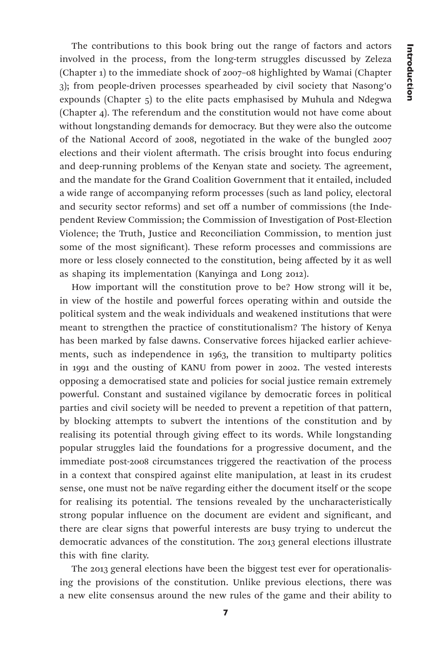The contributions to this book bring out the range of factors and actors involved in the process, from the long-term struggles discussed by Zeleza (Chapter 1) to the immediate shock of 2007–08 highlighted by Wamai (Chapter 3); from people-driven processes spearheaded by civil society that Nasong'o expounds (Chapter 5) to the elite pacts emphasised by Muhula and Ndegwa (Chapter 4). The referendum and the constitution would not have come about without longstanding demands for democracy. But they were also the outcome of the National Accord of 2008, negotiated in the wake of the bungled 2007 elections and their violent aftermath. The crisis brought into focus enduring and deep-running problems of the Kenyan state and society. The agreement, and the mandate for the Grand Coalition Government that it entailed, included a wide range of accompanying reform processes (such as land policy, electoral and security sector reforms) and set off a number of commissions (the Independent Review Commission; the Commission of Investigation of Post-Election Violence; the Truth, Justice and Reconciliation Commission, to mention just some of the most significant). These reform processes and commissions are more or less closely connected to the constitution, being affected by it as well as shaping its implementation (Kanyinga and Long 2012).

How important will the constitution prove to be? How strong will it be, in view of the hostile and powerful forces operating within and outside the political system and the weak individuals and weakened institutions that were meant to strengthen the practice of constitutionalism? The history of Kenya has been marked by false dawns. Conservative forces hijacked earlier achievements, such as independence in 1963, the transition to multiparty politics in 1991 and the ousting of KANU from power in 2002. The vested interests opposing a democratised state and policies for social justice remain extremely powerful. Constant and sustained vigilance by democratic forces in political parties and civil society will be needed to prevent a repetition of that pattern, by blocking attempts to subvert the intentions of the constitution and by realising its potential through giving effect to its words. While longstanding popular struggles laid the foundations for a progressive document, and the immediate post-2008 circumstances triggered the reactivation of the process in a context that conspired against elite manipulation, at least in its crudest sense, one must not be naïve regarding either the document itself or the scope for realising its potential. The tensions revealed by the uncharacteristically strong popular influence on the document are evident and significant, and there are clear signs that powerful interests are busy trying to undercut the democratic advances of the constitution. The 2013 general elections illustrate this with fine clarity.

The 2013 general elections have been the biggest test ever for operationalising the provisions of the constitution. Unlike previous elections, there was a new elite consensus around the new rules of the game and their ability to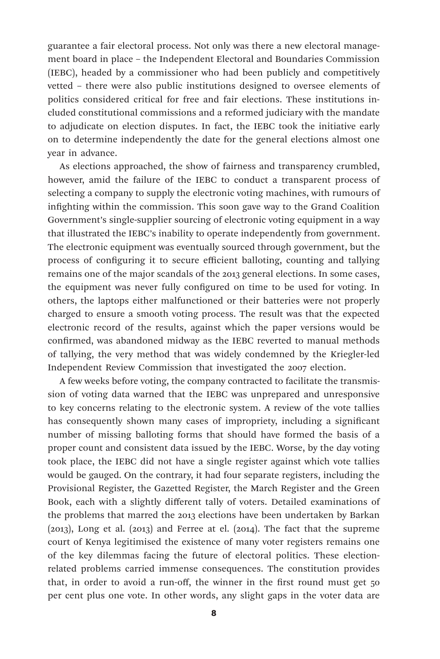guarantee a fair electoral process. Not only was there a new electoral management board in place – the Independent Electoral and Boundaries Commission (IEBC), headed by a commissioner who had been publicly and competitively vetted – there were also public institutions designed to oversee elements of politics considered critical for free and fair elections. These institutions included constitutional commissions and a reformed judiciary with the mandate to adjudicate on election disputes. In fact, the IEBC took the initiative early on to determine independently the date for the general elections almost one year in advance.

As elections approached, the show of fairness and transparency crumbled, however, amid the failure of the IEBC to conduct a transparent process of selecting a company to supply the electronic voting machines, with rumours of infighting within the commission. This soon gave way to the Grand Coalition Government's single-supplier sourcing of electronic voting equipment in a way that illustrated the IEBC's inability to operate independently from government. The electronic equipment was eventually sourced through government, but the process of configuring it to secure efficient balloting, counting and tallying remains one of the major scandals of the 2013 general elections. In some cases, the equipment was never fully configured on time to be used for voting. In others, the laptops either malfunctioned or their batteries were not properly charged to ensure a smooth voting process. The result was that the expected electronic record of the results, against which the paper versions would be confirmed, was abandoned midway as the IEBC reverted to manual methods of tallying, the very method that was widely condemned by the Kriegler-led Independent Review Commission that investigated the 2007 election.

A few weeks before voting, the company contracted to facilitate the transmission of voting data warned that the IEBC was unprepared and unresponsive to key concerns relating to the electronic system. A review of the vote tallies has consequently shown many cases of impropriety, including a significant number of missing balloting forms that should have formed the basis of a proper count and consistent data issued by the IEBC. Worse, by the day voting took place, the IEBC did not have a single register against which vote tallies would be gauged. On the contrary, it had four separate registers, including the Provisional Register, the Gazetted Register, the March Register and the Green Book, each with a slightly different tally of voters. Detailed examinations of the problems that marred the 2013 elections have been undertaken by Barkan (2013), Long et al. (2013) and Ferree at el. (2014). The fact that the supreme court of Kenya legitimised the existence of many voter registers remains one of the key dilemmas facing the future of electoral politics. These electionrelated problems carried immense consequences. The constitution provides that, in order to avoid a run-off, the winner in the first round must get 50 per cent plus one vote. In other words, any slight gaps in the voter data are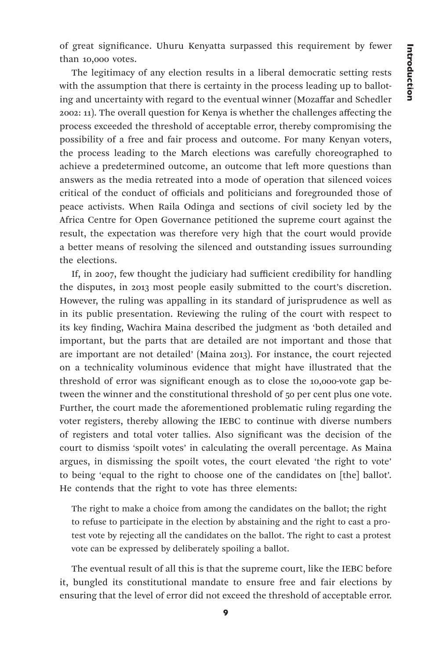of great significance. Uhuru Kenyatta surpassed this requirement by fewer than 10,000 votes.

The legitimacy of any election results in a liberal democratic setting rests with the assumption that there is certainty in the process leading up to balloting and uncertainty with regard to the eventual winner (Mozaffar and Schedler 2002: 11). The overall question for Kenya is whether the challenges affecting the process exceeded the threshold of acceptable error, thereby compromising the possibility of a free and fair process and outcome. For many Kenyan voters, the process leading to the March elections was carefully choreographed to achieve a predetermined outcome, an outcome that left more questions than answers as the media retreated into a mode of operation that silenced voices critical of the conduct of officials and politicians and foregrounded those of peace activists. When Raila Odinga and sections of civil society led by the Africa Centre for Open Governance petitioned the supreme court against the result, the expectation was therefore very high that the court would provide a better means of resolving the silenced and outstanding issues surrounding the elections.

If, in 2007, few thought the judiciary had sufficient credibility for handling the disputes, in 2013 most people easily submitted to the court's discretion. However, the ruling was appalling in its standard of jurisprudence as well as in its public presentation. Reviewing the ruling of the court with respect to its key finding, Wachira Maina described the judgment as 'both detailed and important, but the parts that are detailed are not important and those that are important are not detailed' (Maina 2013). For instance, the court rejected on a technicality voluminous evidence that might have illustrated that the threshold of error was significant enough as to close the 10,000-vote gap between the winner and the constitutional threshold of 50 per cent plus one vote. Further, the court made the aforementioned problematic ruling regarding the voter registers, thereby allowing the IEBC to continue with diverse numbers of registers and total voter tallies. Also significant was the decision of the court to dismiss 'spoilt votes' in calculating the overall percentage. As Maina argues, in dismissing the spoilt votes, the court elevated 'the right to vote' to being 'equal to the right to choose one of the candidates on [the] ballot'. He contends that the right to vote has three elements:

The right to make a choice from among the candidates on the ballot; the right to refuse to participate in the election by abstaining and the right to cast a protest vote by rejecting all the candidates on the ballot. The right to cast a protest vote can be expressed by deliberately spoiling a ballot.

The eventual result of all this is that the supreme court, like the IEBC before it, bungled its constitutional mandate to ensure free and fair elections by ensuring that the level of error did not exceed the threshold of acceptable error.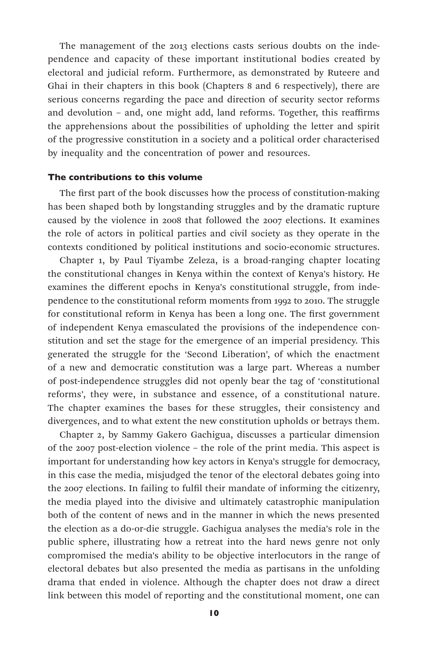The management of the 2013 elections casts serious doubts on the independence and capacity of these important institutional bodies created by electoral and judicial reform. Furthermore, as demonstrated by Ruteere and Ghai in their chapters in this book (Chapters 8 and 6 respectively), there are serious concerns regarding the pace and direction of security sector reforms and devolution – and, one might add, land reforms. Together, this reaffirms the apprehensions about the possibilities of upholding the letter and spirit of the progressive constitution in a society and a political order characterised by inequality and the concentration of power and resources.

#### The contributions to this volume

The first part of the book discusses how the process of constitution-making has been shaped both by longstanding struggles and by the dramatic rupture caused by the violence in 2008 that followed the 2007 elections. It examines the role of actors in political parties and civil society as they operate in the contexts conditioned by political institutions and socio-economic structures.

Chapter 1, by Paul Tiyambe Zeleza, is a broad-ranging chapter locating the constitutional changes in Kenya within the context of Kenya's history. He examines the different epochs in Kenya's constitutional struggle, from independence to the constitutional reform moments from 1992 to 2010. The struggle for constitutional reform in Kenya has been a long one. The first government of independent Kenya emasculated the provisions of the independence constitution and set the stage for the emergence of an imperial presidency. This generated the struggle for the 'Second Liberation', of which the enactment of a new and democratic constitution was a large part. Whereas a number of post-independence struggles did not openly bear the tag of 'constitutional reforms', they were, in substance and essence, of a constitutional nature. The chapter examines the bases for these struggles, their consistency and divergences, and to what extent the new constitution upholds or betrays them.

Chapter 2, by Sammy Gakero Gachigua, discusses a particular dimension of the 2007 post-election violence – the role of the print media. This aspect is important for understanding how key actors in Kenya's struggle for democracy, in this case the media, misjudged the tenor of the electoral debates going into the 2007 elections. In failing to fulfil their mandate of informing the citizenry, the media played into the divisive and ultimately catastrophic manipulation both of the content of news and in the manner in which the news presented the election as a do-or-die struggle. Gachigua analyses the media's role in the public sphere, illustrating how a retreat into the hard news genre not only compromised the media's ability to be objective interlocutors in the range of electoral debates but also presented the media as partisans in the unfolding drama that ended in violence. Although the chapter does not draw a direct link between this model of reporting and the constitutional moment, one can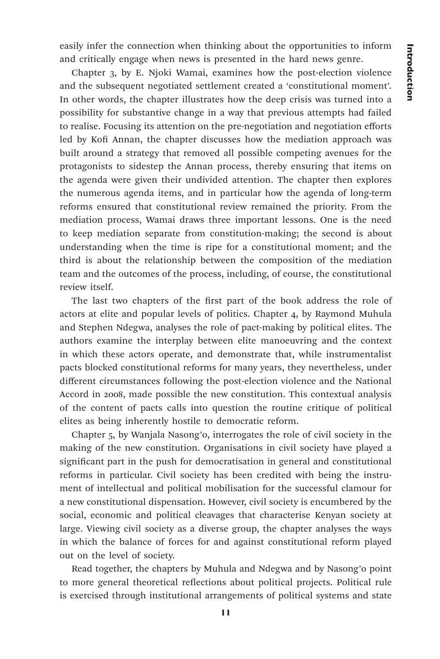easily infer the connection when thinking about the opportunities to inform and critically engage when news is presented in the hard news genre.

Chapter 3, by E. Njoki Wamai, examines how the post-election violence and the subsequent negotiated settlement created a 'constitutional moment'. In other words, the chapter illustrates how the deep crisis was turned into a possibility for substantive change in a way that previous attempts had failed to realise. Focusing its attention on the pre-negotiation and negotiation efforts led by Kofi Annan, the chapter discusses how the mediation approach was built around a strategy that removed all possible competing avenues for the protagonists to sidestep the Annan process, thereby ensuring that items on the agenda were given their undivided attention. The chapter then explores the numerous agenda items, and in particular how the agenda of long-term reforms ensured that constitutional review remained the priority. From the mediation process, Wamai draws three important lessons. One is the need to keep mediation separate from constitution-making; the second is about understanding when the time is ripe for a constitutional moment; and the third is about the relationship between the composition of the mediation team and the outcomes of the process, including, of course, the constitutional review itself.

The last two chapters of the first part of the book address the role of actors at elite and popular levels of politics. Chapter 4, by Raymond Muhula and Stephen Ndegwa, analyses the role of pact-making by political elites. The authors examine the interplay between elite manoeuvring and the context in which these actors operate, and demonstrate that, while instrumentalist pacts blocked constitutional reforms for many years, they nevertheless, under different circumstances following the post-election violence and the National Accord in 2008, made possible the new constitution. This contextual analysis of the content of pacts calls into question the routine critique of political elites as being inherently hostile to democratic reform.

Chapter 5, by Wanjala Nasong'o, interrogates the role of civil society in the making of the new constitution. Organisations in civil society have played a significant part in the push for democratisation in general and constitutional reforms in particular. Civil society has been credited with being the instrument of intellectual and political mobilisation for the successful clamour for a new constitutional dispensation. However, civil society is encumbered by the social, economic and political cleavages that characterise Kenyan society at large. Viewing civil society as a diverse group, the chapter analyses the ways in which the balance of forces for and against constitutional reform played out on the level of society.

Read together, the chapters by Muhula and Ndegwa and by Nasong'o point to more general theoretical reflections about political projects. Political rule is exercised through institutional arrangements of political systems and state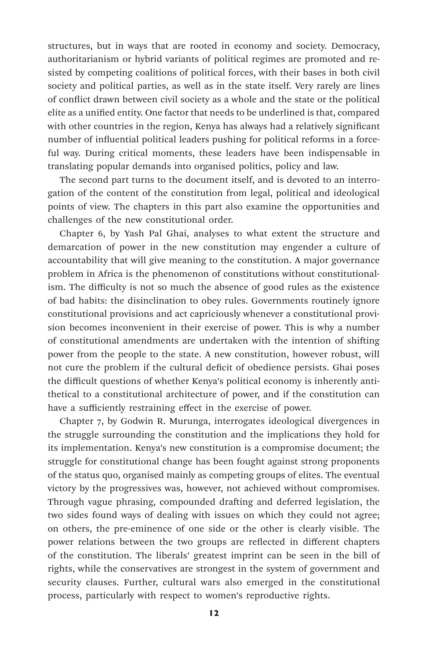structures, but in ways that are rooted in economy and society. Democracy, authoritarianism or hybrid variants of political regimes are promoted and resisted by competing coalitions of political forces, with their bases in both civil society and political parties, as well as in the state itself. Very rarely are lines of conflict drawn between civil society as a whole and the state or the political elite as a unified entity. One factor that needs to be underlined is that, compared with other countries in the region, Kenya has always had a relatively significant number of influential political leaders pushing for political reforms in a forceful way. During critical moments, these leaders have been indispensable in translating popular demands into organised politics, policy and law.

The second part turns to the document itself, and is devoted to an interrogation of the content of the constitution from legal, political and ideological points of view. The chapters in this part also examine the opportunities and challenges of the new constitutional order.

Chapter 6, by Yash Pal Ghai, analyses to what extent the structure and demarcation of power in the new constitution may engender a culture of accountability that will give meaning to the constitution. A major governance problem in Africa is the phenomenon of constitutions without constitutionalism. The difficulty is not so much the absence of good rules as the existence of bad habits: the disinclination to obey rules. Governments routinely ignore constitutional provisions and act capriciously whenever a constitutional provision becomes inconvenient in their exercise of power. This is why a number of constitutional amendments are undertaken with the intention of shifting power from the people to the state. A new constitution, however robust, will not cure the problem if the cultural deficit of obedience persists. Ghai poses the difficult questions of whether Kenya's political economy is inherently antithetical to a constitutional architecture of power, and if the constitution can have a sufficiently restraining effect in the exercise of power.

Chapter 7, by Godwin R. Murunga, interrogates ideological divergences in the struggle surrounding the constitution and the implications they hold for its implementation. Kenya's new constitution is a compromise document; the struggle for constitutional change has been fought against strong proponents of the status quo, organised mainly as competing groups of elites. The eventual victory by the progressives was, however, not achieved without compromises. Through vague phrasing, compounded drafting and deferred legislation, the two sides found ways of dealing with issues on which they could not agree; on others, the pre-eminence of one side or the other is clearly visible. The power relations between the two groups are reflected in different chapters of the constitution. The liberals' greatest imprint can be seen in the bill of rights, while the conservatives are strongest in the system of government and security clauses. Further, cultural wars also emerged in the constitutional process, particularly with respect to women's reproductive rights.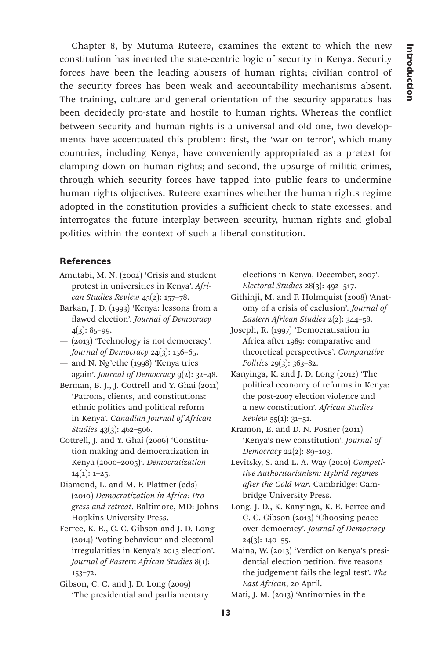Chapter 8, by Mutuma Ruteere, examines the extent to which the new constitution has inverted the state-centric logic of security in Kenya. Security forces have been the leading abusers of human rights; civilian control of the security forces has been weak and accountability mechanisms absent. The training, culture and general orientation of the security apparatus has been decidedly pro-state and hostile to human rights. Whereas the conflict between security and human rights is a universal and old one, two developments have accentuated this problem: first, the 'war on terror', which many countries, including Kenya, have conveniently appropriated as a pretext for clamping down on human rights; and second, the upsurge of militia crimes, through which security forces have tapped into public fears to undermine human rights objectives. Ruteere examines whether the human rights regime adopted in the constitution provides a sufficient check to state excesses; and interrogates the future interplay between security, human rights and global politics within the context of such a liberal constitution.

### **References**

- Amutabi, M. N. (2002) 'Crisis and student protest in universities in Kenya'. *African Studies Review* 45(2): 157–78.
- Barkan, J. D. (1993) 'Kenya: lessons from a flawed election'. *Journal of Democracy* 4(3): 85–99.
- (2013) 'Technology is not democracy'. *Journal of Democracy* 24(3): 156-65.
- and N. Ng'ethe (1998) 'Kenya tries again'. *Journal of Democracy* 9(2): 32–48.
- Berman, B. J., J. Cottrell and Y. Ghai (2011) 'Patrons, clients, and constitutions: ethnic politics and political reform in Kenya'. *Canadian Journal of African Studies* 43(3): 462–506.
- Cottrell, J. and Y. Ghai (2006) 'Constitution making and democratization in Kenya (2000–2005)'. *Democratization*  $14(1): 1-25.$
- Diamond, L. and M. F. Plattner (eds) (2010) *Democratization in Africa: Progress and retreat*. Baltimore, MD: Johns Hopkins University Press.
- Ferree, K. E., C. C. Gibson and J. D. Long (2014) 'Voting behaviour and electoral irregularities in Kenya's 2013 election'. *Journal of Eastern African Studies* 8(1): 153–72.

Gibson, C. C. and J. D. Long (2009) 'The presidential and parliamentary elections in Kenya, December, 2007'. *Electoral Studies* 28(3): 492–517.

- Githinji, M. and F. Holmquist (2008) 'Anatomy of a crisis of exclusion'. *Journal of Eastern African Studies* 2(2): 344–58.
- Joseph, R. (1997) 'Democratisation in Africa after 1989: comparative and theoretical perspectives'. *Comparative Politics* 29(3): 363–82.
- Kanyinga, K. and J. D. Long (2012) 'The political economy of reforms in Kenya: the post-2007 election violence and a new constitution'. *African Studies Review* 55(1): 31–51.
- Kramon, E. and D. N. Posner (2011) 'Kenya's new constitution'. *Journal of Democracy* 22(2): 89–103.
- Levitsky, S. and L. A. Way (2010) *Competitive Authoritarianism: Hybrid regimes after the Cold War*. Cambridge: Cambridge University Press.
- Long, J. D., K. Kanyinga, K. E. Ferree and C. C. Gibson (2013) 'Choosing peace over democracy'. *Journal of Democracy*  $24(3): 140-55.$
- Maina, W. (2013) 'Verdict on Kenya's presidential election petition: five reasons the judgement fails the legal test'. *The East African*, 20 April.
- Mati, J. M. (2013) 'Antinomies in the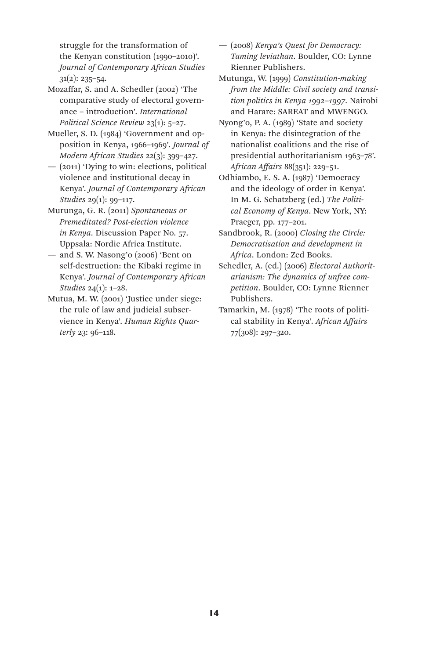struggle for the transformation of the Kenyan constitution (1990–2010)'. *Journal of Contemporary African Studies* 31(2): 235–54.

Mozaffar, S. and A. Schedler (2002) 'The comparative study of electoral governance – introduction'. *International Political Science Review* 23(1): 5–27.

Mueller, S. D. (1984) 'Government and opposition in Kenya, 1966–1969'. *Journal of Modern African Studies* 22(3): 399–427.

— (2011) 'Dying to win: elections, political violence and institutional decay in Kenya'. *Journal of Contemporary African Studies* 29(1): 99–117.

Murunga, G. R. (2011) *Spontaneous or Premeditated? Post-election violence in Kenya*. Discussion Paper No. 57. Uppsala: Nordic Africa Institute.

— and S. W. Nasong'o (2006) 'Bent on self-destruction: the Kibaki regime in Kenya'. *Journal of Contemporary African Studies* 24(1): 1–28.

Mutua, M. W. (2001) 'Justice under siege: the rule of law and judicial subservience in Kenya'. *Human Rights Quarterly* 23: 96–118.

— (2008) *Kenya's Quest for Democracy: Taming leviathan*. Boulder, CO: Lynne Rienner Publishers.

Mutunga, W. (1999) *Constitution-making from the Middle: Civil society and transition politics in Kenya 1992–1997*. Nairobi and Harare: SAREAT and MWENGO.

Nyong'o, P. A. (1989) 'State and society in Kenya: the disintegration of the nationalist coalitions and the rise of presidential authoritarianism 1963–78'. *African Affairs* 88(351): 229–51.

Odhiambo, E. S. A. (1987) 'Democracy and the ideology of order in Kenya'. In M. G. Schatzberg (ed.) *The Political Economy of Kenya*. New York, NY: Praeger, pp. 177–201.

Sandbrook, R. (2000) *Closing the Circle: Democratisation and development in Africa*. London: Zed Books.

Schedler, A. (ed.) (2006) *Electoral Authoritarianism: The dynamics of unfree competition*. Boulder, CO: Lynne Rienner Publishers.

Tamarkin, M. (1978) 'The roots of political stability in Kenya'. *African Affairs* 77(308): 297–320.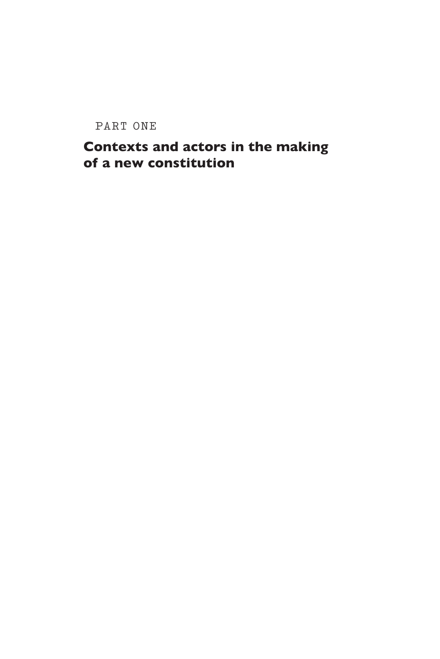PART ONE

# Contexts and actors in the making of a new constitution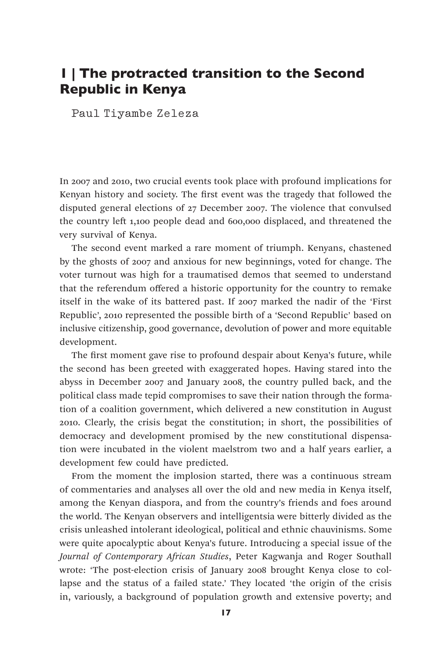### 1 | The protracted transition to the Second Republic in Kenya

Paul Tiyambe Zeleza

In 2007 and 2010, two crucial events took place with profound implications for Kenyan history and society. The first event was the tragedy that followed the disputed general elections of 27 December 2007. The violence that convulsed the country left 1,100 people dead and 600,000 displaced, and threatened the very survival of Kenya.

The second event marked a rare moment of triumph. Kenyans, chastened by the ghosts of 2007 and anxious for new beginnings, voted for change. The voter turnout was high for a traumatised demos that seemed to understand that the referendum offered a historic opportunity for the country to remake itself in the wake of its battered past. If 2007 marked the nadir of the 'First Republic', 2010 represented the possible birth of a 'Second Republic' based on inclusive citizenship, good governance, devolution of power and more equitable development.

The first moment gave rise to profound despair about Kenya's future, while the second has been greeted with exaggerated hopes. Having stared into the abyss in December 2007 and January 2008, the country pulled back, and the political class made tepid compromises to save their nation through the formation of a coalition government, which delivered a new constitution in August 2010. Clearly, the crisis begat the constitution; in short, the possibilities of democracy and development promised by the new constitutional dispensation were incubated in the violent maelstrom two and a half years earlier, a development few could have predicted.

From the moment the implosion started, there was a continuous stream of commentaries and analyses all over the old and new media in Kenya itself, among the Kenyan diaspora, and from the country's friends and foes around the world. The Kenyan observers and intelligentsia were bitterly divided as the crisis unleashed intolerant ideological, political and ethnic chauvinisms. Some were quite apocalyptic about Kenya's future. Introducing a special issue of the *Journal of Contemporary African Studies*, Peter Kagwanja and Roger Southall wrote: 'The post-election crisis of January 2008 brought Kenya close to collapse and the status of a failed state.' They located 'the origin of the crisis in, variously, a background of population growth and extensive poverty; and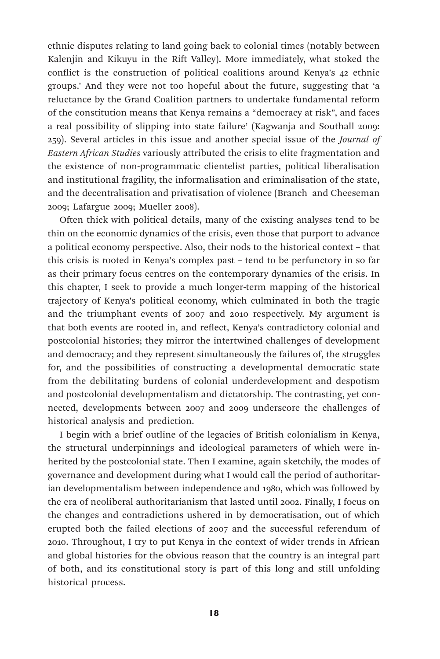ethnic disputes relating to land going back to colonial times (notably between Kalenjin and Kikuyu in the Rift Valley). More immediately, what stoked the conflict is the construction of political coalitions around Kenya's 42 ethnic groups.' And they were not too hopeful about the future, suggesting that 'a reluctance by the Grand Coalition partners to undertake fundamental reform of the constitution means that Kenya remains a "democracy at risk", and faces a real possibility of slipping into state failure' (Kagwanja and Southall 2009: 259). Several articles in this issue and another special issue of the *Journal of Eastern African Studies* variously attributed the crisis to elite fragmentation and the existence of non-programmatic clientelist parties, political liberalisation and institutional fragility, the informalisation and criminalisation of the state, and the decentralisation and privatisation of violence (Branch and Cheeseman 2009; Lafargue 2009; Mueller 2008).

Often thick with political details, many of the existing analyses tend to be thin on the economic dynamics of the crisis, even those that purport to advance a political economy perspective. Also, their nods to the historical context – that this crisis is rooted in Kenya's complex past – tend to be perfunctory in so far as their primary focus centres on the contemporary dynamics of the crisis. In this chapter, I seek to provide a much longer-term mapping of the historical trajectory of Kenya's political economy, which culminated in both the tragic and the triumphant events of 2007 and 2010 respectively. My argument is that both events are rooted in, and reflect, Kenya's contradictory colonial and postcolonial histories; they mirror the intertwined challenges of development and democracy; and they represent simultaneously the failures of, the struggles for, and the possibilities of constructing a developmental democratic state from the debilitating burdens of colonial underdevelopment and despotism and postcolonial developmentalism and dictatorship. The contrasting, yet connected, developments between 2007 and 2009 underscore the challenges of historical analysis and prediction.

I begin with a brief outline of the legacies of British colonialism in Kenya, the structural underpinnings and ideological parameters of which were inherited by the postcolonial state. Then I examine, again sketchily, the modes of governance and development during what I would call the period of authoritarian developmentalism between independence and 1980, which was followed by the era of neoliberal authoritarianism that lasted until 2002. Finally, I focus on the changes and contradictions ushered in by democratisation, out of which erupted both the failed elections of 2007 and the successful referendum of 2010. Throughout, I try to put Kenya in the context of wider trends in African and global histories for the obvious reason that the country is an integral part of both, and its constitutional story is part of this long and still unfolding historical process.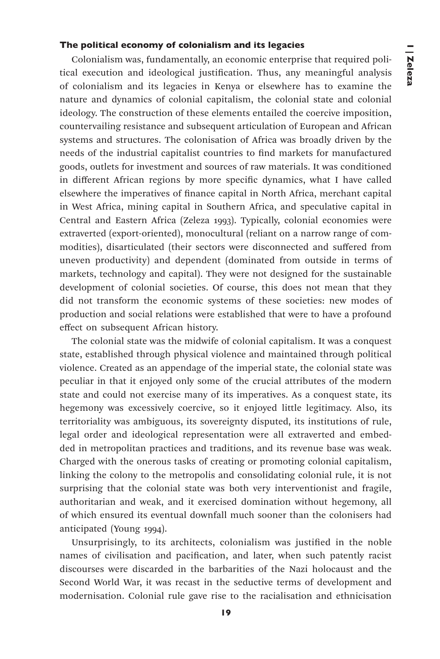#### The political economy of colonialism and its legacies

Colonialism was, fundamentally, an economic enterprise that required political execution and ideological justification. Thus, any meaningful analysis of colonialism and its legacies in Kenya or elsewhere has to examine the nature and dynamics of colonial capitalism, the colonial state and colonial ideology. The construction of these elements entailed the coercive imposition, countervailing resistance and subsequent articulation of European and African systems and structures. The colonisation of Africa was broadly driven by the needs of the industrial capitalist countries to find markets for manufactured goods, outlets for investment and sources of raw materials. It was conditioned in different African regions by more specific dynamics, what I have called elsewhere the imperatives of finance capital in North Africa, merchant capital in West Africa, mining capital in Southern Africa, and speculative capital in Central and Eastern Africa (Zeleza 1993). Typically, colonial economies were extraverted (export-oriented), monocultural (reliant on a narrow range of commodities), disarticulated (their sectors were disconnected and suffered from uneven productivity) and dependent (dominated from outside in terms of markets, technology and capital). They were not designed for the sustainable development of colonial societies. Of course, this does not mean that they did not transform the economic systems of these societies: new modes of production and social relations were established that were to have a profound effect on subsequent African history.

The colonial state was the midwife of colonial capitalism. It was a conquest state, established through physical violence and maintained through political violence. Created as an appendage of the imperial state, the colonial state was peculiar in that it enjoyed only some of the crucial attributes of the modern state and could not exercise many of its imperatives. As a conquest state, its hegemony was excessively coercive, so it enjoyed little legitimacy. Also, its territoriality was ambiguous, its sovereignty disputed, its institutions of rule, legal order and ideological representation were all extraverted and embedded in metropolitan practices and traditions, and its revenue base was weak. Charged with the onerous tasks of creating or promoting colonial capitalism, linking the colony to the metropolis and consolidating colonial rule, it is not surprising that the colonial state was both very interventionist and fragile, authoritarian and weak, and it exercised domination without hegemony, all of which ensured its eventual downfall much sooner than the colonisers had anticipated (Young 1994).

Unsurprisingly, to its architects, colonialism was justified in the noble names of civilisation and pacification, and later, when such patently racist discourses were discarded in the barbarities of the Nazi holocaust and the Second World War, it was recast in the seductive terms of development and modernisation. Colonial rule gave rise to the racialisation and ethnicisation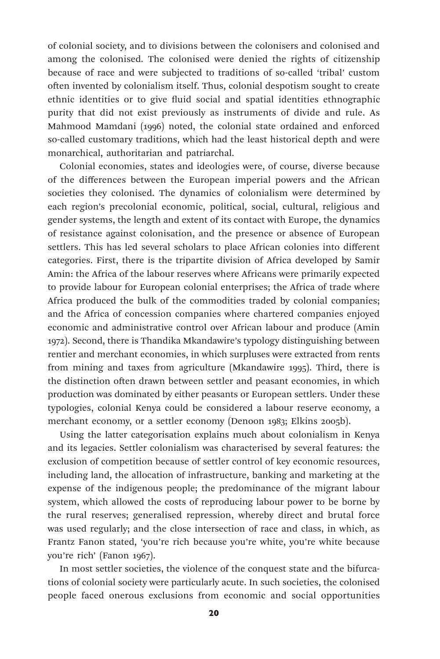of colonial society, and to divisions between the colonisers and colonised and among the colonised. The colonised were denied the rights of citizenship because of race and were subjected to traditions of so-called 'tribal' custom often invented by colonialism itself. Thus, colonial despotism sought to create ethnic identities or to give fluid social and spatial identities ethnographic purity that did not exist previously as instruments of divide and rule. As Mahmood Mamdani (1996) noted, the colonial state ordained and enforced so-called customary traditions, which had the least historical depth and were monarchical, authoritarian and patriarchal.

Colonial economies, states and ideologies were, of course, diverse because of the differences between the European imperial powers and the African societies they colonised. The dynamics of colonialism were determined by each region's precolonial economic, political, social, cultural, religious and gender systems, the length and extent of its contact with Europe, the dynamics of resistance against colonisation, and the presence or absence of European settlers. This has led several scholars to place African colonies into different categories. First, there is the tripartite division of Africa developed by Samir Amin: the Africa of the labour reserves where Africans were primarily expected to provide labour for European colonial enterprises; the Africa of trade where Africa produced the bulk of the commodities traded by colonial companies; and the Africa of concession companies where chartered companies enjoyed economic and administrative control over African labour and produce (Amin 1972). Second, there is Thandika Mkandawire's typology distinguishing between rentier and merchant economies, in which surpluses were extracted from rents from mining and taxes from agriculture (Mkandawire 1995). Third, there is the distinction often drawn between settler and peasant economies, in which production was dominated by either peasants or European settlers. Under these typologies, colonial Kenya could be considered a labour reserve economy, a merchant economy, or a settler economy (Denoon 1983; Elkins 2005b).

Using the latter categorisation explains much about colonialism in Kenya and its legacies. Settler colonialism was characterised by several features: the exclusion of competition because of settler control of key economic resources, including land, the allocation of infrastructure, banking and marketing at the expense of the indigenous people; the predominance of the migrant labour system, which allowed the costs of reproducing labour power to be borne by the rural reserves; generalised repression, whereby direct and brutal force was used regularly; and the close intersection of race and class, in which, as Frantz Fanon stated, 'you're rich because you're white, you're white because you're rich' (Fanon 1967).

In most settler societies, the violence of the conquest state and the bifurcations of colonial society were particularly acute. In such societies, the colonised people faced onerous exclusions from economic and social opportunities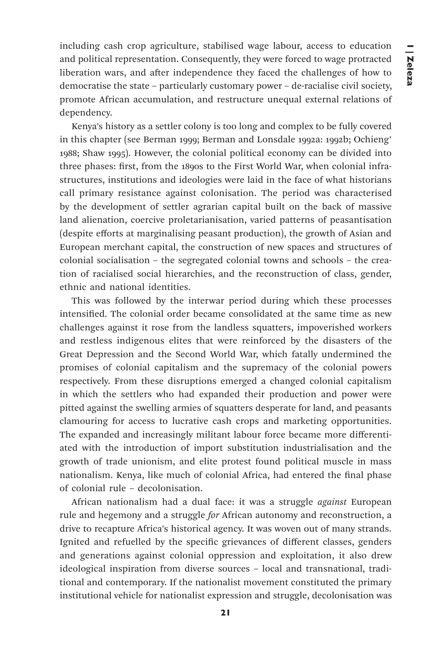including cash crop agriculture, stabilised wage labour, access to education and political representation. Consequently, they were forced to wage protracted liberation wars, and after independence they faced the challenges of how to democratise the state – particularly customary power – de-racialise civil society, promote African accumulation, and restructure unequal external relations of dependency.

Kenya's history as a settler colony is too long and complex to be fully covered in this chapter (see Berman 1999; Berman and Lonsdale 1992a: 1992b; Ochieng' 1988; Shaw 1995). However, the colonial political economy can be divided into three phases: first, from the 1890s to the First World War, when colonial infrastructures, institutions and ideologies were laid in the face of what historians call primary resistance against colonisation. The period was characterised by the development of settler agrarian capital built on the back of massive land alienation, coercive proletarianisation, varied patterns of peasantisation (despite efforts at marginalising peasant production), the growth of Asian and European merchant capital, the construction of new spaces and structures of colonial socialisation – the segregated colonial towns and schools – the creation of racialised social hierarchies, and the reconstruction of class, gender, ethnic and national identities.

This was followed by the interwar period during which these processes intensified. The colonial order became consolidated at the same time as new challenges against it rose from the landless squatters, impoverished workers and restless indigenous elites that were reinforced by the disasters of the Great Depression and the Second World War, which fatally undermined the promises of colonial capitalism and the supremacy of the colonial powers respectively. From these disruptions emerged a changed colonial capitalism in which the settlers who had expanded their production and power were pitted against the swelling armies of squatters desperate for land, and peasants clamouring for access to lucrative cash crops and marketing opportunities. The expanded and increasingly militant labour force became more differentiated with the introduction of import substitution industrialisation and the growth of trade unionism, and elite protest found political muscle in mass nationalism. Kenya, like much of colonial Africa, had entered the final phase of colonial rule – decolonisation.

African nationalism had a dual face: it was a struggle *against* European rule and hegemony and a struggle *for* African autonomy and reconstruction, a drive to recapture Africa's historical agency. It was woven out of many strands. Ignited and refuelled by the specific grievances of different classes, genders and generations against colonial oppression and exploitation, it also drew ideological inspiration from diverse sources – local and transnational, traditional and contemporary. If the nationalist movement constituted the primary institutional vehicle for nationalist expression and struggle, decolonisation was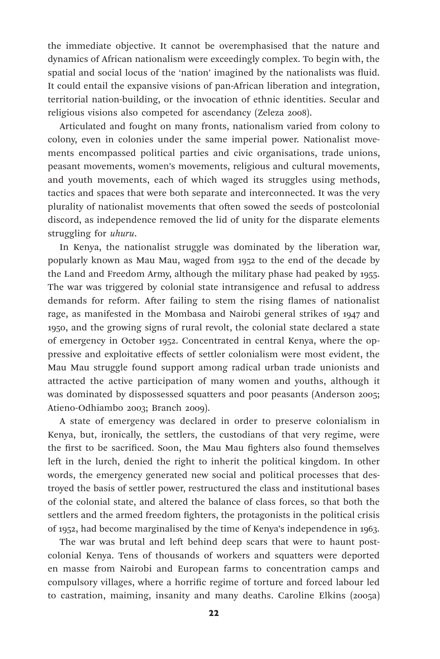the immediate objective. It cannot be overemphasised that the nature and dynamics of African nationalism were exceedingly complex. To begin with, the spatial and social locus of the 'nation' imagined by the nationalists was fluid. It could entail the expansive visions of pan-African liberation and integration, territorial nation-building, or the invocation of ethnic identities. Secular and religious visions also competed for ascendancy (Zeleza 2008).

Articulated and fought on many fronts, nationalism varied from colony to colony, even in colonies under the same imperial power. Nationalist movements encompassed political parties and civic organisations, trade unions, peasant movements, women's movements, religious and cultural movements, and youth movements, each of which waged its struggles using methods, tactics and spaces that were both separate and interconnected. It was the very plurality of nationalist movements that often sowed the seeds of postcolonial discord, as independence removed the lid of unity for the disparate elements struggling for *uhuru*.

In Kenya, the nationalist struggle was dominated by the liberation war, popularly known as Mau Mau, waged from 1952 to the end of the decade by the Land and Freedom Army, although the military phase had peaked by 1955. The war was triggered by colonial state intransigence and refusal to address demands for reform. After failing to stem the rising flames of nationalist rage, as manifested in the Mombasa and Nairobi general strikes of 1947 and 1950, and the growing signs of rural revolt, the colonial state declared a state of emergency in October 1952. Concentrated in central Kenya, where the oppressive and exploitative effects of settler colonialism were most evident, the Mau Mau struggle found support among radical urban trade unionists and attracted the active participation of many women and youths, although it was dominated by dispossessed squatters and poor peasants (Anderson 2005; Atieno-Odhiambo 2003; Branch 2009).

A state of emergency was declared in order to preserve colonialism in Kenya, but, ironically, the settlers, the custodians of that very regime, were the first to be sacrificed. Soon, the Mau Mau fighters also found themselves left in the lurch, denied the right to inherit the political kingdom. In other words, the emergency generated new social and political processes that destroyed the basis of settler power, restructured the class and institutional bases of the colonial state, and altered the balance of class forces, so that both the settlers and the armed freedom fighters, the protagonists in the political crisis of 1952, had become marginalised by the time of Kenya's independence in 1963.

The war was brutal and left behind deep scars that were to haunt postcolonial Kenya. Tens of thousands of workers and squatters were deported en masse from Nairobi and European farms to concentration camps and compulsory villages, where a horrific regime of torture and forced labour led to castration, maiming, insanity and many deaths. Caroline Elkins (2005a)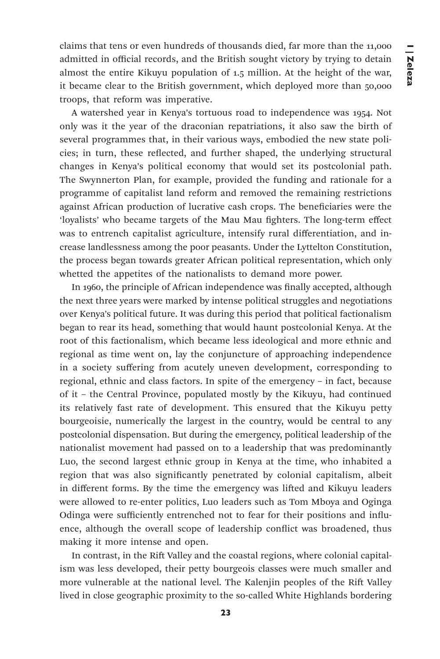claims that tens or even hundreds of thousands died, far more than the 11,000 admitted in official records, and the British sought victory by trying to detain almost the entire Kikuyu population of 1.5 million. At the height of the war, it became clear to the British government, which deployed more than 50,000 troops, that reform was imperative.

A watershed year in Kenya's tortuous road to independence was 1954. Not only was it the year of the draconian repatriations, it also saw the birth of several programmes that, in their various ways, embodied the new state policies; in turn, these reflected, and further shaped, the underlying structural changes in Kenya's political economy that would set its postcolonial path. The Swynnerton Plan, for example, provided the funding and rationale for a programme of capitalist land reform and removed the remaining restrictions against African production of lucrative cash crops. The beneficiaries were the 'loyalists' who became targets of the Mau Mau fighters. The long-term effect was to entrench capitalist agriculture, intensify rural differentiation, and increase landlessness among the poor peasants. Under the Lyttelton Constitution, the process began towards greater African political representation, which only whetted the appetites of the nationalists to demand more power.

In 1960, the principle of African independence was finally accepted, although the next three years were marked by intense political struggles and negotiations over Kenya's political future. It was during this period that political factionalism began to rear its head, something that would haunt postcolonial Kenya. At the root of this factionalism, which became less ideological and more ethnic and regional as time went on, lay the conjuncture of approaching independence in a society suffering from acutely uneven development, corresponding to regional, ethnic and class factors. In spite of the emergency – in fact, because of it – the Central Province, populated mostly by the Kikuyu, had continued its relatively fast rate of development. This ensured that the Kikuyu petty bourgeoisie, numerically the largest in the country, would be central to any postcolonial dispensation. But during the emergency, political leadership of the nationalist movement had passed on to a leadership that was predominantly Luo, the second largest ethnic group in Kenya at the time, who inhabited a region that was also significantly penetrated by colonial capitalism, albeit in different forms. By the time the emergency was lifted and Kikuyu leaders were allowed to re-enter politics, Luo leaders such as Tom Mboya and Oginga Odinga were sufficiently entrenched not to fear for their positions and influence, although the overall scope of leadership conflict was broadened, thus making it more intense and open.

In contrast, in the Rift Valley and the coastal regions, where colonial capitalism was less developed, their petty bourgeois classes were much smaller and more vulnerable at the national level. The Kalenjin peoples of the Rift Valley lived in close geographic proximity to the so-called White Highlands bordering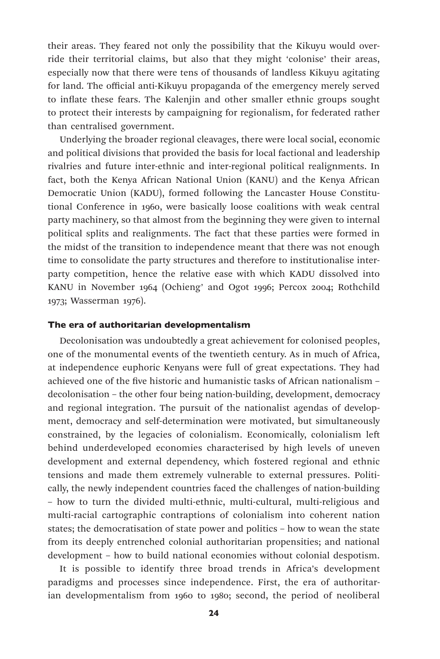their areas. They feared not only the possibility that the Kikuyu would override their territorial claims, but also that they might 'colonise' their areas, especially now that there were tens of thousands of landless Kikuyu agitating for land. The official anti-Kikuyu propaganda of the emergency merely served to inflate these fears. The Kalenjin and other smaller ethnic groups sought to protect their interests by campaigning for regionalism, for federated rather than centralised government.

Underlying the broader regional cleavages, there were local social, economic and political divisions that provided the basis for local factional and leadership rivalries and future inter-ethnic and inter-regional political realignments. In fact, both the Kenya African National Union (KANU) and the Kenya African Democratic Union (KADU), formed following the Lancaster House Constitutional Conference in 1960, were basically loose coalitions with weak central party machinery, so that almost from the beginning they were given to internal political splits and realignments. The fact that these parties were formed in the midst of the transition to independence meant that there was not enough time to consolidate the party structures and therefore to institutionalise interparty competition, hence the relative ease with which KADU dissolved into KANU in November 1964 (Ochieng' and Ogot 1996; Percox 2004; Rothchild 1973; Wasserman 1976).

# The era of authoritarian developmentalism

Decolonisation was undoubtedly a great achievement for colonised peoples, one of the monumental events of the twentieth century. As in much of Africa, at independence euphoric Kenyans were full of great expectations. They had achieved one of the five historic and humanistic tasks of African nationalism – decolonisation – the other four being nation-building, development, democracy and regional integration. The pursuit of the nationalist agendas of development, democracy and self-determination were motivated, but simultaneously constrained, by the legacies of colonialism. Economically, colonialism left behind underdeveloped economies characterised by high levels of uneven development and external dependency, which fostered regional and ethnic tensions and made them extremely vulnerable to external pressures. Politically, the newly independent countries faced the challenges of nation-building – how to turn the divided multi-ethnic, multi-cultural, multi-religious and multi-racial cartographic contraptions of colonialism into coherent nation states; the democratisation of state power and politics – how to wean the state from its deeply entrenched colonial authoritarian propensities; and national development – how to build national economies without colonial despotism.

It is possible to identify three broad trends in Africa's development paradigms and processes since independence. First, the era of authoritarian developmentalism from 1960 to 1980; second, the period of neoliberal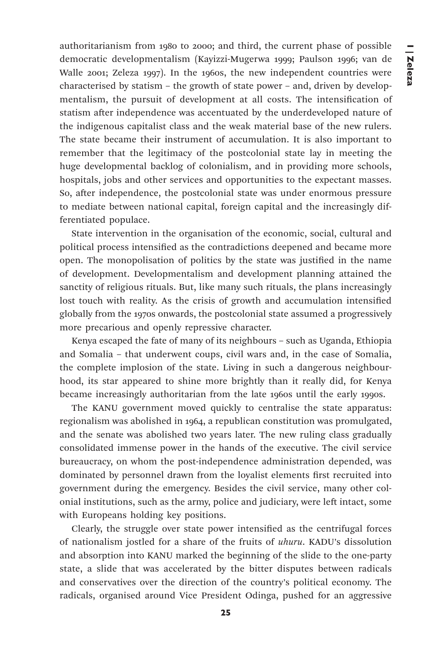authoritarianism from 1980 to 2000; and third, the current phase of possible democratic developmentalism (Kayizzi-Mugerwa 1999; Paulson 1996; van de Walle 2001; Zeleza 1997). In the 1960s, the new independent countries were characterised by statism – the growth of state power – and, driven by developmentalism, the pursuit of development at all costs. The intensification of statism after independence was accentuated by the underdeveloped nature of the indigenous capitalist class and the weak material base of the new rulers. The state became their instrument of accumulation. It is also important to remember that the legitimacy of the postcolonial state lay in meeting the huge developmental backlog of colonialism, and in providing more schools, hospitals, jobs and other services and opportunities to the expectant masses. So, after independence, the postcolonial state was under enormous pressure to mediate between national capital, foreign capital and the increasingly differentiated populace.

State intervention in the organisation of the economic, social, cultural and political process intensified as the contradictions deepened and became more open. The monopolisation of politics by the state was justified in the name of development. Developmentalism and development planning attained the sanctity of religious rituals. But, like many such rituals, the plans increasingly lost touch with reality. As the crisis of growth and accumulation intensified globally from the 1970s onwards, the postcolonial state assumed a progressively more precarious and openly repressive character.

Kenya escaped the fate of many of its neighbours – such as Uganda, Ethiopia and Somalia – that underwent coups, civil wars and, in the case of Somalia, the complete implosion of the state. Living in such a dangerous neighbourhood, its star appeared to shine more brightly than it really did, for Kenya became increasingly authoritarian from the late 1960s until the early 1990s.

The KANU government moved quickly to centralise the state apparatus: regionalism was abolished in 1964, a republican constitution was promulgated, and the senate was abolished two years later. The new ruling class gradually consolidated immense power in the hands of the executive. The civil service bureaucracy, on whom the post-independence administration depended, was dominated by personnel drawn from the loyalist elements first recruited into government during the emergency. Besides the civil service, many other colonial institutions, such as the army, police and judiciary, were left intact, some with Europeans holding key positions.

Clearly, the struggle over state power intensified as the centrifugal forces of nationalism jostled for a share of the fruits of *uhuru*. KADU's dissolution and absorption into KANU marked the beginning of the slide to the one-party state, a slide that was accelerated by the bitter disputes between radicals and conservatives over the direction of the country's political economy. The radicals, organised around Vice President Odinga, pushed for an aggressive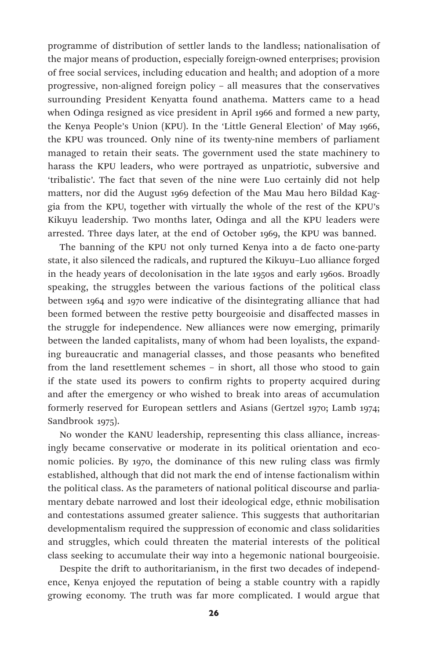programme of distribution of settler lands to the landless; nationalisation of the major means of production, especially foreign-owned enterprises; provision of free social services, including education and health; and adoption of a more progressive, non-aligned foreign policy – all measures that the conservatives surrounding President Kenyatta found anathema. Matters came to a head when Odinga resigned as vice president in April 1966 and formed a new party, the Kenya People's Union (KPU). In the 'Little General Election' of May 1966, the KPU was trounced. Only nine of its twenty-nine members of parliament managed to retain their seats. The government used the state machinery to harass the KPU leaders, who were portrayed as unpatriotic, subversive and 'tribalistic'. The fact that seven of the nine were Luo certainly did not help matters, nor did the August 1969 defection of the Mau Mau hero Bildad Kaggia from the KPU, together with virtually the whole of the rest of the KPU's Kikuyu leadership. Two months later, Odinga and all the KPU leaders were arrested. Three days later, at the end of October 1969, the KPU was banned.

The banning of the KPU not only turned Kenya into a de facto one-party state, it also silenced the radicals, and ruptured the Kikuyu–Luo alliance forged in the heady years of decolonisation in the late 1950s and early 1960s. Broadly speaking, the struggles between the various factions of the political class between 1964 and 1970 were indicative of the disintegrating alliance that had been formed between the restive petty bourgeoisie and disaffected masses in the struggle for independence. New alliances were now emerging, primarily between the landed capitalists, many of whom had been loyalists, the expanding bureaucratic and managerial classes, and those peasants who benefited from the land resettlement schemes – in short, all those who stood to gain if the state used its powers to confirm rights to property acquired during and after the emergency or who wished to break into areas of accumulation formerly reserved for European settlers and Asians (Gertzel 1970; Lamb 1974; Sandbrook 1975).

No wonder the KANU leadership, representing this class alliance, increasingly became conservative or moderate in its political orientation and economic policies. By 1970, the dominance of this new ruling class was firmly established, although that did not mark the end of intense factionalism within the political class. As the parameters of national political discourse and parliamentary debate narrowed and lost their ideological edge, ethnic mobilisation and contestations assumed greater salience. This suggests that authoritarian developmentalism required the suppression of economic and class solidarities and struggles, which could threaten the material interests of the political class seeking to accumulate their way into a hegemonic national bourgeoisie.

Despite the drift to authoritarianism, in the first two decades of independence, Kenya enjoyed the reputation of being a stable country with a rapidly growing economy. The truth was far more complicated. I would argue that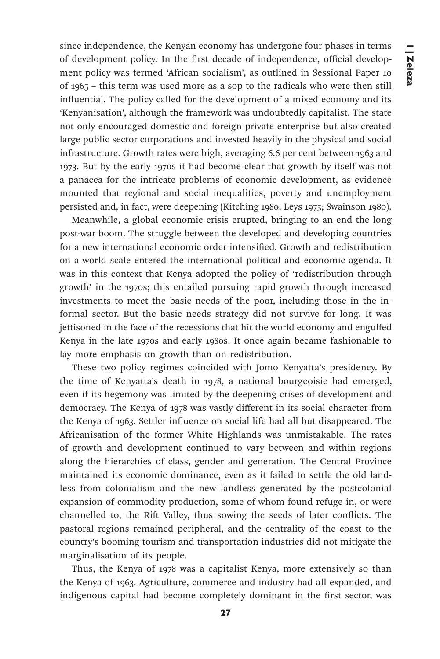since independence, the Kenyan economy has undergone four phases in terms of development policy. In the first decade of independence, official development policy was termed 'African socialism', as outlined in Sessional Paper 10 of 1965 – this term was used more as a sop to the radicals who were then still influential. The policy called for the development of a mixed economy and its 'Kenyanisation', although the framework was undoubtedly capitalist. The state not only encouraged domestic and foreign private enterprise but also created large public sector corporations and invested heavily in the physical and social infrastructure. Growth rates were high, averaging 6.6 per cent between 1963 and 1973. But by the early 1970s it had become clear that growth by itself was not a panacea for the intricate problems of economic development, as evidence mounted that regional and social inequalities, poverty and unemployment persisted and, in fact, were deepening (Kitching 1980; Leys 1975; Swainson 1980).

Meanwhile, a global economic crisis erupted, bringing to an end the long post-war boom. The struggle between the developed and developing countries for a new international economic order intensified. Growth and redistribution on a world scale entered the international political and economic agenda. It was in this context that Kenya adopted the policy of 'redistribution through growth' in the 1970s; this entailed pursuing rapid growth through increased investments to meet the basic needs of the poor, including those in the informal sector. But the basic needs strategy did not survive for long. It was jettisoned in the face of the recessions that hit the world economy and engulfed Kenya in the late 1970s and early 1980s. It once again became fashionable to lay more emphasis on growth than on redistribution.

These two policy regimes coincided with Jomo Kenyatta's presidency. By the time of Kenyatta's death in 1978, a national bourgeoisie had emerged, even if its hegemony was limited by the deepening crises of development and democracy. The Kenya of 1978 was vastly different in its social character from the Kenya of 1963. Settler influence on social life had all but disappeared. The Africanisation of the former White Highlands was unmistakable. The rates of growth and development continued to vary between and within regions along the hierarchies of class, gender and generation. The Central Province maintained its economic dominance, even as it failed to settle the old landless from colonialism and the new landless generated by the postcolonial expansion of commodity production, some of whom found refuge in, or were channelled to, the Rift Valley, thus sowing the seeds of later conflicts. The pastoral regions remained peripheral, and the centrality of the coast to the country's booming tourism and transportation industries did not mitigate the marginalisation of its people.

Thus, the Kenya of 1978 was a capitalist Kenya, more extensively so than the Kenya of 1963. Agriculture, commerce and industry had all expanded, and indigenous capital had become completely dominant in the first sector, was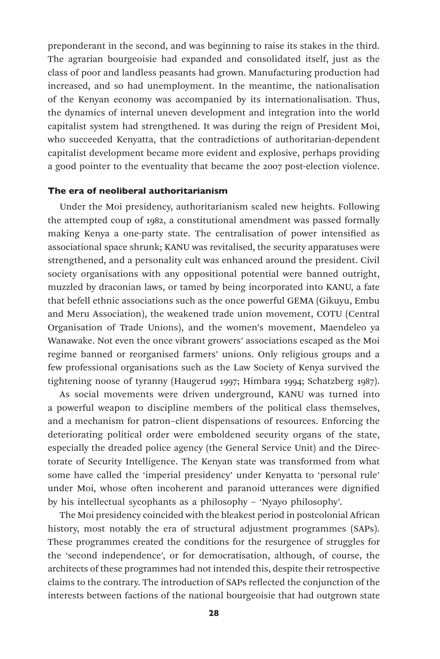preponderant in the second, and was beginning to raise its stakes in the third. The agrarian bourgeoisie had expanded and consolidated itself, just as the class of poor and landless peasants had grown. Manufacturing production had increased, and so had unemployment. In the meantime, the nationalisation of the Kenyan economy was accompanied by its internationalisation. Thus, the dynamics of internal uneven development and integration into the world capitalist system had strengthened. It was during the reign of President Moi, who succeeded Kenyatta, that the contradictions of authoritarian-dependent capitalist development became more evident and explosive, perhaps providing a good pointer to the eventuality that became the 2007 post-election violence.

# The era of neoliberal authoritarianism

Under the Moi presidency, authoritarianism scaled new heights. Following the attempted coup of 1982, a constitutional amendment was passed formally making Kenya a one-party state. The centralisation of power intensified as associational space shrunk; KANU was revitalised, the security apparatuses were strengthened, and a personality cult was enhanced around the president. Civil society organisations with any oppositional potential were banned outright, muzzled by draconian laws, or tamed by being incorporated into KANU, a fate that befell ethnic associations such as the once powerful GEMA (Gikuyu, Embu and Meru Association), the weakened trade union movement, COTU (Central Organisation of Trade Unions), and the women's movement, Maendeleo ya Wanawake. Not even the once vibrant growers' associations escaped as the Moi regime banned or reorganised farmers' unions. Only religious groups and a few professional organisations such as the Law Society of Kenya survived the tightening noose of tyranny (Haugerud 1997; Himbara 1994; Schatzberg 1987).

As social movements were driven underground, KANU was turned into a powerful weapon to discipline members of the political class themselves, and a mechanism for patron–client dispensations of resources. Enforcing the deteriorating political order were emboldened security organs of the state, especially the dreaded police agency (the General Service Unit) and the Directorate of Security Intelligence. The Kenyan state was transformed from what some have called the 'imperial presidency' under Kenyatta to 'personal rule' under Moi, whose often incoherent and paranoid utterances were dignified by his intellectual sycophants as a philosophy – 'Nyayo philosophy'.

The Moi presidency coincided with the bleakest period in postcolonial African history, most notably the era of structural adjustment programmes (SAPs). These programmes created the conditions for the resurgence of struggles for the 'second independence', or for democratisation, although, of course, the architects of these programmes had not intended this, despite their retrospective claims to the contrary. The introduction of SAPs reflected the conjunction of the interests between factions of the national bourgeoisie that had outgrown state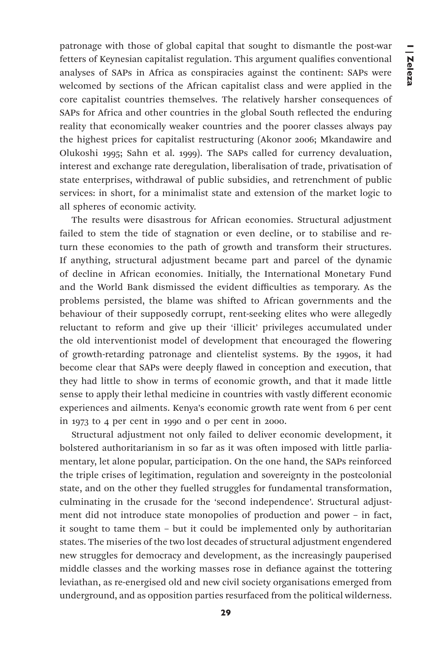patronage with those of global capital that sought to dismantle the post-war fetters of Keynesian capitalist regulation. This argument qualifies conventional analyses of SAPs in Africa as conspiracies against the continent: SAPs were welcomed by sections of the African capitalist class and were applied in the core capitalist countries themselves. The relatively harsher consequences of SAPs for Africa and other countries in the global South reflected the enduring reality that economically weaker countries and the poorer classes always pay the highest prices for capitalist restructuring (Akonor 2006; Mkandawire and Olukoshi 1995; Sahn et al. 1999). The SAPs called for currency devaluation, interest and exchange rate deregulation, liberalisation of trade, privatisation of state enterprises, withdrawal of public subsidies, and retrenchment of public services: in short, for a minimalist state and extension of the market logic to all spheres of economic activity.

The results were disastrous for African economies. Structural adjustment failed to stem the tide of stagnation or even decline, or to stabilise and return these economies to the path of growth and transform their structures. If anything, structural adjustment became part and parcel of the dynamic of decline in African economies. Initially, the International Monetary Fund and the World Bank dismissed the evident difficulties as temporary. As the problems persisted, the blame was shifted to African governments and the behaviour of their supposedly corrupt, rent-seeking elites who were allegedly reluctant to reform and give up their 'illicit' privileges accumulated under the old interventionist model of development that encouraged the flowering of growth-retarding patronage and clientelist systems. By the 1990s, it had become clear that SAPs were deeply flawed in conception and execution, that they had little to show in terms of economic growth, and that it made little sense to apply their lethal medicine in countries with vastly different economic experiences and ailments. Kenya's economic growth rate went from 6 per cent in 1973 to 4 per cent in 1990 and 0 per cent in 2000.

Structural adjustment not only failed to deliver economic development, it bolstered authoritarianism in so far as it was often imposed with little parliamentary, let alone popular, participation. On the one hand, the SAPs reinforced the triple crises of legitimation, regulation and sovereignty in the postcolonial state, and on the other they fuelled struggles for fundamental transformation, culminating in the crusade for the 'second independence'. Structural adjustment did not introduce state monopolies of production and power – in fact, it sought to tame them – but it could be implemented only by authoritarian states. The miseries of the two lost decades of structural adjustment engendered new struggles for democracy and development, as the increasingly pauperised middle classes and the working masses rose in defiance against the tottering leviathan, as re-energised old and new civil society organisations emerged from underground, and as opposition parties resurfaced from the political wilderness.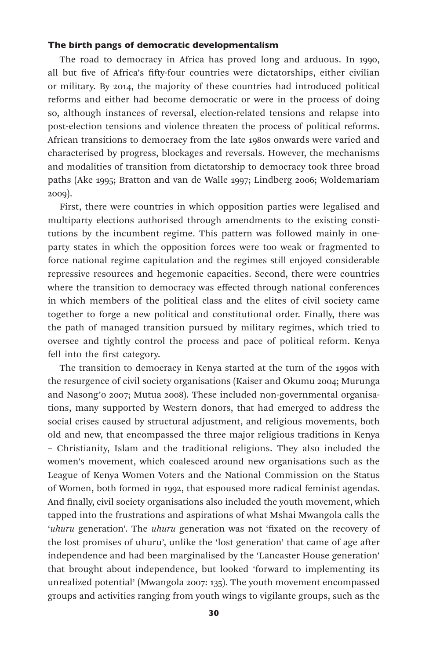## The birth pangs of democratic developmentalism

The road to democracy in Africa has proved long and arduous. In 1990, all but five of Africa's fifty-four countries were dictatorships, either civilian or military. By 2014, the majority of these countries had introduced political reforms and either had become democratic or were in the process of doing so, although instances of reversal, election-related tensions and relapse into post-election tensions and violence threaten the process of political reforms. African transitions to democracy from the late 1980s onwards were varied and characterised by progress, blockages and reversals. However, the mechanisms and modalities of transition from dictatorship to democracy took three broad paths (Ake 1995; Bratton and van de Walle 1997; Lindberg 2006; Woldemariam 2009).

First, there were countries in which opposition parties were legalised and multiparty elections authorised through amendments to the existing constitutions by the incumbent regime. This pattern was followed mainly in oneparty states in which the opposition forces were too weak or fragmented to force national regime capitulation and the regimes still enjoyed considerable repressive resources and hegemonic capacities. Second, there were countries where the transition to democracy was effected through national conferences in which members of the political class and the elites of civil society came together to forge a new political and constitutional order. Finally, there was the path of managed transition pursued by military regimes, which tried to oversee and tightly control the process and pace of political reform. Kenya fell into the first category.

The transition to democracy in Kenya started at the turn of the 1990s with the resurgence of civil society organisations (Kaiser and Okumu 2004; Murunga and Nasong'o 2007; Mutua 2008). These included non-governmental organisations, many supported by Western donors, that had emerged to address the social crises caused by structural adjustment, and religious movements, both old and new, that encompassed the three major religious traditions in Kenya – Christianity, Islam and the traditional religions. They also included the women's movement, which coalesced around new organisations such as the League of Kenya Women Voters and the National Commission on the Status of Women, both formed in 1992, that espoused more radical feminist agendas. And finally, civil society organisations also included the youth movement, which tapped into the frustrations and aspirations of what Mshai Mwangola calls the '*uhuru* generation'. The *uhuru* generation was not 'fixated on the recovery of the lost promises of uhuru', unlike the 'lost generation' that came of age after independence and had been marginalised by the 'Lancaster House generation' that brought about independence, but looked 'forward to implementing its unrealized potential' (Mwangola 2007: 135). The youth movement encompassed groups and activities ranging from youth wings to vigilante groups, such as the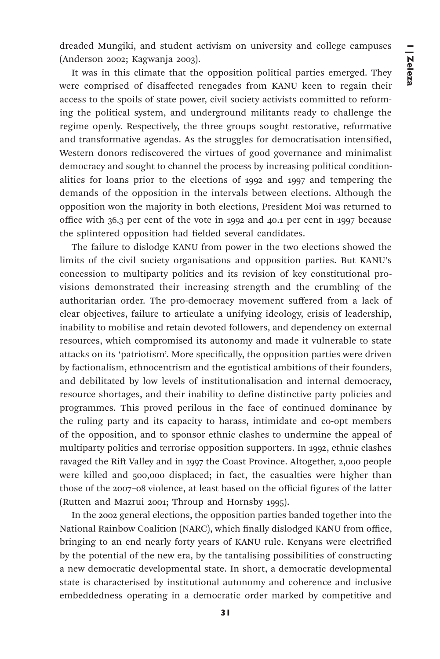dreaded Mungiki, and student activism on university and college campuses (Anderson 2002; Kagwanja 2003).

It was in this climate that the opposition political parties emerged. They were comprised of disaffected renegades from KANU keen to regain their access to the spoils of state power, civil society activists committed to reforming the political system, and underground militants ready to challenge the regime openly. Respectively, the three groups sought restorative, reformative and transformative agendas. As the struggles for democratisation intensified, Western donors rediscovered the virtues of good governance and minimalist democracy and sought to channel the process by increasing political conditionalities for loans prior to the elections of 1992 and 1997 and tempering the demands of the opposition in the intervals between elections. Although the opposition won the majority in both elections, President Moi was returned to office with 36.3 per cent of the vote in 1992 and 40.1 per cent in 1997 because the splintered opposition had fielded several candidates.

The failure to dislodge KANU from power in the two elections showed the limits of the civil society organisations and opposition parties. But KANU's concession to multiparty politics and its revision of key constitutional provisions demonstrated their increasing strength and the crumbling of the authoritarian order. The pro-democracy movement suffered from a lack of clear objectives, failure to articulate a unifying ideology, crisis of leadership, inability to mobilise and retain devoted followers, and dependency on external resources, which compromised its autonomy and made it vulnerable to state attacks on its 'patriotism'. More specifically, the opposition parties were driven by factionalism, ethnocentrism and the egotistical ambitions of their founders, and debilitated by low levels of institutionalisation and internal democracy, resource shortages, and their inability to define distinctive party policies and programmes. This proved perilous in the face of continued dominance by the ruling party and its capacity to harass, intimidate and co-opt members of the opposition, and to sponsor ethnic clashes to undermine the appeal of multiparty politics and terrorise opposition supporters. In 1992, ethnic clashes ravaged the Rift Valley and in 1997 the Coast Province. Altogether, 2,000 people were killed and 500,000 displaced; in fact, the casualties were higher than those of the 2007–08 violence, at least based on the official figures of the latter (Rutten and Mazrui 2001; Throup and Hornsby 1995).

In the 2002 general elections, the opposition parties banded together into the National Rainbow Coalition (NARC), which finally dislodged KANU from office, bringing to an end nearly forty years of KANU rule. Kenyans were electrified by the potential of the new era, by the tantalising possibilities of constructing a new democratic developmental state. In short, a democratic developmental state is characterised by institutional autonomy and coherence and inclusive embeddedness operating in a democratic order marked by competitive and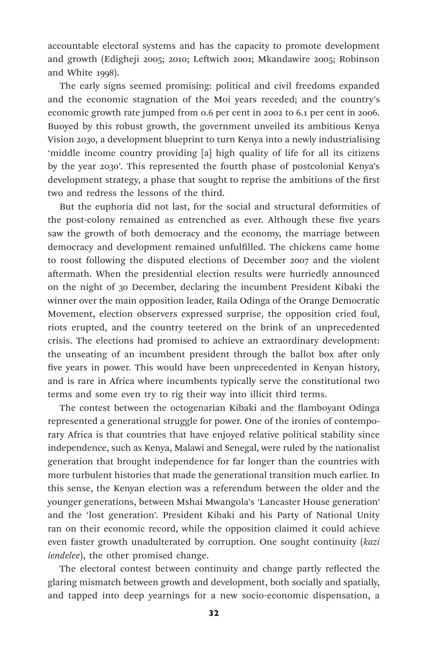accountable electoral systems and has the capacity to promote development and growth (Edigheji 2005; 2010; Leftwich 2001; Mkandawire 2005; Robinson and White 1998).

The early signs seemed promising: political and civil freedoms expanded and the economic stagnation of the Moi years receded; and the country's economic growth rate jumped from 0.6 per cent in 2002 to 6.1 per cent in 2006. Buoyed by this robust growth, the government unveiled its ambitious Kenya Vision 2030, a development blueprint to turn Kenya into a newly industrialising 'middle income country providing [a] high quality of life for all its citizens by the year 2030'. This represented the fourth phase of postcolonial Kenya's development strategy, a phase that sought to reprise the ambitions of the first two and redress the lessons of the third.

But the euphoria did not last, for the social and structural deformities of the post-colony remained as entrenched as ever. Although these five years saw the growth of both democracy and the economy, the marriage between democracy and development remained unfulfilled. The chickens came home to roost following the disputed elections of December 2007 and the violent aftermath. When the presidential election results were hurriedly announced on the night of 30 December, declaring the incumbent President Kibaki the winner over the main opposition leader, Raila Odinga of the Orange Democratic Movement, election observers expressed surprise, the opposition cried foul, riots erupted, and the country teetered on the brink of an unprecedented crisis. The elections had promised to achieve an extraordinary development: the unseating of an incumbent president through the ballot box after only five years in power. This would have been unprecedented in Kenyan history, and is rare in Africa where incumbents typically serve the constitutional two terms and some even try to rig their way into illicit third terms.

The contest between the octogenarian Kibaki and the flamboyant Odinga represented a generational struggle for power. One of the ironies of contemporary Africa is that countries that have enjoyed relative political stability since independence, such as Kenya, Malawi and Senegal, were ruled by the nationalist generation that brought independence for far longer than the countries with more turbulent histories that made the generational transition much earlier. In this sense, the Kenyan election was a referendum between the older and the younger generations, between Mshai Mwangola's 'Lancaster House generation' and the 'lost generation'. President Kibaki and his Party of National Unity ran on their economic record, while the opposition claimed it could achieve even faster growth unadulterated by corruption. One sought continuity (*kazi iendelee*), the other promised change.

The electoral contest between continuity and change partly reflected the glaring mismatch between growth and development, both socially and spatially, and tapped into deep yearnings for a new socio-economic dispensation, a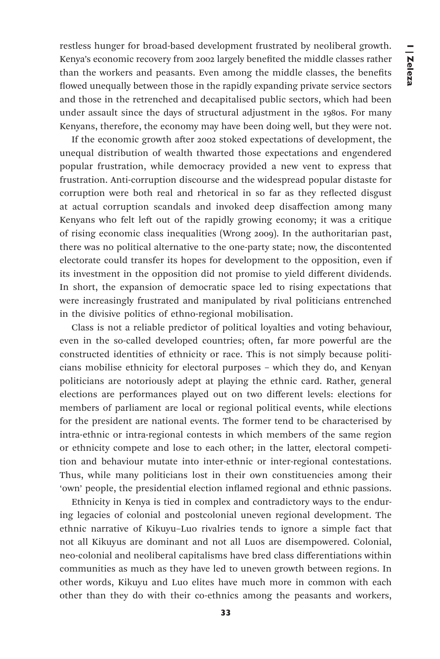restless hunger for broad-based development frustrated by neoliberal growth. Kenya's economic recovery from 2002 largely benefited the middle classes rather than the workers and peasants. Even among the middle classes, the benefits flowed unequally between those in the rapidly expanding private service sectors and those in the retrenched and decapitalised public sectors, which had been under assault since the days of structural adjustment in the 1980s. For many Kenyans, therefore, the economy may have been doing well, but they were not.

If the economic growth after 2002 stoked expectations of development, the unequal distribution of wealth thwarted those expectations and engendered popular frustration, while democracy provided a new vent to express that frustration. Anti-corruption discourse and the widespread popular distaste for corruption were both real and rhetorical in so far as they reflected disgust at actual corruption scandals and invoked deep disaffection among many Kenyans who felt left out of the rapidly growing economy; it was a critique of rising economic class inequalities (Wrong 2009). In the authoritarian past, there was no political alternative to the one-party state; now, the discontented electorate could transfer its hopes for development to the opposition, even if its investment in the opposition did not promise to yield different dividends. In short, the expansion of democratic space led to rising expectations that were increasingly frustrated and manipulated by rival politicians entrenched in the divisive politics of ethno-regional mobilisation.

Class is not a reliable predictor of political loyalties and voting behaviour, even in the so-called developed countries; often, far more powerful are the constructed identities of ethnicity or race. This is not simply because politicians mobilise ethnicity for electoral purposes – which they do, and Kenyan politicians are notoriously adept at playing the ethnic card. Rather, general elections are performances played out on two different levels: elections for members of parliament are local or regional political events, while elections for the president are national events. The former tend to be characterised by intra-ethnic or intra-regional contests in which members of the same region or ethnicity compete and lose to each other; in the latter, electoral competition and behaviour mutate into inter-ethnic or inter-regional contestations. Thus, while many politicians lost in their own constituencies among their 'own' people, the presidential election inflamed regional and ethnic passions.

Ethnicity in Kenya is tied in complex and contradictory ways to the enduring legacies of colonial and postcolonial uneven regional development. The ethnic narrative of Kikuyu–Luo rivalries tends to ignore a simple fact that not all Kikuyus are dominant and not all Luos are disempowered. Colonial, neo-colonial and neoliberal capitalisms have bred class differentiations within communities as much as they have led to uneven growth between regions. In other words, Kikuyu and Luo elites have much more in common with each other than they do with their co-ethnics among the peasants and workers,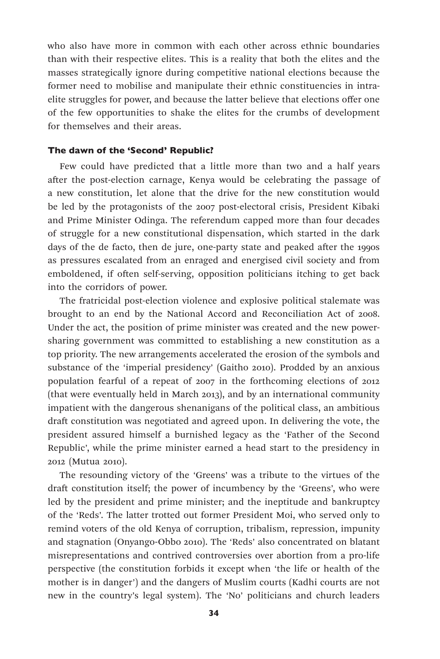who also have more in common with each other across ethnic boundaries than with their respective elites. This is a reality that both the elites and the masses strategically ignore during competitive national elections because the former need to mobilise and manipulate their ethnic constituencies in intraelite struggles for power, and because the latter believe that elections offer one of the few opportunities to shake the elites for the crumbs of development for themselves and their areas.

# The dawn of the 'Second' Republic?

Few could have predicted that a little more than two and a half years after the post-election carnage, Kenya would be celebrating the passage of a new constitution, let alone that the drive for the new constitution would be led by the protagonists of the 2007 post-electoral crisis, President Kibaki and Prime Minister Odinga. The referendum capped more than four decades of struggle for a new constitutional dispensation, which started in the dark days of the de facto, then de jure, one-party state and peaked after the 1990s as pressures escalated from an enraged and energised civil society and from emboldened, if often self-serving, opposition politicians itching to get back into the corridors of power.

The fratricidal post-election violence and explosive political stalemate was brought to an end by the National Accord and Reconciliation Act of 2008. Under the act, the position of prime minister was created and the new powersharing government was committed to establishing a new constitution as a top priority. The new arrangements accelerated the erosion of the symbols and substance of the 'imperial presidency' (Gaitho 2010). Prodded by an anxious population fearful of a repeat of 2007 in the forthcoming elections of 2012 (that were eventually held in March 2013), and by an international community impatient with the dangerous shenanigans of the political class, an ambitious draft constitution was negotiated and agreed upon. In delivering the vote, the president assured himself a burnished legacy as the 'Father of the Second Republic', while the prime minister earned a head start to the presidency in 2012 (Mutua 2010).

The resounding victory of the 'Greens' was a tribute to the virtues of the draft constitution itself; the power of incumbency by the 'Greens', who were led by the president and prime minister; and the ineptitude and bankruptcy of the 'Reds'. The latter trotted out former President Moi, who served only to remind voters of the old Kenya of corruption, tribalism, repression, impunity and stagnation (Onyango-Obbo 2010). The 'Reds' also concentrated on blatant misrepresentations and contrived controversies over abortion from a pro-life perspective (the constitution forbids it except when 'the life or health of the mother is in danger') and the dangers of Muslim courts (Kadhi courts are not new in the country's legal system). The 'No' politicians and church leaders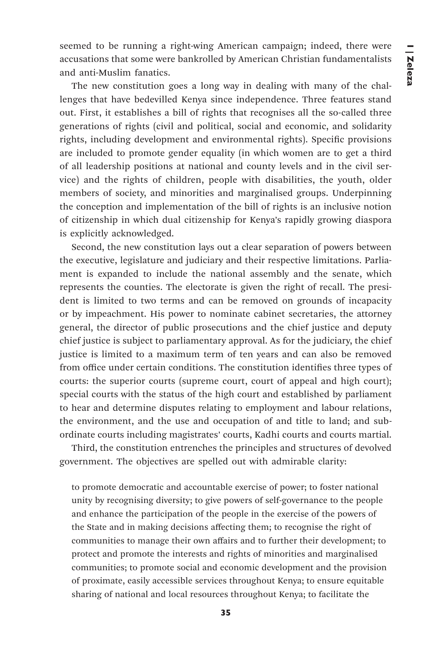seemed to be running a right-wing American campaign; indeed, there were accusations that some were bankrolled by American Christian fundamentalists and anti-Muslim fanatics.

The new constitution goes a long way in dealing with many of the challenges that have bedevilled Kenya since independence. Three features stand out. First, it establishes a bill of rights that recognises all the so-called three generations of rights (civil and political, social and economic, and solidarity rights, including development and environmental rights). Specific provisions are included to promote gender equality (in which women are to get a third of all leadership positions at national and county levels and in the civil service) and the rights of children, people with disabilities, the youth, older members of society, and minorities and marginalised groups. Underpinning the conception and implementation of the bill of rights is an inclusive notion of citizenship in which dual citizenship for Kenya's rapidly growing diaspora is explicitly acknowledged.

Second, the new constitution lays out a clear separation of powers between the executive, legislature and judiciary and their respective limitations. Parliament is expanded to include the national assembly and the senate, which represents the counties. The electorate is given the right of recall. The president is limited to two terms and can be removed on grounds of incapacity or by impeachment. His power to nominate cabinet secretaries, the attorney general, the director of public prosecutions and the chief justice and deputy chief justice is subject to parliamentary approval. As for the judiciary, the chief justice is limited to a maximum term of ten years and can also be removed from office under certain conditions. The constitution identifies three types of courts: the superior courts (supreme court, court of appeal and high court); special courts with the status of the high court and established by parliament to hear and determine disputes relating to employment and labour relations, the environment, and the use and occupation of and title to land; and subordinate courts including magistrates' courts, Kadhi courts and courts martial.

Third, the constitution entrenches the principles and structures of devolved government. The objectives are spelled out with admirable clarity:

to promote democratic and accountable exercise of power; to foster national unity by recognising diversity; to give powers of self-governance to the people and enhance the participation of the people in the exercise of the powers of the State and in making decisions affecting them; to recognise the right of communities to manage their own affairs and to further their development; to protect and promote the interests and rights of minorities and marginalised communities; to promote social and economic development and the provision of proximate, easily accessible services throughout Kenya; to ensure equitable sharing of national and local resources throughout Kenya; to facilitate the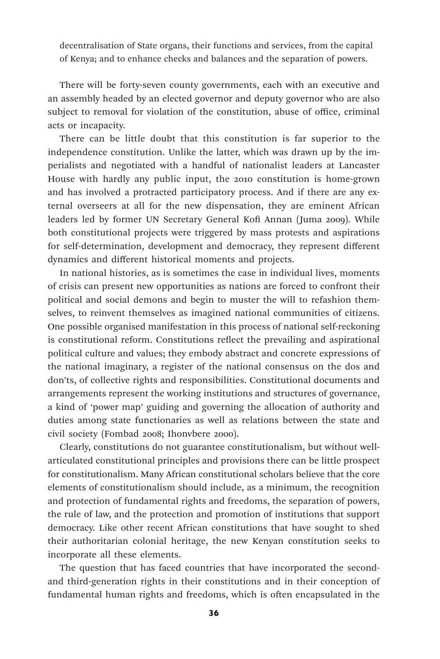decentralisation of State organs, their functions and services, from the capital of Kenya; and to enhance checks and balances and the separation of powers.

There will be forty-seven county governments, each with an executive and an assembly headed by an elected governor and deputy governor who are also subject to removal for violation of the constitution, abuse of office, criminal acts or incapacity.

There can be little doubt that this constitution is far superior to the independence constitution. Unlike the latter, which was drawn up by the imperialists and negotiated with a handful of nationalist leaders at Lancaster House with hardly any public input, the 2010 constitution is home-grown and has involved a protracted participatory process. And if there are any external overseers at all for the new dispensation, they are eminent African leaders led by former UN Secretary General Kofi Annan (Juma 2009). While both constitutional projects were triggered by mass protests and aspirations for self-determination, development and democracy, they represent different dynamics and different historical moments and projects.

In national histories, as is sometimes the case in individual lives, moments of crisis can present new opportunities as nations are forced to confront their political and social demons and begin to muster the will to refashion themselves, to reinvent themselves as imagined national communities of citizens. One possible organised manifestation in this process of national self-reckoning is constitutional reform. Constitutions reflect the prevailing and aspirational political culture and values; they embody abstract and concrete expressions of the national imaginary, a register of the national consensus on the dos and don'ts, of collective rights and responsibilities. Constitutional documents and arrangements represent the working institutions and structures of governance, a kind of 'power map' guiding and governing the allocation of authority and duties among state functionaries as well as relations between the state and civil society (Fombad 2008; Ihonvbere 2000).

Clearly, constitutions do not guarantee constitutionalism, but without wellarticulated constitutional principles and provisions there can be little prospect for constitutionalism. Many African constitutional scholars believe that the core elements of constitutionalism should include, as a minimum, the recognition and protection of fundamental rights and freedoms, the separation of powers, the rule of law, and the protection and promotion of institutions that support democracy. Like other recent African constitutions that have sought to shed their authoritarian colonial heritage, the new Kenyan constitution seeks to incorporate all these elements.

The question that has faced countries that have incorporated the secondand third-generation rights in their constitutions and in their conception of fundamental human rights and freedoms, which is often encapsulated in the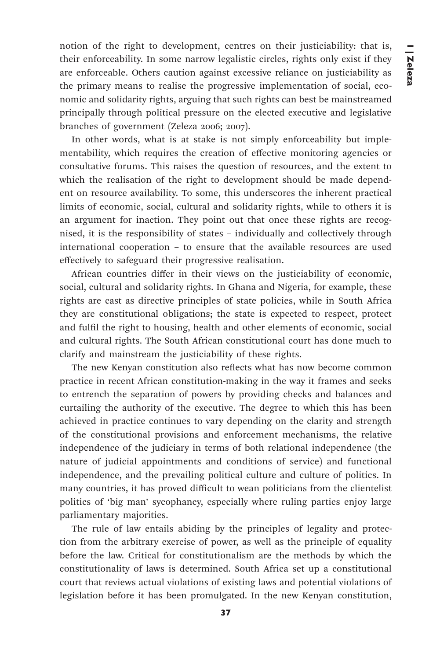notion of the right to development, centres on their justiciability: that is, their enforceability. In some narrow legalistic circles, rights only exist if they are enforceable. Others caution against excessive reliance on justiciability as the primary means to realise the progressive implementation of social, economic and solidarity rights, arguing that such rights can best be mainstreamed principally through political pressure on the elected executive and legislative branches of government (Zeleza 2006; 2007).

In other words, what is at stake is not simply enforceability but implementability, which requires the creation of effective monitoring agencies or consultative forums. This raises the question of resources, and the extent to which the realisation of the right to development should be made dependent on resource availability. To some, this underscores the inherent practical limits of economic, social, cultural and solidarity rights, while to others it is an argument for inaction. They point out that once these rights are recognised, it is the responsibility of states – individually and collectively through international cooperation – to ensure that the available resources are used effectively to safeguard their progressive realisation.

African countries differ in their views on the justiciability of economic, social, cultural and solidarity rights. In Ghana and Nigeria, for example, these rights are cast as directive principles of state policies, while in South Africa they are constitutional obligations; the state is expected to respect, protect and fulfil the right to housing, health and other elements of economic, social and cultural rights. The South African constitutional court has done much to clarify and mainstream the justiciability of these rights.

The new Kenyan constitution also reflects what has now become common practice in recent African constitution-making in the way it frames and seeks to entrench the separation of powers by providing checks and balances and curtailing the authority of the executive. The degree to which this has been achieved in practice continues to vary depending on the clarity and strength of the constitutional provisions and enforcement mechanisms, the relative independence of the judiciary in terms of both relational independence (the nature of judicial appointments and conditions of service) and functional independence, and the prevailing political culture and culture of politics. In many countries, it has proved difficult to wean politicians from the clientelist politics of 'big man' sycophancy, especially where ruling parties enjoy large parliamentary majorities.

The rule of law entails abiding by the principles of legality and protection from the arbitrary exercise of power, as well as the principle of equality before the law. Critical for constitutionalism are the methods by which the constitutionality of laws is determined. South Africa set up a constitutional court that reviews actual violations of existing laws and potential violations of legislation before it has been promulgated. In the new Kenyan constitution,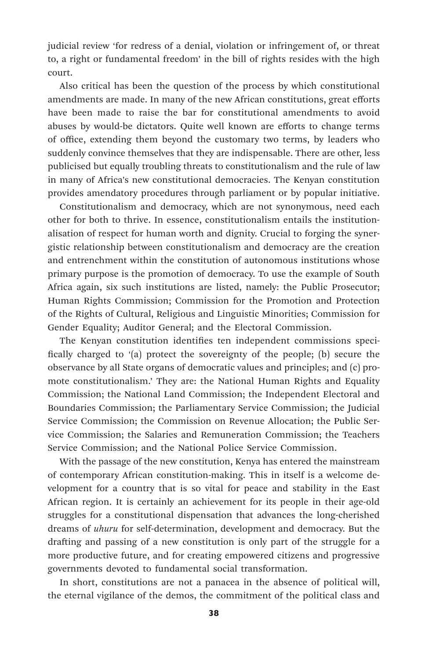judicial review 'for redress of a denial, violation or infringement of, or threat to, a right or fundamental freedom' in the bill of rights resides with the high court.

Also critical has been the question of the process by which constitutional amendments are made. In many of the new African constitutions, great efforts have been made to raise the bar for constitutional amendments to avoid abuses by would-be dictators. Quite well known are efforts to change terms of office, extending them beyond the customary two terms, by leaders who suddenly convince themselves that they are indispensable. There are other, less publicised but equally troubling threats to constitutionalism and the rule of law in many of Africa's new constitutional democracies. The Kenyan constitution provides amendatory procedures through parliament or by popular initiative.

Constitutionalism and democracy, which are not synonymous, need each other for both to thrive. In essence, constitutionalism entails the institutionalisation of respect for human worth and dignity. Crucial to forging the synergistic relationship between constitutionalism and democracy are the creation and entrenchment within the constitution of autonomous institutions whose primary purpose is the promotion of democracy. To use the example of South Africa again, six such institutions are listed, namely: the Public Prosecutor; Human Rights Commission; Commission for the Promotion and Protection of the Rights of Cultural, Religious and Linguistic Minorities; Commission for Gender Equality; Auditor General; and the Electoral Commission.

The Kenyan constitution identifies ten independent commissions specifically charged to '(a) protect the sovereignty of the people; (b) secure the observance by all State organs of democratic values and principles; and (c) promote constitutionalism.' They are: the National Human Rights and Equality Commission; the National Land Commission; the Independent Electoral and Boundaries Commission; the Parliamentary Service Commission; the Judicial Service Commission; the Commission on Revenue Allocation; the Public Service Commission; the Salaries and Remuneration Commission; the Teachers Service Commission; and the National Police Service Commission.

With the passage of the new constitution, Kenya has entered the mainstream of contemporary African constitution-making. This in itself is a welcome development for a country that is so vital for peace and stability in the East African region. It is certainly an achievement for its people in their age-old struggles for a constitutional dispensation that advances the long-cherished dreams of *uhuru* for self-determination, development and democracy. But the drafting and passing of a new constitution is only part of the struggle for a more productive future, and for creating empowered citizens and progressive governments devoted to fundamental social transformation.

In short, constitutions are not a panacea in the absence of political will, the eternal vigilance of the demos, the commitment of the political class and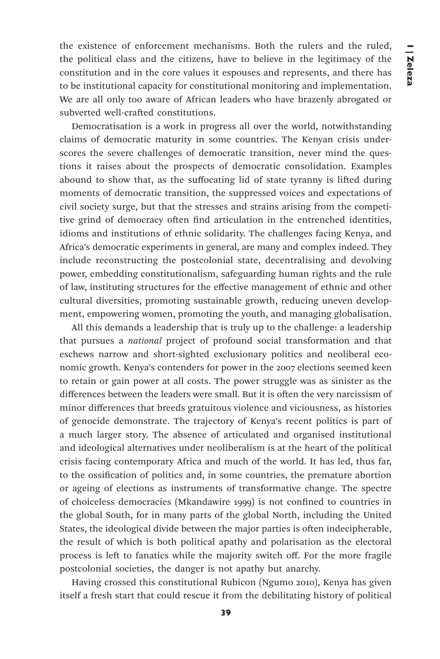the existence of enforcement mechanisms. Both the rulers and the ruled, the political class and the citizens, have to believe in the legitimacy of the constitution and in the core values it espouses and represents, and there has to be institutional capacity for constitutional monitoring and implementation. We are all only too aware of African leaders who have brazenly abrogated or subverted well-crafted constitutions.

Democratisation is a work in progress all over the world, notwithstanding claims of democratic maturity in some countries. The Kenyan crisis underscores the severe challenges of democratic transition, never mind the questions it raises about the prospects of democratic consolidation. Examples abound to show that, as the suffocating lid of state tyranny is lifted during moments of democratic transition, the suppressed voices and expectations of civil society surge, but that the stresses and strains arising from the competitive grind of democracy often find articulation in the entrenched identities, idioms and institutions of ethnic solidarity. The challenges facing Kenya, and Africa's democratic experiments in general, are many and complex indeed. They include reconstructing the postcolonial state, decentralising and devolving power, embedding constitutionalism, safeguarding human rights and the rule of law, instituting structures for the effective management of ethnic and other cultural diversities, promoting sustainable growth, reducing uneven development, empowering women, promoting the youth, and managing globalisation.

All this demands a leadership that is truly up to the challenge: a leadership that pursues a *national* project of profound social transformation and that eschews narrow and short-sighted exclusionary politics and neoliberal economic growth. Kenya's contenders for power in the 2007 elections seemed keen to retain or gain power at all costs. The power struggle was as sinister as the differences between the leaders were small. But it is often the very narcissism of minor differences that breeds gratuitous violence and viciousness, as histories of genocide demonstrate. The trajectory of Kenya's recent politics is part of a much larger story. The absence of articulated and organised institutional and ideological alternatives under neoliberalism is at the heart of the political crisis facing contemporary Africa and much of the world. It has led, thus far, to the ossification of politics and, in some countries, the premature abortion or ageing of elections as instruments of transformative change. The spectre of choiceless democracies (Mkandawire 1999) is not confined to countries in the global South, for in many parts of the global North, including the United States, the ideological divide between the major parties is often indecipherable, the result of which is both political apathy and polarisation as the electoral process is left to fanatics while the majority switch off. For the more fragile postcolonial societies, the danger is not apathy but anarchy.

Having crossed this constitutional Rubicon (Ngumo 2010), Kenya has given itself a fresh start that could rescue it from the debilitating history of political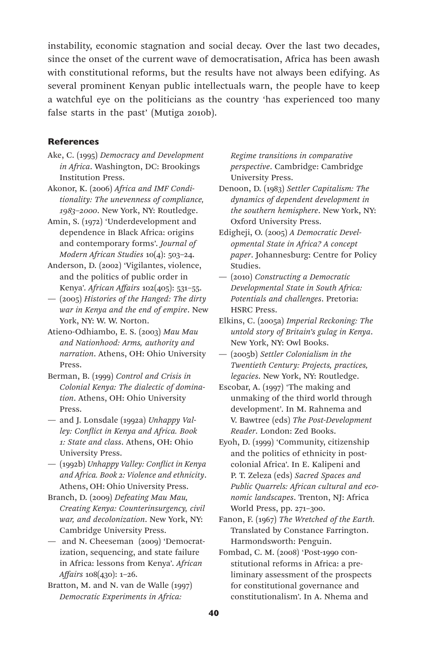instability, economic stagnation and social decay. Over the last two decades, since the onset of the current wave of democratisation, Africa has been awash with constitutional reforms, but the results have not always been edifying. As several prominent Kenyan public intellectuals warn, the people have to keep a watchful eye on the politicians as the country 'has experienced too many false starts in the past' (Mutiga 2010b).

## **References**

- Ake, C. (1995) *Democracy and Development in Africa*. Washington, DC: Brookings Institution Press.
- Akonor, K. (2006) *Africa and IMF Conditionality: The unevenness of compliance, 1983–2000*. New York, NY: Routledge.
- Amin, S. (1972) 'Underdevelopment and dependence in Black Africa: origins and contemporary forms'. *Journal of Modern African Studies* 10(4): 503–24.
- Anderson, D. (2002) 'Vigilantes, violence, and the politics of public order in Kenya'. *African Affairs* 102(405): 531–55.
- (2005) *Histories of the Hanged: The dirty war in Kenya and the end of empire*. New York, NY: W. W. Norton.
- Atieno-Odhiambo, E. S. (2003) *Mau Mau and Nationhood: Arms, authority and narration*. Athens, OH: Ohio University Press.
- Berman, B. (1999) *Control and Crisis in Colonial Kenya: The dialectic of domination*. Athens, OH: Ohio University Press.
- and J. Lonsdale (1992a) *Unhappy Valley: Conflict in Kenya and Africa. Book 1: State and class*. Athens, OH: Ohio University Press.
- (1992b) *Unhappy Valley: Conflict in Kenya and Africa. Book 2: Violence and ethnicity*. Athens, OH: Ohio University Press.
- Branch, D. (2009) *Defeating Mau Mau, Creating Kenya: Counterinsurgency, civil war, and decolonization*. New York, NY: Cambridge University Press.
- and N. Cheeseman (2009) 'Democratization, sequencing, and state failure in Africa: lessons from Kenya'. *African Affairs* 108(430): 1–26.
- Bratton, M. and N. van de Walle (1997) *Democratic Experiments in Africa:*

*Regime transitions in comparative perspective*. Cambridge: Cambridge University Press.

- Denoon, D. (1983) *Settler Capitalism: The dynamics of dependent development in the southern hemisphere*. New York, NY: Oxford University Press.
- Edigheji, O. (2005) *A Democratic Developmental State in Africa? A concept paper*. Johannesburg: Centre for Policy Studies.
- (2010) *Constructing a Democratic Developmental State in South Africa: Potentials and challenges*. Pretoria: HSRC Press.
- Elkins, C. (2005a) *Imperial Reckoning: The untold story of Britain's gulag in Kenya*. New York, NY: Owl Books.
- (2005b) *Settler Colonialism in the Twentieth Century: Projects, practices, legacies*. New York, NY: Routledge.
- Escobar, A. (1997) 'The making and unmaking of the third world through development'. In M. Rahnema and V. Bawtree (eds) *The Post-Development Reader*. London: Zed Books.
- Eyoh, D. (1999) 'Community, citizenship and the politics of ethnicity in postcolonial Africa'. In E. Kalipeni and P. T. Zeleza (eds) *Sacred Spaces and Public Quarrels: African cultural and economic landscapes*. Trenton, NJ: Africa World Press, pp. 271–300.
- Fanon, F. (1967) *The Wretched of the Earth.* Translated by Constance Farrington. Harmondsworth: Penguin.
- Fombad, C. M. (2008) 'Post-1990 constitutional reforms in Africa: a preliminary assessment of the prospects for constitutional governance and constitutionalism'. In A. Nhema and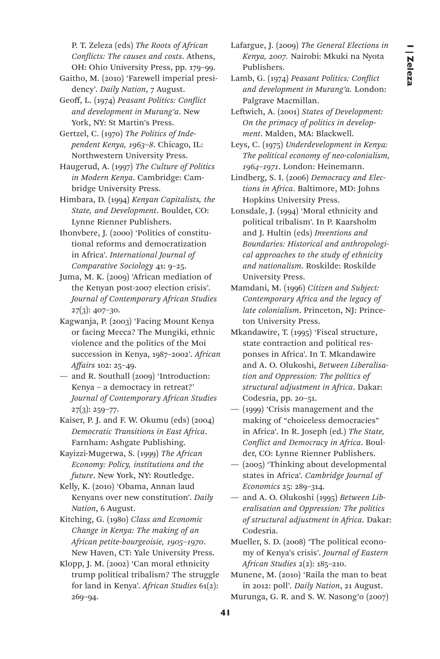P. T. Zeleza (eds) *The Roots of African Conflicts: The causes and costs*. Athens, OH: Ohio University Press, pp. 179–99.

Gaitho, M. (2010) 'Farewell imperial presidency'. *Daily Nation*, 7 August.

Geoff, L. (1974) *Peasant Politics: Conflict and development in Murang'a*. New York, NY: St Martin's Press.

Gertzel, C. (1970) *The Politics of Independent Kenya, 1963–8*. Chicago, IL: Northwestern University Press.

Haugerud, A. (1997) *The Culture of Politics in Modern Kenya*. Cambridge: Cambridge University Press.

Himbara, D. (1994) *Kenyan Capitalists, the State, and Development*. Boulder, CO: Lynne Rienner Publishers.

Ihonvbere, J. (2000) 'Politics of constitutional reforms and democratization in Africa'. *International Journal of Comparative Sociology* 41: 9–25.

Juma, M. K. (2009) 'African mediation of the Kenyan post-2007 election crisis'. *Journal of Contemporary African Studies*  $27(3): 407-30.$ 

Kagwanja, P. (2003) 'Facing Mount Kenya or facing Mecca? The Mungiki, ethnic violence and the politics of the Moi succession in Kenya, 1987–2002'. *African Affairs* 102: 25–49.

— and R. Southall (2009) 'Introduction: Kenya – a democracy in retreat?' *Journal of Contemporary African Studies*  $27(3): 259 - 77.$ 

Kaiser, P. J. and F. W. Okumu (eds) (2004) *Democratic Transitions in East Africa*. Farnham: Ashgate Publishing.

Kayizzi-Mugerwa, S. (1999) *The African Economy: Policy, institutions and the future*. New York, NY: Routledge.

Kelly, K. (2010) 'Obama, Annan laud Kenyans over new constitution'. *Daily Nation*, 6 August.

Kitching, G. (1980) *Class and Economic Change in Kenya: The making of an African petite-bourgeoisie, 1905–1970*. New Haven, CT: Yale University Press.

Klopp, J. M. (2002) 'Can moral ethnicity trump political tribalism? The struggle for land in Kenya'. *African Studies* 61(2): 269–94.

Lafargue, J. (2009) *The General Elections in Kenya, 2007.* Nairobi: Mkuki na Nyota Publishers.

Lamb, G. (1974) *Peasant Politics: Conflict and development in Murang'a.* London: Palgrave Macmillan.

Leftwich, A. (2001) *States of Development: On the primacy of politics in development*. Malden, MA: Blackwell.

Leys, C. (1975) *Underdevelopment in Kenya: The political economy of neo-colonialism, 1964–1971*. London: Heinemann.

Lindberg, S. I. (2006) *Democracy and Elections in Africa*. Baltimore, MD: Johns Hopkins University Press.

Lonsdale, J. (1994) 'Moral ethnicity and political tribalism'. In P. Kaarsholm and J. Hultin (eds) *Inventions and Boundaries: Historical and anthropological approaches to the study of ethnicity and nationalism*. Roskilde: Roskilde University Press.

Mamdani, M. (1996) *Citizen and Subject: Contemporary Africa and the legacy of late colonialism*. Princeton, NJ: Princeton University Press.

Mkandawire, T. (1995) 'Fiscal structure, state contraction and political responses in Africa'. In T. Mkandawire and A. O. Olukoshi, *Between Liberalisation and Oppression: The politics of structural adjustment in Africa*. Dakar: Codesria, pp. 20–51.

— (1999) 'Crisis management and the making of "choiceless democracies" in Africa'. In R. Joseph (ed.) *The State, Conflict and Democracy in Africa*. Boulder, CO: Lynne Rienner Publishers.

— (2005) 'Thinking about developmental states in Africa'. *Cambridge Journal of Economics* 25: 289–314.

— and A. O. Olukoshi (1995) *Between Liberalisation and Oppression: The politics of structural adjustment in Africa*. Dakar: Codesria.

Mueller, S. D. (2008) 'The political economy of Kenya's crisis'. *Journal of Eastern African Studies* 2(2): 185–210.

Munene, M. (2010) 'Raila the man to beat in 2012: poll'. *Daily Nation*, 21 August. Murunga, G. R. and S. W. Nasong'o (2007)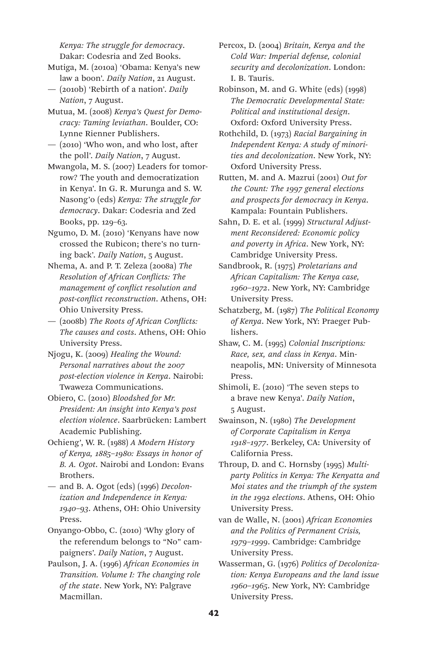*Kenya: The struggle for democracy*. Dakar: Codesria and Zed Books.

Mutiga, M. (2010a) 'Obama: Kenya's new law a boon'. *Daily Nation*, 21 August.

- (2010b) 'Rebirth of a nation'. *Daily Nation*, 7 August.
- Mutua, M. (2008) *Kenya's Quest for Democracy: Taming leviathan*. Boulder, CO: Lynne Rienner Publishers.
- (2010) 'Who won, and who lost, after the poll'. *Daily Nation*, 7 August.
- Mwangola, M. S. (2007) Leaders for tomorrow? The youth and democratization in Kenya'. In G. R. Murunga and S. W. Nasong'o (eds) *Kenya: The struggle for democracy*. Dakar: Codesria and Zed Books, pp. 129–63.
- Ngumo, D. M. (2010) 'Kenyans have now crossed the Rubicon; there's no turning back'. *Daily Nation*, 5 August.
- Nhema, A. and P. T. Zeleza (2008a) *The Resolution of African Conflicts: The management of conflict resolution and post-conflict reconstruction*. Athens, OH: Ohio University Press.
- (2008b) *The Roots of African Conflicts: The causes and costs*. Athens, OH: Ohio University Press.
- Njogu, K. (2009) *Healing the Wound: Personal narratives about the 2007 post-election violence in Kenya*. Nairobi: Twaweza Communications.
- Obiero, C. (2010) *Bloodshed for Mr. President: An insight into Kenya's post election violence*. Saarbrücken: Lambert Academic Publishing.
- Ochieng', W. R. (1988) *A Modern History of Kenya, 1885–1980: Essays in honor of B. A. Ogot*. Nairobi and London: Evans Brothers.
- and B. A. Ogot (eds) (1996) *Decolonization and Independence in Kenya: 1940–93*. Athens, OH: Ohio University Press.
- Onyango-Obbo, C. (2010) 'Why glory of the referendum belongs to "No" campaigners'. *Daily Nation*, 7 August.
- Paulson, J. A. (1996) *African Economies in Transition. Volume I: The changing role of the state*. New York, NY: Palgrave Macmillan.
- Percox, D. (2004) *Britain, Kenya and the Cold War: Imperial defense, colonial security and decolonization*. London: I. B. Tauris.
- Robinson, M. and G. White (eds) (1998) *The Democratic Developmental State: Political and institutional design*. Oxford: Oxford University Press.
- Rothchild, D. (1973) *Racial Bargaining in Independent Kenya: A study of minorities and decolonization*. New York, NY: Oxford University Press.
- Rutten, M. and A. Mazrui (2001) *Out for the Count: The 1997 general elections and prospects for democracy in Kenya*. Kampala: Fountain Publishers.
- Sahn, D. E. et al. (1999) *Structural Adjustment Reconsidered: Economic policy and poverty in Africa*. New York, NY: Cambridge University Press.
- Sandbrook, R. (1975) *Proletarians and African Capitalism: The Kenya case, 1960–1972*. New York, NY: Cambridge University Press.
- Schatzberg, M. (1987) *The Political Economy of Kenya*. New York, NY: Praeger Publishers.
- Shaw, C. M. (1995) *Colonial Inscriptions: Race, sex, and class in Kenya*. Minneapolis, MN: University of Minnesota Press.
- Shimoli, E. (2010) 'The seven steps to a brave new Kenya'. *Daily Nation*, 5 August.
- Swainson, N. (1980) *The Development of Corporate Capitalism in Kenya 1918–1977*. Berkeley, CA: University of California Press.
- Throup, D. and C. Hornsby (1995) *Multiparty Politics in Kenya: The Kenyatta and Moi states and the triumph of the system in the 1992 elections*. Athens, OH: Ohio University Press.
- van de Walle, N. (2001) *African Economies and the Politics of Permanent Crisis, 1979–1999*. Cambridge: Cambridge University Press.
- Wasserman, G. (1976) *Politics of Decolonization: Kenya Europeans and the land issue 1960–1965*. New York, NY: Cambridge University Press.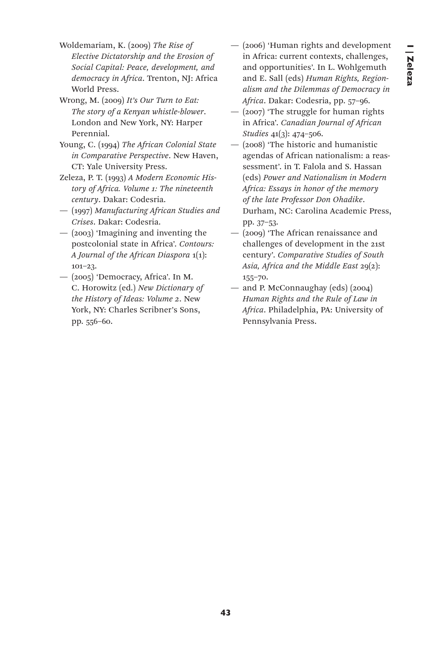- Woldemariam, K. (2009) *The Rise of Elective Dictatorship and the Erosion of Social Capital: Peace, development, and democracy in Africa*. Trenton, NJ: Africa World Press.
- Wrong, M. (2009) *It's Our Turn to Eat: The story of a Kenyan whistle-blower*. London and New York, NY: Harper Perennial.
- Young, C. (1994) *The African Colonial State in Comparative Perspective*. New Haven, CT: Yale University Press.
- Zeleza, P. T. (1993) *A Modern Economic History of Africa. Volume 1: The nineteenth century*. Dakar: Codesria.
- (1997) *Manufacturing African Studies and Crises*. Dakar: Codesria.
- (2003) 'Imagining and inventing the postcolonial state in Africa'. *Contours: A Journal of the African Diaspora* 1(1): 101–23.
- (2005) 'Democracy, Africa'. In M. C. Horowitz (ed.) *New Dictionary of the History of Ideas: Volume 2*. New York, NY: Charles Scribner's Sons, pp. 556–60.
- (2006) 'Human rights and development in Africa: current contexts, challenges, and opportunities'. In L. Wohlgemuth and E. Sall (eds) *Human Rights, Regionalism and the Dilemmas of Democracy in Africa*. Dakar: Codesria, pp. 57–96.
- (2007) 'The struggle for human rights in Africa'. *Canadian Journal of African Studies* 41(3): 474–506.
- (2008) 'The historic and humanistic agendas of African nationalism: a reassessment'. in T. Falola and S. Hassan (eds) *Power and Nationalism in Modern Africa: Essays in honor of the memory of the late Professor Don Ohadike*. Durham, NC: Carolina Academic Press, pp. 37–53.
- (2009) 'The African renaissance and challenges of development in the 21st century'. *Comparative Studies of South Asia, Africa and the Middle East* 29(2): 155–70.
- and P. McConnaughay (eds) (2004) *Human Rights and the Rule of Law in Africa*. Philadelphia, PA: University of Pennsylvania Press.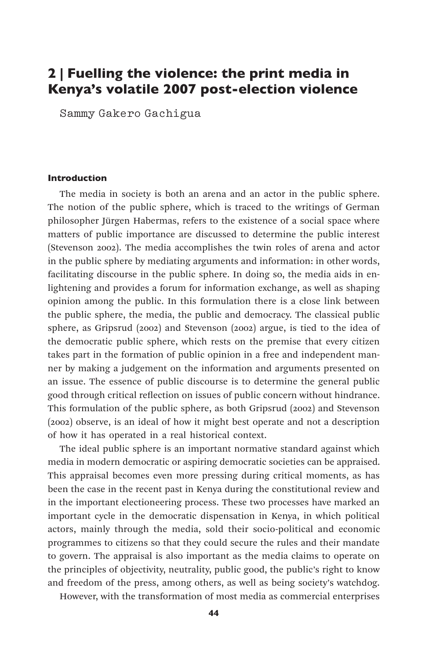# 2 | Fuelling the violence: the print media in Kenya's volatile 2007 post-election violence

Sammy Gakero Gachigua

#### Introduction

The media in society is both an arena and an actor in the public sphere. The notion of the public sphere, which is traced to the writings of German philosopher Jürgen Habermas, refers to the existence of a social space where matters of public importance are discussed to determine the public interest (Stevenson 2002). The media accomplishes the twin roles of arena and actor in the public sphere by mediating arguments and information: in other words, facilitating discourse in the public sphere. In doing so, the media aids in enlightening and provides a forum for information exchange, as well as shaping opinion among the public. In this formulation there is a close link between the public sphere, the media, the public and democracy. The classical public sphere, as Gripsrud (2002) and Stevenson (2002) argue, is tied to the idea of the democratic public sphere, which rests on the premise that every citizen takes part in the formation of public opinion in a free and independent manner by making a judgement on the information and arguments presented on an issue. The essence of public discourse is to determine the general public good through critical reflection on issues of public concern without hindrance. This formulation of the public sphere, as both Gripsrud (2002) and Stevenson (2002) observe, is an ideal of how it might best operate and not a description of how it has operated in a real historical context.

The ideal public sphere is an important normative standard against which media in modern democratic or aspiring democratic societies can be appraised. This appraisal becomes even more pressing during critical moments, as has been the case in the recent past in Kenya during the constitutional review and in the important electioneering process. These two processes have marked an important cycle in the democratic dispensation in Kenya, in which political actors, mainly through the media, sold their socio-political and economic programmes to citizens so that they could secure the rules and their mandate to govern. The appraisal is also important as the media claims to operate on the principles of objectivity, neutrality, public good, the public's right to know and freedom of the press, among others, as well as being society's watchdog.

However, with the transformation of most media as commercial enterprises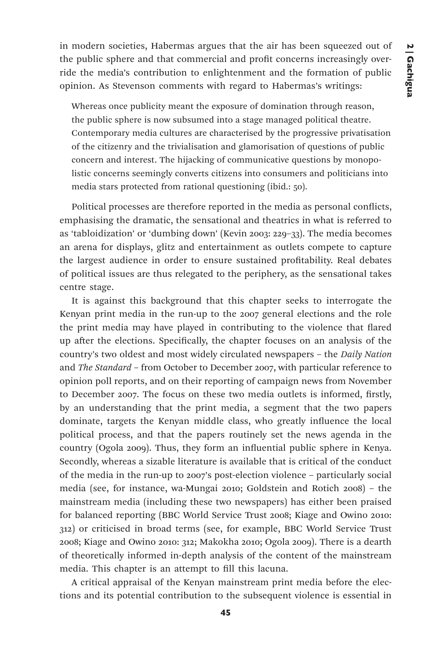in modern societies, Habermas argues that the air has been squeezed out of the public sphere and that commercial and profit concerns increasingly override the media's contribution to enlightenment and the formation of public opinion. As Stevenson comments with regard to Habermas's writings:

Whereas once publicity meant the exposure of domination through reason, the public sphere is now subsumed into a stage managed political theatre. Contemporary media cultures are characterised by the progressive privatisation of the citizenry and the trivialisation and glamorisation of questions of public concern and interest. The hijacking of communicative questions by monopolistic concerns seemingly converts citizens into consumers and politicians into media stars protected from rational questioning (ibid.: 50).

Political processes are therefore reported in the media as personal conflicts, emphasising the dramatic, the sensational and theatrics in what is referred to as 'tabloidization' or 'dumbing down' (Kevin 2003: 229–33). The media becomes an arena for displays, glitz and entertainment as outlets compete to capture the largest audience in order to ensure sustained profitability. Real debates of political issues are thus relegated to the periphery, as the sensational takes centre stage.

It is against this background that this chapter seeks to interrogate the Kenyan print media in the run-up to the 2007 general elections and the role the print media may have played in contributing to the violence that flared up after the elections. Specifically, the chapter focuses on an analysis of the country's two oldest and most widely circulated newspapers – the *Daily Nation* and *The Standard* – from October to December 2007, with particular reference to opinion poll reports, and on their reporting of campaign news from November to December 2007. The focus on these two media outlets is informed, firstly, by an understanding that the print media, a segment that the two papers dominate, targets the Kenyan middle class, who greatly influence the local political process, and that the papers routinely set the news agenda in the country (Ogola 2009). Thus, they form an influential public sphere in Kenya. Secondly, whereas a sizable literature is available that is critical of the conduct of the media in the run-up to 2007's post-election violence – particularly social media (see, for instance, wa-Mungai 2010; Goldstein and Rotich 2008) – the mainstream media (including these two newspapers) has either been praised for balanced reporting (BBC World Service Trust 2008; Kiage and Owino 2010: 312) or criticised in broad terms (see, for example, BBC World Service Trust 2008; Kiage and Owino 2010: 312; Makokha 2010; Ogola 2009). There is a dearth of theoretically informed in-depth analysis of the content of the mainstream media. This chapter is an attempt to fill this lacuna.

A critical appraisal of the Kenyan mainstream print media before the elections and its potential contribution to the subsequent violence is essential in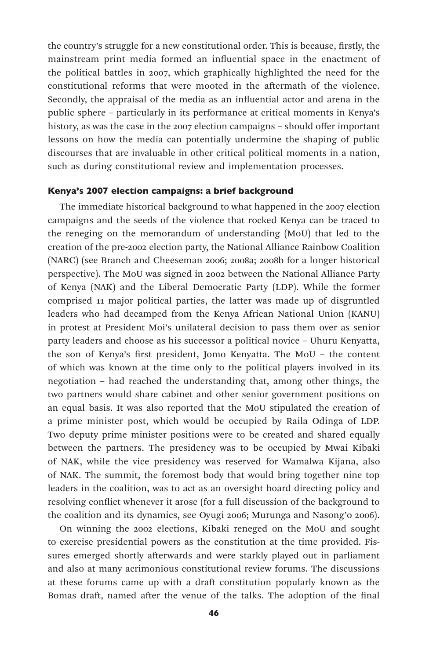the country's struggle for a new constitutional order. This is because, firstly, the mainstream print media formed an influential space in the enactment of the political battles in 2007, which graphically highlighted the need for the constitutional reforms that were mooted in the aftermath of the violence. Secondly, the appraisal of the media as an influential actor and arena in the public sphere – particularly in its performance at critical moments in Kenya's history, as was the case in the 2007 election campaigns – should offer important lessons on how the media can potentially undermine the shaping of public discourses that are invaluable in other critical political moments in a nation, such as during constitutional review and implementation processes.

## Kenya's 2007 election campaigns: a brief background

The immediate historical background to what happened in the 2007 election campaigns and the seeds of the violence that rocked Kenya can be traced to the reneging on the memorandum of understanding (MoU) that led to the creation of the pre-2002 election party, the National Alliance Rainbow Coalition (NARC) (see Branch and Cheeseman 2006; 2008a; 2008b for a longer historical perspective). The MoU was signed in 2002 between the National Alliance Party of Kenya (NAK) and the Liberal Democratic Party (LDP). While the former comprised 11 major political parties, the latter was made up of disgruntled leaders who had decamped from the Kenya African National Union (KANU) in protest at President Moi's unilateral decision to pass them over as senior party leaders and choose as his successor a political novice – Uhuru Kenyatta, the son of Kenya's first president, Jomo Kenyatta. The MoU – the content of which was known at the time only to the political players involved in its negotiation – had reached the understanding that, among other things, the two partners would share cabinet and other senior government positions on an equal basis. It was also reported that the MoU stipulated the creation of a prime minister post, which would be occupied by Raila Odinga of LDP. Two deputy prime minister positions were to be created and shared equally between the partners. The presidency was to be occupied by Mwai Kibaki of NAK, while the vice presidency was reserved for Wamalwa Kijana, also of NAK. The summit, the foremost body that would bring together nine top leaders in the coalition, was to act as an oversight board directing policy and resolving conflict whenever it arose (for a full discussion of the background to the coalition and its dynamics, see Oyugi 2006; Murunga and Nasong'o 2006).

On winning the 2002 elections, Kibaki reneged on the MoU and sought to exercise presidential powers as the constitution at the time provided. Fissures emerged shortly afterwards and were starkly played out in parliament and also at many acrimonious constitutional review forums. The discussions at these forums came up with a draft constitution popularly known as the Bomas draft, named after the venue of the talks. The adoption of the final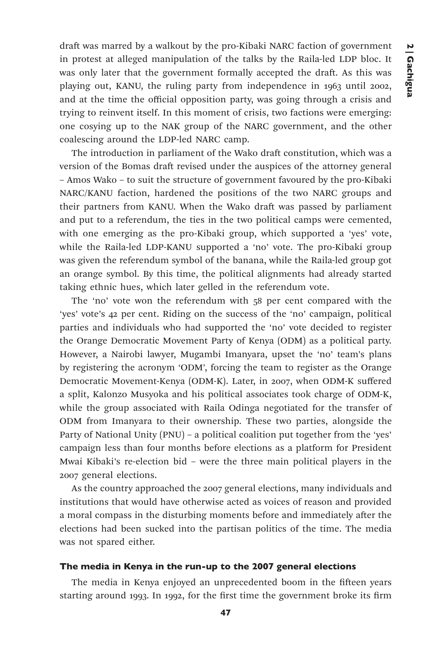draft was marred by a walkout by the pro-Kibaki NARC faction of government in protest at alleged manipulation of the talks by the Raila-led LDP bloc. It was only later that the government formally accepted the draft. As this was playing out, KANU, the ruling party from independence in 1963 until 2002, and at the time the official opposition party, was going through a crisis and trying to reinvent itself. In this moment of crisis, two factions were emerging: one cosying up to the NAK group of the NARC government, and the other coalescing around the LDP-led NARC camp.

The introduction in parliament of the Wako draft constitution, which was a version of the Bomas draft revised under the auspices of the attorney general – Amos Wako – to suit the structure of government favoured by the pro-Kibaki NARC/KANU faction, hardened the positions of the two NARC groups and their partners from KANU. When the Wako draft was passed by parliament and put to a referendum, the ties in the two political camps were cemented, with one emerging as the pro-Kibaki group, which supported a 'yes' vote, while the Raila-led LDP-KANU supported a 'no' vote. The pro-Kibaki group was given the referendum symbol of the banana, while the Raila-led group got an orange symbol. By this time, the political alignments had already started taking ethnic hues, which later gelled in the referendum vote.

The 'no' vote won the referendum with 58 per cent compared with the 'yes' vote's 42 per cent. Riding on the success of the 'no' campaign, political parties and individuals who had supported the 'no' vote decided to register the Orange Democratic Movement Party of Kenya (ODM) as a political party. However, a Nairobi lawyer, Mugambi Imanyara, upset the 'no' team's plans by registering the acronym 'ODM', forcing the team to register as the Orange Democratic Movement-Kenya (ODM-K). Later, in 2007, when ODM-K suffered a split, Kalonzo Musyoka and his political associates took charge of ODM-K, while the group associated with Raila Odinga negotiated for the transfer of ODM from Imanyara to their ownership. These two parties, alongside the Party of National Unity (PNU) – a political coalition put together from the 'yes' campaign less than four months before elections as a platform for President Mwai Kibaki's re-election bid – were the three main political players in the 2007 general elections.

As the country approached the 2007 general elections, many individuals and institutions that would have otherwise acted as voices of reason and provided a moral compass in the disturbing moments before and immediately after the elections had been sucked into the partisan politics of the time. The media was not spared either.

# The media in Kenya in the run-up to the 2007 general elections

The media in Kenya enjoyed an unprecedented boom in the fifteen years starting around 1993. In 1992, for the first time the government broke its firm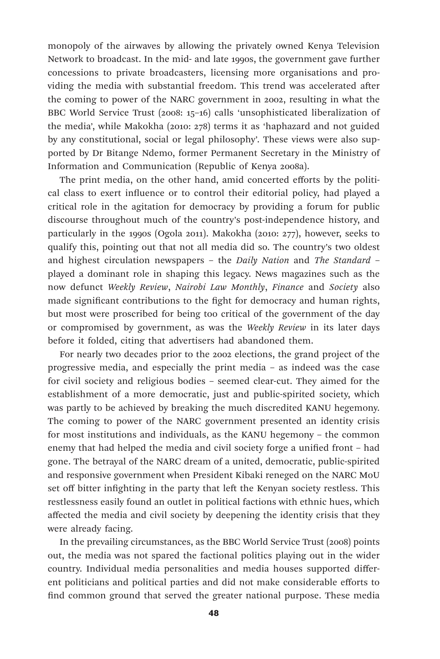monopoly of the airwaves by allowing the privately owned Kenya Television Network to broadcast. In the mid- and late 1990s, the government gave further concessions to private broadcasters, licensing more organisations and providing the media with substantial freedom. This trend was accelerated after the coming to power of the NARC government in 2002, resulting in what the BBC World Service Trust (2008: 15–16) calls 'unsophisticated liberalization of the media', while Makokha (2010: 278) terms it as 'haphazard and not guided by any constitutional, social or legal philosophy'. These views were also supported by Dr Bitange Ndemo, former Permanent Secretary in the Ministry of Information and Communication (Republic of Kenya 2008a).

The print media, on the other hand, amid concerted efforts by the political class to exert influence or to control their editorial policy, had played a critical role in the agitation for democracy by providing a forum for public discourse throughout much of the country's post-independence history, and particularly in the 1990s (Ogola 2011). Makokha (2010: 277), however, seeks to qualify this, pointing out that not all media did so. The country's two oldest and highest circulation newspapers – the *Daily Nation* and *The Standard* – played a dominant role in shaping this legacy. News magazines such as the now defunct *Weekly Review*, *Nairobi Law Monthly*, *Finance* and *Society* also made significant contributions to the fight for democracy and human rights, but most were proscribed for being too critical of the government of the day or compromised by government, as was the *Weekly Review* in its later days before it folded, citing that advertisers had abandoned them.

For nearly two decades prior to the 2002 elections, the grand project of the progressive media, and especially the print media – as indeed was the case for civil society and religious bodies – seemed clear-cut. They aimed for the establishment of a more democratic, just and public-spirited society, which was partly to be achieved by breaking the much discredited KANU hegemony. The coming to power of the NARC government presented an identity crisis for most institutions and individuals, as the KANU hegemony – the common enemy that had helped the media and civil society forge a unified front – had gone. The betrayal of the NARC dream of a united, democratic, public-spirited and responsive government when President Kibaki reneged on the NARC MoU set off bitter infighting in the party that left the Kenyan society restless. This restlessness easily found an outlet in political factions with ethnic hues, which affected the media and civil society by deepening the identity crisis that they were already facing.

In the prevailing circumstances, as the BBC World Service Trust (2008) points out, the media was not spared the factional politics playing out in the wider country. Individual media personalities and media houses supported different politicians and political parties and did not make considerable efforts to find common ground that served the greater national purpose. These media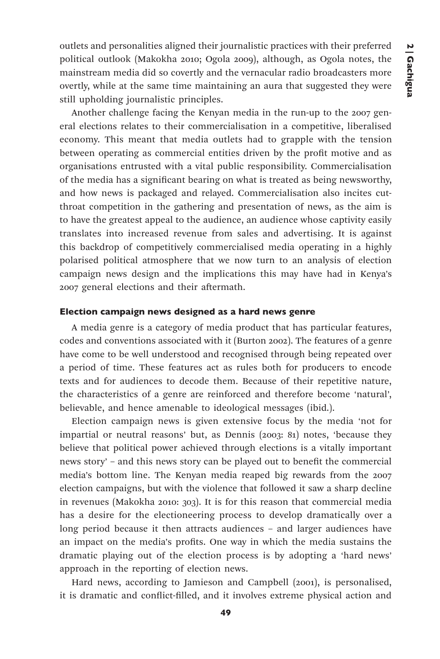outlets and personalities aligned their journalistic practices with their preferred political outlook (Makokha 2010; Ogola 2009), although, as Ogola notes, the mainstream media did so covertly and the vernacular radio broadcasters more overtly, while at the same time maintaining an aura that suggested they were still upholding journalistic principles.

Another challenge facing the Kenyan media in the run-up to the 2007 general elections relates to their commercialisation in a competitive, liberalised economy. This meant that media outlets had to grapple with the tension between operating as commercial entities driven by the profit motive and as organisations entrusted with a vital public responsibility. Commercialisation of the media has a significant bearing on what is treated as being newsworthy, and how news is packaged and relayed. Commercialisation also incites cutthroat competition in the gathering and presentation of news, as the aim is to have the greatest appeal to the audience, an audience whose captivity easily translates into increased revenue from sales and advertising. It is against this backdrop of competitively commercialised media operating in a highly polarised political atmosphere that we now turn to an analysis of election campaign news design and the implications this may have had in Kenya's 2007 general elections and their aftermath.

# Election campaign news designed as a hard news genre

A media genre is a category of media product that has particular features, codes and conventions associated with it (Burton 2002). The features of a genre have come to be well understood and recognised through being repeated over a period of time. These features act as rules both for producers to encode texts and for audiences to decode them. Because of their repetitive nature, the characteristics of a genre are reinforced and therefore become 'natural', believable, and hence amenable to ideological messages (ibid.).

Election campaign news is given extensive focus by the media 'not for impartial or neutral reasons' but, as Dennis (2003: 81) notes, 'because they believe that political power achieved through elections is a vitally important news story' – and this news story can be played out to benefit the commercial media's bottom line. The Kenyan media reaped big rewards from the 2007 election campaigns, but with the violence that followed it saw a sharp decline in revenues (Makokha 2010: 303). It is for this reason that commercial media has a desire for the electioneering process to develop dramatically over a long period because it then attracts audiences – and larger audiences have an impact on the media's profits. One way in which the media sustains the dramatic playing out of the election process is by adopting a 'hard news' approach in the reporting of election news.

Hard news, according to Jamieson and Campbell (2001), is personalised, it is dramatic and conflict-filled, and it involves extreme physical action and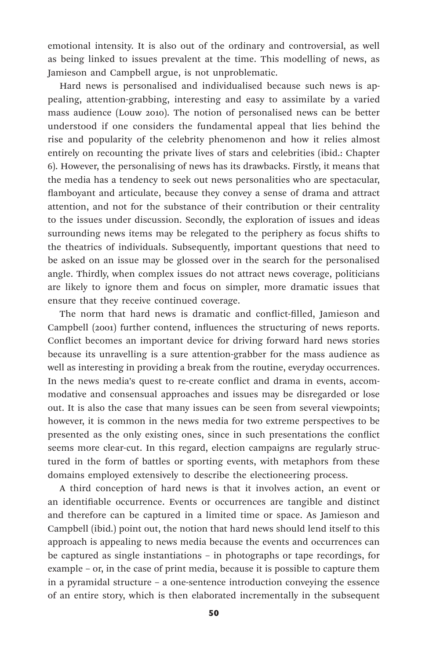emotional intensity. It is also out of the ordinary and controversial, as well as being linked to issues prevalent at the time. This modelling of news, as Jamieson and Campbell argue, is not unproblematic.

Hard news is personalised and individualised because such news is appealing, attention-grabbing, interesting and easy to assimilate by a varied mass audience (Louw 2010). The notion of personalised news can be better understood if one considers the fundamental appeal that lies behind the rise and popularity of the celebrity phenomenon and how it relies almost entirely on recounting the private lives of stars and celebrities (ibid.: Chapter 6). However, the personalising of news has its drawbacks. Firstly, it means that the media has a tendency to seek out news personalities who are spectacular, flamboyant and articulate, because they convey a sense of drama and attract attention, and not for the substance of their contribution or their centrality to the issues under discussion. Secondly, the exploration of issues and ideas surrounding news items may be relegated to the periphery as focus shifts to the theatrics of individuals. Subsequently, important questions that need to be asked on an issue may be glossed over in the search for the personalised angle. Thirdly, when complex issues do not attract news coverage, politicians are likely to ignore them and focus on simpler, more dramatic issues that ensure that they receive continued coverage.

The norm that hard news is dramatic and conflict-filled, Jamieson and Campbell (2001) further contend, influences the structuring of news reports. Conflict becomes an important device for driving forward hard news stories because its unravelling is a sure attention-grabber for the mass audience as well as interesting in providing a break from the routine, everyday occurrences. In the news media's quest to re-create conflict and drama in events, accommodative and consensual approaches and issues may be disregarded or lose out. It is also the case that many issues can be seen from several viewpoints; however, it is common in the news media for two extreme perspectives to be presented as the only existing ones, since in such presentations the conflict seems more clear-cut. In this regard, election campaigns are regularly structured in the form of battles or sporting events, with metaphors from these domains employed extensively to describe the electioneering process.

A third conception of hard news is that it involves action, an event or an identifiable occurrence. Events or occurrences are tangible and distinct and therefore can be captured in a limited time or space. As Jamieson and Campbell (ibid.) point out, the notion that hard news should lend itself to this approach is appealing to news media because the events and occurrences can be captured as single instantiations – in photographs or tape recordings, for example – or, in the case of print media, because it is possible to capture them in a pyramidal structure – a one-sentence introduction conveying the essence of an entire story, which is then elaborated incrementally in the subsequent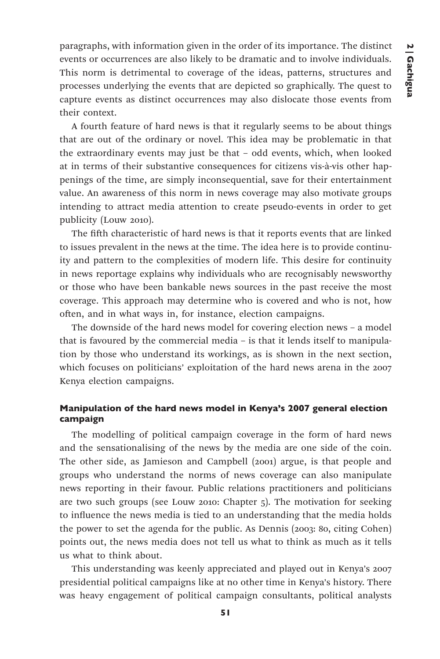paragraphs, with information given in the order of its importance. The distinct events or occurrences are also likely to be dramatic and to involve individuals. This norm is detrimental to coverage of the ideas, patterns, structures and processes underlying the events that are depicted so graphically. The quest to capture events as distinct occurrences may also dislocate those events from their context.

A fourth feature of hard news is that it regularly seems to be about things that are out of the ordinary or novel. This idea may be problematic in that the extraordinary events may just be that – odd events, which, when looked at in terms of their substantive consequences for citizens vis-à-vis other happenings of the time, are simply inconsequential, save for their entertainment value. An awareness of this norm in news coverage may also motivate groups intending to attract media attention to create pseudo-events in order to get publicity (Louw 2010).

The fifth characteristic of hard news is that it reports events that are linked to issues prevalent in the news at the time. The idea here is to provide continuity and pattern to the complexities of modern life. This desire for continuity in news reportage explains why individuals who are recognisably newsworthy or those who have been bankable news sources in the past receive the most coverage. This approach may determine who is covered and who is not, how often, and in what ways in, for instance, election campaigns.

The downside of the hard news model for covering election news – a model that is favoured by the commercial media – is that it lends itself to manipulation by those who understand its workings, as is shown in the next section, which focuses on politicians' exploitation of the hard news arena in the 2007 Kenya election campaigns.

# Manipulation of the hard news model in Kenya's 2007 general election campaign

The modelling of political campaign coverage in the form of hard news and the sensationalising of the news by the media are one side of the coin. The other side, as Jamieson and Campbell (2001) argue, is that people and groups who understand the norms of news coverage can also manipulate news reporting in their favour. Public relations practitioners and politicians are two such groups (see Louw 2010: Chapter 5). The motivation for seeking to influence the news media is tied to an understanding that the media holds the power to set the agenda for the public. As Dennis (2003: 80, citing Cohen) points out, the news media does not tell us what to think as much as it tells us what to think about.

This understanding was keenly appreciated and played out in Kenya's 2007 presidential political campaigns like at no other time in Kenya's history. There was heavy engagement of political campaign consultants, political analysts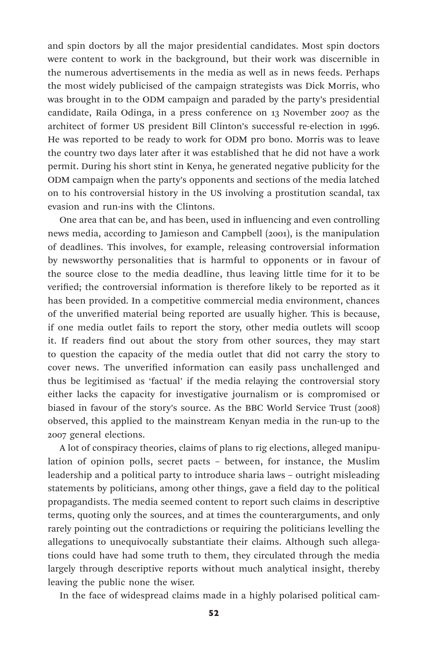and spin doctors by all the major presidential candidates. Most spin doctors were content to work in the background, but their work was discernible in the numerous advertisements in the media as well as in news feeds. Perhaps the most widely publicised of the campaign strategists was Dick Morris, who was brought in to the ODM campaign and paraded by the party's presidential candidate, Raila Odinga, in a press conference on 13 November 2007 as the architect of former US president Bill Clinton's successful re-election in 1996. He was reported to be ready to work for ODM pro bono. Morris was to leave the country two days later after it was established that he did not have a work permit. During his short stint in Kenya, he generated negative publicity for the ODM campaign when the party's opponents and sections of the media latched on to his controversial history in the US involving a prostitution scandal, tax evasion and run-ins with the Clintons.

One area that can be, and has been, used in influencing and even controlling news media, according to Jamieson and Campbell (2001), is the manipulation of deadlines. This involves, for example, releasing controversial information by newsworthy personalities that is harmful to opponents or in favour of the source close to the media deadline, thus leaving little time for it to be verified; the controversial information is therefore likely to be reported as it has been provided. In a competitive commercial media environment, chances of the unverified material being reported are usually higher. This is because, if one media outlet fails to report the story, other media outlets will scoop it. If readers find out about the story from other sources, they may start to question the capacity of the media outlet that did not carry the story to cover news. The unverified information can easily pass unchallenged and thus be legitimised as 'factual' if the media relaying the controversial story either lacks the capacity for investigative journalism or is compromised or biased in favour of the story's source. As the BBC World Service Trust (2008) observed, this applied to the mainstream Kenyan media in the run-up to the 2007 general elections.

A lot of conspiracy theories, claims of plans to rig elections, alleged manipulation of opinion polls, secret pacts – between, for instance, the Muslim leadership and a political party to introduce sharia laws – outright misleading statements by politicians, among other things, gave a field day to the political propagandists. The media seemed content to report such claims in descriptive terms, quoting only the sources, and at times the counterarguments, and only rarely pointing out the contradictions or requiring the politicians levelling the allegations to unequivocally substantiate their claims. Although such allegations could have had some truth to them, they circulated through the media largely through descriptive reports without much analytical insight, thereby leaving the public none the wiser.

In the face of widespread claims made in a highly polarised political cam-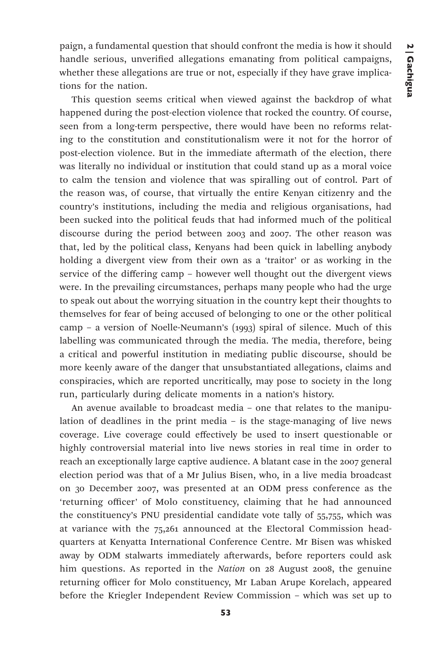paign, a fundamental question that should confront the media is how it should handle serious, unverified allegations emanating from political campaigns, whether these allegations are true or not, especially if they have grave implications for the nation.

This question seems critical when viewed against the backdrop of what happened during the post-election violence that rocked the country. Of course, seen from a long-term perspective, there would have been no reforms relating to the constitution and constitutionalism were it not for the horror of post-election violence. But in the immediate aftermath of the election, there was literally no individual or institution that could stand up as a moral voice to calm the tension and violence that was spiralling out of control. Part of the reason was, of course, that virtually the entire Kenyan citizenry and the country's institutions, including the media and religious organisations, had been sucked into the political feuds that had informed much of the political discourse during the period between 2003 and 2007. The other reason was that, led by the political class, Kenyans had been quick in labelling anybody holding a divergent view from their own as a 'traitor' or as working in the service of the differing camp – however well thought out the divergent views were. In the prevailing circumstances, perhaps many people who had the urge to speak out about the worrying situation in the country kept their thoughts to themselves for fear of being accused of belonging to one or the other political camp – a version of Noelle-Neumann's (1993) spiral of silence. Much of this labelling was communicated through the media. The media, therefore, being a critical and powerful institution in mediating public discourse, should be more keenly aware of the danger that unsubstantiated allegations, claims and conspiracies, which are reported uncritically, may pose to society in the long run, particularly during delicate moments in a nation's history.

An avenue available to broadcast media – one that relates to the manipulation of deadlines in the print media – is the stage-managing of live news coverage. Live coverage could effectively be used to insert questionable or highly controversial material into live news stories in real time in order to reach an exceptionally large captive audience. A blatant case in the 2007 general election period was that of a Mr Julius Bisen, who, in a live media broadcast on 30 December 2007, was presented at an ODM press conference as the 'returning officer' of Molo constituency, claiming that he had announced the constituency's PNU presidential candidate vote tally of 55,755, which was at variance with the 75,261 announced at the Electoral Commission headquarters at Kenyatta International Conference Centre. Mr Bisen was whisked away by ODM stalwarts immediately afterwards, before reporters could ask him questions. As reported in the *Nation* on 28 August 2008, the genuine returning officer for Molo constituency, Mr Laban Arupe Korelach, appeared before the Kriegler Independent Review Commission – which was set up to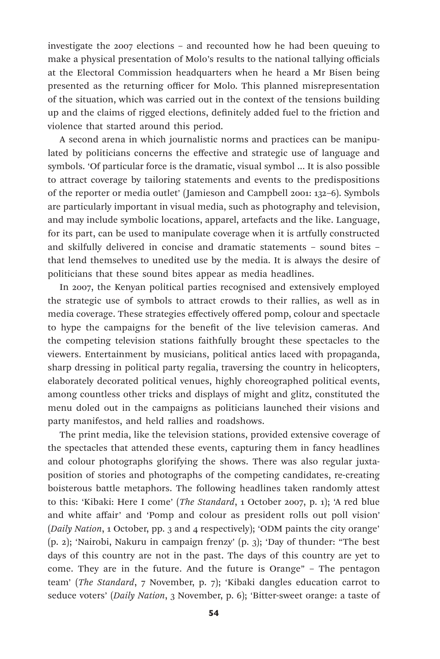investigate the 2007 elections – and recounted how he had been queuing to make a physical presentation of Molo's results to the national tallying officials at the Electoral Commission headquarters when he heard a Mr Bisen being presented as the returning officer for Molo. This planned misrepresentation of the situation, which was carried out in the context of the tensions building up and the claims of rigged elections, definitely added fuel to the friction and violence that started around this period.

A second arena in which journalistic norms and practices can be manipulated by politicians concerns the effective and strategic use of language and symbols. 'Of particular force is the dramatic, visual symbol … It is also possible to attract coverage by tailoring statements and events to the predispositions of the reporter or media outlet' (Jamieson and Campbell 2001: 132–6). Symbols are particularly important in visual media, such as photography and television, and may include symbolic locations, apparel, artefacts and the like. Language, for its part, can be used to manipulate coverage when it is artfully constructed and skilfully delivered in concise and dramatic statements – sound bites – that lend themselves to unedited use by the media. It is always the desire of politicians that these sound bites appear as media headlines.

In 2007, the Kenyan political parties recognised and extensively employed the strategic use of symbols to attract crowds to their rallies, as well as in media coverage. These strategies effectively offered pomp, colour and spectacle to hype the campaigns for the benefit of the live television cameras. And the competing television stations faithfully brought these spectacles to the viewers. Entertainment by musicians, political antics laced with propaganda, sharp dressing in political party regalia, traversing the country in helicopters, elaborately decorated political venues, highly choreographed political events, among countless other tricks and displays of might and glitz, constituted the menu doled out in the campaigns as politicians launched their visions and party manifestos, and held rallies and roadshows.

The print media, like the television stations, provided extensive coverage of the spectacles that attended these events, capturing them in fancy headlines and colour photographs glorifying the shows. There was also regular juxtaposition of stories and photographs of the competing candidates, re-creating boisterous battle metaphors. The following headlines taken randomly attest to this: 'Kibaki: Here I come' (*The Standard*, 1 October 2007, p. 1); 'A red blue and white affair' and 'Pomp and colour as president rolls out poll vision' (*Daily Nation*, 1 October, pp. 3 and 4 respectively); 'ODM paints the city orange' (p. 2); 'Nairobi, Nakuru in campaign frenzy' (p. 3); 'Day of thunder: "The best days of this country are not in the past. The days of this country are yet to come. They are in the future. And the future is Orange" – The pentagon team' (*The Standard*, 7 November, p. 7); 'Kibaki dangles education carrot to seduce voters' (*Daily Nation*, 3 November, p. 6); 'Bitter-sweet orange: a taste of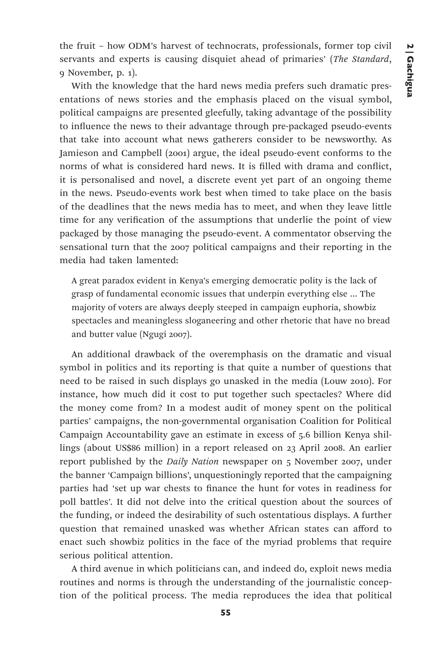the fruit – how ODM's harvest of technocrats, professionals, former top civil servants and experts is causing disquiet ahead of primaries' (*The Standard*, 9 November, p. 1).

With the knowledge that the hard news media prefers such dramatic presentations of news stories and the emphasis placed on the visual symbol, political campaigns are presented gleefully, taking advantage of the possibility to influence the news to their advantage through pre-packaged pseudo-events that take into account what news gatherers consider to be newsworthy. As Jamieson and Campbell (2001) argue, the ideal pseudo-event conforms to the norms of what is considered hard news. It is filled with drama and conflict, it is personalised and novel, a discrete event yet part of an ongoing theme in the news. Pseudo-events work best when timed to take place on the basis of the deadlines that the news media has to meet, and when they leave little time for any verification of the assumptions that underlie the point of view packaged by those managing the pseudo-event. A commentator observing the sensational turn that the 2007 political campaigns and their reporting in the media had taken lamented:

A great paradox evident in Kenya's emerging democratic polity is the lack of grasp of fundamental economic issues that underpin everything else … The majority of voters are always deeply steeped in campaign euphoria, showbiz spectacles and meaningless sloganeering and other rhetoric that have no bread and butter value (Ngugi 2007).

An additional drawback of the overemphasis on the dramatic and visual symbol in politics and its reporting is that quite a number of questions that need to be raised in such displays go unasked in the media (Louw 2010). For instance, how much did it cost to put together such spectacles? Where did the money come from? In a modest audit of money spent on the political parties' campaigns, the non-governmental organisation Coalition for Political Campaign Accountability gave an estimate in excess of 5.6 billion Kenya shillings (about US\$86 million) in a report released on 23 April 2008. An earlier report published by the *Daily Nation* newspaper on 5 November 2007, under the banner 'Campaign billions', unquestioningly reported that the campaigning parties had 'set up war chests to finance the hunt for votes in readiness for poll battles'. It did not delve into the critical question about the sources of the funding, or indeed the desirability of such ostentatious displays. A further question that remained unasked was whether African states can afford to enact such showbiz politics in the face of the myriad problems that require serious political attention.

A third avenue in which politicians can, and indeed do, exploit news media routines and norms is through the understanding of the journalistic conception of the political process. The media reproduces the idea that political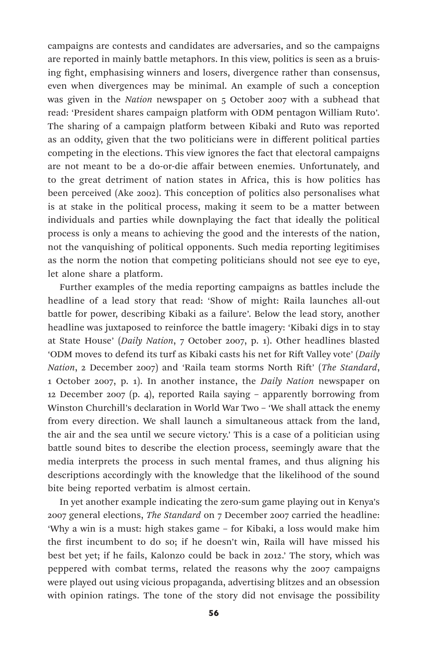campaigns are contests and candidates are adversaries, and so the campaigns are reported in mainly battle metaphors. In this view, politics is seen as a bruising fight, emphasising winners and losers, divergence rather than consensus, even when divergences may be minimal. An example of such a conception was given in the *Nation* newspaper on 5 October 2007 with a subhead that read: 'President shares campaign platform with ODM pentagon William Ruto'. The sharing of a campaign platform between Kibaki and Ruto was reported as an oddity, given that the two politicians were in different political parties competing in the elections. This view ignores the fact that electoral campaigns are not meant to be a do-or-die affair between enemies. Unfortunately, and to the great detriment of nation states in Africa, this is how politics has been perceived (Ake 2002). This conception of politics also personalises what is at stake in the political process, making it seem to be a matter between individuals and parties while downplaying the fact that ideally the political process is only a means to achieving the good and the interests of the nation, not the vanquishing of political opponents. Such media reporting legitimises as the norm the notion that competing politicians should not see eye to eye, let alone share a platform.

Further examples of the media reporting campaigns as battles include the headline of a lead story that read: 'Show of might: Raila launches all-out battle for power, describing Kibaki as a failure'. Below the lead story, another headline was juxtaposed to reinforce the battle imagery: 'Kibaki digs in to stay at State House' (*Daily Nation*, 7 October 2007, p. 1). Other headlines blasted 'ODM moves to defend its turf as Kibaki casts his net for Rift Valley vote' (*Daily Nation*, 2 December 2007) and 'Raila team storms North Rift' (*The Standard*, 1 October 2007, p. 1). In another instance, the *Daily Nation* newspaper on 12 December 2007 (p. 4), reported Raila saying – apparently borrowing from Winston Churchill's declaration in World War Two – 'We shall attack the enemy from every direction. We shall launch a simultaneous attack from the land, the air and the sea until we secure victory.' This is a case of a politician using battle sound bites to describe the election process, seemingly aware that the media interprets the process in such mental frames, and thus aligning his descriptions accordingly with the knowledge that the likelihood of the sound bite being reported verbatim is almost certain.

In yet another example indicating the zero-sum game playing out in Kenya's 2007 general elections, *The Standard* on 7 December 2007 carried the headline: 'Why a win is a must: high stakes game – for Kibaki, a loss would make him the first incumbent to do so; if he doesn't win, Raila will have missed his best bet yet; if he fails, Kalonzo could be back in 2012.' The story, which was peppered with combat terms, related the reasons why the 2007 campaigns were played out using vicious propaganda, advertising blitzes and an obsession with opinion ratings. The tone of the story did not envisage the possibility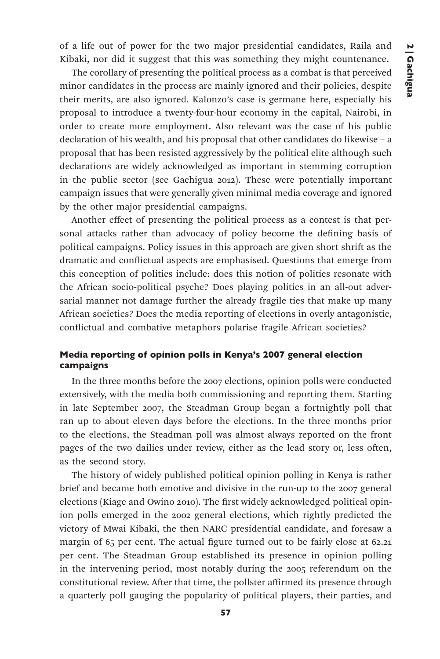of a life out of power for the two major presidential candidates, Raila and Kibaki, nor did it suggest that this was something they might countenance.

The corollary of presenting the political process as a combat is that perceived minor candidates in the process are mainly ignored and their policies, despite their merits, are also ignored. Kalonzo's case is germane here, especially his proposal to introduce a twenty-four-hour economy in the capital, Nairobi, in order to create more employment. Also relevant was the case of his public declaration of his wealth, and his proposal that other candidates do likewise – a proposal that has been resisted aggressively by the political elite although such declarations are widely acknowledged as important in stemming corruption in the public sector (see Gachigua 2012). These were potentially important campaign issues that were generally given minimal media coverage and ignored by the other major presidential campaigns.

Another effect of presenting the political process as a contest is that personal attacks rather than advocacy of policy become the defining basis of political campaigns. Policy issues in this approach are given short shrift as the dramatic and conflictual aspects are emphasised. Questions that emerge from this conception of politics include: does this notion of politics resonate with the African socio-political psyche? Does playing politics in an all-out adversarial manner not damage further the already fragile ties that make up many African societies? Does the media reporting of elections in overly antagonistic, conflictual and combative metaphors polarise fragile African societies?

# Media reporting of opinion polls in Kenya's 2007 general election campaigns

In the three months before the 2007 elections, opinion polls were conducted extensively, with the media both commissioning and reporting them. Starting in late September 2007, the Steadman Group began a fortnightly poll that ran up to about eleven days before the elections. In the three months prior to the elections, the Steadman poll was almost always reported on the front pages of the two dailies under review, either as the lead story or, less often, as the second story.

The history of widely published political opinion polling in Kenya is rather brief and became both emotive and divisive in the run-up to the 2007 general elections (Kiage and Owino 2010). The first widely acknowledged political opinion polls emerged in the 2002 general elections, which rightly predicted the victory of Mwai Kibaki, the then NARC presidential candidate, and foresaw a margin of 65 per cent. The actual figure turned out to be fairly close at 62.21 per cent. The Steadman Group established its presence in opinion polling in the intervening period, most notably during the 2005 referendum on the constitutional review. After that time, the pollster affirmed its presence through a quarterly poll gauging the popularity of political players, their parties, and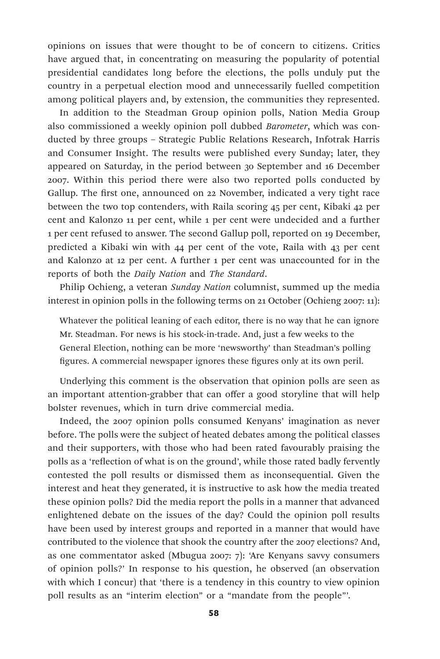opinions on issues that were thought to be of concern to citizens. Critics have argued that, in concentrating on measuring the popularity of potential presidential candidates long before the elections, the polls unduly put the country in a perpetual election mood and unnecessarily fuelled competition among political players and, by extension, the communities they represented.

In addition to the Steadman Group opinion polls, Nation Media Group also commissioned a weekly opinion poll dubbed *Barometer*, which was conducted by three groups – Strategic Public Relations Research, Infotrak Harris and Consumer Insight. The results were published every Sunday; later, they appeared on Saturday, in the period between 30 September and 16 December 2007. Within this period there were also two reported polls conducted by Gallup. The first one, announced on 22 November, indicated a very tight race between the two top contenders, with Raila scoring 45 per cent, Kibaki 42 per cent and Kalonzo 11 per cent, while 1 per cent were undecided and a further 1 per cent refused to answer. The second Gallup poll, reported on 19 December, predicted a Kibaki win with 44 per cent of the vote, Raila with 43 per cent and Kalonzo at 12 per cent. A further 1 per cent was unaccounted for in the reports of both the *Daily Nation* and *The Standard*.

Philip Ochieng, a veteran *Sunday Nation* columnist, summed up the media interest in opinion polls in the following terms on 21 October (Ochieng 2007: 11):

Whatever the political leaning of each editor, there is no way that he can ignore Mr. Steadman. For news is his stock-in-trade. And, just a few weeks to the General Election, nothing can be more 'newsworthy' than Steadman's polling figures. A commercial newspaper ignores these figures only at its own peril.

Underlying this comment is the observation that opinion polls are seen as an important attention-grabber that can offer a good storyline that will help bolster revenues, which in turn drive commercial media.

Indeed, the 2007 opinion polls consumed Kenyans' imagination as never before. The polls were the subject of heated debates among the political classes and their supporters, with those who had been rated favourably praising the polls as a 'reflection of what is on the ground', while those rated badly fervently contested the poll results or dismissed them as inconsequential. Given the interest and heat they generated, it is instructive to ask how the media treated these opinion polls? Did the media report the polls in a manner that advanced enlightened debate on the issues of the day? Could the opinion poll results have been used by interest groups and reported in a manner that would have contributed to the violence that shook the country after the 2007 elections? And, as one commentator asked (Mbugua 2007: 7): 'Are Kenyans savvy consumers of opinion polls?' In response to his question, he observed (an observation with which I concur) that 'there is a tendency in this country to view opinion poll results as an "interim election" or a "mandate from the people"'.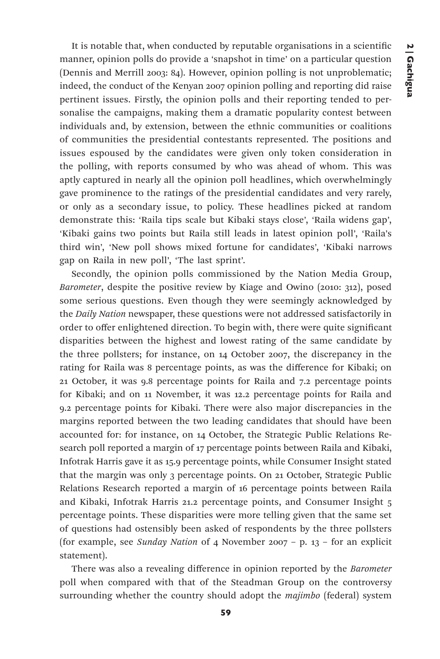It is notable that, when conducted by reputable organisations in a scientific manner, opinion polls do provide a 'snapshot in time' on a particular question (Dennis and Merrill 2003: 84). However, opinion polling is not unproblematic; indeed, the conduct of the Kenyan 2007 opinion polling and reporting did raise pertinent issues. Firstly, the opinion polls and their reporting tended to personalise the campaigns, making them a dramatic popularity contest between individuals and, by extension, between the ethnic communities or coalitions of communities the presidential contestants represented. The positions and issues espoused by the candidates were given only token consideration in the polling, with reports consumed by who was ahead of whom. This was aptly captured in nearly all the opinion poll headlines, which overwhelmingly gave prominence to the ratings of the presidential candidates and very rarely, or only as a secondary issue, to policy. These headlines picked at random demonstrate this: 'Raila tips scale but Kibaki stays close', 'Raila widens gap', 'Kibaki gains two points but Raila still leads in latest opinion poll', 'Raila's third win', 'New poll shows mixed fortune for candidates', 'Kibaki narrows gap on Raila in new poll', 'The last sprint'.

Secondly, the opinion polls commissioned by the Nation Media Group, *Barometer*, despite the positive review by Kiage and Owino (2010: 312), posed some serious questions. Even though they were seemingly acknowledged by the *Daily Nation* newspaper, these questions were not addressed satisfactorily in order to offer enlightened direction. To begin with, there were quite significant disparities between the highest and lowest rating of the same candidate by the three pollsters; for instance, on 14 October 2007, the discrepancy in the rating for Raila was 8 percentage points, as was the difference for Kibaki; on 21 October, it was 9.8 percentage points for Raila and 7.2 percentage points for Kibaki; and on 11 November, it was 12.2 percentage points for Raila and 9.2 percentage points for Kibaki. There were also major discrepancies in the margins reported between the two leading candidates that should have been accounted for: for instance, on 14 October, the Strategic Public Relations Research poll reported a margin of 17 percentage points between Raila and Kibaki, Infotrak Harris gave it as 15.9 percentage points, while Consumer Insight stated that the margin was only 3 percentage points. On 21 October, Strategic Public Relations Research reported a margin of 16 percentage points between Raila and Kibaki, Infotrak Harris 21.2 percentage points, and Consumer Insight 5 percentage points. These disparities were more telling given that the same set of questions had ostensibly been asked of respondents by the three pollsters (for example, see *Sunday Nation* of 4 November 2007 – p. 13 – for an explicit statement).

There was also a revealing difference in opinion reported by the *Barometer*  poll when compared with that of the Steadman Group on the controversy surrounding whether the country should adopt the *majimbo* (federal) system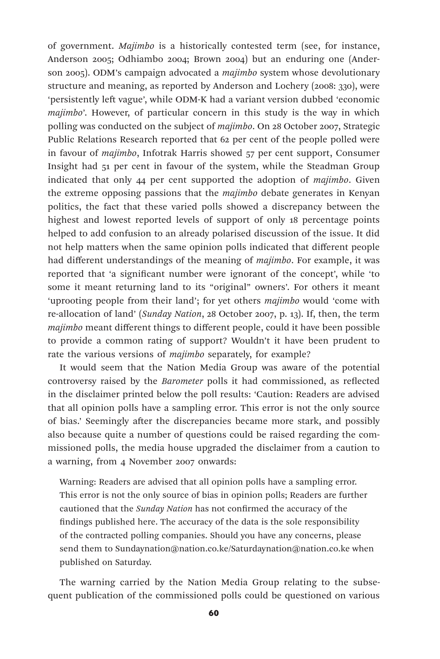of government. *Majimbo* is a historically contested term (see, for instance, Anderson 2005; Odhiambo 2004; Brown 2004) but an enduring one (Anderson 2005). ODM's campaign advocated a *majimbo* system whose devolutionary structure and meaning, as reported by Anderson and Lochery (2008: 330), were 'persistently left vague', while ODM-K had a variant version dubbed 'economic *majimbo*'. However, of particular concern in this study is the way in which polling was conducted on the subject of *majimbo*. On 28 October 2007, Strategic Public Relations Research reported that 62 per cent of the people polled were in favour of *majimbo*, Infotrak Harris showed 57 per cent support, Consumer Insight had 51 per cent in favour of the system, while the Steadman Group indicated that only 44 per cent supported the adoption of *majimbo*. Given the extreme opposing passions that the *majimbo* debate generates in Kenyan politics, the fact that these varied polls showed a discrepancy between the highest and lowest reported levels of support of only 18 percentage points helped to add confusion to an already polarised discussion of the issue. It did not help matters when the same opinion polls indicated that different people had different understandings of the meaning of *majimbo*. For example, it was reported that 'a significant number were ignorant of the concept', while 'to some it meant returning land to its "original" owners'. For others it meant 'uprooting people from their land'; for yet others *majimbo* would 'come with re-allocation of land' (*Sunday Nation*, 28 October 2007, p. 13). If, then, the term *majimbo* meant different things to different people, could it have been possible to provide a common rating of support? Wouldn't it have been prudent to rate the various versions of *majimbo* separately, for example?

It would seem that the Nation Media Group was aware of the potential controversy raised by the *Barometer* polls it had commissioned, as reflected in the disclaimer printed below the poll results: 'Caution: Readers are advised that all opinion polls have a sampling error. This error is not the only source of bias.' Seemingly after the discrepancies became more stark, and possibly also because quite a number of questions could be raised regarding the commissioned polls, the media house upgraded the disclaimer from a caution to a warning, from 4 November 2007 onwards:

Warning: Readers are advised that all opinion polls have a sampling error. This error is not the only source of bias in opinion polls; Readers are further cautioned that the *Sunday Nation* has not confirmed the accuracy of the findings published here. The accuracy of the data is the sole responsibility of the contracted polling companies. Should you have any concerns, please send them to Sundaynation@nation.co.ke/Saturdaynation@nation.co.ke when published on Saturday.

The warning carried by the Nation Media Group relating to the subsequent publication of the commissioned polls could be questioned on various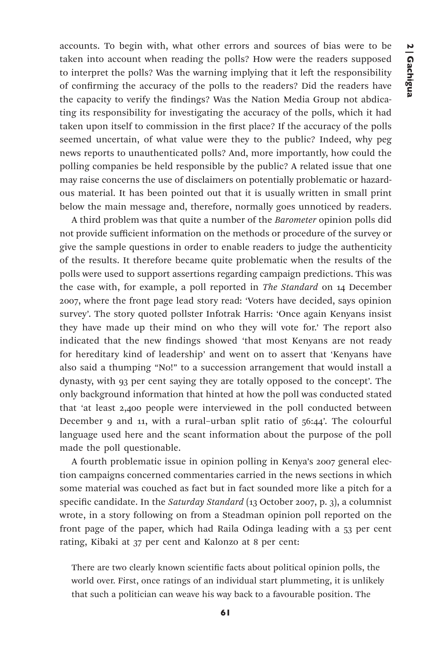accounts. To begin with, what other errors and sources of bias were to be taken into account when reading the polls? How were the readers supposed to interpret the polls? Was the warning implying that it left the responsibility of confirming the accuracy of the polls to the readers? Did the readers have the capacity to verify the findings? Was the Nation Media Group not abdicating its responsibility for investigating the accuracy of the polls, which it had taken upon itself to commission in the first place? If the accuracy of the polls seemed uncertain, of what value were they to the public? Indeed, why peg news reports to unauthenticated polls? And, more importantly, how could the polling companies be held responsible by the public? A related issue that one may raise concerns the use of disclaimers on potentially problematic or hazardous material. It has been pointed out that it is usually written in small print below the main message and, therefore, normally goes unnoticed by readers.

A third problem was that quite a number of the *Barometer* opinion polls did not provide sufficient information on the methods or procedure of the survey or give the sample questions in order to enable readers to judge the authenticity of the results. It therefore became quite problematic when the results of the polls were used to support assertions regarding campaign predictions. This was the case with, for example, a poll reported in *The Standard* on 14 December 2007, where the front page lead story read: 'Voters have decided, says opinion survey'. The story quoted pollster Infotrak Harris: 'Once again Kenyans insist they have made up their mind on who they will vote for.' The report also indicated that the new findings showed 'that most Kenyans are not ready for hereditary kind of leadership' and went on to assert that 'Kenyans have also said a thumping "No!" to a succession arrangement that would install a dynasty, with 93 per cent saying they are totally opposed to the concept'. The only background information that hinted at how the poll was conducted stated that 'at least 2,400 people were interviewed in the poll conducted between December 9 and 11, with a rural–urban split ratio of 56:44'. The colourful language used here and the scant information about the purpose of the poll made the poll questionable.

A fourth problematic issue in opinion polling in Kenya's 2007 general election campaigns concerned commentaries carried in the news sections in which some material was couched as fact but in fact sounded more like a pitch for a specific candidate. In the *Saturday Standard* (13 October 2007, p. 3), a columnist wrote, in a story following on from a Steadman opinion poll reported on the front page of the paper, which had Raila Odinga leading with a 53 per cent rating, Kibaki at 37 per cent and Kalonzo at 8 per cent:

There are two clearly known scientific facts about political opinion polls, the world over. First, once ratings of an individual start plummeting, it is unlikely that such a politician can weave his way back to a favourable position. The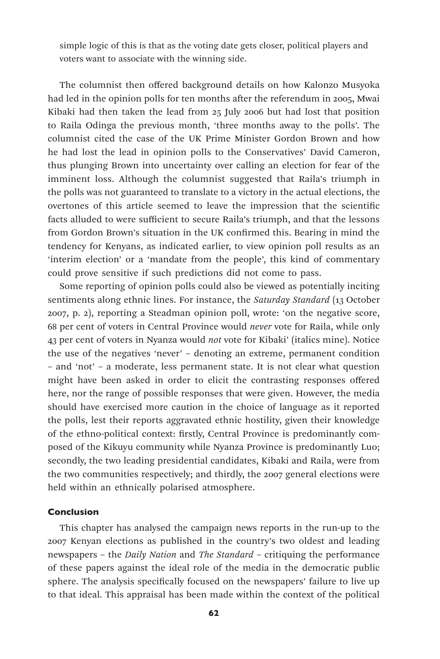simple logic of this is that as the voting date gets closer, political players and voters want to associate with the winning side.

The columnist then offered background details on how Kalonzo Musyoka had led in the opinion polls for ten months after the referendum in 2005, Mwai Kibaki had then taken the lead from 25 July 2006 but had lost that position to Raila Odinga the previous month, 'three months away to the polls'. The columnist cited the case of the UK Prime Minister Gordon Brown and how he had lost the lead in opinion polls to the Conservatives' David Cameron, thus plunging Brown into uncertainty over calling an election for fear of the imminent loss. Although the columnist suggested that Raila's triumph in the polls was not guaranteed to translate to a victory in the actual elections, the overtones of this article seemed to leave the impression that the scientific facts alluded to were sufficient to secure Raila's triumph, and that the lessons from Gordon Brown's situation in the UK confirmed this. Bearing in mind the tendency for Kenyans, as indicated earlier, to view opinion poll results as an 'interim election' or a 'mandate from the people', this kind of commentary could prove sensitive if such predictions did not come to pass.

Some reporting of opinion polls could also be viewed as potentially inciting sentiments along ethnic lines. For instance, the *Saturday Standard* (13 October 2007, p. 2), reporting a Steadman opinion poll, wrote: 'on the negative score, 68 per cent of voters in Central Province would *never* vote for Raila, while only 43 per cent of voters in Nyanza would *not* vote for Kibaki' (italics mine). Notice the use of the negatives 'never' – denoting an extreme, permanent condition – and 'not' – a moderate, less permanent state. It is not clear what question might have been asked in order to elicit the contrasting responses offered here, nor the range of possible responses that were given. However, the media should have exercised more caution in the choice of language as it reported the polls, lest their reports aggravated ethnic hostility, given their knowledge of the ethno-political context: firstly, Central Province is predominantly composed of the Kikuyu community while Nyanza Province is predominantly Luo; secondly, the two leading presidential candidates, Kibaki and Raila, were from the two communities respectively; and thirdly, the 2007 general elections were held within an ethnically polarised atmosphere.

#### Conclusion

This chapter has analysed the campaign news reports in the run-up to the 2007 Kenyan elections as published in the country's two oldest and leading newspapers – the *Daily Nation* and *The Standard* – critiquing the performance of these papers against the ideal role of the media in the democratic public sphere. The analysis specifically focused on the newspapers' failure to live up to that ideal. This appraisal has been made within the context of the political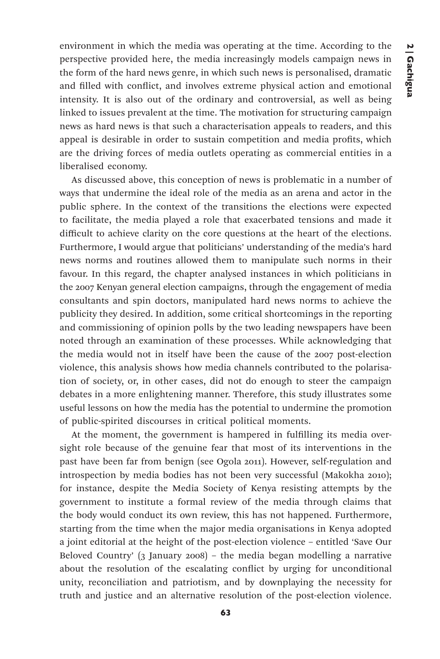environment in which the media was operating at the time. According to the perspective provided here, the media increasingly models campaign news in the form of the hard news genre, in which such news is personalised, dramatic and filled with conflict, and involves extreme physical action and emotional intensity. It is also out of the ordinary and controversial, as well as being linked to issues prevalent at the time. The motivation for structuring campaign news as hard news is that such a characterisation appeals to readers, and this appeal is desirable in order to sustain competition and media profits, which are the driving forces of media outlets operating as commercial entities in a liberalised economy.

As discussed above, this conception of news is problematic in a number of ways that undermine the ideal role of the media as an arena and actor in the public sphere. In the context of the transitions the elections were expected to facilitate, the media played a role that exacerbated tensions and made it difficult to achieve clarity on the core questions at the heart of the elections. Furthermore, I would argue that politicians' understanding of the media's hard news norms and routines allowed them to manipulate such norms in their favour. In this regard, the chapter analysed instances in which politicians in the 2007 Kenyan general election campaigns, through the engagement of media consultants and spin doctors, manipulated hard news norms to achieve the publicity they desired. In addition, some critical shortcomings in the reporting and commissioning of opinion polls by the two leading newspapers have been noted through an examination of these processes. While acknowledging that the media would not in itself have been the cause of the 2007 post-election violence, this analysis shows how media channels contributed to the polarisation of society, or, in other cases, did not do enough to steer the campaign debates in a more enlightening manner. Therefore, this study illustrates some useful lessons on how the media has the potential to undermine the promotion of public-spirited discourses in critical political moments.

At the moment, the government is hampered in fulfilling its media oversight role because of the genuine fear that most of its interventions in the past have been far from benign (see Ogola 2011). However, self-regulation and introspection by media bodies has not been very successful (Makokha 2010); for instance, despite the Media Society of Kenya resisting attempts by the government to institute a formal review of the media through claims that the body would conduct its own review, this has not happened. Furthermore, starting from the time when the major media organisations in Kenya adopted a joint editorial at the height of the post-election violence – entitled 'Save Our Beloved Country' (3 January 2008) – the media began modelling a narrative about the resolution of the escalating conflict by urging for unconditional unity, reconciliation and patriotism, and by downplaying the necessity for truth and justice and an alternative resolution of the post-election violence.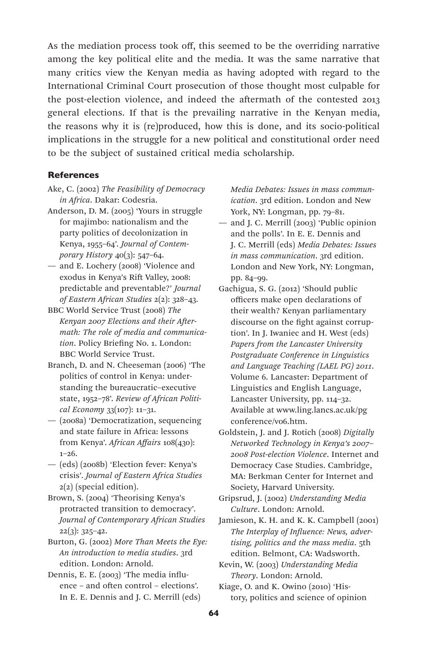As the mediation process took off, this seemed to be the overriding narrative among the key political elite and the media. It was the same narrative that many critics view the Kenyan media as having adopted with regard to the International Criminal Court prosecution of those thought most culpable for the post-election violence, and indeed the aftermath of the contested 2013 general elections. If that is the prevailing narrative in the Kenyan media, the reasons why it is (re)produced, how this is done, and its socio-political implications in the struggle for a new political and constitutional order need to be the subject of sustained critical media scholarship.

#### **References**

- Ake, C. (2002) *The Feasibility of Democracy in Africa*. Dakar: Codesria.
- Anderson, D. M. (2005) 'Yours in struggle for majimbo: nationalism and the party politics of decolonization in Kenya, 1955–64'. *Journal of Contemporary History* 40(3): 547–64.
- and E. Lochery (2008) 'Violence and exodus in Kenya's Rift Valley, 2008: predictable and preventable?' *Journal of Eastern African Studies* 2(2): 328–43.
- BBC World Service Trust (2008) *The Kenyan 2007 Elections and their Aftermath: The role of media and communication*. Policy Briefing No. 1. London: BBC World Service Trust.
- Branch, D. and N. Cheeseman (2006) 'The politics of control in Kenya: understanding the bureaucratic–executive state, 1952–78'. *Review of African Political Economy* 33(107): 11–31.
- (2008a) 'Democratization, sequencing and state failure in Africa: lessons from Kenya'. *African Affairs* 108(430): 1–26.
- (eds) (2008b) 'Election fever: Kenya's crisis'. *Journal of Eastern Africa Studies* 2(2) (special edition).
- Brown, S. (2004) 'Theorising Kenya's protracted transition to democracy'. *Journal of Contemporary African Studies* 22(3): 325–42.
- Burton, G. (2002) *More Than Meets the Eye: An introduction to media studies*. 3rd edition. London: Arnold.
- Dennis, E. E. (2003) 'The media influence – and often control – elections'. In E. E. Dennis and J. C. Merrill (eds)

*Media Debates: Issues in mass communication*. 3rd edition. London and New York, NY: Longman, pp. 79–81.

- and J. C. Merrill (2003) 'Public opinion and the polls'. In E. E. Dennis and J. C. Merrill (eds) *Media Debates: Issues in mass communication*. 3rd edition. London and New York, NY: Longman, pp. 84–99.
- Gachigua, S. G. (2012) 'Should public officers make open declarations of their wealth? Kenyan parliamentary discourse on the fight against corruption'. In J. Iwaniec and H. West (eds) *Papers from the Lancaster University Postgraduate Conference in Linguistics and Language Teaching (LAEL PG) 2011*. Volume 6. Lancaster: Department of Linguistics and English Language, Lancaster University, pp. 114–32. Available at www.ling.lancs.ac.uk/pg conference/v06.htm.
- Goldstein, J. and J. Rotich (2008) *Digitally Networked Technology in Kenya's 2007– 2008 Post-election Violence*. Internet and Democracy Case Studies. Cambridge, MA: Berkman Center for Internet and Society, Harvard University.
- Gripsrud, J. (2002) *Understanding Media Culture*. London: Arnold.
- Jamieson, K. H. and K. K. Campbell (2001) *The Interplay of Influence: News, advertising, politics and the mass media*. 5th edition. Belmont, CA: Wadsworth.
- Kevin, W. (2003) *Understanding Media Theory*. London: Arnold.
- Kiage, O. and K. Owino (2010) 'History, politics and science of opinion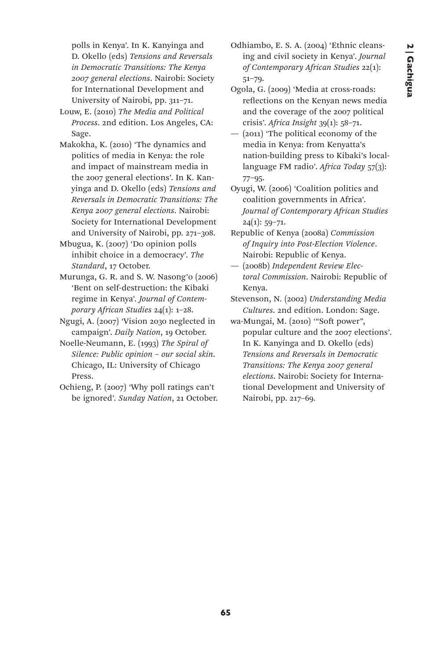polls in Kenya'. In K. Kanyinga and D. Okello (eds) *Tensions and Reversals in Democratic Transitions: The Kenya 2007 general elections*. Nairobi: Society for International Development and University of Nairobi, pp. 311–71.

Louw, E. (2010) *The Media and Political Process*. 2nd edition. Los Angeles, CA: Sage.

Makokha, K. (2010) 'The dynamics and politics of media in Kenya: the role and impact of mainstream media in the 2007 general elections'. In K. Kanyinga and D. Okello (eds) *Tensions and Reversals in Democratic Transitions: The Kenya 2007 general elections*. Nairobi: Society for International Development and University of Nairobi, pp. 271–308.

Mbugua, K. (2007) 'Do opinion polls inhibit choice in a democracy'. *The Standard*, 17 October.

Murunga, G. R. and S. W. Nasong'o (2006) 'Bent on self-destruction: the Kibaki regime in Kenya'. *Journal of Contemporary African Studies* 24(1): 1–28.

Ngugi, A. (2007) 'Vision 2030 neglected in campaign'. *Daily Nation*, 19 October.

Noelle-Neumann, E. (1993) *The Spiral of Silence: Public opinion – our social skin*. Chicago, IL: University of Chicago Press.

Ochieng, P. (2007) 'Why poll ratings can't be ignored'. *Sunday Nation*, 21 October. Odhiambo, E. S. A. (2004) 'Ethnic cleansing and civil society in Kenya'. *Journal of Contemporary African Studies* 22(1): 51–79.

Ogola, G. (2009) 'Media at cross-roads: reflections on the Kenyan news media and the coverage of the 2007 political crisis'. *Africa Insight* 39(1): 58–71.

— (2011) 'The political economy of the media in Kenya: from Kenyatta's nation-building press to Kibaki's locallanguage FM radio'. *Africa Today* 57(3): 77–95.

Oyugi, W. (2006) 'Coalition politics and coalition governments in Africa'. *Journal of Contemporary African Studies*  $24(1): 59-71.$ 

Republic of Kenya (2008a) *Commission of Inquiry into Post-Election Violence*. Nairobi: Republic of Kenya.

— (2008b) *Independent Review Electoral Commission*. Nairobi: Republic of Kenya.

Stevenson, N. (2002) *Understanding Media Cultures*. 2nd edition. London: Sage.

wa-Mungai, M. (2010) '"Soft power", popular culture and the 2007 elections'. In K. Kanyinga and D. Okello (eds) *Tensions and Reversals in Democratic Transitions: The Kenya 2007 general elections*. Nairobi: Society for International Development and University of Nairobi, pp. 217–69.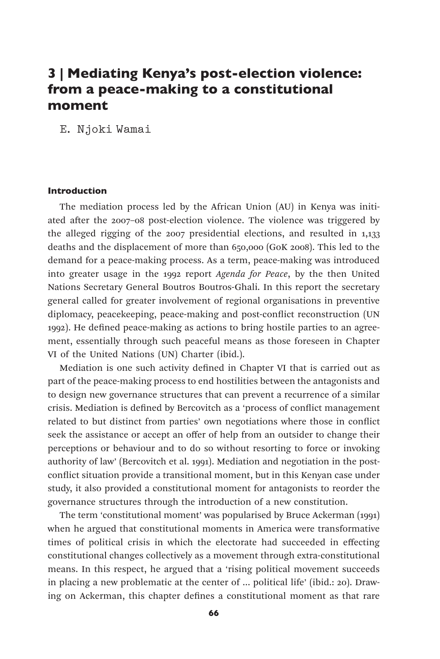# 3 | Mediating Kenya's post-election violence: from a peace-making to a constitutional moment

E. Njoki Wamai

#### Introduction

The mediation process led by the African Union (AU) in Kenya was initiated after the 2007–08 post-election violence. The violence was triggered by the alleged rigging of the 2007 presidential elections, and resulted in 1,133 deaths and the displacement of more than 650,000 (GoK 2008). This led to the demand for a peace-making process. As a term, peace-making was introduced into greater usage in the 1992 report *Agenda for Peace*, by the then United Nations Secretary General Boutros Boutros-Ghali. In this report the secretary general called for greater involvement of regional organisations in preventive diplomacy, peacekeeping, peace-making and post-conflict reconstruction (UN 1992). He defined peace-making as actions to bring hostile parties to an agreement, essentially through such peaceful means as those foreseen in Chapter VI of the United Nations (UN) Charter (ibid.).

Mediation is one such activity defined in Chapter VI that is carried out as part of the peace-making process to end hostilities between the antagonists and to design new governance structures that can prevent a recurrence of a similar crisis. Mediation is defined by Bercovitch as a 'process of conflict management related to but distinct from parties' own negotiations where those in conflict seek the assistance or accept an offer of help from an outsider to change their perceptions or behaviour and to do so without resorting to force or invoking authority of law' (Bercovitch et al. 1991). Mediation and negotiation in the postconflict situation provide a transitional moment, but in this Kenyan case under study, it also provided a constitutional moment for antagonists to reorder the governance structures through the introduction of a new constitution.

The term 'constitutional moment' was popularised by Bruce Ackerman (1991) when he argued that constitutional moments in America were transformative times of political crisis in which the electorate had succeeded in effecting constitutional changes collectively as a movement through extra-constitutional means. In this respect, he argued that a 'rising political movement succeeds in placing a new problematic at the center of … political life' (ibid.: 20). Drawing on Ackerman, this chapter defines a constitutional moment as that rare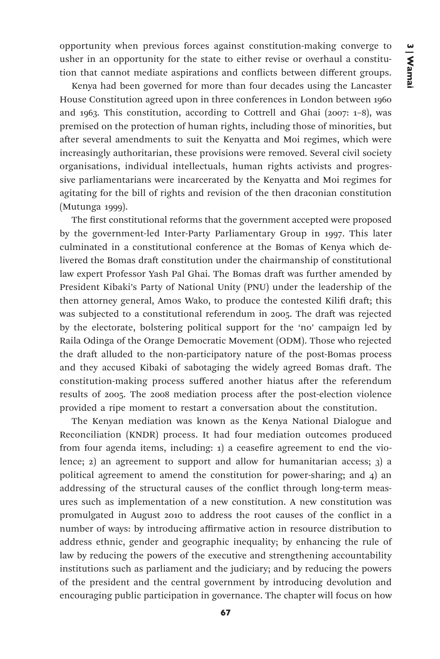opportunity when previous forces against constitution-making converge to usher in an opportunity for the state to either revise or overhaul a constitution that cannot mediate aspirations and conflicts between different groups.

Kenya had been governed for more than four decades using the Lancaster House Constitution agreed upon in three conferences in London between 1960 and 1963. This constitution, according to Cottrell and Ghai (2007: 1–8), was premised on the protection of human rights, including those of minorities, but after several amendments to suit the Kenyatta and Moi regimes, which were increasingly authoritarian, these provisions were removed. Several civil society organisations, individual intellectuals, human rights activists and progressive parliamentarians were incarcerated by the Kenyatta and Moi regimes for agitating for the bill of rights and revision of the then draconian constitution (Mutunga 1999).

The first constitutional reforms that the government accepted were proposed by the government-led Inter-Party Parliamentary Group in 1997. This later culminated in a constitutional conference at the Bomas of Kenya which delivered the Bomas draft constitution under the chairmanship of constitutional law expert Professor Yash Pal Ghai. The Bomas draft was further amended by President Kibaki's Party of National Unity (PNU) under the leadership of the then attorney general, Amos Wako, to produce the contested Kilifi draft; this was subjected to a constitutional referendum in 2005. The draft was rejected by the electorate, bolstering political support for the 'no' campaign led by Raila Odinga of the Orange Democratic Movement (ODM). Those who rejected the draft alluded to the non-participatory nature of the post-Bomas process and they accused Kibaki of sabotaging the widely agreed Bomas draft. The constitution-making process suffered another hiatus after the referendum results of 2005. The 2008 mediation process after the post-election violence provided a ripe moment to restart a conversation about the constitution.

The Kenyan mediation was known as the Kenya National Dialogue and Reconciliation (KNDR) process. It had four mediation outcomes produced from four agenda items, including: 1) a ceasefire agreement to end the violence; 2) an agreement to support and allow for humanitarian access; 3) a political agreement to amend the constitution for power-sharing; and 4) an addressing of the structural causes of the conflict through long-term measures such as implementation of a new constitution. A new constitution was promulgated in August 2010 to address the root causes of the conflict in a number of ways: by introducing affirmative action in resource distribution to address ethnic, gender and geographic inequality; by enhancing the rule of law by reducing the powers of the executive and strengthening accountability institutions such as parliament and the judiciary; and by reducing the powers of the president and the central government by introducing devolution and encouraging public participation in governance. The chapter will focus on how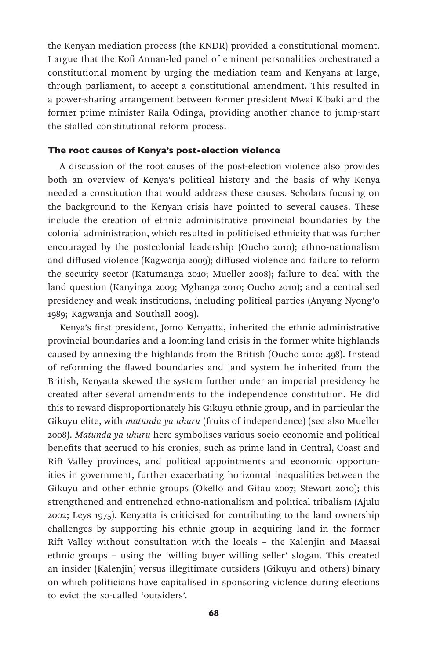the Kenyan mediation process (the KNDR) provided a constitutional moment. I argue that the Kofi Annan-led panel of eminent personalities orchestrated a constitutional moment by urging the mediation team and Kenyans at large, through parliament, to accept a constitutional amendment. This resulted in a power-sharing arrangement between former president Mwai Kibaki and the former prime minister Raila Odinga, providing another chance to jump-start the stalled constitutional reform process.

## The root causes of Kenya's post-election violence

A discussion of the root causes of the post-election violence also provides both an overview of Kenya's political history and the basis of why Kenya needed a constitution that would address these causes. Scholars focusing on the background to the Kenyan crisis have pointed to several causes. These include the creation of ethnic administrative provincial boundaries by the colonial administration, which resulted in politicised ethnicity that was further encouraged by the postcolonial leadership (Oucho 2010); ethno-nationalism and diffused violence (Kagwanja 2009); diffused violence and failure to reform the security sector (Katumanga 2010; Mueller 2008); failure to deal with the land question (Kanyinga 2009; Mghanga 2010; Oucho 2010); and a centralised presidency and weak institutions, including political parties (Anyang Nyong'o 1989; Kagwanja and Southall 2009).

Kenya's first president, Jomo Kenyatta, inherited the ethnic administrative provincial boundaries and a looming land crisis in the former white highlands caused by annexing the highlands from the British (Oucho 2010: 498). Instead of reforming the flawed boundaries and land system he inherited from the British, Kenyatta skewed the system further under an imperial presidency he created after several amendments to the independence constitution. He did this to reward disproportionately his Gikuyu ethnic group, and in particular the Gikuyu elite, with *matunda ya uhuru* (fruits of independence) (see also Mueller 2008). *Matunda ya uhuru* here symbolises various socio-economic and political benefits that accrued to his cronies, such as prime land in Central, Coast and Rift Valley provinces, and political appointments and economic opportunities in government, further exacerbating horizontal inequalities between the Gikuyu and other ethnic groups (Okello and Gitau 2007; Stewart 2010); this strengthened and entrenched ethno-nationalism and political tribalism (Ajulu 2002; Leys 1975). Kenyatta is criticised for contributing to the land ownership challenges by supporting his ethnic group in acquiring land in the former Rift Valley without consultation with the locals – the Kalenjin and Maasai ethnic groups – using the 'willing buyer willing seller' slogan. This created an insider (Kalenjin) versus illegitimate outsiders (Gikuyu and others) binary on which politicians have capitalised in sponsoring violence during elections to evict the so-called 'outsiders'.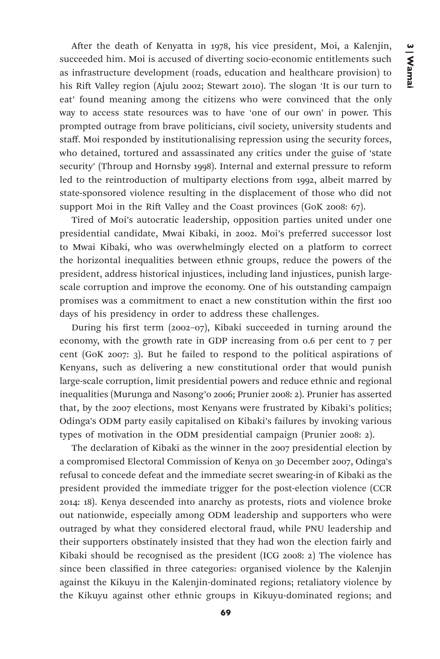After the death of Kenyatta in 1978, his vice president, Moi, a Kalenjin, succeeded him. Moi is accused of diverting socio-economic entitlements such as infrastructure development (roads, education and healthcare provision) to his Rift Valley region (Ajulu 2002; Stewart 2010). The slogan 'It is our turn to eat' found meaning among the citizens who were convinced that the only way to access state resources was to have 'one of our own' in power. This prompted outrage from brave politicians, civil society, university students and staff. Moi responded by institutionalising repression using the security forces, who detained, tortured and assassinated any critics under the guise of 'state security' (Throup and Hornsby 1998). Internal and external pressure to reform led to the reintroduction of multiparty elections from 1992, albeit marred by state-sponsored violence resulting in the displacement of those who did not support Moi in the Rift Valley and the Coast provinces (GoK 2008: 67).

Tired of Moi's autocratic leadership, opposition parties united under one presidential candidate, Mwai Kibaki, in 2002. Moi's preferred successor lost to Mwai Kibaki, who was overwhelmingly elected on a platform to correct the horizontal inequalities between ethnic groups, reduce the powers of the president, address historical injustices, including land injustices, punish largescale corruption and improve the economy. One of his outstanding campaign promises was a commitment to enact a new constitution within the first 100 days of his presidency in order to address these challenges.

During his first term (2002–07), Kibaki succeeded in turning around the economy, with the growth rate in GDP increasing from 0.6 per cent to 7 per cent (GoK 2007: 3). But he failed to respond to the political aspirations of Kenyans, such as delivering a new constitutional order that would punish large-scale corruption, limit presidential powers and reduce ethnic and regional inequalities (Murunga and Nasong'o 2006; Prunier 2008: 2). Prunier has asserted that, by the 2007 elections, most Kenyans were frustrated by Kibaki's politics; Odinga's ODM party easily capitalised on Kibaki's failures by invoking various types of motivation in the ODM presidential campaign (Prunier 2008: 2).

The declaration of Kibaki as the winner in the 2007 presidential election by a compromised Electoral Commission of Kenya on 30 December 2007, Odinga's refusal to concede defeat and the immediate secret swearing-in of Kibaki as the president provided the immediate trigger for the post-election violence (CCR 2014: 18). Kenya descended into anarchy as protests, riots and violence broke out nationwide, especially among ODM leadership and supporters who were outraged by what they considered electoral fraud, while PNU leadership and their supporters obstinately insisted that they had won the election fairly and Kibaki should be recognised as the president (ICG 2008: 2) The violence has since been classified in three categories: organised violence by the Kalenjin against the Kikuyu in the Kalenjin-dominated regions; retaliatory violence by the Kikuyu against other ethnic groups in Kikuyu-dominated regions; and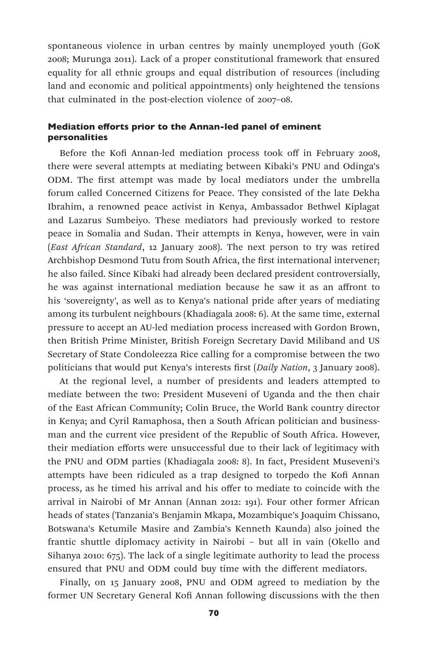spontaneous violence in urban centres by mainly unemployed youth (GoK 2008; Murunga 2011). Lack of a proper constitutional framework that ensured equality for all ethnic groups and equal distribution of resources (including land and economic and political appointments) only heightened the tensions that culminated in the post-election violence of 2007–08.

## Mediation efforts prior to the Annan-led panel of eminent personalities

Before the Kofi Annan-led mediation process took off in February 2008, there were several attempts at mediating between Kibaki's PNU and Odinga's ODM. The first attempt was made by local mediators under the umbrella forum called Concerned Citizens for Peace. They consisted of the late Dekha Ibrahim, a renowned peace activist in Kenya, Ambassador Bethwel Kiplagat and Lazarus Sumbeiyo. These mediators had previously worked to restore peace in Somalia and Sudan. Their attempts in Kenya, however, were in vain (*East African Standard*, 12 January 2008). The next person to try was retired Archbishop Desmond Tutu from South Africa, the first international intervener; he also failed. Since Kibaki had already been declared president controversially, he was against international mediation because he saw it as an affront to his 'sovereignty', as well as to Kenya's national pride after years of mediating among its turbulent neighbours (Khadiagala 2008: 6). At the same time, external pressure to accept an AU-led mediation process increased with Gordon Brown, then British Prime Minister, British Foreign Secretary David Miliband and US Secretary of State Condoleezza Rice calling for a compromise between the two politicians that would put Kenya's interests first (*Daily Nation*, 3 January 2008).

At the regional level, a number of presidents and leaders attempted to mediate between the two: President Museveni of Uganda and the then chair of the East African Community; Colin Bruce, the World Bank country director in Kenya; and Cyril Ramaphosa, then a South African politician and businessman and the current vice president of the Republic of South Africa. However, their mediation efforts were unsuccessful due to their lack of legitimacy with the PNU and ODM parties (Khadiagala 2008: 8). In fact, President Museveni's attempts have been ridiculed as a trap designed to torpedo the Kofi Annan process, as he timed his arrival and his offer to mediate to coincide with the arrival in Nairobi of Mr Annan (Annan 2012: 191). Four other former African heads of states (Tanzania's Benjamin Mkapa, Mozambique's Joaquim Chissano, Botswana's Ketumile Masire and Zambia's Kenneth Kaunda) also joined the frantic shuttle diplomacy activity in Nairobi – but all in vain (Okello and Sihanya 2010: 675). The lack of a single legitimate authority to lead the process ensured that PNU and ODM could buy time with the different mediators.

Finally, on 15 January 2008, PNU and ODM agreed to mediation by the former UN Secretary General Kofi Annan following discussions with the then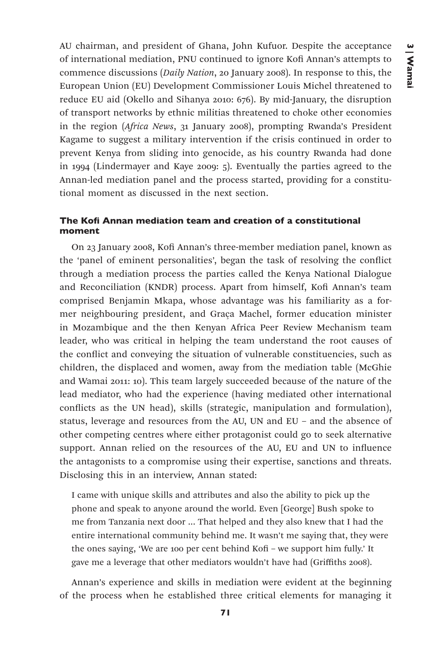AU chairman, and president of Ghana, John Kufuor. Despite the acceptance of international mediation, PNU continued to ignore Kofi Annan's attempts to commence discussions (*Daily Nation*, 20 January 2008). In response to this, the European Union (EU) Development Commissioner Louis Michel threatened to reduce EU aid (Okello and Sihanya 2010: 676). By mid-January, the disruption of transport networks by ethnic militias threatened to choke other economies in the region (*Africa News*, 31 January 2008), prompting Rwanda's President Kagame to suggest a military intervention if the crisis continued in order to prevent Kenya from sliding into genocide, as his country Rwanda had done in 1994 (Lindermayer and Kaye 2009: 5). Eventually the parties agreed to the Annan-led mediation panel and the process started, providing for a constitutional moment as discussed in the next section.

# The Kofi Annan mediation team and creation of a constitutional moment

On 23 January 2008, Kofi Annan's three-member mediation panel, known as the 'panel of eminent personalities', began the task of resolving the conflict through a mediation process the parties called the Kenya National Dialogue and Reconciliation (KNDR) process. Apart from himself, Kofi Annan's team comprised Benjamin Mkapa, whose advantage was his familiarity as a former neighbouring president, and Graça Machel, former education minister in Mozambique and the then Kenyan Africa Peer Review Mechanism team leader, who was critical in helping the team understand the root causes of the conflict and conveying the situation of vulnerable constituencies, such as children, the displaced and women, away from the mediation table (McGhie and Wamai 2011: 10). This team largely succeeded because of the nature of the lead mediator, who had the experience (having mediated other international conflicts as the UN head), skills (strategic, manipulation and formulation), status, leverage and resources from the AU, UN and EU – and the absence of other competing centres where either protagonist could go to seek alternative support. Annan relied on the resources of the AU, EU and UN to influence the antagonists to a compromise using their expertise, sanctions and threats. Disclosing this in an interview, Annan stated:

I came with unique skills and attributes and also the ability to pick up the phone and speak to anyone around the world. Even [George] Bush spoke to me from Tanzania next door ... That helped and they also knew that I had the entire international community behind me. It wasn't me saying that, they were the ones saying, 'We are 100 per cent behind Kofi – we support him fully.' It gave me a leverage that other mediators wouldn't have had (Griffiths 2008).

Annan's experience and skills in mediation were evident at the beginning of the process when he established three critical elements for managing it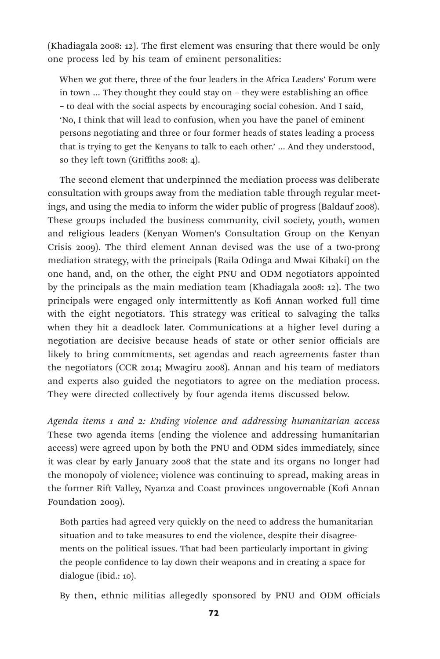(Khadiagala 2008: 12). The first element was ensuring that there would be only one process led by his team of eminent personalities:

When we got there, three of the four leaders in the Africa Leaders' Forum were in town … They thought they could stay on – they were establishing an office – to deal with the social aspects by encouraging social cohesion. And I said, 'No, I think that will lead to confusion, when you have the panel of eminent persons negotiating and three or four former heads of states leading a process that is trying to get the Kenyans to talk to each other.' … And they understood, so they left town (Griffiths 2008: 4).

The second element that underpinned the mediation process was deliberate consultation with groups away from the mediation table through regular meetings, and using the media to inform the wider public of progress (Baldauf 2008). These groups included the business community, civil society, youth, women and religious leaders (Kenyan Women's Consultation Group on the Kenyan Crisis 2009). The third element Annan devised was the use of a two-prong mediation strategy, with the principals (Raila Odinga and Mwai Kibaki) on the one hand, and, on the other, the eight PNU and ODM negotiators appointed by the principals as the main mediation team (Khadiagala 2008: 12). The two principals were engaged only intermittently as Kofi Annan worked full time with the eight negotiators. This strategy was critical to salvaging the talks when they hit a deadlock later. Communications at a higher level during a negotiation are decisive because heads of state or other senior officials are likely to bring commitments, set agendas and reach agreements faster than the negotiators (CCR 2014; Mwagiru 2008). Annan and his team of mediators and experts also guided the negotiators to agree on the mediation process. They were directed collectively by four agenda items discussed below.

*Agenda items 1 and 2: Ending violence and addressing humanitarian access*  These two agenda items (ending the violence and addressing humanitarian access) were agreed upon by both the PNU and ODM sides immediately, since it was clear by early January 2008 that the state and its organs no longer had the monopoly of violence; violence was continuing to spread, making areas in the former Rift Valley, Nyanza and Coast provinces ungovernable (Kofi Annan Foundation 2009).

Both parties had agreed very quickly on the need to address the humanitarian situation and to take measures to end the violence, despite their disagreements on the political issues. That had been particularly important in giving the people confidence to lay down their weapons and in creating a space for dialogue (ibid.: 10).

By then, ethnic militias allegedly sponsored by PNU and ODM officials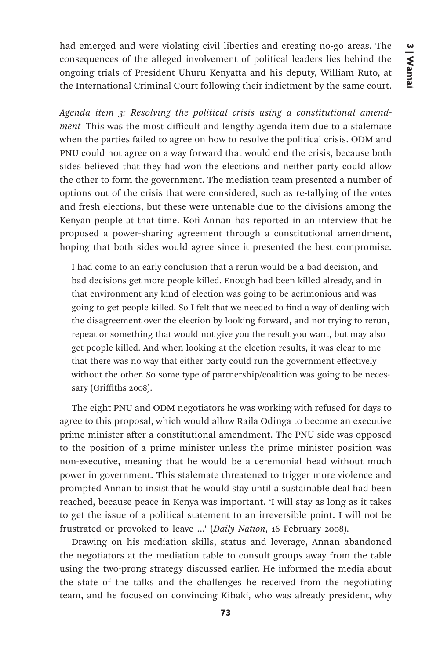had emerged and were violating civil liberties and creating no-go areas. The consequences of the alleged involvement of political leaders lies behind the ongoing trials of President Uhuru Kenyatta and his deputy, William Ruto, at the International Criminal Court following their indictment by the same court.

*Agenda item 3: Resolving the political crisis using a constitutional amendment* This was the most difficult and lengthy agenda item due to a stalemate when the parties failed to agree on how to resolve the political crisis. ODM and PNU could not agree on a way forward that would end the crisis, because both sides believed that they had won the elections and neither party could allow the other to form the government. The mediation team presented a number of options out of the crisis that were considered, such as re-tallying of the votes and fresh elections, but these were untenable due to the divisions among the Kenyan people at that time. Kofi Annan has reported in an interview that he proposed a power-sharing agreement through a constitutional amendment, hoping that both sides would agree since it presented the best compromise.

I had come to an early conclusion that a rerun would be a bad decision, and bad decisions get more people killed. Enough had been killed already, and in that environment any kind of election was going to be acrimonious and was going to get people killed. So I felt that we needed to find a way of dealing with the disagreement over the election by looking forward, and not trying to rerun, repeat or something that would not give you the result you want, but may also get people killed. And when looking at the election results, it was clear to me that there was no way that either party could run the government effectively without the other. So some type of partnership/coalition was going to be necessary (Griffiths 2008).

The eight PNU and ODM negotiators he was working with refused for days to agree to this proposal, which would allow Raila Odinga to become an executive prime minister after a constitutional amendment. The PNU side was opposed to the position of a prime minister unless the prime minister position was non-executive, meaning that he would be a ceremonial head without much power in government. This stalemate threatened to trigger more violence and prompted Annan to insist that he would stay until a sustainable deal had been reached, because peace in Kenya was important. 'I will stay as long as it takes to get the issue of a political statement to an irreversible point. I will not be frustrated or provoked to leave ...' (*Daily Nation*, 16 February 2008).

Drawing on his mediation skills, status and leverage, Annan abandoned the negotiators at the mediation table to consult groups away from the table using the two-prong strategy discussed earlier. He informed the media about the state of the talks and the challenges he received from the negotiating team, and he focused on convincing Kibaki, who was already president, why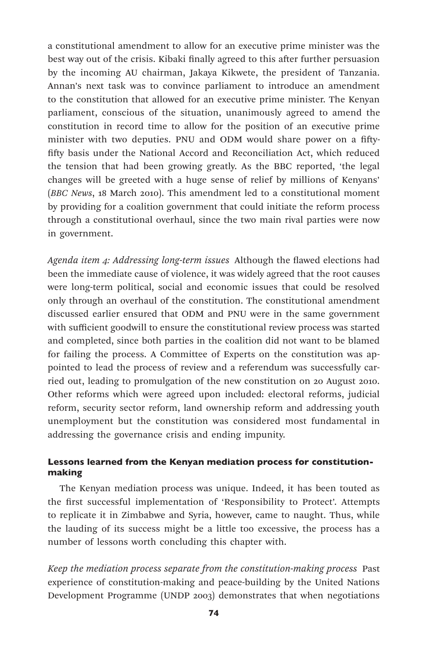a constitutional amendment to allow for an executive prime minister was the best way out of the crisis. Kibaki finally agreed to this after further persuasion by the incoming AU chairman, Jakaya Kikwete, the president of Tanzania. Annan's next task was to convince parliament to introduce an amendment to the constitution that allowed for an executive prime minister. The Kenyan parliament, conscious of the situation, unanimously agreed to amend the constitution in record time to allow for the position of an executive prime minister with two deputies. PNU and ODM would share power on a fiftyfifty basis under the National Accord and Reconciliation Act, which reduced the tension that had been growing greatly. As the BBC reported, 'the legal changes will be greeted with a huge sense of relief by millions of Kenyans' (*BBC News*, 18 March 2010). This amendment led to a constitutional moment by providing for a coalition government that could initiate the reform process through a constitutional overhaul, since the two main rival parties were now in government.

*Agenda item 4: Addressing long-term issues* Although the flawed elections had been the immediate cause of violence, it was widely agreed that the root causes were long-term political, social and economic issues that could be resolved only through an overhaul of the constitution. The constitutional amendment discussed earlier ensured that ODM and PNU were in the same government with sufficient goodwill to ensure the constitutional review process was started and completed, since both parties in the coalition did not want to be blamed for failing the process. A Committee of Experts on the constitution was appointed to lead the process of review and a referendum was successfully carried out, leading to promulgation of the new constitution on 20 August 2010. Other reforms which were agreed upon included: electoral reforms, judicial reform, security sector reform, land ownership reform and addressing youth unemployment but the constitution was considered most fundamental in addressing the governance crisis and ending impunity.

# Lessons learned from the Kenyan mediation process for constitutionmaking

The Kenyan mediation process was unique. Indeed, it has been touted as the first successful implementation of 'Responsibility to Protect'. Attempts to replicate it in Zimbabwe and Syria, however, came to naught. Thus, while the lauding of its success might be a little too excessive, the process has a number of lessons worth concluding this chapter with.

*Keep the mediation process separate from the constitution-making process* Past experience of constitution-making and peace-building by the United Nations Development Programme (UNDP 2003) demonstrates that when negotiations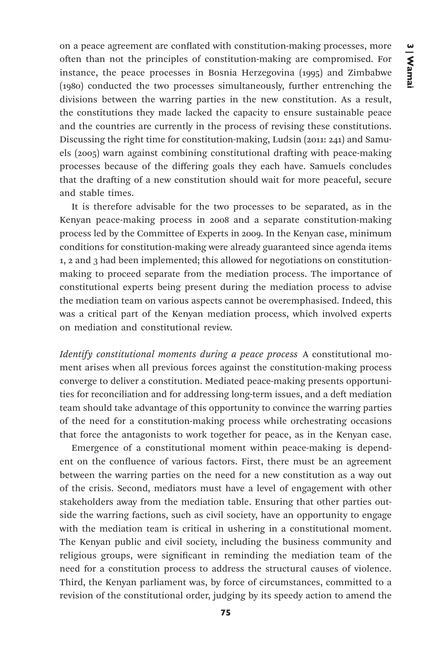on a peace agreement are conflated with constitution-making processes, more often than not the principles of constitution-making are compromised. For instance, the peace processes in Bosnia Herzegovina (1995) and Zimbabwe (1980) conducted the two processes simultaneously, further entrenching the divisions between the warring parties in the new constitution. As a result, the constitutions they made lacked the capacity to ensure sustainable peace and the countries are currently in the process of revising these constitutions. Discussing the right time for constitution-making, Ludsin (2011: 241) and Samuels (2005) warn against combining constitutional drafting with peace-making processes because of the differing goals they each have. Samuels concludes that the drafting of a new constitution should wait for more peaceful, secure and stable times.

It is therefore advisable for the two processes to be separated, as in the Kenyan peace-making process in 2008 and a separate constitution-making process led by the Committee of Experts in 2009. In the Kenyan case, minimum conditions for constitution-making were already guaranteed since agenda items 1, 2 and 3 had been implemented; this allowed for negotiations on constitutionmaking to proceed separate from the mediation process. The importance of constitutional experts being present during the mediation process to advise the mediation team on various aspects cannot be overemphasised. Indeed, this was a critical part of the Kenyan mediation process, which involved experts on mediation and constitutional review.

*Identify constitutional moments during a peace process* A constitutional moment arises when all previous forces against the constitution-making process converge to deliver a constitution. Mediated peace-making presents opportunities for reconciliation and for addressing long-term issues, and a deft mediation team should take advantage of this opportunity to convince the warring parties of the need for a constitution-making process while orchestrating occasions that force the antagonists to work together for peace, as in the Kenyan case.

Emergence of a constitutional moment within peace-making is dependent on the confluence of various factors. First, there must be an agreement between the warring parties on the need for a new constitution as a way out of the crisis. Second, mediators must have a level of engagement with other stakeholders away from the mediation table. Ensuring that other parties outside the warring factions, such as civil society, have an opportunity to engage with the mediation team is critical in ushering in a constitutional moment. The Kenyan public and civil society, including the business community and religious groups, were significant in reminding the mediation team of the need for a constitution process to address the structural causes of violence. Third, the Kenyan parliament was, by force of circumstances, committed to a revision of the constitutional order, judging by its speedy action to amend the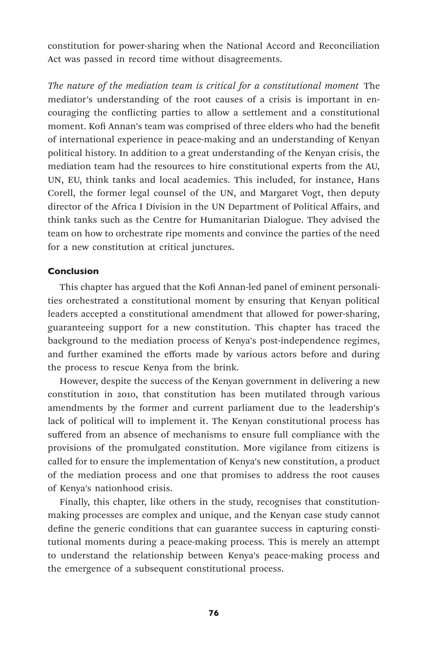constitution for power-sharing when the National Accord and Reconciliation Act was passed in record time without disagreements.

*The nature of the mediation team is critical for a constitutional moment* The mediator's understanding of the root causes of a crisis is important in encouraging the conflicting parties to allow a settlement and a constitutional moment. Kofi Annan's team was comprised of three elders who had the benefit of international experience in peace-making and an understanding of Kenyan political history. In addition to a great understanding of the Kenyan crisis, the mediation team had the resources to hire constitutional experts from the AU, UN, EU, think tanks and local academics. This included, for instance, Hans Corell, the former legal counsel of the UN, and Margaret Vogt, then deputy director of the Africa I Division in the UN Department of Political Affairs, and think tanks such as the Centre for Humanitarian Dialogue. They advised the team on how to orchestrate ripe moments and convince the parties of the need for a new constitution at critical junctures.

## Conclusion

This chapter has argued that the Kofi Annan-led panel of eminent personalities orchestrated a constitutional moment by ensuring that Kenyan political leaders accepted a constitutional amendment that allowed for power-sharing, guaranteeing support for a new constitution. This chapter has traced the background to the mediation process of Kenya's post-independence regimes, and further examined the efforts made by various actors before and during the process to rescue Kenya from the brink.

However, despite the success of the Kenyan government in delivering a new constitution in 2010, that constitution has been mutilated through various amendments by the former and current parliament due to the leadership's lack of political will to implement it. The Kenyan constitutional process has suffered from an absence of mechanisms to ensure full compliance with the provisions of the promulgated constitution. More vigilance from citizens is called for to ensure the implementation of Kenya's new constitution, a product of the mediation process and one that promises to address the root causes of Kenya's nationhood crisis.

Finally, this chapter, like others in the study, recognises that constitutionmaking processes are complex and unique, and the Kenyan case study cannot define the generic conditions that can guarantee success in capturing constitutional moments during a peace-making process. This is merely an attempt to understand the relationship between Kenya's peace-making process and the emergence of a subsequent constitutional process.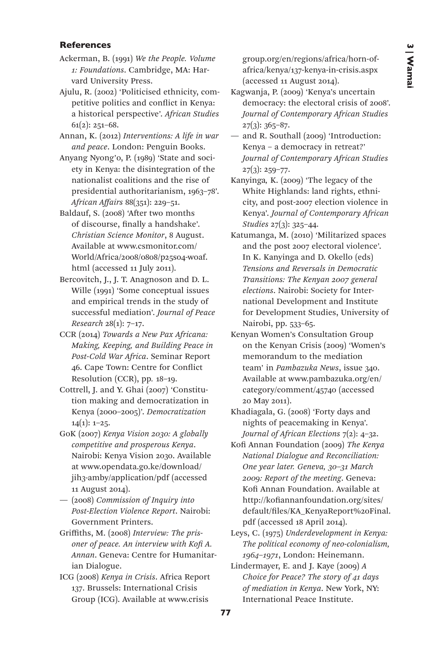## References

- Ackerman, B. (1991) *We the People. Volume 1: Foundations*. Cambridge, MA: Harvard University Press.
- Ajulu, R. (2002) 'Politicised ethnicity, competitive politics and conflict in Kenya: a historical perspective'. *African Studies* 61(2): 251–68.
- Annan, K. (2012) *Interventions: A life in war and peace*. London: Penguin Books.
- Anyang Nyong'o, P. (1989) 'State and society in Kenya: the disintegration of the nationalist coalitions and the rise of presidential authoritarianism, 1963–78'. *African Affairs* 88(351): 229–51.
- Baldauf, S. (2008) 'After two months of discourse, finally a handshake'. *Christian Science Monitor*, 8 August. Available at www.csmonitor.com/ World/Africa/2008/0808/p25s04-woaf. html (accessed 11 July 2011).
- Bercovitch, J., J. T. Anagnoson and D. L. Wille (1991) 'Some conceptual issues and empirical trends in the study of successful mediation'. *Journal of Peace Research* 28(1): 7–17.
- CCR (2014) *Towards a New Pax Africana: Making, Keeping, and Building Peace in Post-Cold War Africa*. Seminar Report 46. Cape Town: Centre for Conflict Resolution (CCR), pp*.* 18–19.
- Cottrell, J. and Y. Ghai (2007) 'Constitution making and democratization in Kenya (2000–2005)'. *Democratization*   $14(1): 1-25.$
- GoK (2007) *Kenya Vision 2030: A globally competitive and prosperous Kenya*. Nairobi: Kenya Vision 2030. Available at www.opendata.go.ke/download/ jih3-amby/application/pdf (accessed 11 August 2014).
- (2008) *Commission of Inquiry into Post-Election Violence Report*. Nairobi: Government Printers.
- Griffiths, M. (2008) *Interview: The prisoner of peace. An interview with Kofi A. Annan*. Geneva: Centre for Humanitarian Dialogue.
- ICG (2008) *Kenya in Crisis*. Africa Report 137. Brussels: International Crisis Group (ICG). Available at www.crisis

group.org/en/regions/africa/horn-ofafrica/kenya/137-kenya-in-crisis.aspx (accessed 11 August 2014).

- Kagwanja, P. (2009) 'Kenya's uncertain democracy: the electoral crisis of 2008'. *Journal of Contemporary African Studies*  $27(3): 365 - 87.$
- and R. Southall (2009) 'Introduction: Kenya – a democracy in retreat?' *Journal of Contemporary African Studies* 27(3): 259–77.
- Kanyinga*,* K. (2009) 'The legacy of the White Highlands: land rights, ethnicity, and post-2007 election violence in Kenya'. *Journal of Contemporary African Studies* 27(3): 325–44.
- Katumanga, M. (2010) 'Militarized spaces and the post 2007 electoral violence'. In K. Kanyinga and D. Okello (eds) *Tensions and Reversals in Democratic Transitions: The Kenyan 2007 general elections*. Nairobi: Society for International Development and Institute for Development Studies, University of Nairobi, pp. 533–65.
- Kenyan Women's Consultation Group on the Kenyan Crisis (2009) 'Women's memorandum to the mediation team' in *Pambazuka News*, issue 340. Available at www.pambazuka.org/en/ category/comment/45740 (accessed 20 May 2011).
- Khadiagala, G. (2008) 'Forty days and nights of peacemaking in Kenya'. *Journal of African Elections* 7(2): 4–32.
- Kofi Annan Foundation (2009) *The Kenya National Dialogue and Reconciliation: One year later. Geneva, 30–31 March 2009: Report of the meeting*. Geneva: Kofi Annan Foundation. Available at http://kofiannanfoundation.org/sites/ default/files/KA\_KenyaReport%20Final. pdf (accessed 18 April 2014).
- Leys, C. (1975) *Underdevelopment in Kenya: The political economy of neo-colonialism, 1964–1971*, London: Heinemann.
- Lindermayer, E. and J. Kaye (2009) *A Choice for Peace? The story of 41 days of mediation in Kenya*. New York, NY: International Peace Institute.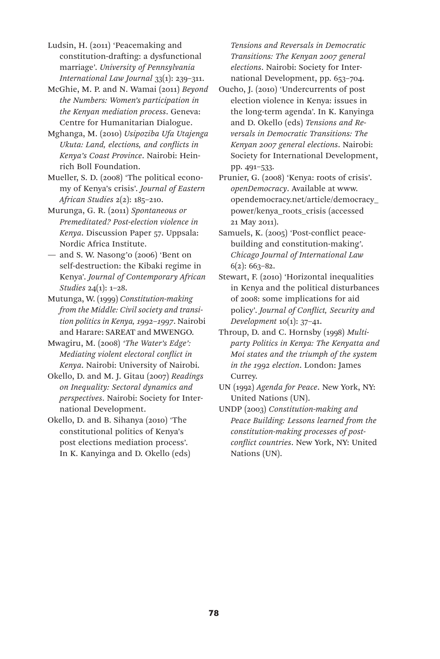Ludsin, H. (2011) 'Peacemaking and constitution-drafting: a dysfunctional marriage'. *University of Pennsylvania International Law Journal* 33(1): 239–311.

McGhie, M. P. and N. Wamai (2011) *Beyond the Numbers: Women's participation in the Kenyan mediation process*. Geneva: Centre for Humanitarian Dialogue.

Mghanga, M. (2010) *Usipoziba Ufa Utajenga Ukuta: Land, elections, and conflicts in Kenya's Coast Province*. Nairobi: Heinrich Boll Foundation.

Mueller, S. D. (2008) 'The political economy of Kenya's crisis'. *Journal of Eastern African Studies* 2(2): 185–210.

Murunga, G. R. (2011) *Spontaneous or Premeditated? Post-election violence in Kenya*. Discussion Paper 57. Uppsala: Nordic Africa Institute.

— and S. W. Nasong'o (2006) 'Bent on self-destruction: the Kibaki regime in Kenya'. *Journal of Contemporary African Studies* 24(1): 1–28.

Mutunga, W. (1999) *Constitution-making from the Middle: Civil society and transition politics in Kenya, 1992–1997*. Nairobi and Harare: SAREAT and MWENGO.

Mwagiru, M. (2008) *'The Water's Edge': Mediating violent electoral conflict in Kenya*. Nairobi: University of Nairobi.

Okello, D. and M. J. Gitau (2007) *Readings on Inequality: Sectoral dynamics and perspectives*. Nairobi: Society for International Development.

Okello, D. and B. Sihanya (2010) 'The constitutional politics of Kenya's post elections mediation process'. In K. Kanyinga and D. Okello (eds)

*Tensions and Reversals in Democratic Transitions: The Kenyan 2007 general elections*. Nairobi: Society for International Development, pp. 653–704.

Oucho, J. (2010) 'Undercurrents of post election violence in Kenya: issues in the long-term agenda'. In K. Kanyinga and D. Okello (eds) *Tensions and Reversals in Democratic Transitions: The Kenyan 2007 general elections*. Nairobi: Society for International Development, pp. 491–533.

Prunier, G. (2008) 'Kenya: roots of crisis'. *openDemocracy*. Available at www. opendemocracy.net/article/democracy\_ power/kenya\_roots\_crisis (accessed 21 May 2011).

Samuels, K. (2005) 'Post-conflict peacebuilding and constitution-making'. *Chicago Journal of International Law*  $6(2): 663 - 82.$ 

Stewart, F. (2010) 'Horizontal inequalities in Kenya and the political disturbances of 2008: some implications for aid policy'. *Journal of Conflict, Security and Development* 10(1): 37–41.

Throup, D. and C. Hornsby (1998) *Multiparty Politics in Kenya: The Kenyatta and Moi states and the triumph of the system in the 1992 election*. London: James Currey.

UN (1992) *Agenda for Peace*. New York, NY: United Nations (UN).

UNDP (2003) *Constitution-making and Peace Building: Lessons learned from the constitution-making processes of postconflict countries*. New York, NY: United Nations (UN).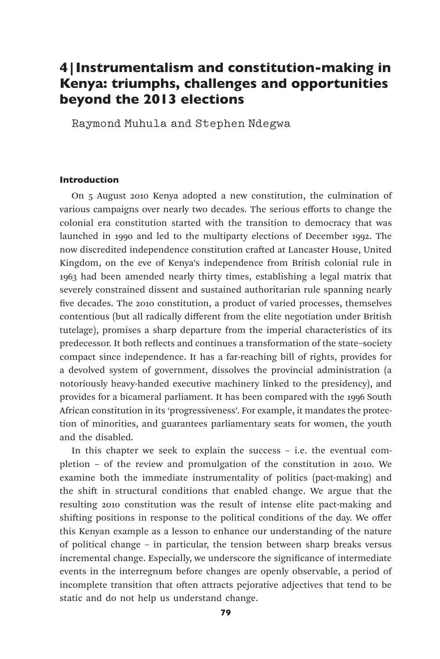# 4|Instrumentalism and constitution-making in Kenya: triumphs, challenges and opportunities beyond the 2013 elections

Raymond Muhula and Stephen Ndegwa

## Introduction

On 5 August 2010 Kenya adopted a new constitution, the culmination of various campaigns over nearly two decades. The serious efforts to change the colonial era constitution started with the transition to democracy that was launched in 1990 and led to the multiparty elections of December 1992. The now discredited independence constitution crafted at Lancaster House, United Kingdom, on the eve of Kenya's independence from British colonial rule in 1963 had been amended nearly thirty times, establishing a legal matrix that severely constrained dissent and sustained authoritarian rule spanning nearly five decades. The 2010 constitution, a product of varied processes, themselves contentious (but all radically different from the elite negotiation under British tutelage), promises a sharp departure from the imperial characteristics of its predecessor. It both reflects and continues a transformation of the state–society compact since independence. It has a far-reaching bill of rights, provides for a devolved system of government, dissolves the provincial administration (a notoriously heavy-handed executive machinery linked to the presidency), and provides for a bicameral parliament. It has been compared with the 1996 South African constitution in its 'progressiveness'. For example, it mandates the protection of minorities, and guarantees parliamentary seats for women, the youth and the disabled.

In this chapter we seek to explain the success – i.e. the eventual completion – of the review and promulgation of the constitution in 2010. We examine both the immediate instrumentality of politics (pact-making) and the shift in structural conditions that enabled change. We argue that the resulting 2010 constitution was the result of intense elite pact-making and shifting positions in response to the political conditions of the day. We offer this Kenyan example as a lesson to enhance our understanding of the nature of political change – in particular, the tension between sharp breaks versus incremental change. Especially, we underscore the significance of intermediate events in the interregnum before changes are openly observable, a period of incomplete transition that often attracts pejorative adjectives that tend to be static and do not help us understand change.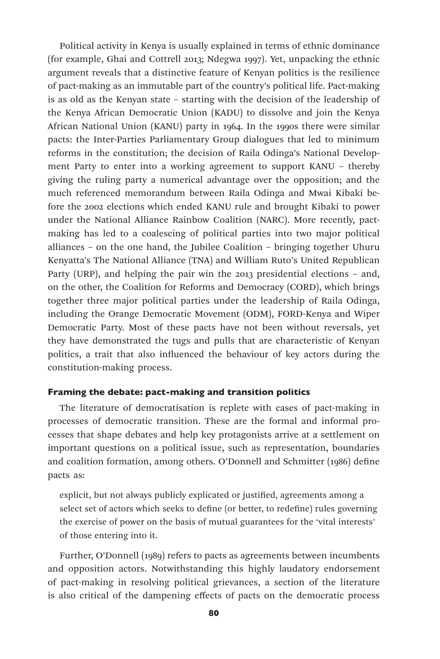Political activity in Kenya is usually explained in terms of ethnic dominance (for example, Ghai and Cottrell 2013; Ndegwa 1997). Yet, unpacking the ethnic argument reveals that a distinctive feature of Kenyan politics is the resilience of pact-making as an immutable part of the country's political life. Pact-making is as old as the Kenyan state – starting with the decision of the leadership of the Kenya African Democratic Union (KADU) to dissolve and join the Kenya African National Union (KANU) party in 1964. In the 1990s there were similar pacts: the Inter-Parties Parliamentary Group dialogues that led to minimum reforms in the constitution; the decision of Raila Odinga's National Development Party to enter into a working agreement to support KANU – thereby giving the ruling party a numerical advantage over the opposition; and the much referenced memorandum between Raila Odinga and Mwai Kibaki before the 2002 elections which ended KANU rule and brought Kibaki to power under the National Alliance Rainbow Coalition (NARC). More recently, pactmaking has led to a coalescing of political parties into two major political alliances – on the one hand, the Jubilee Coalition – bringing together Uhuru Kenyatta's The National Alliance (TNA) and William Ruto's United Republican Party (URP), and helping the pair win the 2013 presidential elections – and, on the other, the Coalition for Reforms and Democracy (CORD), which brings together three major political parties under the leadership of Raila Odinga, including the Orange Democratic Movement (ODM), FORD-Kenya and Wiper Democratic Party. Most of these pacts have not been without reversals, yet they have demonstrated the tugs and pulls that are characteristic of Kenyan politics, a trait that also influenced the behaviour of key actors during the constitution-making process.

## Framing the debate: pact-making and transition politics

The literature of democratisation is replete with cases of pact-making in processes of democratic transition. These are the formal and informal processes that shape debates and help key protagonists arrive at a settlement on important questions on a political issue, such as representation, boundaries and coalition formation, among others. O'Donnell and Schmitter (1986) define pacts as:

explicit, but not always publicly explicated or justified, agreements among a select set of actors which seeks to define (or better, to redefine) rules governing the exercise of power on the basis of mutual guarantees for the 'vital interests' of those entering into it.

Further, O'Donnell (1989) refers to pacts as agreements between incumbents and opposition actors. Notwithstanding this highly laudatory endorsement of pact-making in resolving political grievances, a section of the literature is also critical of the dampening effects of pacts on the democratic process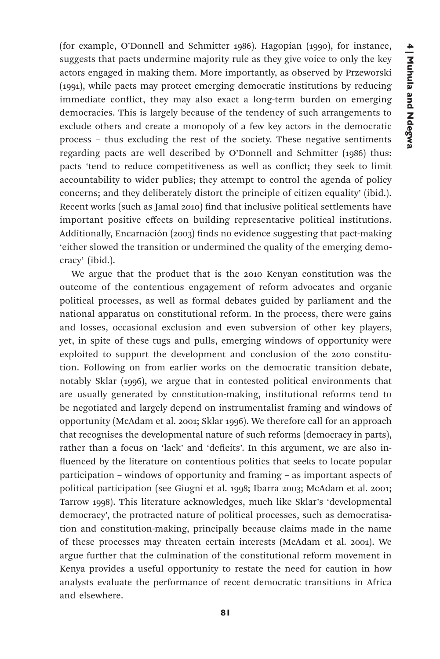(for example, O'Donnell and Schmitter 1986). Hagopian (1990), for instance, suggests that pacts undermine majority rule as they give voice to only the key actors engaged in making them. More importantly, as observed by Przeworski (1991), while pacts may protect emerging democratic institutions by reducing immediate conflict, they may also exact a long-term burden on emerging democracies. This is largely because of the tendency of such arrangements to exclude others and create a monopoly of a few key actors in the democratic process – thus excluding the rest of the society. These negative sentiments regarding pacts are well described by O'Donnell and Schmitter (1986) thus: pacts 'tend to reduce competitiveness as well as conflict; they seek to limit accountability to wider publics; they attempt to control the agenda of policy concerns; and they deliberately distort the principle of citizen equality' (ibid.). Recent works (such as Jamal 2010) find that inclusive political settlements have important positive effects on building representative political institutions. Additionally, Encarnación (2003) finds no evidence suggesting that pact-making 'either slowed the transition or undermined the quality of the emerging democracy' (ibid.).

We argue that the product that is the 2010 Kenyan constitution was the outcome of the contentious engagement of reform advocates and organic political processes, as well as formal debates guided by parliament and the national apparatus on constitutional reform. In the process, there were gains and losses, occasional exclusion and even subversion of other key players, yet, in spite of these tugs and pulls, emerging windows of opportunity were exploited to support the development and conclusion of the 2010 constitution. Following on from earlier works on the democratic transition debate, notably Sklar (1996), we argue that in contested political environments that are usually generated by constitution-making, institutional reforms tend to be negotiated and largely depend on instrumentalist framing and windows of opportunity (McAdam et al. 2001; Sklar 1996). We therefore call for an approach that recognises the developmental nature of such reforms (democracy in parts), rather than a focus on 'lack' and 'deficits'. In this argument, we are also influenced by the literature on contentious politics that seeks to locate popular participation – windows of opportunity and framing – as important aspects of political participation (see Giugni et al. 1998; Ibarra 2003; McAdam et al. 2001; Tarrow 1998). This literature acknowledges, much like Sklar's 'developmental democracy', the protracted nature of political processes, such as democratisation and constitution-making, principally because claims made in the name of these processes may threaten certain interests (McAdam et al. 2001). We argue further that the culmination of the constitutional reform movement in Kenya provides a useful opportunity to restate the need for caution in how analysts evaluate the performance of recent democratic transitions in Africa and elsewhere.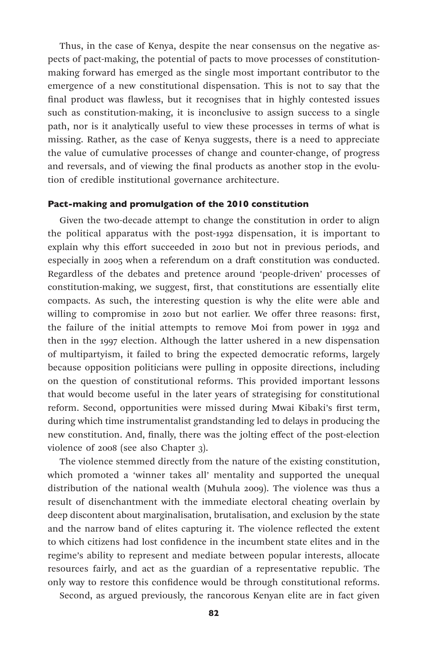Thus, in the case of Kenya, despite the near consensus on the negative aspects of pact-making, the potential of pacts to move processes of constitutionmaking forward has emerged as the single most important contributor to the emergence of a new constitutional dispensation. This is not to say that the final product was flawless, but it recognises that in highly contested issues such as constitution-making, it is inconclusive to assign success to a single path, nor is it analytically useful to view these processes in terms of what is missing. Rather, as the case of Kenya suggests, there is a need to appreciate the value of cumulative processes of change and counter-change, of progress and reversals, and of viewing the final products as another stop in the evolution of credible institutional governance architecture.

#### Pact-making and promulgation of the 2010 constitution

Given the two-decade attempt to change the constitution in order to align the political apparatus with the post-1992 dispensation, it is important to explain why this effort succeeded in 2010 but not in previous periods, and especially in 2005 when a referendum on a draft constitution was conducted. Regardless of the debates and pretence around 'people-driven' processes of constitution-making, we suggest, first, that constitutions are essentially elite compacts. As such, the interesting question is why the elite were able and willing to compromise in 2010 but not earlier. We offer three reasons: first, the failure of the initial attempts to remove Moi from power in 1992 and then in the 1997 election. Although the latter ushered in a new dispensation of multipartyism, it failed to bring the expected democratic reforms, largely because opposition politicians were pulling in opposite directions, including on the question of constitutional reforms. This provided important lessons that would become useful in the later years of strategising for constitutional reform. Second, opportunities were missed during Mwai Kibaki's first term, during which time instrumentalist grandstanding led to delays in producing the new constitution. And, finally, there was the jolting effect of the post-election violence of 2008 (see also Chapter 3).

The violence stemmed directly from the nature of the existing constitution, which promoted a 'winner takes all' mentality and supported the unequal distribution of the national wealth (Muhula 2009). The violence was thus a result of disenchantment with the immediate electoral cheating overlain by deep discontent about marginalisation, brutalisation, and exclusion by the state and the narrow band of elites capturing it. The violence reflected the extent to which citizens had lost confidence in the incumbent state elites and in the regime's ability to represent and mediate between popular interests, allocate resources fairly, and act as the guardian of a representative republic. The only way to restore this confidence would be through constitutional reforms.

Second, as argued previously, the rancorous Kenyan elite are in fact given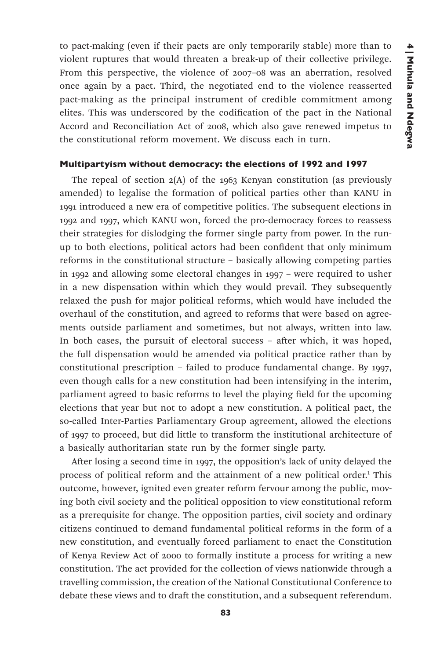to pact-making (even if their pacts are only temporarily stable) more than to violent ruptures that would threaten a break-up of their collective privilege. From this perspective, the violence of 2007–08 was an aberration, resolved once again by a pact. Third, the negotiated end to the violence reasserted pact-making as the principal instrument of credible commitment among elites. This was underscored by the codification of the pact in the National Accord and Reconciliation Act of 2008, which also gave renewed impetus to the constitutional reform movement. We discuss each in turn.

## Multipartyism without democracy: the elections of 1992 and 1997

The repeal of section  $2(A)$  of the 1963 Kenyan constitution (as previously amended) to legalise the formation of political parties other than KANU in 1991 introduced a new era of competitive politics. The subsequent elections in 1992 and 1997, which KANU won, forced the pro-democracy forces to reassess their strategies for dislodging the former single party from power. In the runup to both elections, political actors had been confident that only minimum reforms in the constitutional structure – basically allowing competing parties in 1992 and allowing some electoral changes in 1997 – were required to usher in a new dispensation within which they would prevail. They subsequently relaxed the push for major political reforms, which would have included the overhaul of the constitution, and agreed to reforms that were based on agreements outside parliament and sometimes, but not always, written into law. In both cases, the pursuit of electoral success – after which, it was hoped, the full dispensation would be amended via political practice rather than by constitutional prescription – failed to produce fundamental change. By 1997, even though calls for a new constitution had been intensifying in the interim, parliament agreed to basic reforms to level the playing field for the upcoming elections that year but not to adopt a new constitution. A political pact, the so-called Inter-Parties Parliamentary Group agreement, allowed the elections of 1997 to proceed, but did little to transform the institutional architecture of a basically authoritarian state run by the former single party.

After losing a second time in 1997, the opposition's lack of unity delayed the process of political reform and the attainment of a new political order.<sup>1</sup> This outcome, however, ignited even greater reform fervour among the public, moving both civil society and the political opposition to view constitutional reform as a prerequisite for change. The opposition parties, civil society and ordinary citizens continued to demand fundamental political reforms in the form of a new constitution, and eventually forced parliament to enact the Constitution of Kenya Review Act of 2000 to formally institute a process for writing a new constitution. The act provided for the collection of views nationwide through a travelling commission, the creation of the National Constitutional Conference to debate these views and to draft the constitution, and a subsequent referendum.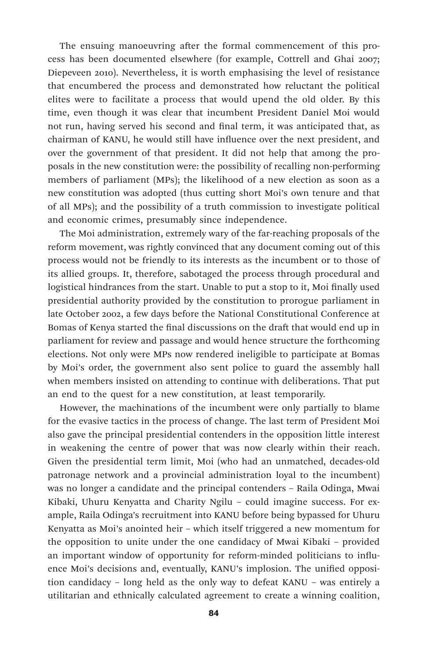The ensuing manoeuvring after the formal commencement of this process has been documented elsewhere (for example, Cottrell and Ghai 2007; Diepeveen 2010). Nevertheless, it is worth emphasising the level of resistance that encumbered the process and demonstrated how reluctant the political elites were to facilitate a process that would upend the old older. By this time, even though it was clear that incumbent President Daniel Moi would not run, having served his second and final term, it was anticipated that, as chairman of KANU, he would still have influence over the next president, and over the government of that president. It did not help that among the proposals in the new constitution were: the possibility of recalling non-performing members of parliament (MPs); the likelihood of a new election as soon as a new constitution was adopted (thus cutting short Moi's own tenure and that of all MPs); and the possibility of a truth commission to investigate political and economic crimes, presumably since independence.

The Moi administration, extremely wary of the far-reaching proposals of the reform movement, was rightly convinced that any document coming out of this process would not be friendly to its interests as the incumbent or to those of its allied groups. It, therefore, sabotaged the process through procedural and logistical hindrances from the start. Unable to put a stop to it, Moi finally used presidential authority provided by the constitution to prorogue parliament in late October 2002, a few days before the National Constitutional Conference at Bomas of Kenya started the final discussions on the draft that would end up in parliament for review and passage and would hence structure the forthcoming elections. Not only were MPs now rendered ineligible to participate at Bomas by Moi's order, the government also sent police to guard the assembly hall when members insisted on attending to continue with deliberations. That put an end to the quest for a new constitution, at least temporarily.

However, the machinations of the incumbent were only partially to blame for the evasive tactics in the process of change. The last term of President Moi also gave the principal presidential contenders in the opposition little interest in weakening the centre of power that was now clearly within their reach. Given the presidential term limit, Moi (who had an unmatched, decades-old patronage network and a provincial administration loyal to the incumbent) was no longer a candidate and the principal contenders – Raila Odinga, Mwai Kibaki, Uhuru Kenyatta and Charity Ngilu – could imagine success. For example, Raila Odinga's recruitment into KANU before being bypassed for Uhuru Kenyatta as Moi's anointed heir – which itself triggered a new momentum for the opposition to unite under the one candidacy of Mwai Kibaki – provided an important window of opportunity for reform-minded politicians to influence Moi's decisions and, eventually, KANU's implosion. The unified opposition candidacy – long held as the only way to defeat KANU – was entirely a utilitarian and ethnically calculated agreement to create a winning coalition,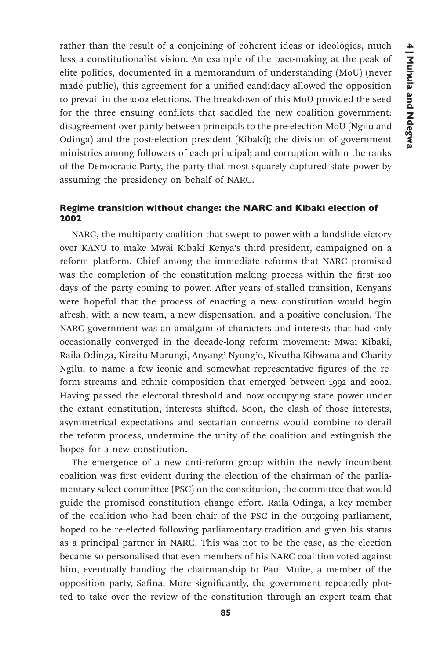rather than the result of a conjoining of coherent ideas or ideologies, much less a constitutionalist vision. An example of the pact-making at the peak of elite politics, documented in a memorandum of understanding (MoU) (never made public), this agreement for a unified candidacy allowed the opposition to prevail in the 2002 elections. The breakdown of this MoU provided the seed for the three ensuing conflicts that saddled the new coalition government: disagreement over parity between principals to the pre-election MoU (Ngilu and Odinga) and the post-election president (Kibaki); the division of government ministries among followers of each principal; and corruption within the ranks of the Democratic Party, the party that most squarely captured state power by assuming the presidency on behalf of NARC.

# Regime transition without change: the NARC and Kibaki election of 2002

NARC, the multiparty coalition that swept to power with a landslide victory over KANU to make Mwai Kibaki Kenya's third president, campaigned on a reform platform. Chief among the immediate reforms that NARC promised was the completion of the constitution-making process within the first 100 days of the party coming to power. After years of stalled transition, Kenyans were hopeful that the process of enacting a new constitution would begin afresh, with a new team, a new dispensation, and a positive conclusion. The NARC government was an amalgam of characters and interests that had only occasionally converged in the decade-long reform movement: Mwai Kibaki, Raila Odinga, Kiraitu Murungi, Anyang' Nyong'o, Kivutha Kibwana and Charity Ngilu, to name a few iconic and somewhat representative figures of the reform streams and ethnic composition that emerged between 1992 and 2002. Having passed the electoral threshold and now occupying state power under the extant constitution, interests shifted. Soon, the clash of those interests, asymmetrical expectations and sectarian concerns would combine to derail the reform process, undermine the unity of the coalition and extinguish the hopes for a new constitution.

The emergence of a new anti-reform group within the newly incumbent coalition was first evident during the election of the chairman of the parliamentary select committee (PSC) on the constitution, the committee that would guide the promised constitution change effort. Raila Odinga, a key member of the coalition who had been chair of the PSC in the outgoing parliament, hoped to be re-elected following parliamentary tradition and given his status as a principal partner in NARC. This was not to be the case, as the election became so personalised that even members of his NARC coalition voted against him, eventually handing the chairmanship to Paul Muite, a member of the opposition party, Safina. More significantly, the government repeatedly plotted to take over the review of the constitution through an expert team that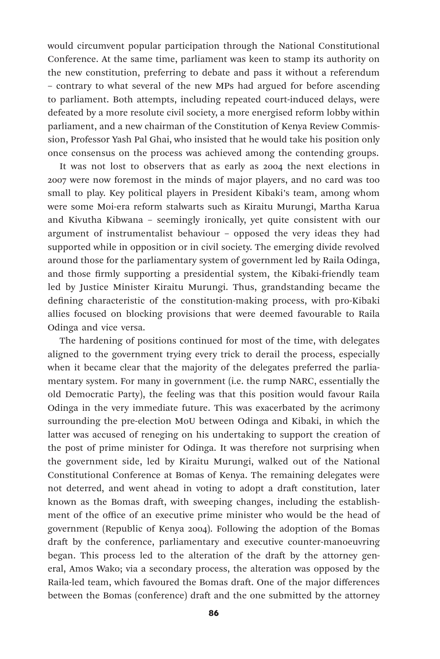would circumvent popular participation through the National Constitutional Conference. At the same time, parliament was keen to stamp its authority on the new constitution, preferring to debate and pass it without a referendum – contrary to what several of the new MPs had argued for before ascending to parliament. Both attempts, including repeated court-induced delays, were defeated by a more resolute civil society, a more energised reform lobby within parliament, and a new chairman of the Constitution of Kenya Review Commission, Professor Yash Pal Ghai, who insisted that he would take his position only once consensus on the process was achieved among the contending groups.

It was not lost to observers that as early as 2004 the next elections in 2007 were now foremost in the minds of major players, and no card was too small to play. Key political players in President Kibaki's team, among whom were some Moi-era reform stalwarts such as Kiraitu Murungi, Martha Karua and Kivutha Kibwana – seemingly ironically, yet quite consistent with our argument of instrumentalist behaviour – opposed the very ideas they had supported while in opposition or in civil society. The emerging divide revolved around those for the parliamentary system of government led by Raila Odinga, and those firmly supporting a presidential system, the Kibaki-friendly team led by Justice Minister Kiraitu Murungi. Thus, grandstanding became the defining characteristic of the constitution-making process, with pro-Kibaki allies focused on blocking provisions that were deemed favourable to Raila Odinga and vice versa.

The hardening of positions continued for most of the time, with delegates aligned to the government trying every trick to derail the process, especially when it became clear that the majority of the delegates preferred the parliamentary system. For many in government (i.e. the rump NARC, essentially the old Democratic Party), the feeling was that this position would favour Raila Odinga in the very immediate future. This was exacerbated by the acrimony surrounding the pre-election MoU between Odinga and Kibaki, in which the latter was accused of reneging on his undertaking to support the creation of the post of prime minister for Odinga. It was therefore not surprising when the government side, led by Kiraitu Murungi, walked out of the National Constitutional Conference at Bomas of Kenya. The remaining delegates were not deterred, and went ahead in voting to adopt a draft constitution, later known as the Bomas draft, with sweeping changes, including the establishment of the office of an executive prime minister who would be the head of government (Republic of Kenya 2004). Following the adoption of the Bomas draft by the conference, parliamentary and executive counter-manoeuvring began. This process led to the alteration of the draft by the attorney general, Amos Wako; via a secondary process, the alteration was opposed by the Raila-led team, which favoured the Bomas draft. One of the major differences between the Bomas (conference) draft and the one submitted by the attorney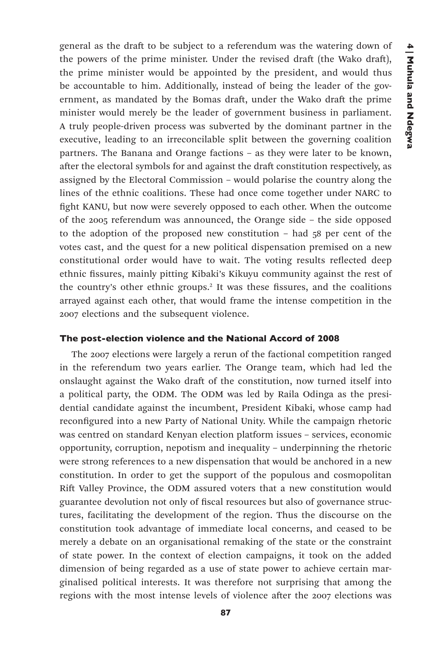general as the draft to be subject to a referendum was the watering down of the powers of the prime minister. Under the revised draft (the Wako draft), the prime minister would be appointed by the president, and would thus be accountable to him. Additionally, instead of being the leader of the government, as mandated by the Bomas draft, under the Wako draft the prime minister would merely be the leader of government business in parliament. A truly people-driven process was subverted by the dominant partner in the executive, leading to an irreconcilable split between the governing coalition partners. The Banana and Orange factions – as they were later to be known, after the electoral symbols for and against the draft constitution respectively, as assigned by the Electoral Commission – would polarise the country along the lines of the ethnic coalitions. These had once come together under NARC to fight KANU, but now were severely opposed to each other. When the outcome of the 2005 referendum was announced, the Orange side – the side opposed to the adoption of the proposed new constitution – had 58 per cent of the votes cast, and the quest for a new political dispensation premised on a new constitutional order would have to wait. The voting results reflected deep ethnic fissures, mainly pitting Kibaki's Kikuyu community against the rest of the country's other ethnic groups.<sup>2</sup> It was these fissures, and the coalitions arrayed against each other, that would frame the intense competition in the 2007 elections and the subsequent violence.

## The post-election violence and the National Accord of 2008

The 2007 elections were largely a rerun of the factional competition ranged in the referendum two years earlier. The Orange team, which had led the onslaught against the Wako draft of the constitution, now turned itself into a political party, the ODM. The ODM was led by Raila Odinga as the presidential candidate against the incumbent, President Kibaki, whose camp had reconfigured into a new Party of National Unity. While the campaign rhetoric was centred on standard Kenyan election platform issues – services, economic opportunity, corruption, nepotism and inequality – underpinning the rhetoric were strong references to a new dispensation that would be anchored in a new constitution. In order to get the support of the populous and cosmopolitan Rift Valley Province, the ODM assured voters that a new constitution would guarantee devolution not only of fiscal resources but also of governance structures, facilitating the development of the region. Thus the discourse on the constitution took advantage of immediate local concerns, and ceased to be merely a debate on an organisational remaking of the state or the constraint of state power. In the context of election campaigns, it took on the added dimension of being regarded as a use of state power to achieve certain marginalised political interests. It was therefore not surprising that among the regions with the most intense levels of violence after the 2007 elections was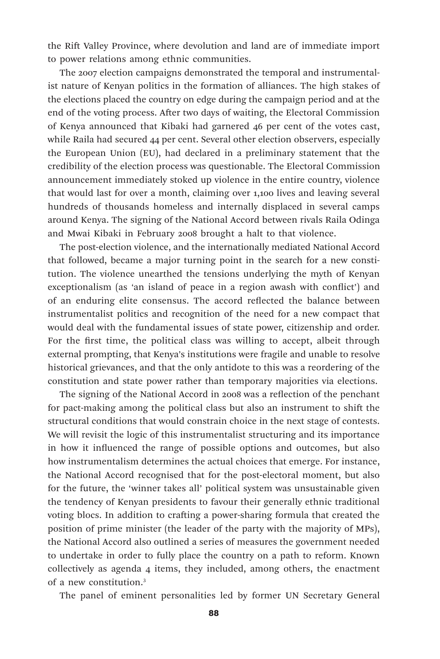the Rift Valley Province, where devolution and land are of immediate import to power relations among ethnic communities.

The 2007 election campaigns demonstrated the temporal and instrumentalist nature of Kenyan politics in the formation of alliances. The high stakes of the elections placed the country on edge during the campaign period and at the end of the voting process. After two days of waiting, the Electoral Commission of Kenya announced that Kibaki had garnered 46 per cent of the votes cast, while Raila had secured 44 per cent. Several other election observers, especially the European Union (EU), had declared in a preliminary statement that the credibility of the election process was questionable. The Electoral Commission announcement immediately stoked up violence in the entire country, violence that would last for over a month, claiming over 1,100 lives and leaving several hundreds of thousands homeless and internally displaced in several camps around Kenya. The signing of the National Accord between rivals Raila Odinga and Mwai Kibaki in February 2008 brought a halt to that violence.

The post-election violence, and the internationally mediated National Accord that followed, became a major turning point in the search for a new constitution. The violence unearthed the tensions underlying the myth of Kenyan exceptionalism (as 'an island of peace in a region awash with conflict') and of an enduring elite consensus. The accord reflected the balance between instrumentalist politics and recognition of the need for a new compact that would deal with the fundamental issues of state power, citizenship and order. For the first time, the political class was willing to accept, albeit through external prompting, that Kenya's institutions were fragile and unable to resolve historical grievances, and that the only antidote to this was a reordering of the constitution and state power rather than temporary majorities via elections.

The signing of the National Accord in 2008 was a reflection of the penchant for pact-making among the political class but also an instrument to shift the structural conditions that would constrain choice in the next stage of contests. We will revisit the logic of this instrumentalist structuring and its importance in how it influenced the range of possible options and outcomes, but also how instrumentalism determines the actual choices that emerge. For instance, the National Accord recognised that for the post-electoral moment, but also for the future, the 'winner takes all' political system was unsustainable given the tendency of Kenyan presidents to favour their generally ethnic traditional voting blocs. In addition to crafting a power-sharing formula that created the position of prime minister (the leader of the party with the majority of MPs), the National Accord also outlined a series of measures the government needed to undertake in order to fully place the country on a path to reform. Known collectively as agenda 4 items, they included, among others, the enactment of a new constitution.3

The panel of eminent personalities led by former UN Secretary General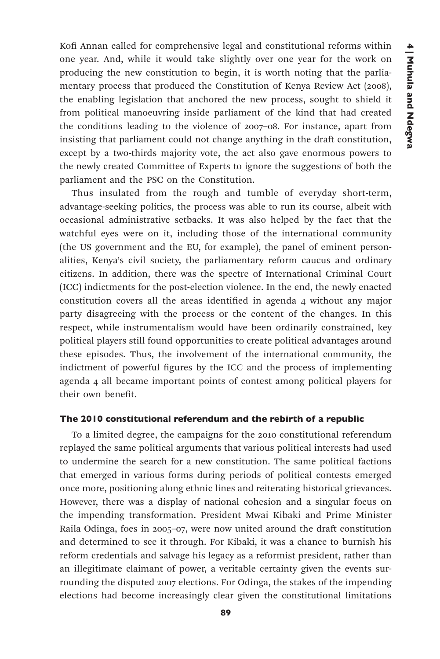Kofi Annan called for comprehensive legal and constitutional reforms within one year. And, while it would take slightly over one year for the work on producing the new constitution to begin, it is worth noting that the parliamentary process that produced the Constitution of Kenya Review Act (2008), the enabling legislation that anchored the new process, sought to shield it from political manoeuvring inside parliament of the kind that had created the conditions leading to the violence of 2007–08. For instance, apart from insisting that parliament could not change anything in the draft constitution, except by a two-thirds majority vote, the act also gave enormous powers to the newly created Committee of Experts to ignore the suggestions of both the parliament and the PSC on the Constitution.

Thus insulated from the rough and tumble of everyday short-term, advantage-seeking politics, the process was able to run its course, albeit with occasional administrative setbacks. It was also helped by the fact that the watchful eyes were on it, including those of the international community (the US government and the EU, for example), the panel of eminent personalities, Kenya's civil society, the parliamentary reform caucus and ordinary citizens. In addition, there was the spectre of International Criminal Court (ICC) indictments for the post-election violence. In the end, the newly enacted constitution covers all the areas identified in agenda 4 without any major party disagreeing with the process or the content of the changes. In this respect, while instrumentalism would have been ordinarily constrained, key political players still found opportunities to create political advantages around these episodes. Thus, the involvement of the international community, the indictment of powerful figures by the ICC and the process of implementing agenda 4 all became important points of contest among political players for their own benefit.

## The 2010 constitutional referendum and the rebirth of a republic

To a limited degree, the campaigns for the 2010 constitutional referendum replayed the same political arguments that various political interests had used to undermine the search for a new constitution. The same political factions that emerged in various forms during periods of political contests emerged once more, positioning along ethnic lines and reiterating historical grievances. However, there was a display of national cohesion and a singular focus on the impending transformation. President Mwai Kibaki and Prime Minister Raila Odinga, foes in 2005–07, were now united around the draft constitution and determined to see it through. For Kibaki, it was a chance to burnish his reform credentials and salvage his legacy as a reformist president, rather than an illegitimate claimant of power, a veritable certainty given the events surrounding the disputed 2007 elections. For Odinga, the stakes of the impending elections had become increasingly clear given the constitutional limitations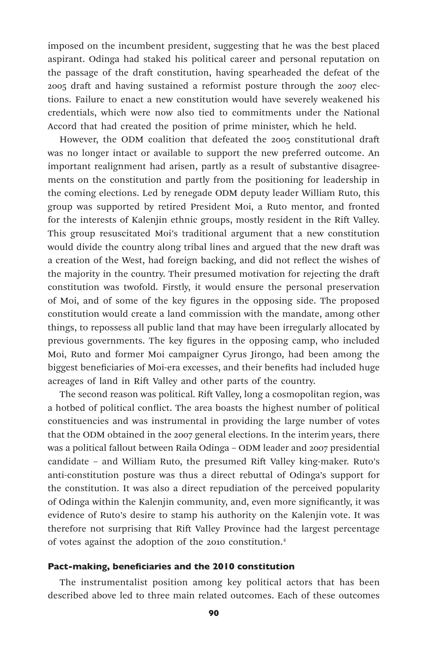imposed on the incumbent president, suggesting that he was the best placed aspirant. Odinga had staked his political career and personal reputation on the passage of the draft constitution, having spearheaded the defeat of the 2005 draft and having sustained a reformist posture through the 2007 elections. Failure to enact a new constitution would have severely weakened his credentials, which were now also tied to commitments under the National Accord that had created the position of prime minister, which he held.

However, the ODM coalition that defeated the 2005 constitutional draft was no longer intact or available to support the new preferred outcome. An important realignment had arisen, partly as a result of substantive disagreements on the constitution and partly from the positioning for leadership in the coming elections. Led by renegade ODM deputy leader William Ruto, this group was supported by retired President Moi, a Ruto mentor, and fronted for the interests of Kalenjin ethnic groups, mostly resident in the Rift Valley. This group resuscitated Moi's traditional argument that a new constitution would divide the country along tribal lines and argued that the new draft was a creation of the West, had foreign backing, and did not reflect the wishes of the majority in the country. Their presumed motivation for rejecting the draft constitution was twofold. Firstly, it would ensure the personal preservation of Moi, and of some of the key figures in the opposing side. The proposed constitution would create a land commission with the mandate, among other things, to repossess all public land that may have been irregularly allocated by previous governments. The key figures in the opposing camp, who included Moi, Ruto and former Moi campaigner Cyrus Jirongo, had been among the biggest beneficiaries of Moi-era excesses, and their benefits had included huge acreages of land in Rift Valley and other parts of the country.

The second reason was political. Rift Valley, long a cosmopolitan region, was a hotbed of political conflict. The area boasts the highest number of political constituencies and was instrumental in providing the large number of votes that the ODM obtained in the 2007 general elections. In the interim years, there was a political fallout between Raila Odinga – ODM leader and 2007 presidential candidate – and William Ruto, the presumed Rift Valley king-maker. Ruto's anti-constitution posture was thus a direct rebuttal of Odinga's support for the constitution. It was also a direct repudiation of the perceived popularity of Odinga within the Kalenjin community, and, even more significantly, it was evidence of Ruto's desire to stamp his authority on the Kalenjin vote. It was therefore not surprising that Rift Valley Province had the largest percentage of votes against the adoption of the 2010 constitution.4

#### Pact-making, beneficiaries and the 2010 constitution

The instrumentalist position among key political actors that has been described above led to three main related outcomes. Each of these outcomes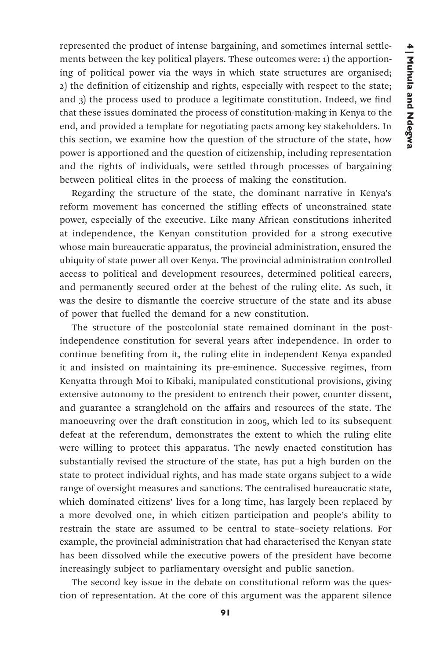represented the product of intense bargaining, and sometimes internal settlements between the key political players. These outcomes were: 1) the apportioning of political power via the ways in which state structures are organised; 2) the definition of citizenship and rights, especially with respect to the state; and 3) the process used to produce a legitimate constitution. Indeed, we find that these issues dominated the process of constitution-making in Kenya to the end, and provided a template for negotiating pacts among key stakeholders. In this section, we examine how the question of the structure of the state, how power is apportioned and the question of citizenship, including representation and the rights of individuals, were settled through processes of bargaining between political elites in the process of making the constitution.

Regarding the structure of the state, the dominant narrative in Kenya's reform movement has concerned the stifling effects of unconstrained state power, especially of the executive. Like many African constitutions inherited at independence, the Kenyan constitution provided for a strong executive whose main bureaucratic apparatus, the provincial administration, ensured the ubiquity of state power all over Kenya. The provincial administration controlled access to political and development resources, determined political careers, and permanently secured order at the behest of the ruling elite. As such, it was the desire to dismantle the coercive structure of the state and its abuse of power that fuelled the demand for a new constitution.

The structure of the postcolonial state remained dominant in the postindependence constitution for several years after independence. In order to continue benefiting from it, the ruling elite in independent Kenya expanded it and insisted on maintaining its pre-eminence. Successive regimes, from Kenyatta through Moi to Kibaki, manipulated constitutional provisions, giving extensive autonomy to the president to entrench their power, counter dissent, and guarantee a stranglehold on the affairs and resources of the state. The manoeuvring over the draft constitution in 2005, which led to its subsequent defeat at the referendum, demonstrates the extent to which the ruling elite were willing to protect this apparatus. The newly enacted constitution has substantially revised the structure of the state, has put a high burden on the state to protect individual rights, and has made state organs subject to a wide range of oversight measures and sanctions. The centralised bureaucratic state, which dominated citizens' lives for a long time, has largely been replaced by a more devolved one, in which citizen participation and people's ability to restrain the state are assumed to be central to state–society relations. For example, the provincial administration that had characterised the Kenyan state has been dissolved while the executive powers of the president have become increasingly subject to parliamentary oversight and public sanction.

The second key issue in the debate on constitutional reform was the question of representation. At the core of this argument was the apparent silence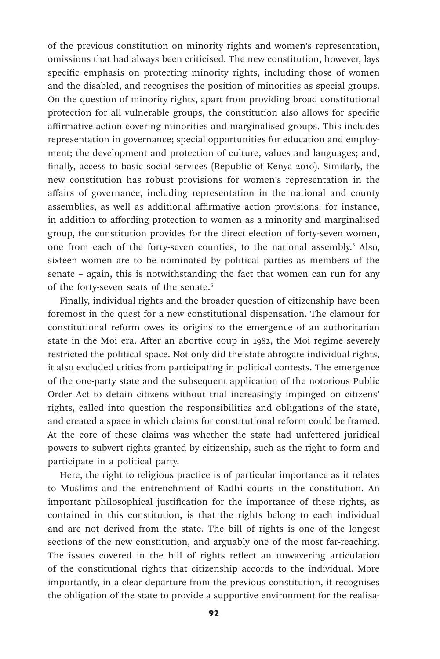of the previous constitution on minority rights and women's representation, omissions that had always been criticised. The new constitution, however, lays specific emphasis on protecting minority rights, including those of women and the disabled, and recognises the position of minorities as special groups. On the question of minority rights, apart from providing broad constitutional protection for all vulnerable groups, the constitution also allows for specific affirmative action covering minorities and marginalised groups. This includes representation in governance; special opportunities for education and employment; the development and protection of culture, values and languages; and, finally, access to basic social services (Republic of Kenya 2010). Similarly, the new constitution has robust provisions for women's representation in the affairs of governance, including representation in the national and county assemblies, as well as additional affirmative action provisions: for instance, in addition to affording protection to women as a minority and marginalised group, the constitution provides for the direct election of forty-seven women, one from each of the forty-seven counties, to the national assembly.<sup>5</sup> Also, sixteen women are to be nominated by political parties as members of the senate – again, this is notwithstanding the fact that women can run for any of the forty-seven seats of the senate.<sup>6</sup>

Finally, individual rights and the broader question of citizenship have been foremost in the quest for a new constitutional dispensation. The clamour for constitutional reform owes its origins to the emergence of an authoritarian state in the Moi era. After an abortive coup in 1982, the Moi regime severely restricted the political space. Not only did the state abrogate individual rights, it also excluded critics from participating in political contests. The emergence of the one-party state and the subsequent application of the notorious Public Order Act to detain citizens without trial increasingly impinged on citizens' rights, called into question the responsibilities and obligations of the state, and created a space in which claims for constitutional reform could be framed. At the core of these claims was whether the state had unfettered juridical powers to subvert rights granted by citizenship, such as the right to form and participate in a political party.

Here, the right to religious practice is of particular importance as it relates to Muslims and the entrenchment of Kadhi courts in the constitution. An important philosophical justification for the importance of these rights, as contained in this constitution, is that the rights belong to each individual and are not derived from the state. The bill of rights is one of the longest sections of the new constitution, and arguably one of the most far-reaching. The issues covered in the bill of rights reflect an unwavering articulation of the constitutional rights that citizenship accords to the individual. More importantly, in a clear departure from the previous constitution, it recognises the obligation of the state to provide a supportive environment for the realisa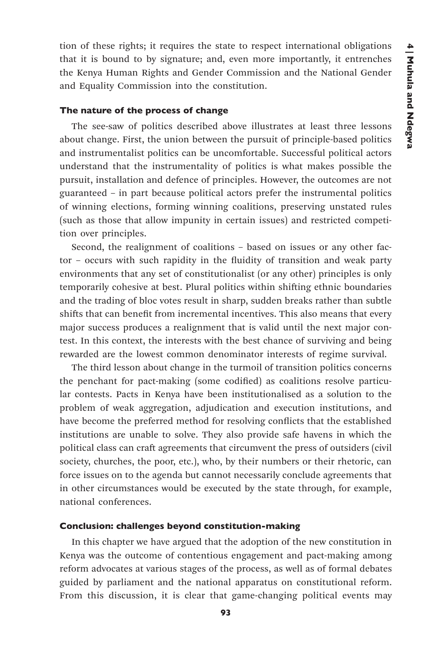tion of these rights; it requires the state to respect international obligations that it is bound to by signature; and, even more importantly, it entrenches the Kenya Human Rights and Gender Commission and the National Gender and Equality Commission into the constitution.

#### The nature of the process of change

The see-saw of politics described above illustrates at least three lessons about change. First, the union between the pursuit of principle-based politics and instrumentalist politics can be uncomfortable. Successful political actors understand that the instrumentality of politics is what makes possible the pursuit, installation and defence of principles. However, the outcomes are not guaranteed – in part because political actors prefer the instrumental politics of winning elections, forming winning coalitions, preserving unstated rules (such as those that allow impunity in certain issues) and restricted competition over principles.

Second, the realignment of coalitions – based on issues or any other factor – occurs with such rapidity in the fluidity of transition and weak party environments that any set of constitutionalist (or any other) principles is only temporarily cohesive at best. Plural politics within shifting ethnic boundaries and the trading of bloc votes result in sharp, sudden breaks rather than subtle shifts that can benefit from incremental incentives. This also means that every major success produces a realignment that is valid until the next major contest. In this context, the interests with the best chance of surviving and being rewarded are the lowest common denominator interests of regime survival.

The third lesson about change in the turmoil of transition politics concerns the penchant for pact-making (some codified) as coalitions resolve particular contests. Pacts in Kenya have been institutionalised as a solution to the problem of weak aggregation, adjudication and execution institutions, and have become the preferred method for resolving conflicts that the established institutions are unable to solve. They also provide safe havens in which the political class can craft agreements that circumvent the press of outsiders (civil society, churches, the poor, etc.), who, by their numbers or their rhetoric, can force issues on to the agenda but cannot necessarily conclude agreements that in other circumstances would be executed by the state through, for example, national conferences.

#### Conclusion: challenges beyond constitution-making

In this chapter we have argued that the adoption of the new constitution in Kenya was the outcome of contentious engagement and pact-making among reform advocates at various stages of the process, as well as of formal debates guided by parliament and the national apparatus on constitutional reform. From this discussion, it is clear that game-changing political events may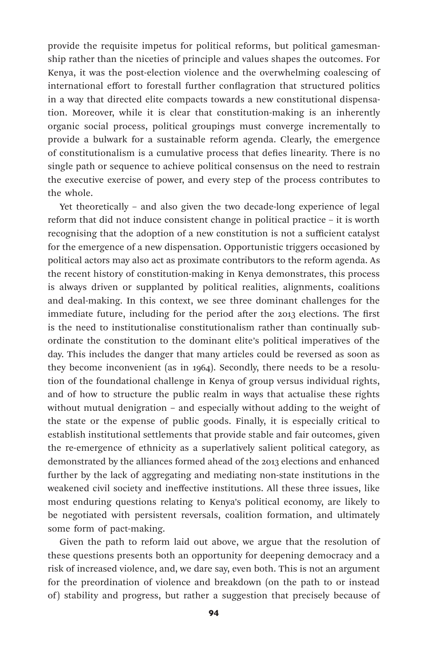provide the requisite impetus for political reforms, but political gamesmanship rather than the niceties of principle and values shapes the outcomes. For Kenya, it was the post-election violence and the overwhelming coalescing of international effort to forestall further conflagration that structured politics in a way that directed elite compacts towards a new constitutional dispensation. Moreover, while it is clear that constitution-making is an inherently organic social process, political groupings must converge incrementally to provide a bulwark for a sustainable reform agenda. Clearly, the emergence of constitutionalism is a cumulative process that defies linearity. There is no single path or sequence to achieve political consensus on the need to restrain the executive exercise of power, and every step of the process contributes to the whole.

Yet theoretically – and also given the two decade-long experience of legal reform that did not induce consistent change in political practice – it is worth recognising that the adoption of a new constitution is not a sufficient catalyst for the emergence of a new dispensation. Opportunistic triggers occasioned by political actors may also act as proximate contributors to the reform agenda. As the recent history of constitution-making in Kenya demonstrates, this process is always driven or supplanted by political realities, alignments, coalitions and deal-making. In this context, we see three dominant challenges for the immediate future, including for the period after the 2013 elections. The first is the need to institutionalise constitutionalism rather than continually subordinate the constitution to the dominant elite's political imperatives of the day. This includes the danger that many articles could be reversed as soon as they become inconvenient (as in 1964). Secondly, there needs to be a resolution of the foundational challenge in Kenya of group versus individual rights, and of how to structure the public realm in ways that actualise these rights without mutual denigration – and especially without adding to the weight of the state or the expense of public goods. Finally, it is especially critical to establish institutional settlements that provide stable and fair outcomes, given the re-emergence of ethnicity as a superlatively salient political category, as demonstrated by the alliances formed ahead of the 2013 elections and enhanced further by the lack of aggregating and mediating non-state institutions in the weakened civil society and ineffective institutions. All these three issues, like most enduring questions relating to Kenya's political economy, are likely to be negotiated with persistent reversals, coalition formation, and ultimately some form of pact-making.

Given the path to reform laid out above, we argue that the resolution of these questions presents both an opportunity for deepening democracy and a risk of increased violence, and, we dare say, even both. This is not an argument for the preordination of violence and breakdown (on the path to or instead of) stability and progress, but rather a suggestion that precisely because of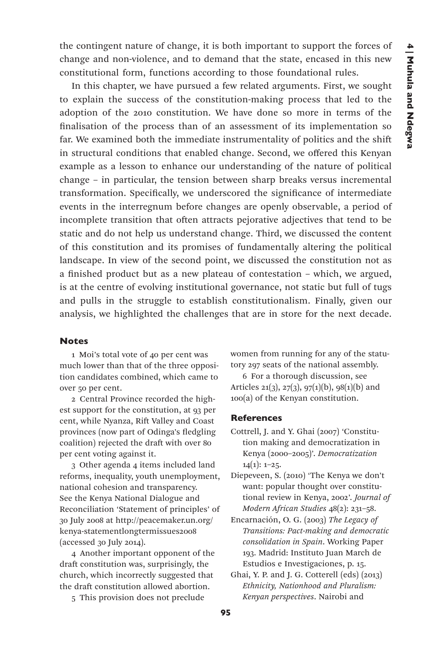the contingent nature of change, it is both important to support the forces of change and non-violence, and to demand that the state, encased in this new constitutional form, functions according to those foundational rules.

In this chapter, we have pursued a few related arguments. First, we sought to explain the success of the constitution-making process that led to the adoption of the 2010 constitution. We have done so more in terms of the finalisation of the process than of an assessment of its implementation so far. We examined both the immediate instrumentality of politics and the shift in structural conditions that enabled change. Second, we offered this Kenyan example as a lesson to enhance our understanding of the nature of political change – in particular, the tension between sharp breaks versus incremental transformation. Specifically, we underscored the significance of intermediate events in the interregnum before changes are openly observable, a period of incomplete transition that often attracts pejorative adjectives that tend to be static and do not help us understand change. Third, we discussed the content of this constitution and its promises of fundamentally altering the political landscape. In view of the second point, we discussed the constitution not as a finished product but as a new plateau of contestation – which, we argued, is at the centre of evolving institutional governance, not static but full of tugs and pulls in the struggle to establish constitutionalism. Finally, given our analysis, we highlighted the challenges that are in store for the next decade.

## Notes

1 Moi's total vote of 40 per cent was much lower than that of the three opposition candidates combined, which came to over 50 per cent.

2 Central Province recorded the highest support for the constitution, at 93 per cent, while Nyanza, Rift Valley and Coast provinces (now part of Odinga's fledgling coalition) rejected the draft with over 80 per cent voting against it.

3 Other agenda 4 items included land reforms, inequality, youth unemployment, national cohesion and transparency. See the Kenya National Dialogue and Reconciliation 'Statement of principles' of 30 July 2008 at http://peacemaker.un.org/ kenya-statementlongtermissues2008 (accessed 30 July 2014).

4 Another important opponent of the draft constitution was, surprisingly, the church, which incorrectly suggested that the draft constitution allowed abortion.

5 This provision does not preclude

women from running for any of the statutory 297 seats of the national assembly.

6 For a thorough discussion, see Articles 21(3), 27(3), 97(1)(b), 98(1)(b) and 100(a) of the Kenyan constitution.

#### **References**

- Cottrell, J. and Y. Ghai (2007) 'Constitution making and democratization in Kenya (2000–2005)'. *Democratization*  $14(1): 1-25.$
- Diepeveen, S. (2010) 'The Kenya we don't want: popular thought over constitutional review in Kenya, 2002'. *Journal of Modern African Studies* 48(2): 231–58.
- Encarnación, O. G. (2003) *The Legacy of Transitions: Pact-making and democratic consolidation in Spain*. Working Paper 193. Madrid: Instituto Juan March de Estudios e Investigaciones, p. 15.
- Ghai, Y. P. and J. G. Cotterell (eds) (2013) *Ethnicity, Nationhood and Pluralism: Kenyan perspectives*. Nairobi and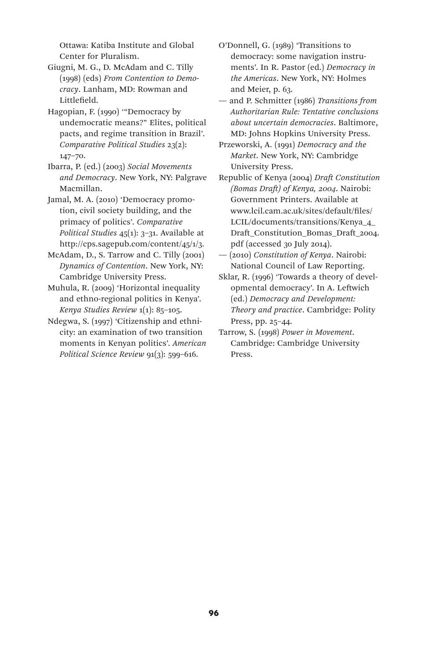Ottawa: Katiba Institute and Global Center for Pluralism.

- Giugni, M. G., D. McAdam and C. Tilly (1998) (eds) *From Contention to Democracy*. Lanham, MD: Rowman and Littlefield.
- Hagopian, F. (1990) '"Democracy by undemocratic means?" Elites, political pacts, and regime transition in Brazil'. *Comparative Political Studies* 23(2): 147–70.
- Ibarra, P. (ed.) (2003) *Social Movements and Democracy*. New York, NY: Palgrave Macmillan.
- Jamal, M. A. (2010) 'Democracy promotion, civil society building, and the primacy of politics'. *Comparative Political Studies* 45(1): 3–31. Available at http://cps.sagepub.com/content/45/1/3.
- McAdam, D., S. Tarrow and C. Tilly (2001) *Dynamics of Contention*. New York, NY: Cambridge University Press.
- Muhula, R. (2009) 'Horizontal inequality and ethno-regional politics in Kenya'. *Kenya Studies Review* 1(1): 85–105.
- Ndegwa, S. (1997) 'Citizenship and ethnicity: an examination of two transition moments in Kenyan politics'. *American Political Science Review* 91(3): 599–616.
- O'Donnell, G. (1989) 'Transitions to democracy: some navigation instruments'. In R. Pastor (ed.) *Democracy in the Americas*. New York, NY: Holmes and Meier, p. 63.
- and P. Schmitter (1986) *Transitions from Authoritarian Rule: Tentative conclusions about uncertain democracies*. Baltimore, MD: Johns Hopkins University Press.
- Przeworski, A. (1991) *Democracy and the Market*. New York, NY: Cambridge University Press.
- Republic of Kenya (2004) *Draft Constitution (Bomas Draft) of Kenya, 2004*. Nairobi: Government Printers. Available at www.lcil.cam.ac.uk/sites/default/files/ LCIL/documents/transitions/Kenya\_4\_ Draft\_Constitution\_Bomas\_Draft\_2004. pdf (accessed 30 July 2014).
- (2010) *Constitution of Kenya*. Nairobi: National Council of Law Reporting.
- Sklar, R. (1996) 'Towards a theory of developmental democracy'. In A. Leftwich (ed.) *Democracy and Development: Theory and practice*. Cambridge: Polity Press, pp. 25–44.
- Tarrow, S. (1998) *Power in Movement*. Cambridge: Cambridge University Press.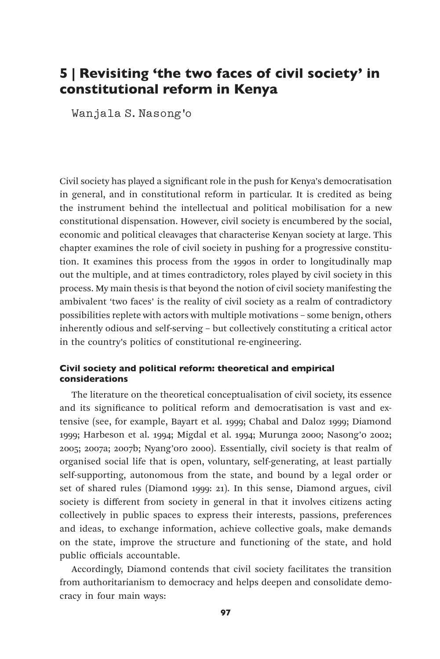# 5 | Revisiting 'the two faces of civil society' in constitutional reform in Kenya

Wanjala S. Nasong'o

Civil society has played a significant role in the push for Kenya's democratisation in general, and in constitutional reform in particular. It is credited as being the instrument behind the intellectual and political mobilisation for a new constitutional dispensation. However, civil society is encumbered by the social, economic and political cleavages that characterise Kenyan society at large. This chapter examines the role of civil society in pushing for a progressive constitution. It examines this process from the 1990s in order to longitudinally map out the multiple, and at times contradictory, roles played by civil society in this process. My main thesis is that beyond the notion of civil society manifesting the ambivalent 'two faces' is the reality of civil society as a realm of contradictory possibilities replete with actors with multiple motivations – some benign, others inherently odious and self-serving – but collectively constituting a critical actor in the country's politics of constitutional re-engineering.

# Civil society and political reform: theoretical and empirical considerations

The literature on the theoretical conceptualisation of civil society, its essence and its significance to political reform and democratisation is vast and extensive (see, for example, Bayart et al. 1999; Chabal and Daloz 1999; Diamond 1999; Harbeson et al. 1994; Migdal et al. 1994; Murunga 2000; Nasong'o 2002; 2005; 2007a; 2007b; Nyang'oro 2000). Essentially, civil society is that realm of organised social life that is open, voluntary, self-generating, at least partially self-supporting, autonomous from the state, and bound by a legal order or set of shared rules (Diamond 1999: 21). In this sense, Diamond argues, civil society is different from society in general in that it involves citizens acting collectively in public spaces to express their interests, passions, preferences and ideas, to exchange information, achieve collective goals, make demands on the state, improve the structure and functioning of the state, and hold public officials accountable.

Accordingly, Diamond contends that civil society facilitates the transition from authoritarianism to democracy and helps deepen and consolidate democracy in four main ways: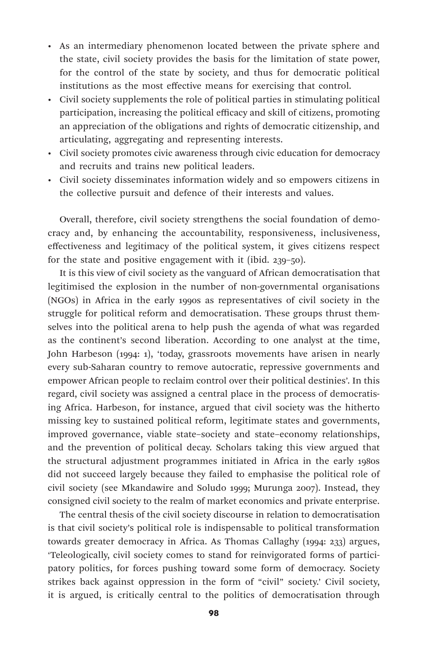- As an intermediary phenomenon located between the private sphere and the state, civil society provides the basis for the limitation of state power, for the control of the state by society, and thus for democratic political institutions as the most effective means for exercising that control.
- Civil society supplements the role of political parties in stimulating political participation, increasing the political efficacy and skill of citizens, promoting an appreciation of the obligations and rights of democratic citizenship, and articulating, aggregating and representing interests.
- Civil society promotes civic awareness through civic education for democracy and recruits and trains new political leaders.
- Civil society disseminates information widely and so empowers citizens in the collective pursuit and defence of their interests and values.

Overall, therefore, civil society strengthens the social foundation of democracy and, by enhancing the accountability, responsiveness, inclusiveness, effectiveness and legitimacy of the political system, it gives citizens respect for the state and positive engagement with it (ibid. 239–50).

It is this view of civil society as the vanguard of African democratisation that legitimised the explosion in the number of non-governmental organisations (NGOs) in Africa in the early 1990s as representatives of civil society in the struggle for political reform and democratisation. These groups thrust themselves into the political arena to help push the agenda of what was regarded as the continent's second liberation. According to one analyst at the time, John Harbeson (1994: 1), 'today, grassroots movements have arisen in nearly every sub-Saharan country to remove autocratic, repressive governments and empower African people to reclaim control over their political destinies'. In this regard, civil society was assigned a central place in the process of democratising Africa. Harbeson, for instance, argued that civil society was the hitherto missing key to sustained political reform, legitimate states and governments, improved governance, viable state–society and state–economy relationships, and the prevention of political decay. Scholars taking this view argued that the structural adjustment programmes initiated in Africa in the early 1980s did not succeed largely because they failed to emphasise the political role of civil society (see Mkandawire and Soludo 1999; Murunga 2007). Instead, they consigned civil society to the realm of market economics and private enterprise.

The central thesis of the civil society discourse in relation to democratisation is that civil society's political role is indispensable to political transformation towards greater democracy in Africa. As Thomas Callaghy (1994: 233) argues, 'Teleologically, civil society comes to stand for reinvigorated forms of participatory politics, for forces pushing toward some form of democracy. Society strikes back against oppression in the form of "civil" society.' Civil society, it is argued, is critically central to the politics of democratisation through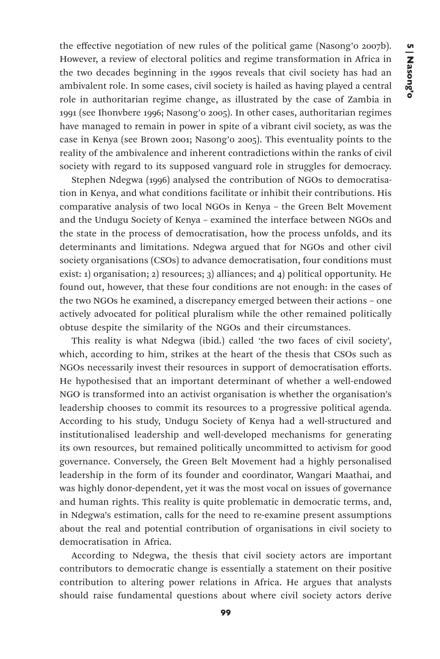the effective negotiation of new rules of the political game (Nasong'o 2007b). However, a review of electoral politics and regime transformation in Africa in the two decades beginning in the 1990s reveals that civil society has had an ambivalent role. In some cases, civil society is hailed as having played a central role in authoritarian regime change, as illustrated by the case of Zambia in 1991 (see Ihonvbere 1996; Nasong'o 2005). In other cases, authoritarian regimes have managed to remain in power in spite of a vibrant civil society, as was the case in Kenya (see Brown 2001; Nasong'o 2005). This eventuality points to the reality of the ambivalence and inherent contradictions within the ranks of civil society with regard to its supposed vanguard role in struggles for democracy.

Stephen Ndegwa (1996) analysed the contribution of NGOs to democratisation in Kenya, and what conditions facilitate or inhibit their contributions. His comparative analysis of two local NGOs in Kenya – the Green Belt Movement and the Undugu Society of Kenya – examined the interface between NGOs and the state in the process of democratisation, how the process unfolds, and its determinants and limitations. Ndegwa argued that for NGOs and other civil society organisations (CSOs) to advance democratisation, four conditions must exist: 1) organisation; 2) resources; 3) alliances; and 4) political opportunity. He found out, however, that these four conditions are not enough: in the cases of the two NGOs he examined, a discrepancy emerged between their actions – one actively advocated for political pluralism while the other remained politically obtuse despite the similarity of the NGOs and their circumstances.

This reality is what Ndegwa (ibid.) called 'the two faces of civil society', which, according to him, strikes at the heart of the thesis that CSOs such as NGOs necessarily invest their resources in support of democratisation efforts. He hypothesised that an important determinant of whether a well-endowed NGO is transformed into an activist organisation is whether the organisation's leadership chooses to commit its resources to a progressive political agenda. According to his study, Undugu Society of Kenya had a well-structured and institutionalised leadership and well-developed mechanisms for generating its own resources, but remained politically uncommitted to activism for good governance. Conversely, the Green Belt Movement had a highly personalised leadership in the form of its founder and coordinator, Wangari Maathai, and was highly donor-dependent, yet it was the most vocal on issues of governance and human rights. This reality is quite problematic in democratic terms, and, in Ndegwa's estimation, calls for the need to re-examine present assumptions about the real and potential contribution of organisations in civil society to democratisation in Africa.

According to Ndegwa, the thesis that civil society actors are important contributors to democratic change is essentially a statement on their positive contribution to altering power relations in Africa. He argues that analysts should raise fundamental questions about where civil society actors derive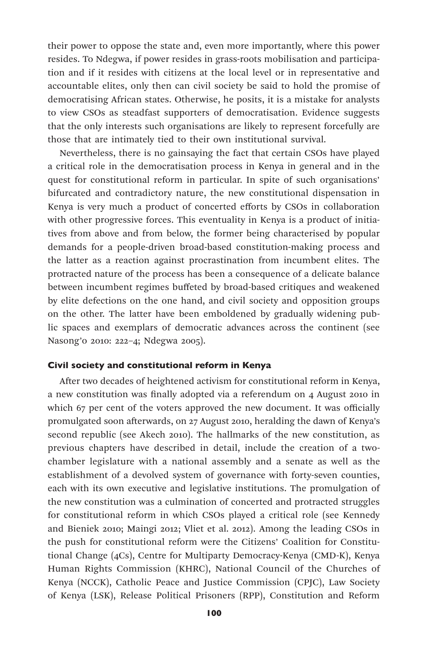their power to oppose the state and, even more importantly, where this power resides. To Ndegwa, if power resides in grass-roots mobilisation and participation and if it resides with citizens at the local level or in representative and accountable elites, only then can civil society be said to hold the promise of democratising African states. Otherwise, he posits, it is a mistake for analysts to view CSOs as steadfast supporters of democratisation. Evidence suggests that the only interests such organisations are likely to represent forcefully are those that are intimately tied to their own institutional survival.

Nevertheless, there is no gainsaying the fact that certain CSOs have played a critical role in the democratisation process in Kenya in general and in the quest for constitutional reform in particular. In spite of such organisations' bifurcated and contradictory nature, the new constitutional dispensation in Kenya is very much a product of concerted efforts by CSOs in collaboration with other progressive forces. This eventuality in Kenya is a product of initiatives from above and from below, the former being characterised by popular demands for a people-driven broad-based constitution-making process and the latter as a reaction against procrastination from incumbent elites. The protracted nature of the process has been a consequence of a delicate balance between incumbent regimes buffeted by broad-based critiques and weakened by elite defections on the one hand, and civil society and opposition groups on the other. The latter have been emboldened by gradually widening public spaces and exemplars of democratic advances across the continent (see Nasong'o 2010: 222–4; Ndegwa 2005).

#### Civil society and constitutional reform in Kenya

After two decades of heightened activism for constitutional reform in Kenya, a new constitution was finally adopted via a referendum on 4 August 2010 in which 67 per cent of the voters approved the new document. It was officially promulgated soon afterwards, on 27 August 2010, heralding the dawn of Kenya's second republic (see Akech 2010). The hallmarks of the new constitution, as previous chapters have described in detail, include the creation of a twochamber legislature with a national assembly and a senate as well as the establishment of a devolved system of governance with forty-seven counties, each with its own executive and legislative institutions. The promulgation of the new constitution was a culmination of concerted and protracted struggles for constitutional reform in which CSOs played a critical role (see Kennedy and Bieniek 2010; Maingi 2012; Vliet et al. 2012). Among the leading CSOs in the push for constitutional reform were the Citizens' Coalition for Constitutional Change (4Cs), Centre for Multiparty Democracy-Kenya (CMD-K), Kenya Human Rights Commission (KHRC), National Council of the Churches of Kenya (NCCK), Catholic Peace and Justice Commission (CPJC), Law Society of Kenya (LSK), Release Political Prisoners (RPP), Constitution and Reform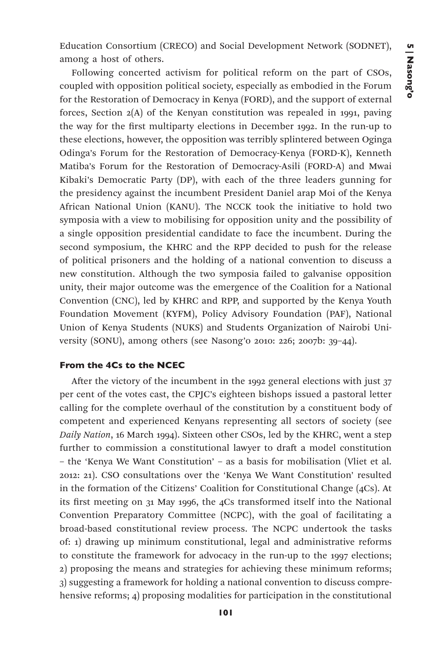Education Consortium (CRECO) and Social Development Network (SODNET), among a host of others.

Following concerted activism for political reform on the part of CSOs, coupled with opposition political society, especially as embodied in the Forum for the Restoration of Democracy in Kenya (FORD), and the support of external forces, Section 2(A) of the Kenyan constitution was repealed in 1991, paving the way for the first multiparty elections in December 1992. In the run-up to these elections, however, the opposition was terribly splintered between Oginga Odinga's Forum for the Restoration of Democracy-Kenya (FORD-K), Kenneth Matiba's Forum for the Restoration of Democracy-Asili (FORD-A) and Mwai Kibaki's Democratic Party (DP), with each of the three leaders gunning for the presidency against the incumbent President Daniel arap Moi of the Kenya African National Union (KANU). The NCCK took the initiative to hold two symposia with a view to mobilising for opposition unity and the possibility of a single opposition presidential candidate to face the incumbent. During the second symposium, the KHRC and the RPP decided to push for the release of political prisoners and the holding of a national convention to discuss a new constitution. Although the two symposia failed to galvanise opposition unity, their major outcome was the emergence of the Coalition for a National Convention (CNC), led by KHRC and RPP, and supported by the Kenya Youth Foundation Movement (KYFM), Policy Advisory Foundation (PAF), National Union of Kenya Students (NUKS) and Students Organization of Nairobi University (SONU), among others (see Nasong'o 2010: 226; 2007b: 39–44).

#### From the 4Cs to the NCEC

After the victory of the incumbent in the 1992 general elections with just 37 per cent of the votes cast, the CPJC's eighteen bishops issued a pastoral letter calling for the complete overhaul of the constitution by a constituent body of competent and experienced Kenyans representing all sectors of society (see *Daily Nation*, 16 March 1994). Sixteen other CSOs, led by the KHRC, went a step further to commission a constitutional lawyer to draft a model constitution – the 'Kenya We Want Constitution' – as a basis for mobilisation (Vliet et al. 2012: 21). CSO consultations over the 'Kenya We Want Constitution' resulted in the formation of the Citizens' Coalition for Constitutional Change (4Cs). At its first meeting on 31 May 1996, the 4Cs transformed itself into the National Convention Preparatory Committee (NCPC), with the goal of facilitating a broad-based constitutional review process. The NCPC undertook the tasks of: 1) drawing up minimum constitutional, legal and administrative reforms to constitute the framework for advocacy in the run-up to the 1997 elections; 2) proposing the means and strategies for achieving these minimum reforms; 3) suggesting a framework for holding a national convention to discuss comprehensive reforms; 4) proposing modalities for participation in the constitutional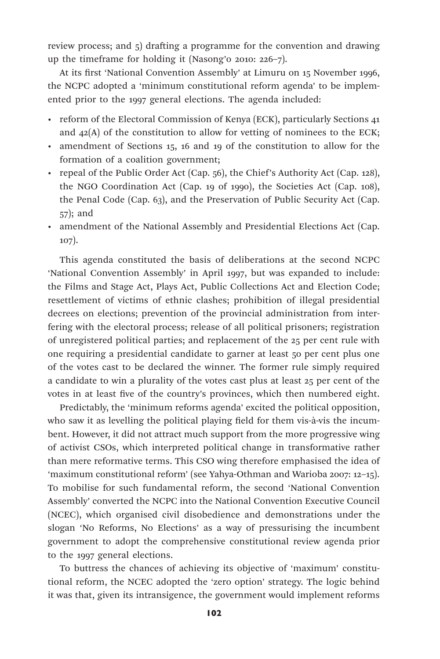review process; and 5) drafting a programme for the convention and drawing up the timeframe for holding it (Nasong'o 2010: 226–7).

At its first 'National Convention Assembly' at Limuru on 15 November 1996, the NCPC adopted a 'minimum constitutional reform agenda' to be implemented prior to the 1997 general elections. The agenda included:

- reform of the Electoral Commission of Kenya (ECK), particularly Sections 41 and  $42(A)$  of the constitution to allow for vetting of nominees to the ECK;
- amendment of Sections 15, 16 and 19 of the constitution to allow for the formation of a coalition government;
- repeal of the Public Order Act (Cap. 56), the Chief's Authority Act (Cap. 128), the NGO Coordination Act (Cap. 19 of 1990), the Societies Act (Cap. 108), the Penal Code (Cap. 63), and the Preservation of Public Security Act (Cap. 57); and
- amendment of the National Assembly and Presidential Elections Act (Cap. 107).

This agenda constituted the basis of deliberations at the second NCPC 'National Convention Assembly' in April 1997, but was expanded to include: the Films and Stage Act, Plays Act, Public Collections Act and Election Code; resettlement of victims of ethnic clashes; prohibition of illegal presidential decrees on elections; prevention of the provincial administration from interfering with the electoral process; release of all political prisoners; registration of unregistered political parties; and replacement of the 25 per cent rule with one requiring a presidential candidate to garner at least 50 per cent plus one of the votes cast to be declared the winner. The former rule simply required a candidate to win a plurality of the votes cast plus at least 25 per cent of the votes in at least five of the country's provinces, which then numbered eight.

Predictably, the 'minimum reforms agenda' excited the political opposition, who saw it as levelling the political playing field for them vis-à-vis the incumbent. However, it did not attract much support from the more progressive wing of activist CSOs, which interpreted political change in transformative rather than mere reformative terms. This CSO wing therefore emphasised the idea of 'maximum constitutional reform' (see Yahya-Othman and Warioba 2007: 12–15). To mobilise for such fundamental reform, the second 'National Convention Assembly' converted the NCPC into the National Convention Executive Council (NCEC), which organised civil disobedience and demonstrations under the slogan 'No Reforms, No Elections' as a way of pressurising the incumbent government to adopt the comprehensive constitutional review agenda prior to the 1997 general elections.

To buttress the chances of achieving its objective of 'maximum' constitutional reform, the NCEC adopted the 'zero option' strategy. The logic behind it was that, given its intransigence, the government would implement reforms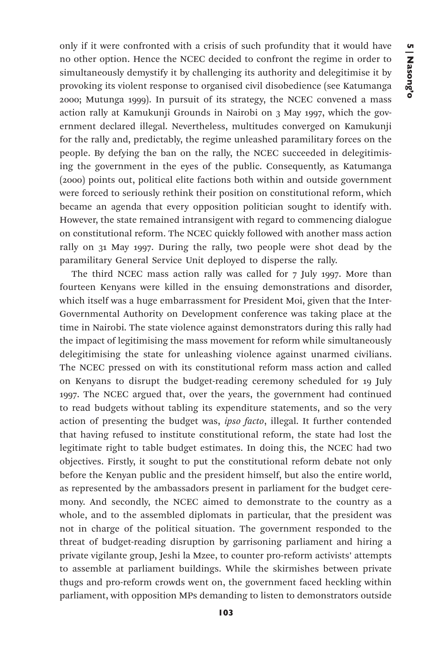only if it were confronted with a crisis of such profundity that it would have no other option. Hence the NCEC decided to confront the regime in order to simultaneously demystify it by challenging its authority and delegitimise it by provoking its violent response to organised civil disobedience (see Katumanga 2000; Mutunga 1999). In pursuit of its strategy, the NCEC convened a mass action rally at Kamukunji Grounds in Nairobi on 3 May 1997, which the government declared illegal. Nevertheless, multitudes converged on Kamukunji for the rally and, predictably, the regime unleashed paramilitary forces on the people. By defying the ban on the rally, the NCEC succeeded in delegitimising the government in the eyes of the public. Consequently, as Katumanga (2000) points out, political elite factions both within and outside government were forced to seriously rethink their position on constitutional reform, which became an agenda that every opposition politician sought to identify with. However, the state remained intransigent with regard to commencing dialogue on constitutional reform. The NCEC quickly followed with another mass action rally on 31 May 1997. During the rally, two people were shot dead by the paramilitary General Service Unit deployed to disperse the rally.

The third NCEC mass action rally was called for 7 July 1997. More than fourteen Kenyans were killed in the ensuing demonstrations and disorder, which itself was a huge embarrassment for President Moi, given that the Inter-Governmental Authority on Development conference was taking place at the time in Nairobi. The state violence against demonstrators during this rally had the impact of legitimising the mass movement for reform while simultaneously delegitimising the state for unleashing violence against unarmed civilians. The NCEC pressed on with its constitutional reform mass action and called on Kenyans to disrupt the budget-reading ceremony scheduled for 19 July 1997. The NCEC argued that, over the years, the government had continued to read budgets without tabling its expenditure statements, and so the very action of presenting the budget was, *ipso facto*, illegal. It further contended that having refused to institute constitutional reform, the state had lost the legitimate right to table budget estimates. In doing this, the NCEC had two objectives. Firstly, it sought to put the constitutional reform debate not only before the Kenyan public and the president himself, but also the entire world, as represented by the ambassadors present in parliament for the budget ceremony. And secondly, the NCEC aimed to demonstrate to the country as a whole, and to the assembled diplomats in particular, that the president was not in charge of the political situation. The government responded to the threat of budget-reading disruption by garrisoning parliament and hiring a private vigilante group, Jeshi la Mzee, to counter pro-reform activists' attempts to assemble at parliament buildings. While the skirmishes between private thugs and pro-reform crowds went on, the government faced heckling within parliament, with opposition MPs demanding to listen to demonstrators outside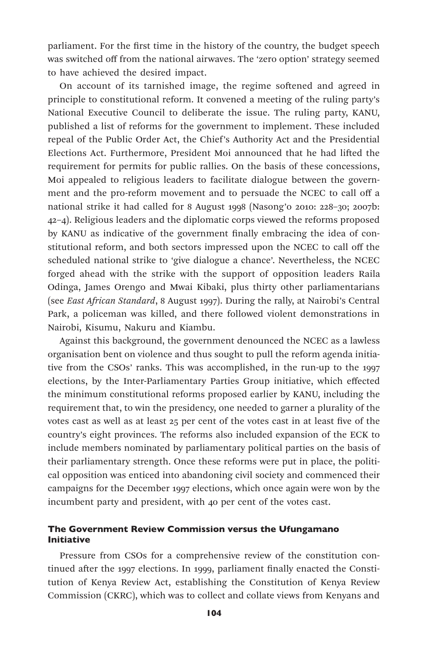parliament. For the first time in the history of the country, the budget speech was switched off from the national airwaves. The 'zero option' strategy seemed to have achieved the desired impact.

On account of its tarnished image, the regime softened and agreed in principle to constitutional reform. It convened a meeting of the ruling party's National Executive Council to deliberate the issue. The ruling party, KANU, published a list of reforms for the government to implement. These included repeal of the Public Order Act, the Chief's Authority Act and the Presidential Elections Act. Furthermore, President Moi announced that he had lifted the requirement for permits for public rallies. On the basis of these concessions, Moi appealed to religious leaders to facilitate dialogue between the government and the pro-reform movement and to persuade the NCEC to call off a national strike it had called for 8 August 1998 (Nasong'o 2010: 228–30; 2007b: 42–4). Religious leaders and the diplomatic corps viewed the reforms proposed by KANU as indicative of the government finally embracing the idea of constitutional reform, and both sectors impressed upon the NCEC to call off the scheduled national strike to 'give dialogue a chance'. Nevertheless, the NCEC forged ahead with the strike with the support of opposition leaders Raila Odinga, James Orengo and Mwai Kibaki, plus thirty other parliamentarians (see *East African Standard*, 8 August 1997). During the rally, at Nairobi's Central Park, a policeman was killed, and there followed violent demonstrations in Nairobi, Kisumu, Nakuru and Kiambu.

Against this background, the government denounced the NCEC as a lawless organisation bent on violence and thus sought to pull the reform agenda initiative from the CSOs' ranks. This was accomplished, in the run-up to the 1997 elections, by the Inter-Parliamentary Parties Group initiative, which effected the minimum constitutional reforms proposed earlier by KANU, including the requirement that, to win the presidency, one needed to garner a plurality of the votes cast as well as at least 25 per cent of the votes cast in at least five of the country's eight provinces. The reforms also included expansion of the ECK to include members nominated by parliamentary political parties on the basis of their parliamentary strength. Once these reforms were put in place, the political opposition was enticed into abandoning civil society and commenced their campaigns for the December 1997 elections, which once again were won by the incumbent party and president, with 40 per cent of the votes cast.

# The Government Review Commission versus the Ufungamano Initiative

Pressure from CSOs for a comprehensive review of the constitution continued after the 1997 elections. In 1999, parliament finally enacted the Constitution of Kenya Review Act, establishing the Constitution of Kenya Review Commission (CKRC), which was to collect and collate views from Kenyans and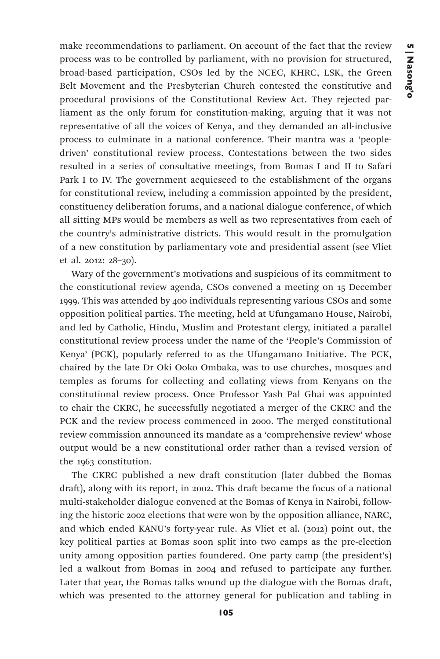make recommendations to parliament. On account of the fact that the review process was to be controlled by parliament, with no provision for structured, broad-based participation, CSOs led by the NCEC, KHRC, LSK, the Green Belt Movement and the Presbyterian Church contested the constitutive and procedural provisions of the Constitutional Review Act. They rejected parliament as the only forum for constitution-making, arguing that it was not representative of all the voices of Kenya, and they demanded an all-inclusive process to culminate in a national conference. Their mantra was a 'peopledriven' constitutional review process. Contestations between the two sides resulted in a series of consultative meetings, from Bomas I and II to Safari Park I to IV. The government acquiesced to the establishment of the organs for constitutional review, including a commission appointed by the president, constituency deliberation forums, and a national dialogue conference, of which all sitting MPs would be members as well as two representatives from each of the country's administrative districts. This would result in the promulgation of a new constitution by parliamentary vote and presidential assent (see Vliet et al. 2012: 28–30).

Wary of the government's motivations and suspicious of its commitment to the constitutional review agenda, CSOs convened a meeting on 15 December 1999. This was attended by 400 individuals representing various CSOs and some opposition political parties. The meeting, held at Ufungamano House, Nairobi, and led by Catholic, Hindu, Muslim and Protestant clergy, initiated a parallel constitutional review process under the name of the 'People's Commission of Kenya' (PCK), popularly referred to as the Ufungamano Initiative. The PCK, chaired by the late Dr Oki Ooko Ombaka, was to use churches, mosques and temples as forums for collecting and collating views from Kenyans on the constitutional review process. Once Professor Yash Pal Ghai was appointed to chair the CKRC, he successfully negotiated a merger of the CKRC and the PCK and the review process commenced in 2000. The merged constitutional review commission announced its mandate as a 'comprehensive review' whose output would be a new constitutional order rather than a revised version of the 1963 constitution.

The CKRC published a new draft constitution (later dubbed the Bomas draft), along with its report, in 2002. This draft became the focus of a national multi-stakeholder dialogue convened at the Bomas of Kenya in Nairobi, following the historic 2002 elections that were won by the opposition alliance, NARC, and which ended KANU's forty-year rule. As Vliet et al. (2012) point out, the key political parties at Bomas soon split into two camps as the pre-election unity among opposition parties foundered. One party camp (the president's) led a walkout from Bomas in 2004 and refused to participate any further. Later that year, the Bomas talks wound up the dialogue with the Bomas draft, which was presented to the attorney general for publication and tabling in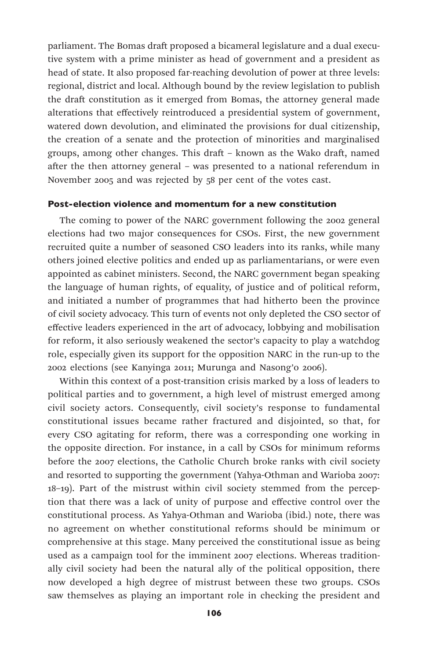parliament. The Bomas draft proposed a bicameral legislature and a dual executive system with a prime minister as head of government and a president as head of state. It also proposed far-reaching devolution of power at three levels: regional, district and local. Although bound by the review legislation to publish the draft constitution as it emerged from Bomas, the attorney general made alterations that effectively reintroduced a presidential system of government, watered down devolution, and eliminated the provisions for dual citizenship, the creation of a senate and the protection of minorities and marginalised groups, among other changes. This draft – known as the Wako draft, named after the then attorney general – was presented to a national referendum in November 2005 and was rejected by 58 per cent of the votes cast.

#### Post-election violence and momentum for a new constitution

The coming to power of the NARC government following the 2002 general elections had two major consequences for CSOs. First, the new government recruited quite a number of seasoned CSO leaders into its ranks, while many others joined elective politics and ended up as parliamentarians, or were even appointed as cabinet ministers. Second, the NARC government began speaking the language of human rights, of equality, of justice and of political reform, and initiated a number of programmes that had hitherto been the province of civil society advocacy. This turn of events not only depleted the CSO sector of effective leaders experienced in the art of advocacy, lobbying and mobilisation for reform, it also seriously weakened the sector's capacity to play a watchdog role, especially given its support for the opposition NARC in the run-up to the 2002 elections (see Kanyinga 2011; Murunga and Nasong'o 2006).

Within this context of a post-transition crisis marked by a loss of leaders to political parties and to government, a high level of mistrust emerged among civil society actors. Consequently, civil society's response to fundamental constitutional issues became rather fractured and disjointed, so that, for every CSO agitating for reform, there was a corresponding one working in the opposite direction. For instance, in a call by CSOs for minimum reforms before the 2007 elections, the Catholic Church broke ranks with civil society and resorted to supporting the government (Yahya-Othman and Warioba 2007: 18–19). Part of the mistrust within civil society stemmed from the perception that there was a lack of unity of purpose and effective control over the constitutional process. As Yahya-Othman and Warioba (ibid.) note, there was no agreement on whether constitutional reforms should be minimum or comprehensive at this stage. Many perceived the constitutional issue as being used as a campaign tool for the imminent 2007 elections. Whereas traditionally civil society had been the natural ally of the political opposition, there now developed a high degree of mistrust between these two groups. CSOs saw themselves as playing an important role in checking the president and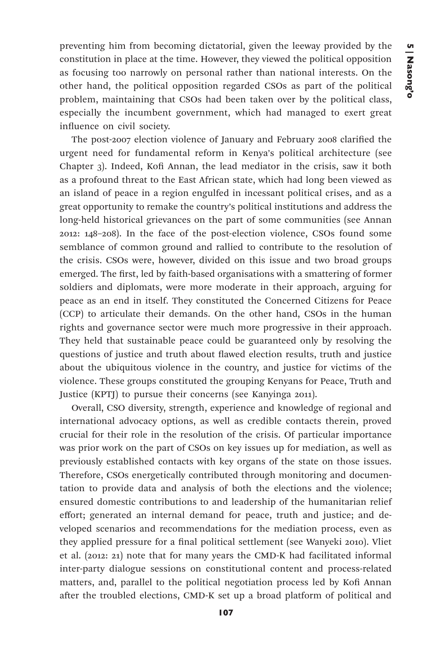preventing him from becoming dictatorial, given the leeway provided by the constitution in place at the time. However, they viewed the political opposition as focusing too narrowly on personal rather than national interests. On the other hand, the political opposition regarded CSOs as part of the political problem, maintaining that CSOs had been taken over by the political class, especially the incumbent government, which had managed to exert great influence on civil society.

The post-2007 election violence of January and February 2008 clarified the urgent need for fundamental reform in Kenya's political architecture (see Chapter 3). Indeed, Kofi Annan, the lead mediator in the crisis, saw it both as a profound threat to the East African state, which had long been viewed as an island of peace in a region engulfed in incessant political crises, and as a great opportunity to remake the country's political institutions and address the long-held historical grievances on the part of some communities (see Annan 2012: 148–208). In the face of the post-election violence, CSOs found some semblance of common ground and rallied to contribute to the resolution of the crisis. CSOs were, however, divided on this issue and two broad groups emerged. The first, led by faith-based organisations with a smattering of former soldiers and diplomats, were more moderate in their approach, arguing for peace as an end in itself. They constituted the Concerned Citizens for Peace (CCP) to articulate their demands. On the other hand, CSOs in the human rights and governance sector were much more progressive in their approach. They held that sustainable peace could be guaranteed only by resolving the questions of justice and truth about flawed election results, truth and justice about the ubiquitous violence in the country, and justice for victims of the violence. These groups constituted the grouping Kenyans for Peace, Truth and Justice (KPTJ) to pursue their concerns (see Kanyinga 2011).

Overall, CSO diversity, strength, experience and knowledge of regional and international advocacy options, as well as credible contacts therein, proved crucial for their role in the resolution of the crisis. Of particular importance was prior work on the part of CSOs on key issues up for mediation, as well as previously established contacts with key organs of the state on those issues. Therefore, CSOs energetically contributed through monitoring and documentation to provide data and analysis of both the elections and the violence; ensured domestic contributions to and leadership of the humanitarian relief effort; generated an internal demand for peace, truth and justice; and developed scenarios and recommendations for the mediation process, even as they applied pressure for a final political settlement (see Wanyeki 2010). Vliet et al. (2012: 21) note that for many years the CMD-K had facilitated informal inter-party dialogue sessions on constitutional content and process-related matters, and, parallel to the political negotiation process led by Kofi Annan after the troubled elections, CMD-K set up a broad platform of political and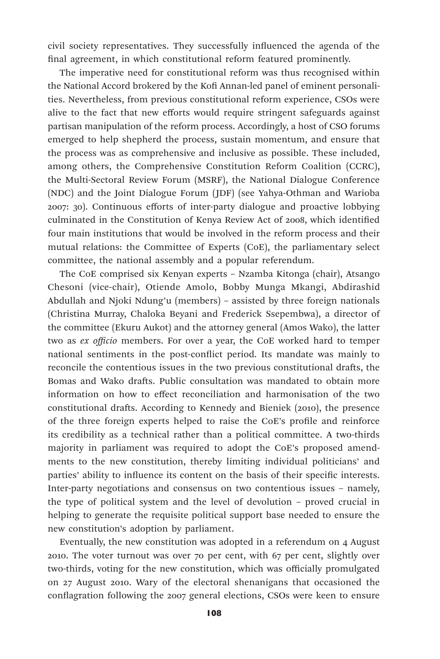civil society representatives. They successfully influenced the agenda of the final agreement, in which constitutional reform featured prominently.

The imperative need for constitutional reform was thus recognised within the National Accord brokered by the Kofi Annan-led panel of eminent personalities. Nevertheless, from previous constitutional reform experience, CSOs were alive to the fact that new efforts would require stringent safeguards against partisan manipulation of the reform process. Accordingly, a host of CSO forums emerged to help shepherd the process, sustain momentum, and ensure that the process was as comprehensive and inclusive as possible. These included, among others, the Comprehensive Constitution Reform Coalition (CCRC), the Multi-Sectoral Review Forum (MSRF), the National Dialogue Conference (NDC) and the Joint Dialogue Forum (JDF) (see Yahya-Othman and Warioba 2007: 30). Continuous efforts of inter-party dialogue and proactive lobbying culminated in the Constitution of Kenya Review Act of 2008, which identified four main institutions that would be involved in the reform process and their mutual relations: the Committee of Experts (CoE), the parliamentary select committee, the national assembly and a popular referendum.

The CoE comprised six Kenyan experts – Nzamba Kitonga (chair), Atsango Chesoni (vice-chair), Otiende Amolo, Bobby Munga Mkangi, Abdirashid Abdullah and Njoki Ndung'u (members) – assisted by three foreign nationals (Christina Murray, Chaloka Beyani and Frederick Ssepembwa), a director of the committee (Ekuru Aukot) and the attorney general (Amos Wako), the latter two as *ex officio* members. For over a year, the CoE worked hard to temper national sentiments in the post-conflict period. Its mandate was mainly to reconcile the contentious issues in the two previous constitutional drafts, the Bomas and Wako drafts. Public consultation was mandated to obtain more information on how to effect reconciliation and harmonisation of the two constitutional drafts. According to Kennedy and Bieniek (2010), the presence of the three foreign experts helped to raise the CoE's profile and reinforce its credibility as a technical rather than a political committee. A two-thirds majority in parliament was required to adopt the CoE's proposed amendments to the new constitution, thereby limiting individual politicians' and parties' ability to influence its content on the basis of their specific interests. Inter-party negotiations and consensus on two contentious issues – namely, the type of political system and the level of devolution – proved crucial in helping to generate the requisite political support base needed to ensure the new constitution's adoption by parliament.

Eventually, the new constitution was adopted in a referendum on 4 August 2010. The voter turnout was over 70 per cent, with 67 per cent, slightly over two-thirds, voting for the new constitution, which was officially promulgated on 27 August 2010. Wary of the electoral shenanigans that occasioned the conflagration following the 2007 general elections, CSOs were keen to ensure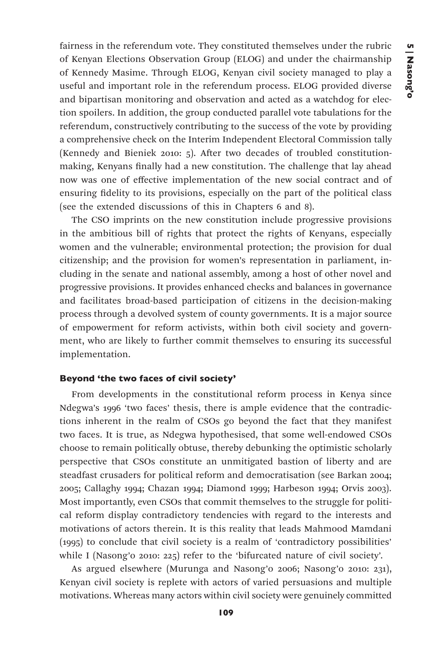fairness in the referendum vote. They constituted themselves under the rubric of Kenyan Elections Observation Group (ELOG) and under the chairmanship of Kennedy Masime. Through ELOG, Kenyan civil society managed to play a useful and important role in the referendum process. ELOG provided diverse and bipartisan monitoring and observation and acted as a watchdog for election spoilers. In addition, the group conducted parallel vote tabulations for the referendum, constructively contributing to the success of the vote by providing a comprehensive check on the Interim Independent Electoral Commission tally (Kennedy and Bieniek 2010: 5). After two decades of troubled constitutionmaking, Kenyans finally had a new constitution. The challenge that lay ahead now was one of effective implementation of the new social contract and of ensuring fidelity to its provisions, especially on the part of the political class (see the extended discussions of this in Chapters 6 and 8).

The CSO imprints on the new constitution include progressive provisions in the ambitious bill of rights that protect the rights of Kenyans, especially women and the vulnerable; environmental protection; the provision for dual citizenship; and the provision for women's representation in parliament, including in the senate and national assembly, among a host of other novel and progressive provisions. It provides enhanced checks and balances in governance and facilitates broad-based participation of citizens in the decision-making process through a devolved system of county governments. It is a major source of empowerment for reform activists, within both civil society and government, who are likely to further commit themselves to ensuring its successful implementation.

# Beyond 'the two faces of civil society'

From developments in the constitutional reform process in Kenya since Ndegwa's 1996 'two faces' thesis, there is ample evidence that the contradictions inherent in the realm of CSOs go beyond the fact that they manifest two faces. It is true, as Ndegwa hypothesised, that some well-endowed CSOs choose to remain politically obtuse, thereby debunking the optimistic scholarly perspective that CSOs constitute an unmitigated bastion of liberty and are steadfast crusaders for political reform and democratisation (see Barkan 2004; 2005; Callaghy 1994; Chazan 1994; Diamond 1999; Harbeson 1994; Orvis 2003). Most importantly, even CSOs that commit themselves to the struggle for political reform display contradictory tendencies with regard to the interests and motivations of actors therein. It is this reality that leads Mahmood Mamdani (1995) to conclude that civil society is a realm of 'contradictory possibilities' while I (Nasong'o 2010: 225) refer to the 'bifurcated nature of civil society'.

As argued elsewhere (Murunga and Nasong'o 2006; Nasong'o 2010: 231), Kenyan civil society is replete with actors of varied persuasions and multiple motivations. Whereas many actors within civil society were genuinely committed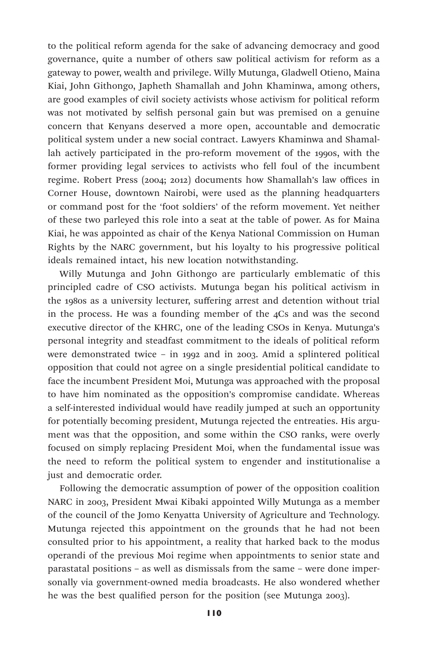to the political reform agenda for the sake of advancing democracy and good governance, quite a number of others saw political activism for reform as a gateway to power, wealth and privilege. Willy Mutunga, Gladwell Otieno, Maina Kiai, John Githongo, Japheth Shamallah and John Khaminwa, among others, are good examples of civil society activists whose activism for political reform was not motivated by selfish personal gain but was premised on a genuine concern that Kenyans deserved a more open, accountable and democratic political system under a new social contract. Lawyers Khaminwa and Shamallah actively participated in the pro-reform movement of the 1990s, with the former providing legal services to activists who fell foul of the incumbent regime. Robert Press (2004; 2012) documents how Shamallah's law offices in Corner House, downtown Nairobi, were used as the planning headquarters or command post for the 'foot soldiers' of the reform movement. Yet neither of these two parleyed this role into a seat at the table of power. As for Maina Kiai, he was appointed as chair of the Kenya National Commission on Human Rights by the NARC government, but his loyalty to his progressive political ideals remained intact, his new location notwithstanding.

Willy Mutunga and John Githongo are particularly emblematic of this principled cadre of CSO activists. Mutunga began his political activism in the 1980s as a university lecturer, suffering arrest and detention without trial in the process. He was a founding member of the 4Cs and was the second executive director of the KHRC, one of the leading CSOs in Kenya. Mutunga's personal integrity and steadfast commitment to the ideals of political reform were demonstrated twice – in 1992 and in 2003. Amid a splintered political opposition that could not agree on a single presidential political candidate to face the incumbent President Moi, Mutunga was approached with the proposal to have him nominated as the opposition's compromise candidate. Whereas a self-interested individual would have readily jumped at such an opportunity for potentially becoming president, Mutunga rejected the entreaties. His argument was that the opposition, and some within the CSO ranks, were overly focused on simply replacing President Moi, when the fundamental issue was the need to reform the political system to engender and institutionalise a just and democratic order.

Following the democratic assumption of power of the opposition coalition NARC in 2003, President Mwai Kibaki appointed Willy Mutunga as a member of the council of the Jomo Kenyatta University of Agriculture and Technology. Mutunga rejected this appointment on the grounds that he had not been consulted prior to his appointment, a reality that harked back to the modus operandi of the previous Moi regime when appointments to senior state and parastatal positions – as well as dismissals from the same – were done impersonally via government-owned media broadcasts. He also wondered whether he was the best qualified person for the position (see Mutunga 2003).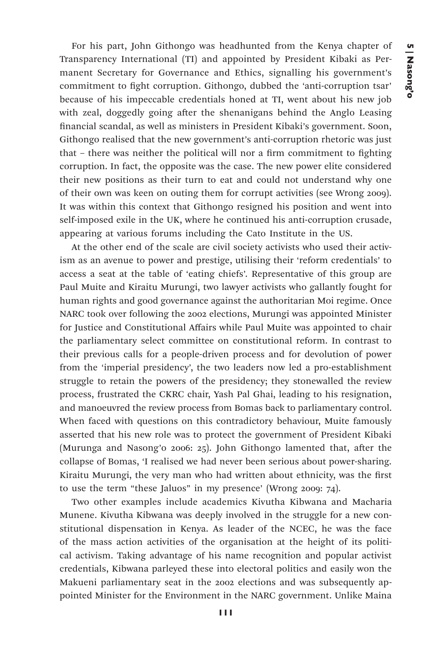For his part, John Githongo was headhunted from the Kenya chapter of Transparency International (TI) and appointed by President Kibaki as Permanent Secretary for Governance and Ethics, signalling his government's commitment to fight corruption. Githongo, dubbed the 'anti-corruption tsar' because of his impeccable credentials honed at TI, went about his new job with zeal, doggedly going after the shenanigans behind the Anglo Leasing financial scandal, as well as ministers in President Kibaki's government. Soon, Githongo realised that the new government's anti-corruption rhetoric was just that – there was neither the political will nor a firm commitment to fighting corruption. In fact, the opposite was the case. The new power elite considered their new positions as their turn to eat and could not understand why one of their own was keen on outing them for corrupt activities (see Wrong 2009). It was within this context that Githongo resigned his position and went into self-imposed exile in the UK, where he continued his anti-corruption crusade, appearing at various forums including the Cato Institute in the US.

At the other end of the scale are civil society activists who used their activism as an avenue to power and prestige, utilising their 'reform credentials' to access a seat at the table of 'eating chiefs'. Representative of this group are Paul Muite and Kiraitu Murungi, two lawyer activists who gallantly fought for human rights and good governance against the authoritarian Moi regime. Once NARC took over following the 2002 elections, Murungi was appointed Minister for Justice and Constitutional Affairs while Paul Muite was appointed to chair the parliamentary select committee on constitutional reform. In contrast to their previous calls for a people-driven process and for devolution of power from the 'imperial presidency', the two leaders now led a pro-establishment struggle to retain the powers of the presidency; they stonewalled the review process, frustrated the CKRC chair, Yash Pal Ghai, leading to his resignation, and manoeuvred the review process from Bomas back to parliamentary control. When faced with questions on this contradictory behaviour, Muite famously asserted that his new role was to protect the government of President Kibaki (Murunga and Nasong'o 2006: 25). John Githongo lamented that, after the collapse of Bomas, 'I realised we had never been serious about power-sharing. Kiraitu Murungi, the very man who had written about ethnicity, was the first to use the term "these Jaluos" in my presence' (Wrong 2009: 74).

Two other examples include academics Kivutha Kibwana and Macharia Munene. Kivutha Kibwana was deeply involved in the struggle for a new constitutional dispensation in Kenya. As leader of the NCEC, he was the face of the mass action activities of the organisation at the height of its political activism. Taking advantage of his name recognition and popular activist credentials, Kibwana parleyed these into electoral politics and easily won the Makueni parliamentary seat in the 2002 elections and was subsequently appointed Minister for the Environment in the NARC government. Unlike Maina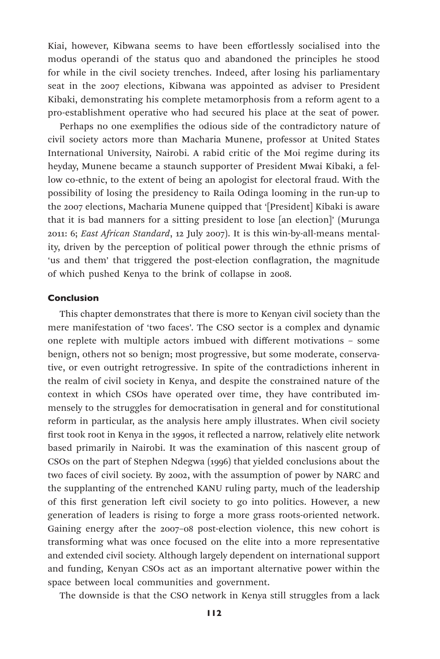Kiai, however, Kibwana seems to have been effortlessly socialised into the modus operandi of the status quo and abandoned the principles he stood for while in the civil society trenches. Indeed, after losing his parliamentary seat in the 2007 elections, Kibwana was appointed as adviser to President Kibaki, demonstrating his complete metamorphosis from a reform agent to a pro-establishment operative who had secured his place at the seat of power.

Perhaps no one exemplifies the odious side of the contradictory nature of civil society actors more than Macharia Munene, professor at United States International University, Nairobi. A rabid critic of the Moi regime during its heyday, Munene became a staunch supporter of President Mwai Kibaki, a fellow co-ethnic, to the extent of being an apologist for electoral fraud. With the possibility of losing the presidency to Raila Odinga looming in the run-up to the 2007 elections, Macharia Munene quipped that '[President] Kibaki is aware that it is bad manners for a sitting president to lose [an election]' (Murunga 2011: 6; *East African Standard*, 12 July 2007). It is this win-by-all-means mentality, driven by the perception of political power through the ethnic prisms of 'us and them' that triggered the post-election conflagration, the magnitude of which pushed Kenya to the brink of collapse in 2008.

### Conclusion

This chapter demonstrates that there is more to Kenyan civil society than the mere manifestation of 'two faces'. The CSO sector is a complex and dynamic one replete with multiple actors imbued with different motivations – some benign, others not so benign; most progressive, but some moderate, conservative, or even outright retrogressive. In spite of the contradictions inherent in the realm of civil society in Kenya, and despite the constrained nature of the context in which CSOs have operated over time, they have contributed immensely to the struggles for democratisation in general and for constitutional reform in particular, as the analysis here amply illustrates. When civil society first took root in Kenya in the 1990s, it reflected a narrow, relatively elite network based primarily in Nairobi. It was the examination of this nascent group of CSOs on the part of Stephen Ndegwa (1996) that yielded conclusions about the two faces of civil society. By 2002, with the assumption of power by NARC and the supplanting of the entrenched KANU ruling party, much of the leadership of this first generation left civil society to go into politics. However, a new generation of leaders is rising to forge a more grass roots-oriented network. Gaining energy after the 2007–08 post-election violence, this new cohort is transforming what was once focused on the elite into a more representative and extended civil society. Although largely dependent on international support and funding, Kenyan CSOs act as an important alternative power within the space between local communities and government.

The downside is that the CSO network in Kenya still struggles from a lack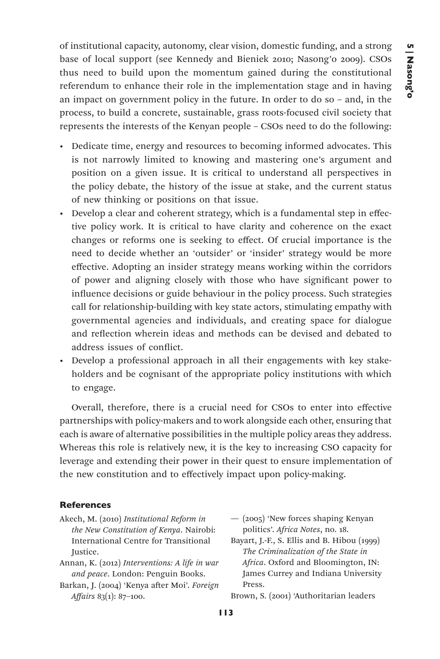of institutional capacity, autonomy, clear vision, domestic funding, and a strong base of local support (see Kennedy and Bieniek 2010; Nasong'o 2009). CSOs thus need to build upon the momentum gained during the constitutional referendum to enhance their role in the implementation stage and in having an impact on government policy in the future. In order to do so – and, in the process, to build a concrete, sustainable, grass roots-focused civil society that represents the interests of the Kenyan people – CSOs need to do the following:

- Dedicate time, energy and resources to becoming informed advocates. This is not narrowly limited to knowing and mastering one's argument and position on a given issue. It is critical to understand all perspectives in the policy debate, the history of the issue at stake, and the current status of new thinking or positions on that issue.
- Develop a clear and coherent strategy, which is a fundamental step in effective policy work. It is critical to have clarity and coherence on the exact changes or reforms one is seeking to effect. Of crucial importance is the need to decide whether an 'outsider' or 'insider' strategy would be more effective. Adopting an insider strategy means working within the corridors of power and aligning closely with those who have significant power to influence decisions or guide behaviour in the policy process. Such strategies call for relationship-building with key state actors, stimulating empathy with governmental agencies and individuals, and creating space for dialogue and reflection wherein ideas and methods can be devised and debated to address issues of conflict.
- Develop a professional approach in all their engagements with key stakeholders and be cognisant of the appropriate policy institutions with which to engage.

Overall, therefore, there is a crucial need for CSOs to enter into effective partnerships with policy-makers and to work alongside each other, ensuring that each is aware of alternative possibilities in the multiple policy areas they address. Whereas this role is relatively new, it is the key to increasing CSO capacity for leverage and extending their power in their quest to ensure implementation of the new constitution and to effectively impact upon policy-making.

#### **References**

- Akech, M. (2010) *Institutional Reform in the New Constitution of Kenya*. Nairobi: International Centre for Transitional Justice.
- Annan, K. (2012) *Interventions: A life in war and peace*. London: Penguin Books.
- Barkan, J. (2004) 'Kenya after Moi'. *Foreign Affairs* 83(1): 87–100.

— (2005) 'New forces shaping Kenyan politics'. *Africa Notes*, no. 18.

Bayart, J.-F., S. Ellis and B. Hibou (1999) *The Criminalization of the State in Africa*. Oxford and Bloomington, IN: James Currey and Indiana University Press.

Brown, S. (2001) 'Authoritarian leaders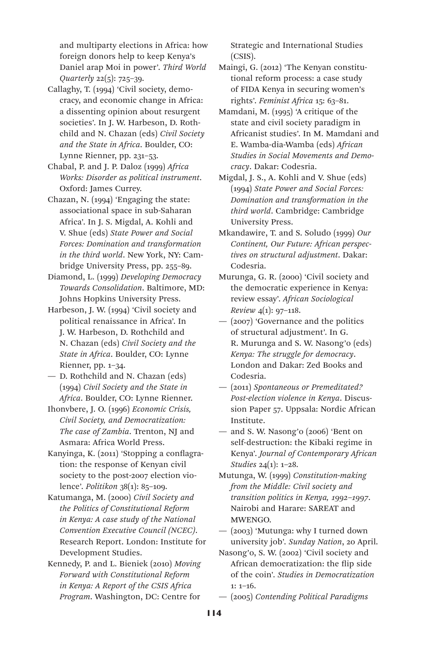and multiparty elections in Africa: how foreign donors help to keep Kenya's Daniel arap Moi in power'. *Third World Quarterly* 22(5): 725–39.

- Callaghy, T. (1994) 'Civil society, democracy, and economic change in Africa: a dissenting opinion about resurgent societies'. In J. W. Harbeson, D. Rothchild and N. Chazan (eds) *Civil Society and the State in Africa*. Boulder, CO: Lynne Rienner, pp. 231–53.
- Chabal, P. and J. P. Daloz (1999) *Africa Works: Disorder as political instrument*. Oxford: James Currey.
- Chazan, N. (1994) 'Engaging the state: associational space in sub-Saharan Africa'. In J. S. Migdal, A. Kohli and V. Shue (eds) *State Power and Social Forces: Domination and transformation in the third world*. New York, NY: Cambridge University Press, pp. 255–89.
- Diamond, L. (1999) *Developing Democracy Towards Consolidation*. Baltimore, MD: Johns Hopkins University Press.
- Harbeson, J. W. (1994) 'Civil society and political renaissance in Africa'. In J. W. Harbeson, D. Rothchild and N. Chazan (eds) *Civil Society and the State in Africa*. Boulder, CO: Lynne Rienner, pp. 1–34.
- D. Rothchild and N. Chazan (eds) (1994) *Civil Society and the State in Africa*. Boulder, CO: Lynne Rienner.
- Ihonvbere, J. O. (1996) *Economic Crisis, Civil Society, and Democratization: The case of Zambia*. Trenton, NJ and Asmara: Africa World Press.
- Kanyinga, K. (2011) 'Stopping a conflagration: the response of Kenyan civil society to the post-2007 election violence'. *Politikon* 38(1): 85–109.
- Katumanga, M. (2000) *Civil Society and the Politics of Constitutional Reform in Kenya: A case study of the National Convention Executive Council (NCEC)*. Research Report. London: Institute for Development Studies.
- Kennedy, P. and L. Bieniek (2010) *Moving Forward with Constitutional Reform in Kenya: A Report of the CSIS Africa Program*. Washington, DC: Centre for

Strategic and International Studies (CSIS).

- Maingi, G. (2012) 'The Kenyan constitutional reform process: a case study of FIDA Kenya in securing women's rights'. *Feminist Africa* 15: 63–81.
- Mamdani, M. (1995) 'A critique of the state and civil society paradigm in Africanist studies'. In M. Mamdani and E. Wamba-dia-Wamba (eds) *African Studies in Social Movements and Democracy*. Dakar: Codesria.
- Migdal, J. S., A. Kohli and V. Shue (eds) (1994) *State Power and Social Forces: Domination and transformation in the third world*. Cambridge: Cambridge University Press.
- Mkandawire, T. and S. Soludo (1999) *Our Continent, Our Future: African perspectives on structural adjustment*. Dakar: Codesria.
- Murunga, G. R. (2000) 'Civil society and the democratic experience in Kenya: review essay'. *African Sociological Review* 4(1): 97–118.
- (2007) 'Governance and the politics of structural adjustment'. In G. R. Murunga and S. W. Nasong'o (eds) *Kenya: The struggle for democracy*. London and Dakar: Zed Books and Codesria.
- (2011) *Spontaneous or Premeditated? Post-election violence in Kenya*. Discussion Paper 57. Uppsala: Nordic African Institute.
- and S. W. Nasong'o (2006) 'Bent on self-destruction: the Kibaki regime in Kenya'. *Journal of Contemporary African Studies* 24(1): 1–28.
- Mutunga, W. (1999) *Constitution-making from the Middle: Civil society and transition politics in Kenya, 1992–1997*. Nairobi and Harare: SAREAT and MWENGO.
- (2003) 'Mutunga: why I turned down university job'. *Sunday Nation*, 20 April.
- Nasong'o, S. W. (2002) 'Civil society and African democratization: the flip side of the coin'. *Studies in Democratization*  $1: 1-16.$
- (2005) *Contending Political Paradigms*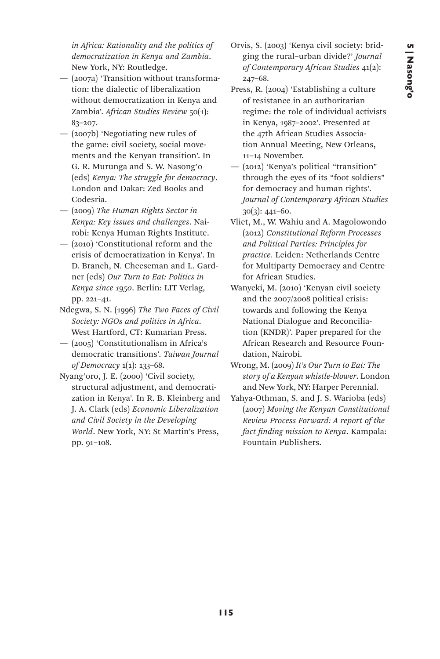*in Africa: Rationality and the politics of democratization in Kenya and Zambia*. New York, NY: Routledge.

- (2007a) 'Transition without transformation: the dialectic of liberalization without democratization in Kenya and Zambia'. *African Studies Review* 50(1): 83–207.
- (2007b) 'Negotiating new rules of the game: civil society, social movements and the Kenyan transition'. In G. R. Murunga and S. W. Nasong'o (eds) *Kenya: The struggle for democracy*. London and Dakar: Zed Books and Codesria.
- (2009) *The Human Rights Sector in Kenya: Key issues and challenges*. Nairobi: Kenya Human Rights Institute.
- (2010) 'Constitutional reform and the crisis of democratization in Kenya'. In D. Branch, N. Cheeseman and L. Gardner (eds) *Our Turn to Eat: Politics in Kenya since 1950*. Berlin: LIT Verlag, pp. 221–41.
- Ndegwa, S. N. (1996) *The Two Faces of Civil Society: NGOs and politics in Africa*. West Hartford, CT: Kumarian Press.
- (2005) 'Constitutionalism in Africa's democratic transitions'. *Taiwan Journal of Democracy* 1(1): 133–68.
- Nyang'oro, J. E. (2000) 'Civil society, structural adjustment, and democratization in Kenya'. In R. B. Kleinberg and J. A. Clark (eds) *Economic Liberalization and Civil Society in the Developing World*. New York, NY: St Martin's Press, pp. 91–108.
- Orvis, S. (2003) 'Kenya civil society: bridging the rural–urban divide?' *Journal of Contemporary African Studies* 41(2): 247–68.
- Press, R. (2004) 'Establishing a culture of resistance in an authoritarian regime: the role of individual activists in Kenya, 1987–2002'. Presented at the 47th African Studies Association Annual Meeting, New Orleans, 11–14 November.
- (2012) 'Kenya's political "transition" through the eyes of its "foot soldiers" for democracy and human rights'. *Journal of Contemporary African Studies*  30(3): 441–60.
- Vliet, M., W. Wahiu and A. Magolowondo (2012) *Constitutional Reform Processes and Political Parties: Principles for practice.* Leiden: Netherlands Centre for Multiparty Democracy and Centre for African Studies.
- Wanyeki, M. (2010) 'Kenyan civil society and the 2007/2008 political crisis: towards and following the Kenya National Dialogue and Reconciliation (KNDR)'. Paper prepared for the African Research and Resource Foundation, Nairobi.
- Wrong, M. (2009) *It's Our Turn to Eat: The story of a Kenyan whistle-blower*. London and New York, NY: Harper Perennial.
- Yahya-Othman, S. and J. S. Warioba (eds) (2007) *Moving the Kenyan Constitutional Review Process Forward: A report of the fact finding mission to Kenya*. Kampala: Fountain Publishers.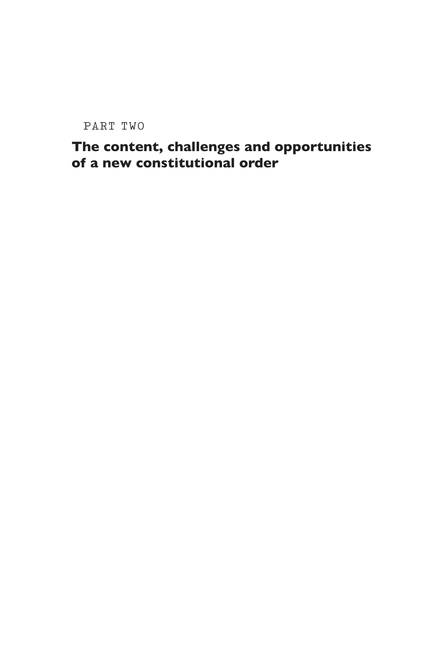PART TWO

# The content, challenges and opportunities of a new constitutional order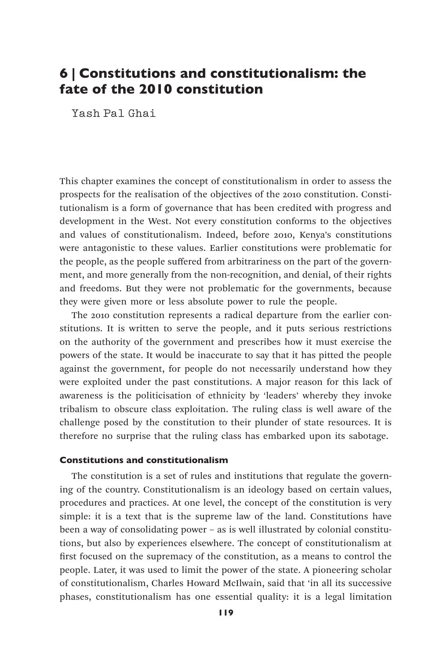# 6 | Constitutions and constitutionalism: the fate of the 2010 constitution

Yash Pal Ghai

This chapter examines the concept of constitutionalism in order to assess the prospects for the realisation of the objectives of the 2010 constitution. Constitutionalism is a form of governance that has been credited with progress and development in the West. Not every constitution conforms to the objectives and values of constitutionalism. Indeed, before 2010, Kenya's constitutions were antagonistic to these values. Earlier constitutions were problematic for the people, as the people suffered from arbitrariness on the part of the government, and more generally from the non-recognition, and denial, of their rights and freedoms. But they were not problematic for the governments, because they were given more or less absolute power to rule the people.

The 2010 constitution represents a radical departure from the earlier constitutions. It is written to serve the people, and it puts serious restrictions on the authority of the government and prescribes how it must exercise the powers of the state. It would be inaccurate to say that it has pitted the people against the government, for people do not necessarily understand how they were exploited under the past constitutions. A major reason for this lack of awareness is the politicisation of ethnicity by 'leaders' whereby they invoke tribalism to obscure class exploitation. The ruling class is well aware of the challenge posed by the constitution to their plunder of state resources. It is therefore no surprise that the ruling class has embarked upon its sabotage.

#### Constitutions and constitutionalism

The constitution is a set of rules and institutions that regulate the governing of the country. Constitutionalism is an ideology based on certain values, procedures and practices. At one level, the concept of the constitution is very simple: it is a text that is the supreme law of the land. Constitutions have been a way of consolidating power – as is well illustrated by colonial constitutions, but also by experiences elsewhere. The concept of constitutionalism at first focused on the supremacy of the constitution, as a means to control the people. Later, it was used to limit the power of the state. A pioneering scholar of constitutionalism, Charles Howard McIlwain, said that 'in all its successive phases, constitutionalism has one essential quality: it is a legal limitation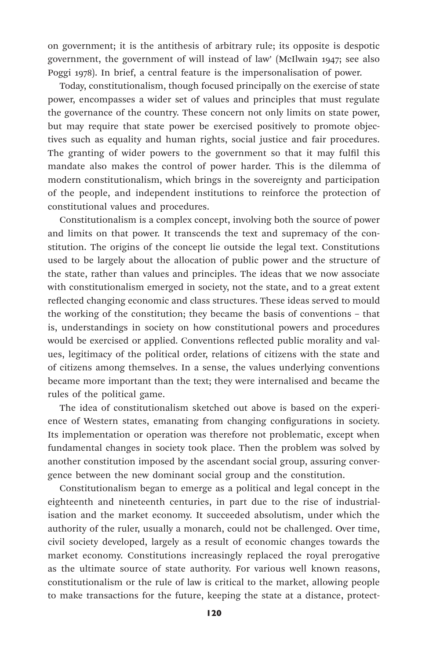on government; it is the antithesis of arbitrary rule; its opposite is despotic government, the government of will instead of law' (McIlwain 1947; see also Poggi 1978). In brief, a central feature is the impersonalisation of power.

Today, constitutionalism, though focused principally on the exercise of state power, encompasses a wider set of values and principles that must regulate the governance of the country. These concern not only limits on state power, but may require that state power be exercised positively to promote objectives such as equality and human rights, social justice and fair procedures. The granting of wider powers to the government so that it may fulfil this mandate also makes the control of power harder. This is the dilemma of modern constitutionalism, which brings in the sovereignty and participation of the people, and independent institutions to reinforce the protection of constitutional values and procedures.

Constitutionalism is a complex concept, involving both the source of power and limits on that power. It transcends the text and supremacy of the constitution. The origins of the concept lie outside the legal text. Constitutions used to be largely about the allocation of public power and the structure of the state, rather than values and principles. The ideas that we now associate with constitutionalism emerged in society, not the state, and to a great extent reflected changing economic and class structures. These ideas served to mould the working of the constitution; they became the basis of conventions – that is, understandings in society on how constitutional powers and procedures would be exercised or applied. Conventions reflected public morality and values, legitimacy of the political order, relations of citizens with the state and of citizens among themselves. In a sense, the values underlying conventions became more important than the text; they were internalised and became the rules of the political game.

The idea of constitutionalism sketched out above is based on the experience of Western states, emanating from changing configurations in society. Its implementation or operation was therefore not problematic, except when fundamental changes in society took place. Then the problem was solved by another constitution imposed by the ascendant social group, assuring convergence between the new dominant social group and the constitution.

Constitutionalism began to emerge as a political and legal concept in the eighteenth and nineteenth centuries, in part due to the rise of industrialisation and the market economy. It succeeded absolutism, under which the authority of the ruler, usually a monarch, could not be challenged. Over time, civil society developed, largely as a result of economic changes towards the market economy. Constitutions increasingly replaced the royal prerogative as the ultimate source of state authority. For various well known reasons, constitutionalism or the rule of law is critical to the market, allowing people to make transactions for the future, keeping the state at a distance, protect-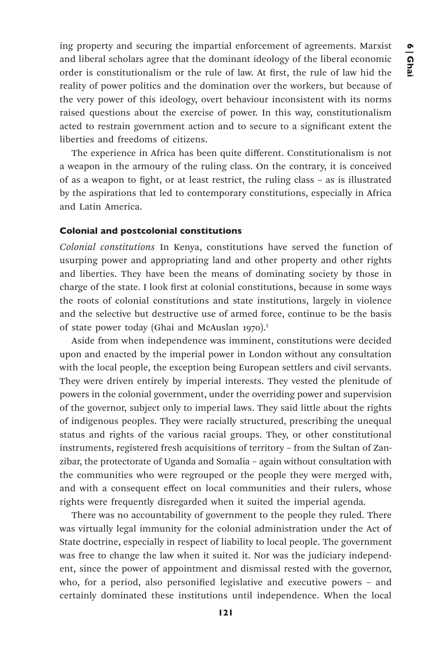ing property and securing the impartial enforcement of agreements. Marxist and liberal scholars agree that the dominant ideology of the liberal economic order is constitutionalism or the rule of law. At first, the rule of law hid the reality of power politics and the domination over the workers, but because of the very power of this ideology, overt behaviour inconsistent with its norms raised questions about the exercise of power. In this way, constitutionalism acted to restrain government action and to secure to a significant extent the liberties and freedoms of citizens.

The experience in Africa has been quite different. Constitutionalism is not a weapon in the armoury of the ruling class. On the contrary, it is conceived of as a weapon to fight, or at least restrict, the ruling class – as is illustrated by the aspirations that led to contemporary constitutions, especially in Africa and Latin America.

### Colonial and postcolonial constitutions

*Colonial constitutions* In Kenya, constitutions have served the function of usurping power and appropriating land and other property and other rights and liberties. They have been the means of dominating society by those in charge of the state. I look first at colonial constitutions, because in some ways the roots of colonial constitutions and state institutions, largely in violence and the selective but destructive use of armed force, continue to be the basis of state power today (Ghai and McAuslan 1970).<sup>1</sup>

Aside from when independence was imminent, constitutions were decided upon and enacted by the imperial power in London without any consultation with the local people, the exception being European settlers and civil servants. They were driven entirely by imperial interests. They vested the plenitude of powers in the colonial government, under the overriding power and supervision of the governor, subject only to imperial laws. They said little about the rights of indigenous peoples. They were racially structured, prescribing the unequal status and rights of the various racial groups. They, or other constitutional instruments, registered fresh acquisitions of territory – from the Sultan of Zanzibar, the protectorate of Uganda and Somalia – again without consultation with the communities who were regrouped or the people they were merged with, and with a consequent effect on local communities and their rulers, whose rights were frequently disregarded when it suited the imperial agenda.

There was no accountability of government to the people they ruled. There was virtually legal immunity for the colonial administration under the Act of State doctrine, especially in respect of liability to local people. The government was free to change the law when it suited it. Nor was the judiciary independent, since the power of appointment and dismissal rested with the governor, who, for a period, also personified legislative and executive powers – and certainly dominated these institutions until independence. When the local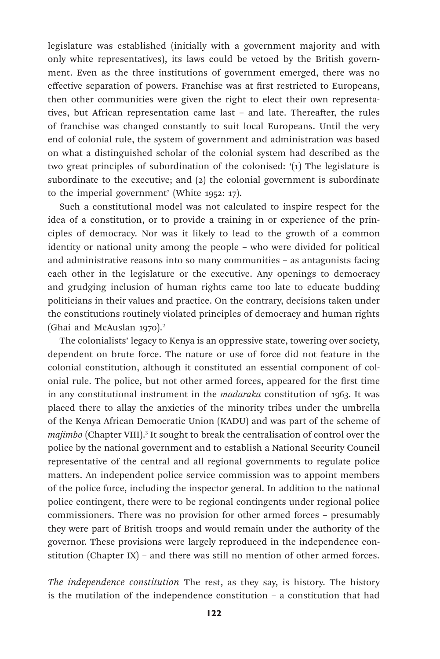legislature was established (initially with a government majority and with only white representatives), its laws could be vetoed by the British government. Even as the three institutions of government emerged, there was no effective separation of powers. Franchise was at first restricted to Europeans, then other communities were given the right to elect their own representatives, but African representation came last – and late. Thereafter, the rules of franchise was changed constantly to suit local Europeans. Until the very end of colonial rule, the system of government and administration was based on what a distinguished scholar of the colonial system had described as the two great principles of subordination of the colonised: '(1) The legislature is subordinate to the executive; and  $(2)$  the colonial government is subordinate to the imperial government' (White 1952: 17).

Such a constitutional model was not calculated to inspire respect for the idea of a constitution, or to provide a training in or experience of the principles of democracy. Nor was it likely to lead to the growth of a common identity or national unity among the people – who were divided for political and administrative reasons into so many communities – as antagonists facing each other in the legislature or the executive. Any openings to democracy and grudging inclusion of human rights came too late to educate budding politicians in their values and practice. On the contrary, decisions taken under the constitutions routinely violated principles of democracy and human rights (Ghai and McAuslan 1970).<sup>2</sup>

The colonialists' legacy to Kenya is an oppressive state, towering over society, dependent on brute force. The nature or use of force did not feature in the colonial constitution, although it constituted an essential component of colonial rule. The police, but not other armed forces, appeared for the first time in any constitutional instrument in the *madaraka* constitution of 1963. It was placed there to allay the anxieties of the minority tribes under the umbrella of the Kenya African Democratic Union (KADU) and was part of the scheme of *majimbo* (Chapter VIII).3 It sought to break the centralisation of control over the police by the national government and to establish a National Security Council representative of the central and all regional governments to regulate police matters. An independent police service commission was to appoint members of the police force, including the inspector general. In addition to the national police contingent, there were to be regional contingents under regional police commissioners. There was no provision for other armed forces – presumably they were part of British troops and would remain under the authority of the governor. These provisions were largely reproduced in the independence constitution (Chapter IX) – and there was still no mention of other armed forces.

*The independence constitution* The rest, as they say, is history. The history is the mutilation of the independence constitution – a constitution that had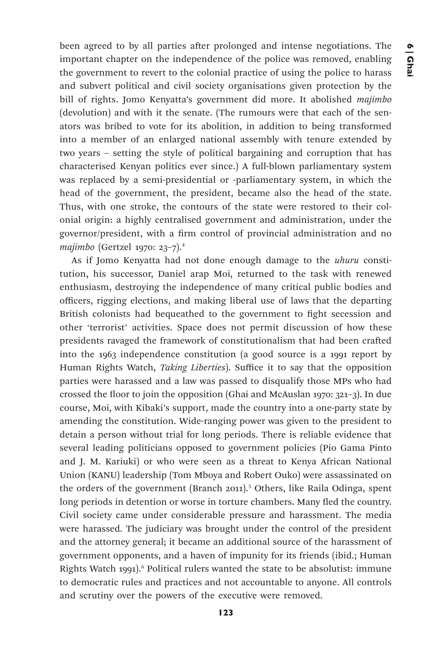been agreed to by all parties after prolonged and intense negotiations. The important chapter on the independence of the police was removed, enabling the government to revert to the colonial practice of using the police to harass and subvert political and civil society organisations given protection by the bill of rights. Jomo Kenyatta's government did more. It abolished *majimbo* (devolution) and with it the senate. (The rumours were that each of the senators was bribed to vote for its abolition, in addition to being transformed into a member of an enlarged national assembly with tenure extended by two years – setting the style of political bargaining and corruption that has characterised Kenyan politics ever since.) A full-blown parliamentary system was replaced by a semi-presidential or -parliamentary system, in which the head of the government, the president, became also the head of the state. Thus, with one stroke, the contours of the state were restored to their colonial origin: a highly centralised government and administration, under the governor/president, with a firm control of provincial administration and no *majimbo* (Gertzel 1970: 23–7).4

As if Jomo Kenyatta had not done enough damage to the *uhuru* constitution, his successor, Daniel arap Moi, returned to the task with renewed enthusiasm, destroying the independence of many critical public bodies and officers, rigging elections, and making liberal use of laws that the departing British colonists had bequeathed to the government to fight secession and other 'terrorist' activities. Space does not permit discussion of how these presidents ravaged the framework of constitutionalism that had been crafted into the 1963 independence constitution (a good source is a 1991 report by Human Rights Watch, *Taking Liberties*). Suffice it to say that the opposition parties were harassed and a law was passed to disqualify those MPs who had crossed the floor to join the opposition (Ghai and McAuslan 1970: 321–3). In due course, Moi, with Kibaki's support, made the country into a one-party state by amending the constitution. Wide-ranging power was given to the president to detain a person without trial for long periods. There is reliable evidence that several leading politicians opposed to government policies (Pio Gama Pinto and J. M. Kariuki) or who were seen as a threat to Kenya African National Union (KANU) leadership (Tom Mboya and Robert Ouko) were assassinated on the orders of the government (Branch 2011).<sup>5</sup> Others, like Raila Odinga, spent long periods in detention or worse in torture chambers. Many fled the country. Civil society came under considerable pressure and harassment. The media were harassed. The judiciary was brought under the control of the president and the attorney general; it became an additional source of the harassment of government opponents, and a haven of impunity for its friends (ibid.; Human Rights Watch 1991).<sup>6</sup> Political rulers wanted the state to be absolutist: immune to democratic rules and practices and not accountable to anyone. All controls and scrutiny over the powers of the executive were removed.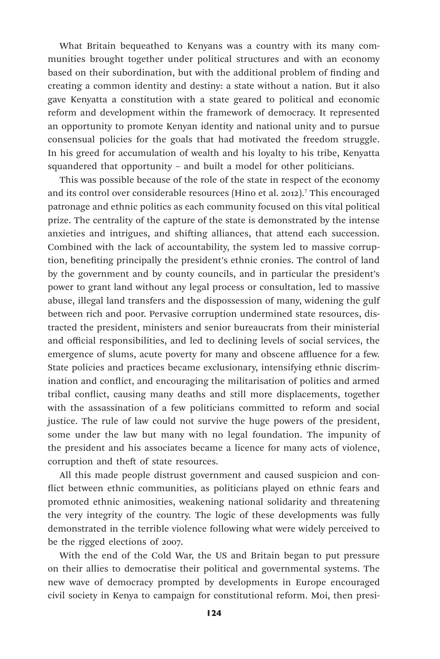What Britain bequeathed to Kenyans was a country with its many communities brought together under political structures and with an economy based on their subordination, but with the additional problem of finding and creating a common identity and destiny: a state without a nation. But it also gave Kenyatta a constitution with a state geared to political and economic reform and development within the framework of democracy. It represented an opportunity to promote Kenyan identity and national unity and to pursue consensual policies for the goals that had motivated the freedom struggle. In his greed for accumulation of wealth and his loyalty to his tribe, Kenyatta squandered that opportunity – and built a model for other politicians.

This was possible because of the role of the state in respect of the economy and its control over considerable resources (Hino et al. 2012).7 This encouraged patronage and ethnic politics as each community focused on this vital political prize. The centrality of the capture of the state is demonstrated by the intense anxieties and intrigues, and shifting alliances, that attend each succession. Combined with the lack of accountability, the system led to massive corruption, benefiting principally the president's ethnic cronies. The control of land by the government and by county councils, and in particular the president's power to grant land without any legal process or consultation, led to massive abuse, illegal land transfers and the dispossession of many, widening the gulf between rich and poor. Pervasive corruption undermined state resources, distracted the president, ministers and senior bureaucrats from their ministerial and official responsibilities, and led to declining levels of social services, the emergence of slums, acute poverty for many and obscene affluence for a few. State policies and practices became exclusionary, intensifying ethnic discrimination and conflict, and encouraging the militarisation of politics and armed tribal conflict, causing many deaths and still more displacements, together with the assassination of a few politicians committed to reform and social justice. The rule of law could not survive the huge powers of the president, some under the law but many with no legal foundation. The impunity of the president and his associates became a licence for many acts of violence, corruption and theft of state resources.

All this made people distrust government and caused suspicion and conflict between ethnic communities, as politicians played on ethnic fears and promoted ethnic animosities, weakening national solidarity and threatening the very integrity of the country. The logic of these developments was fully demonstrated in the terrible violence following what were widely perceived to be the rigged elections of 2007.

With the end of the Cold War, the US and Britain began to put pressure on their allies to democratise their political and governmental systems. The new wave of democracy prompted by developments in Europe encouraged civil society in Kenya to campaign for constitutional reform. Moi, then presi-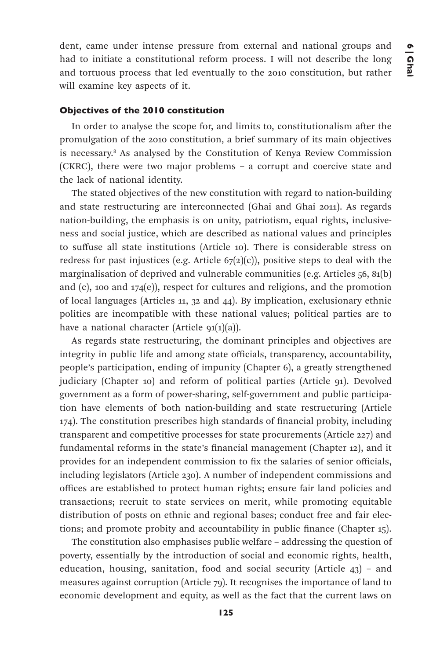dent, came under intense pressure from external and national groups and had to initiate a constitutional reform process. I will not describe the long and tortuous process that led eventually to the 2010 constitution, but rather will examine key aspects of it.

#### Objectives of the 2010 constitution

In order to analyse the scope for, and limits to, constitutionalism after the promulgation of the 2010 constitution, a brief summary of its main objectives is necessary.8 As analysed by the Constitution of Kenya Review Commission (CKRC), there were two major problems – a corrupt and coercive state and the lack of national identity.

The stated objectives of the new constitution with regard to nation-building and state restructuring are interconnected (Ghai and Ghai 2011). As regards nation-building, the emphasis is on unity, patriotism, equal rights, inclusiveness and social justice, which are described as national values and principles to suffuse all state institutions (Article 10). There is considerable stress on redress for past injustices (e.g. Article  $67(2)(c)$ ), positive steps to deal with the marginalisation of deprived and vulnerable communities (e.g. Articles 56, 81(b) and  $(c)$ , 100 and 174 $(e)$ ), respect for cultures and religions, and the promotion of local languages (Articles 11, 32 and 44). By implication, exclusionary ethnic politics are incompatible with these national values; political parties are to have a national character (Article  $91(1)(a)$ ).

As regards state restructuring, the dominant principles and objectives are integrity in public life and among state officials, transparency, accountability, people's participation, ending of impunity (Chapter 6), a greatly strengthened judiciary (Chapter 10) and reform of political parties (Article 91). Devolved government as a form of power-sharing, self-government and public participation have elements of both nation-building and state restructuring (Article 174). The constitution prescribes high standards of financial probity, including transparent and competitive processes for state procurements (Article 227) and fundamental reforms in the state's financial management (Chapter 12), and it provides for an independent commission to fix the salaries of senior officials, including legislators (Article 230). A number of independent commissions and offices are established to protect human rights; ensure fair land policies and transactions; recruit to state services on merit, while promoting equitable distribution of posts on ethnic and regional bases; conduct free and fair elections; and promote probity and accountability in public finance (Chapter 15).

The constitution also emphasises public welfare – addressing the question of poverty, essentially by the introduction of social and economic rights, health, education, housing, sanitation, food and social security (Article 43) – and measures against corruption (Article 79). It recognises the importance of land to economic development and equity, as well as the fact that the current laws on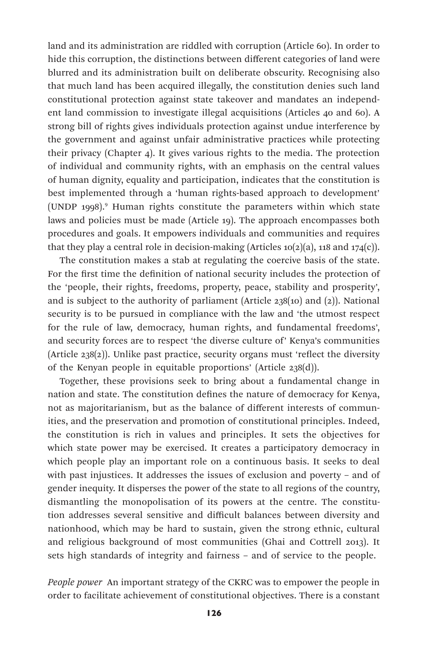land and its administration are riddled with corruption (Article 60). In order to hide this corruption, the distinctions between different categories of land were blurred and its administration built on deliberate obscurity. Recognising also that much land has been acquired illegally, the constitution denies such land constitutional protection against state takeover and mandates an independent land commission to investigate illegal acquisitions (Articles 40 and 60). A strong bill of rights gives individuals protection against undue interference by the government and against unfair administrative practices while protecting their privacy (Chapter 4). It gives various rights to the media. The protection of individual and community rights, with an emphasis on the central values of human dignity, equality and participation, indicates that the constitution is best implemented through a 'human rights-based approach to development' (UNDP 1998).9 Human rights constitute the parameters within which state laws and policies must be made (Article 19). The approach encompasses both procedures and goals. It empowers individuals and communities and requires that they play a central role in decision-making (Articles  $10(2)(a)$ , 118 and 174(c)).

The constitution makes a stab at regulating the coercive basis of the state. For the first time the definition of national security includes the protection of the 'people, their rights, freedoms, property, peace, stability and prosperity', and is subject to the authority of parliament (Article 238(10) and (2)). National security is to be pursued in compliance with the law and 'the utmost respect for the rule of law, democracy, human rights, and fundamental freedoms', and security forces are to respect 'the diverse culture of' Kenya's communities (Article 238(2)). Unlike past practice, security organs must 'reflect the diversity of the Kenyan people in equitable proportions' (Article 238(d)).

Together, these provisions seek to bring about a fundamental change in nation and state. The constitution defines the nature of democracy for Kenya, not as majoritarianism, but as the balance of different interests of communities, and the preservation and promotion of constitutional principles. Indeed, the constitution is rich in values and principles. It sets the objectives for which state power may be exercised. It creates a participatory democracy in which people play an important role on a continuous basis. It seeks to deal with past injustices. It addresses the issues of exclusion and poverty – and of gender inequity. It disperses the power of the state to all regions of the country, dismantling the monopolisation of its powers at the centre. The constitution addresses several sensitive and difficult balances between diversity and nationhood, which may be hard to sustain, given the strong ethnic, cultural and religious background of most communities (Ghai and Cottrell 2013). It sets high standards of integrity and fairness – and of service to the people.

*People power* An important strategy of the CKRC was to empower the people in order to facilitate achievement of constitutional objectives. There is a constant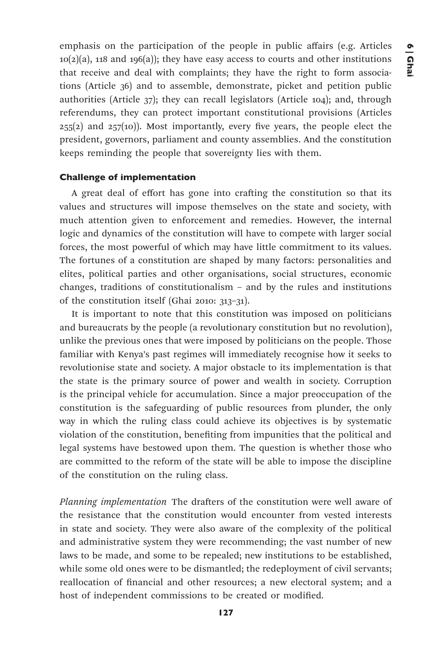emphasis on the participation of the people in public affairs (e.g. Articles  $10(2)(a)$ , 118 and 196(a)); they have easy access to courts and other institutions that receive and deal with complaints; they have the right to form associations (Article 36) and to assemble, demonstrate, picket and petition public authorities (Article 37); they can recall legislators (Article 104); and, through referendums, they can protect important constitutional provisions (Articles  $255(2)$  and  $257(10)$ ). Most importantly, every five years, the people elect the president, governors, parliament and county assemblies. And the constitution keeps reminding the people that sovereignty lies with them.

#### Challenge of implementation

A great deal of effort has gone into crafting the constitution so that its values and structures will impose themselves on the state and society, with much attention given to enforcement and remedies. However, the internal logic and dynamics of the constitution will have to compete with larger social forces, the most powerful of which may have little commitment to its values. The fortunes of a constitution are shaped by many factors: personalities and elites, political parties and other organisations, social structures, economic changes, traditions of constitutionalism – and by the rules and institutions of the constitution itself (Ghai 2010: 313–31).

It is important to note that this constitution was imposed on politicians and bureaucrats by the people (a revolutionary constitution but no revolution), unlike the previous ones that were imposed by politicians on the people. Those familiar with Kenya's past regimes will immediately recognise how it seeks to revolutionise state and society. A major obstacle to its implementation is that the state is the primary source of power and wealth in society. Corruption is the principal vehicle for accumulation. Since a major preoccupation of the constitution is the safeguarding of public resources from plunder, the only way in which the ruling class could achieve its objectives is by systematic violation of the constitution, benefiting from impunities that the political and legal systems have bestowed upon them. The question is whether those who are committed to the reform of the state will be able to impose the discipline of the constitution on the ruling class.

*Planning implementation* The drafters of the constitution were well aware of the resistance that the constitution would encounter from vested interests in state and society. They were also aware of the complexity of the political and administrative system they were recommending; the vast number of new laws to be made, and some to be repealed; new institutions to be established, while some old ones were to be dismantled; the redeployment of civil servants; reallocation of financial and other resources; a new electoral system; and a host of independent commissions to be created or modified.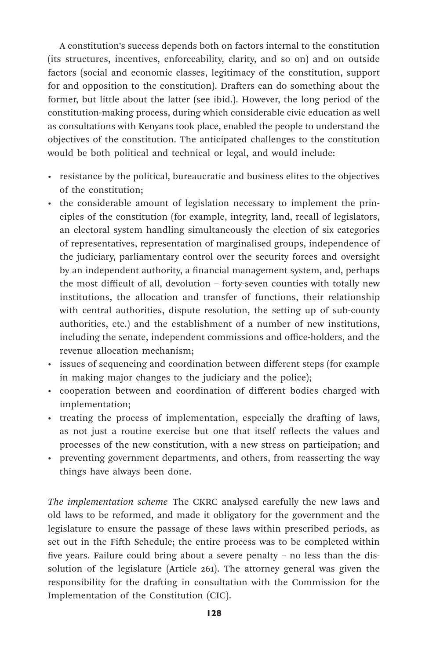A constitution's success depends both on factors internal to the constitution (its structures, incentives, enforceability, clarity, and so on) and on outside factors (social and economic classes, legitimacy of the constitution, support for and opposition to the constitution). Drafters can do something about the former, but little about the latter (see ibid.). However, the long period of the constitution-making process, during which considerable civic education as well as consultations with Kenyans took place, enabled the people to understand the objectives of the constitution. The anticipated challenges to the constitution would be both political and technical or legal, and would include:

- resistance by the political, bureaucratic and business elites to the objectives of the constitution;
- the considerable amount of legislation necessary to implement the principles of the constitution (for example, integrity, land, recall of legislators, an electoral system handling simultaneously the election of six categories of representatives, representation of marginalised groups, independence of the judiciary, parliamentary control over the security forces and oversight by an independent authority, a financial management system, and, perhaps the most difficult of all, devolution – forty-seven counties with totally new institutions, the allocation and transfer of functions, their relationship with central authorities, dispute resolution, the setting up of sub-county authorities, etc.) and the establishment of a number of new institutions, including the senate, independent commissions and office-holders, and the revenue allocation mechanism;
- issues of sequencing and coordination between different steps (for example in making major changes to the judiciary and the police);
- cooperation between and coordination of different bodies charged with implementation;
- treating the process of implementation, especially the drafting of laws, as not just a routine exercise but one that itself reflects the values and processes of the new constitution, with a new stress on participation; and
- preventing government departments, and others, from reasserting the way things have always been done.

*The implementation scheme* The CKRC analysed carefully the new laws and old laws to be reformed, and made it obligatory for the government and the legislature to ensure the passage of these laws within prescribed periods, as set out in the Fifth Schedule; the entire process was to be completed within five years. Failure could bring about a severe penalty – no less than the dissolution of the legislature (Article 261). The attorney general was given the responsibility for the drafting in consultation with the Commission for the Implementation of the Constitution (CIC).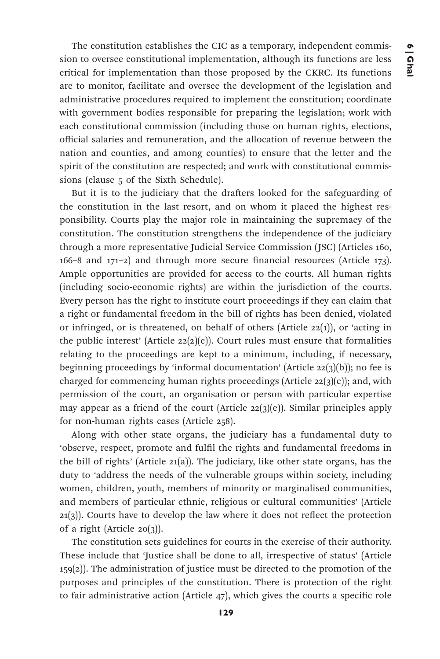The constitution establishes the CIC as a temporary, independent commission to oversee constitutional implementation, although its functions are less critical for implementation than those proposed by the CKRC. Its functions are to monitor, facilitate and oversee the development of the legislation and administrative procedures required to implement the constitution; coordinate with government bodies responsible for preparing the legislation; work with each constitutional commission (including those on human rights, elections, official salaries and remuneration, and the allocation of revenue between the nation and counties, and among counties) to ensure that the letter and the spirit of the constitution are respected; and work with constitutional commissions (clause 5 of the Sixth Schedule).

But it is to the judiciary that the drafters looked for the safeguarding of the constitution in the last resort, and on whom it placed the highest responsibility. Courts play the major role in maintaining the supremacy of the constitution. The constitution strengthens the independence of the judiciary through a more representative Judicial Service Commission (JSC) (Articles 160, 166–8 and 171–2) and through more secure financial resources (Article 173). Ample opportunities are provided for access to the courts. All human rights (including socio-economic rights) are within the jurisdiction of the courts. Every person has the right to institute court proceedings if they can claim that a right or fundamental freedom in the bill of rights has been denied, violated or infringed, or is threatened, on behalf of others (Article 22(1)), or 'acting in the public interest' (Article  $22(2)(c)$ ). Court rules must ensure that formalities relating to the proceedings are kept to a minimum, including, if necessary, beginning proceedings by 'informal documentation' (Article  $22(j)(b)$ ); no fee is charged for commencing human rights proceedings (Article  $22(j)(c)$ ); and, with permission of the court, an organisation or person with particular expertise may appear as a friend of the court (Article  $22(3)(e)$ ). Similar principles apply for non-human rights cases (Article 258).

Along with other state organs, the judiciary has a fundamental duty to 'observe, respect, promote and fulfil the rights and fundamental freedoms in the bill of rights' (Article 21(a)). The judiciary, like other state organs, has the duty to 'address the needs of the vulnerable groups within society, including women, children, youth, members of minority or marginalised communities, and members of particular ethnic, religious or cultural communities' (Article  $21(3)$ ). Courts have to develop the law where it does not reflect the protection of a right (Article 20(3)).

The constitution sets guidelines for courts in the exercise of their authority. These include that 'Justice shall be done to all, irrespective of status' (Article 159(2)). The administration of justice must be directed to the promotion of the purposes and principles of the constitution. There is protection of the right to fair administrative action (Article 47), which gives the courts a specific role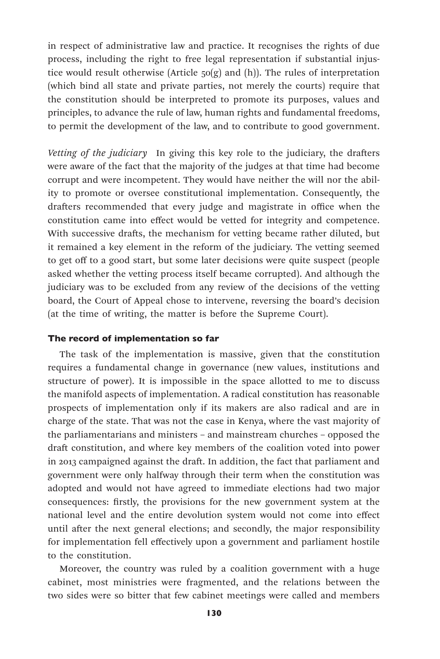in respect of administrative law and practice. It recognises the rights of due process, including the right to free legal representation if substantial injustice would result otherwise (Article 50(g) and (h)). The rules of interpretation (which bind all state and private parties, not merely the courts) require that the constitution should be interpreted to promote its purposes, values and principles, to advance the rule of law, human rights and fundamental freedoms, to permit the development of the law, and to contribute to good government.

*Vetting of the judiciary* In giving this key role to the judiciary, the drafters were aware of the fact that the majority of the judges at that time had become corrupt and were incompetent. They would have neither the will nor the ability to promote or oversee constitutional implementation. Consequently, the drafters recommended that every judge and magistrate in office when the constitution came into effect would be vetted for integrity and competence. With successive drafts, the mechanism for vetting became rather diluted, but it remained a key element in the reform of the judiciary. The vetting seemed to get off to a good start, but some later decisions were quite suspect (people asked whether the vetting process itself became corrupted). And although the judiciary was to be excluded from any review of the decisions of the vetting board, the Court of Appeal chose to intervene, reversing the board's decision (at the time of writing, the matter is before the Supreme Court).

#### The record of implementation so far

The task of the implementation is massive, given that the constitution requires a fundamental change in governance (new values, institutions and structure of power). It is impossible in the space allotted to me to discuss the manifold aspects of implementation. A radical constitution has reasonable prospects of implementation only if its makers are also radical and are in charge of the state. That was not the case in Kenya, where the vast majority of the parliamentarians and ministers – and mainstream churches – opposed the draft constitution, and where key members of the coalition voted into power in 2013 campaigned against the draft. In addition, the fact that parliament and government were only halfway through their term when the constitution was adopted and would not have agreed to immediate elections had two major consequences: firstly, the provisions for the new government system at the national level and the entire devolution system would not come into effect until after the next general elections; and secondly, the major responsibility for implementation fell effectively upon a government and parliament hostile to the constitution.

Moreover, the country was ruled by a coalition government with a huge cabinet, most ministries were fragmented, and the relations between the two sides were so bitter that few cabinet meetings were called and members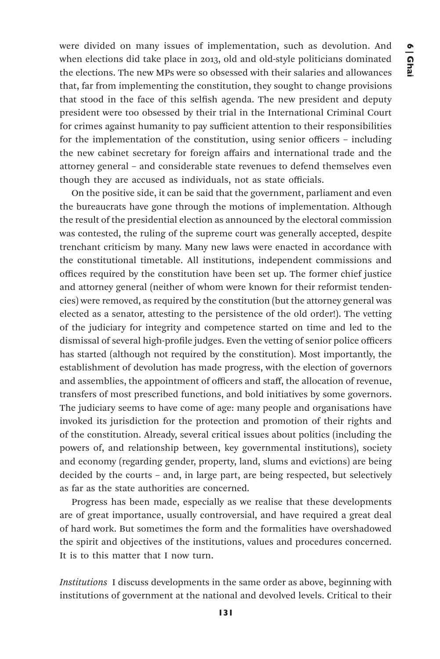were divided on many issues of implementation, such as devolution. And when elections did take place in 2013, old and old-style politicians dominated the elections. The new MPs were so obsessed with their salaries and allowances that, far from implementing the constitution, they sought to change provisions that stood in the face of this selfish agenda. The new president and deputy president were too obsessed by their trial in the International Criminal Court for crimes against humanity to pay sufficient attention to their responsibilities for the implementation of the constitution, using senior officers – including the new cabinet secretary for foreign affairs and international trade and the attorney general – and considerable state revenues to defend themselves even though they are accused as individuals, not as state officials.

On the positive side, it can be said that the government, parliament and even the bureaucrats have gone through the motions of implementation. Although the result of the presidential election as announced by the electoral commission was contested, the ruling of the supreme court was generally accepted, despite trenchant criticism by many. Many new laws were enacted in accordance with the constitutional timetable. All institutions, independent commissions and offices required by the constitution have been set up. The former chief justice and attorney general (neither of whom were known for their reformist tendencies) were removed, as required by the constitution (but the attorney general was elected as a senator, attesting to the persistence of the old order!). The vetting of the judiciary for integrity and competence started on time and led to the dismissal of several high-profile judges. Even the vetting of senior police officers has started (although not required by the constitution). Most importantly, the establishment of devolution has made progress, with the election of governors and assemblies, the appointment of officers and staff, the allocation of revenue, transfers of most prescribed functions, and bold initiatives by some governors. The judiciary seems to have come of age: many people and organisations have invoked its jurisdiction for the protection and promotion of their rights and of the constitution. Already, several critical issues about politics (including the powers of, and relationship between, key governmental institutions), society and economy (regarding gender, property, land, slums and evictions) are being decided by the courts – and, in large part, are being respected, but selectively as far as the state authorities are concerned.

Progress has been made, especially as we realise that these developments are of great importance, usually controversial, and have required a great deal of hard work. But sometimes the form and the formalities have overshadowed the spirit and objectives of the institutions, values and procedures concerned. It is to this matter that I now turn.

*Institutions* I discuss developments in the same order as above, beginning with institutions of government at the national and devolved levels. Critical to their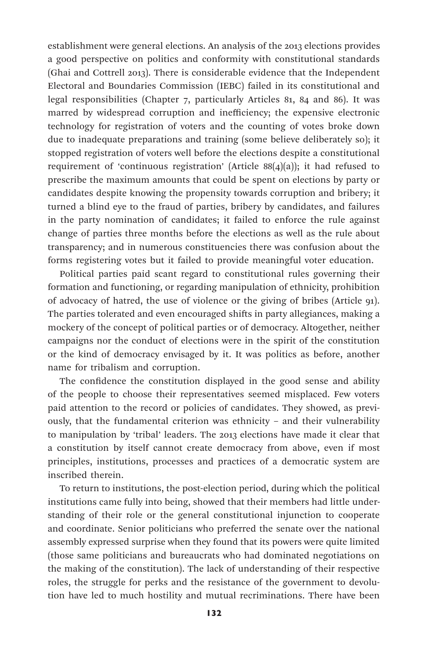establishment were general elections. An analysis of the 2013 elections provides a good perspective on politics and conformity with constitutional standards (Ghai and Cottrell 2013). There is considerable evidence that the Independent Electoral and Boundaries Commission (IEBC) failed in its constitutional and legal responsibilities (Chapter 7, particularly Articles 81, 84 and 86). It was marred by widespread corruption and inefficiency; the expensive electronic technology for registration of voters and the counting of votes broke down due to inadequate preparations and training (some believe deliberately so); it stopped registration of voters well before the elections despite a constitutional requirement of 'continuous registration' (Article 88(4)(a)); it had refused to prescribe the maximum amounts that could be spent on elections by party or candidates despite knowing the propensity towards corruption and bribery; it turned a blind eye to the fraud of parties, bribery by candidates, and failures in the party nomination of candidates; it failed to enforce the rule against change of parties three months before the elections as well as the rule about transparency; and in numerous constituencies there was confusion about the forms registering votes but it failed to provide meaningful voter education.

Political parties paid scant regard to constitutional rules governing their formation and functioning, or regarding manipulation of ethnicity, prohibition of advocacy of hatred, the use of violence or the giving of bribes (Article 91). The parties tolerated and even encouraged shifts in party allegiances, making a mockery of the concept of political parties or of democracy. Altogether, neither campaigns nor the conduct of elections were in the spirit of the constitution or the kind of democracy envisaged by it. It was politics as before, another name for tribalism and corruption.

The confidence the constitution displayed in the good sense and ability of the people to choose their representatives seemed misplaced. Few voters paid attention to the record or policies of candidates. They showed, as previously, that the fundamental criterion was ethnicity – and their vulnerability to manipulation by 'tribal' leaders. The 2013 elections have made it clear that a constitution by itself cannot create democracy from above, even if most principles, institutions, processes and practices of a democratic system are inscribed therein.

To return to institutions, the post-election period, during which the political institutions came fully into being, showed that their members had little understanding of their role or the general constitutional injunction to cooperate and coordinate. Senior politicians who preferred the senate over the national assembly expressed surprise when they found that its powers were quite limited (those same politicians and bureaucrats who had dominated negotiations on the making of the constitution). The lack of understanding of their respective roles, the struggle for perks and the resistance of the government to devolution have led to much hostility and mutual recriminations. There have been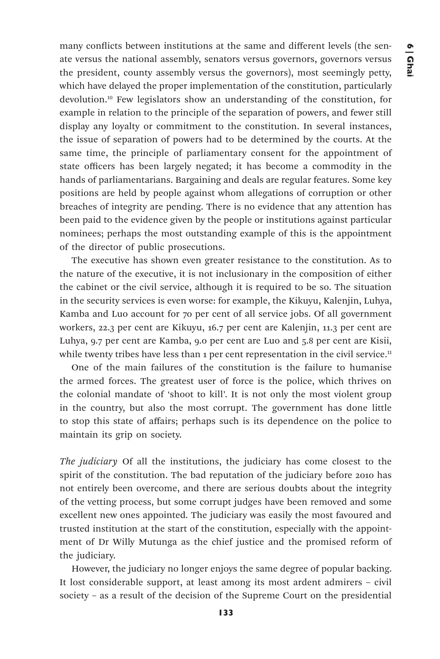many conflicts between institutions at the same and different levels (the senate versus the national assembly, senators versus governors, governors versus the president, county assembly versus the governors), most seemingly petty, which have delayed the proper implementation of the constitution, particularly devolution.10 Few legislators show an understanding of the constitution, for example in relation to the principle of the separation of powers, and fewer still display any loyalty or commitment to the constitution. In several instances, the issue of separation of powers had to be determined by the courts. At the same time, the principle of parliamentary consent for the appointment of state officers has been largely negated; it has become a commodity in the hands of parliamentarians. Bargaining and deals are regular features. Some key positions are held by people against whom allegations of corruption or other breaches of integrity are pending. There is no evidence that any attention has been paid to the evidence given by the people or institutions against particular nominees; perhaps the most outstanding example of this is the appointment of the director of public prosecutions.

The executive has shown even greater resistance to the constitution. As to the nature of the executive, it is not inclusionary in the composition of either the cabinet or the civil service, although it is required to be so. The situation in the security services is even worse: for example, the Kikuyu, Kalenjin, Luhya, Kamba and Luo account for 70 per cent of all service jobs. Of all government workers, 22.3 per cent are Kikuyu, 16.7 per cent are Kalenjin, 11.3 per cent are Luhya, 9.7 per cent are Kamba, 9.0 per cent are Luo and 5.8 per cent are Kisii, while twenty tribes have less than 1 per cent representation in the civil service.<sup>11</sup>

One of the main failures of the constitution is the failure to humanise the armed forces. The greatest user of force is the police, which thrives on the colonial mandate of 'shoot to kill'. It is not only the most violent group in the country, but also the most corrupt. The government has done little to stop this state of affairs; perhaps such is its dependence on the police to maintain its grip on society.

*The judiciary* Of all the institutions, the judiciary has come closest to the spirit of the constitution. The bad reputation of the judiciary before 2010 has not entirely been overcome, and there are serious doubts about the integrity of the vetting process, but some corrupt judges have been removed and some excellent new ones appointed. The judiciary was easily the most favoured and trusted institution at the start of the constitution, especially with the appointment of Dr Willy Mutunga as the chief justice and the promised reform of the judiciary.

However, the judiciary no longer enjoys the same degree of popular backing. It lost considerable support, at least among its most ardent admirers – civil society – as a result of the decision of the Supreme Court on the presidential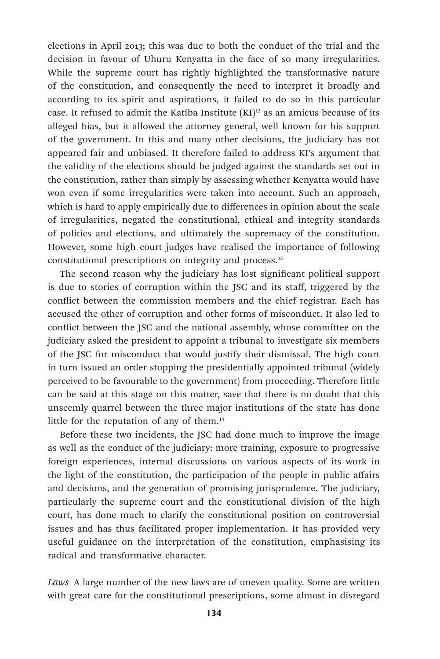elections in April 2013; this was due to both the conduct of the trial and the decision in favour of Uhuru Kenyatta in the face of so many irregularities. While the supreme court has rightly highlighted the transformative nature of the constitution, and consequently the need to interpret it broadly and according to its spirit and aspirations, it failed to do so in this particular case. It refused to admit the Katiba Institute  $(KI)^{12}$  as an amicus because of its alleged bias, but it allowed the attorney general, well known for his support of the government. In this and many other decisions, the judiciary has not appeared fair and unbiased. It therefore failed to address KI's argument that the validity of the elections should be judged against the standards set out in the constitution, rather than simply by assessing whether Kenyatta would have won even if some irregularities were taken into account. Such an approach, which is hard to apply empirically due to differences in opinion about the scale of irregularities, negated the constitutional, ethical and integrity standards of politics and elections, and ultimately the supremacy of the constitution. However, some high court judges have realised the importance of following constitutional prescriptions on integrity and process.13

The second reason why the judiciary has lost significant political support is due to stories of corruption within the JSC and its staff, triggered by the conflict between the commission members and the chief registrar. Each has accused the other of corruption and other forms of misconduct. It also led to conflict between the JSC and the national assembly, whose committee on the judiciary asked the president to appoint a tribunal to investigate six members of the JSC for misconduct that would justify their dismissal. The high court in turn issued an order stopping the presidentially appointed tribunal (widely perceived to be favourable to the government) from proceeding. Therefore little can be said at this stage on this matter, save that there is no doubt that this unseemly quarrel between the three major institutions of the state has done little for the reputation of any of them.<sup>14</sup>

Before these two incidents, the JSC had done much to improve the image as well as the conduct of the judiciary: more training, exposure to progressive foreign experiences, internal discussions on various aspects of its work in the light of the constitution, the participation of the people in public affairs and decisions, and the generation of promising jurisprudence. The judiciary, particularly the supreme court and the constitutional division of the high court, has done much to clarify the constitutional position on controversial issues and has thus facilitated proper implementation. It has provided very useful guidance on the interpretation of the constitution, emphasising its radical and transformative character.

*Laws* A large number of the new laws are of uneven quality. Some are written with great care for the constitutional prescriptions, some almost in disregard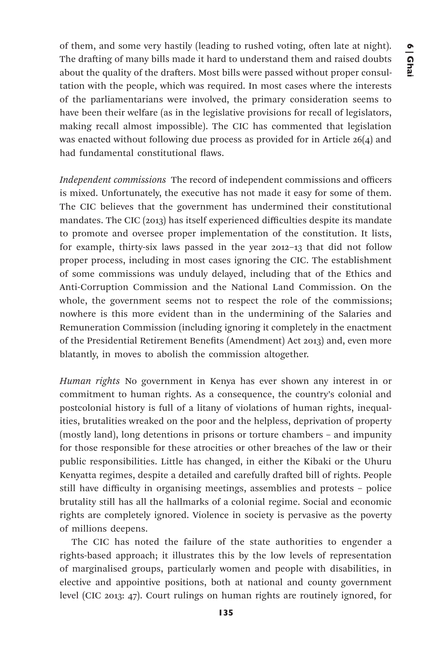of them, and some very hastily (leading to rushed voting, often late at night). The drafting of many bills made it hard to understand them and raised doubts about the quality of the drafters. Most bills were passed without proper consultation with the people, which was required. In most cases where the interests of the parliamentarians were involved, the primary consideration seems to have been their welfare (as in the legislative provisions for recall of legislators, making recall almost impossible). The CIC has commented that legislation was enacted without following due process as provided for in Article 26(4) and had fundamental constitutional flaws.

*Independent commissions* The record of independent commissions and officers is mixed. Unfortunately, the executive has not made it easy for some of them. The CIC believes that the government has undermined their constitutional mandates. The CIC (2013) has itself experienced difficulties despite its mandate to promote and oversee proper implementation of the constitution. It lists, for example, thirty-six laws passed in the year 2012–13 that did not follow proper process, including in most cases ignoring the CIC. The establishment of some commissions was unduly delayed, including that of the Ethics and Anti-Corruption Commission and the National Land Commission. On the whole, the government seems not to respect the role of the commissions; nowhere is this more evident than in the undermining of the Salaries and Remuneration Commission (including ignoring it completely in the enactment of the Presidential Retirement Benefits (Amendment) Act 2013) and, even more blatantly, in moves to abolish the commission altogether.

*Human rights* No government in Kenya has ever shown any interest in or commitment to human rights. As a consequence, the country's colonial and postcolonial history is full of a litany of violations of human rights, inequalities, brutalities wreaked on the poor and the helpless, deprivation of property (mostly land), long detentions in prisons or torture chambers – and impunity for those responsible for these atrocities or other breaches of the law or their public responsibilities. Little has changed, in either the Kibaki or the Uhuru Kenyatta regimes, despite a detailed and carefully drafted bill of rights. People still have difficulty in organising meetings, assemblies and protests – police brutality still has all the hallmarks of a colonial regime. Social and economic rights are completely ignored. Violence in society is pervasive as the poverty of millions deepens.

The CIC has noted the failure of the state authorities to engender a rights-based approach; it illustrates this by the low levels of representation of marginalised groups, particularly women and people with disabilities, in elective and appointive positions, both at national and county government level (CIC 2013: 47). Court rulings on human rights are routinely ignored, for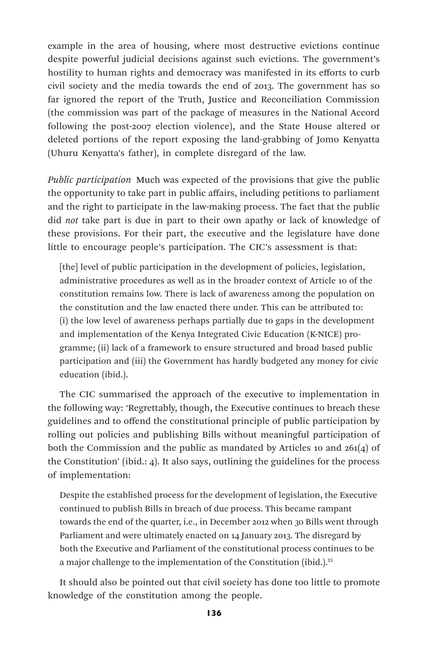example in the area of housing, where most destructive evictions continue despite powerful judicial decisions against such evictions. The government's hostility to human rights and democracy was manifested in its efforts to curb civil society and the media towards the end of 2013. The government has so far ignored the report of the Truth, Justice and Reconciliation Commission (the commission was part of the package of measures in the National Accord following the post-2007 election violence), and the State House altered or deleted portions of the report exposing the land-grabbing of Jomo Kenyatta (Uhuru Kenyatta's father), in complete disregard of the law.

*Public participation* Much was expected of the provisions that give the public the opportunity to take part in public affairs, including petitions to parliament and the right to participate in the law-making process. The fact that the public did *not* take part is due in part to their own apathy or lack of knowledge of these provisions. For their part, the executive and the legislature have done little to encourage people's participation. The CIC's assessment is that:

[the] level of public participation in the development of policies, legislation, administrative procedures as well as in the broader context of Article 10 of the constitution remains low. There is lack of awareness among the population on the constitution and the law enacted there under. This can be attributed to: (i) the low level of awareness perhaps partially due to gaps in the development and implementation of the Kenya Integrated Civic Education (K-NICE) programme; (ii) lack of a framework to ensure structured and broad based public participation and (iii) the Government has hardly budgeted any money for civic education (ibid.).

The CIC summarised the approach of the executive to implementation in the following way: 'Regrettably, though, the Executive continues to breach these guidelines and to offend the constitutional principle of public participation by rolling out policies and publishing Bills without meaningful participation of both the Commission and the public as mandated by Articles 10 and 261(4) of the Constitution' (ibid.: 4). It also says, outlining the guidelines for the process of implementation:

Despite the established process for the development of legislation, the Executive continued to publish Bills in breach of due process. This became rampant towards the end of the quarter, i.e., in December 2012 when 30 Bills went through Parliament and were ultimately enacted on 14 January 2013. The disregard by both the Executive and Parliament of the constitutional process continues to be a major challenge to the implementation of the Constitution (ibid.).<sup>15</sup>

It should also be pointed out that civil society has done too little to promote knowledge of the constitution among the people.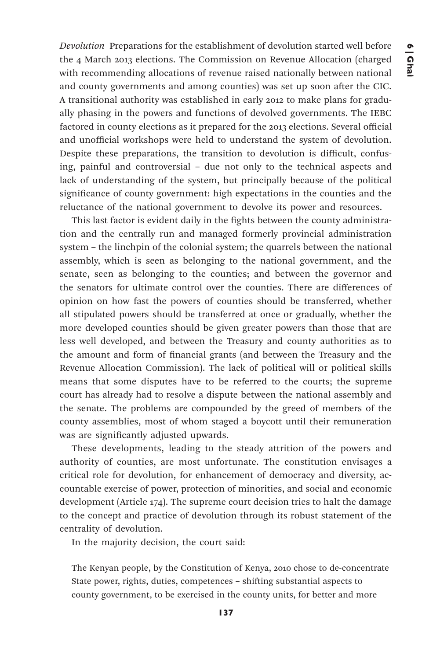*Devolution* Preparations for the establishment of devolution started well before the 4 March 2013 elections. The Commission on Revenue Allocation (charged with recommending allocations of revenue raised nationally between national and county governments and among counties) was set up soon after the CIC. A transitional authority was established in early 2012 to make plans for gradually phasing in the powers and functions of devolved governments. The IEBC factored in county elections as it prepared for the 2013 elections. Several official and unofficial workshops were held to understand the system of devolution. Despite these preparations, the transition to devolution is difficult, confusing, painful and controversial – due not only to the technical aspects and lack of understanding of the system, but principally because of the political significance of county government: high expectations in the counties and the reluctance of the national government to devolve its power and resources.

This last factor is evident daily in the fights between the county administration and the centrally run and managed formerly provincial administration system – the linchpin of the colonial system; the quarrels between the national assembly, which is seen as belonging to the national government, and the senate, seen as belonging to the counties; and between the governor and the senators for ultimate control over the counties. There are differences of opinion on how fast the powers of counties should be transferred, whether all stipulated powers should be transferred at once or gradually, whether the more developed counties should be given greater powers than those that are less well developed, and between the Treasury and county authorities as to the amount and form of financial grants (and between the Treasury and the Revenue Allocation Commission). The lack of political will or political skills means that some disputes have to be referred to the courts; the supreme court has already had to resolve a dispute between the national assembly and the senate. The problems are compounded by the greed of members of the county assemblies, most of whom staged a boycott until their remuneration was are significantly adjusted upwards.

These developments, leading to the steady attrition of the powers and authority of counties, are most unfortunate. The constitution envisages a critical role for devolution, for enhancement of democracy and diversity, accountable exercise of power, protection of minorities, and social and economic development (Article 174). The supreme court decision tries to halt the damage to the concept and practice of devolution through its robust statement of the centrality of devolution.

In the majority decision, the court said:

The Kenyan people, by the Constitution of Kenya, 2010 chose to de-concentrate State power, rights, duties, competences – shifting substantial aspects to county government, to be exercised in the county units, for better and more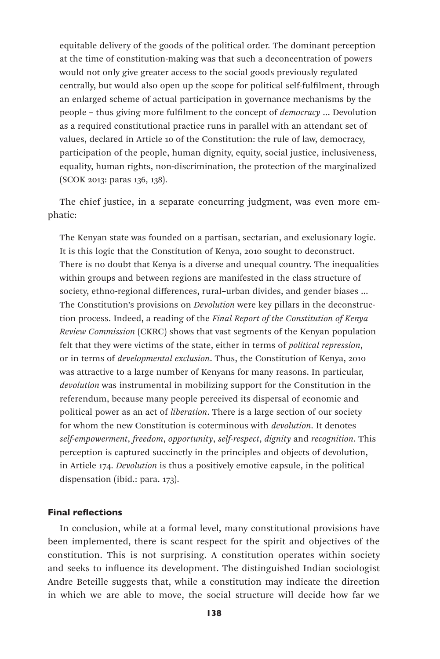equitable delivery of the goods of the political order. The dominant perception at the time of constitution-making was that such a deconcentration of powers would not only give greater access to the social goods previously regulated centrally, but would also open up the scope for political self-fulfilment, through an enlarged scheme of actual participation in governance mechanisms by the people – thus giving more fulfilment to the concept of *democracy* … Devolution as a required constitutional practice runs in parallel with an attendant set of values, declared in Article 10 of the Constitution: the rule of law, democracy, participation of the people, human dignity, equity, social justice, inclusiveness, equality, human rights, non-discrimination, the protection of the marginalized (SCOK 2013: paras 136, 138).

The chief justice, in a separate concurring judgment, was even more emphatic:

The Kenyan state was founded on a partisan, sectarian, and exclusionary logic. It is this logic that the Constitution of Kenya, 2010 sought to deconstruct. There is no doubt that Kenya is a diverse and unequal country. The inequalities within groups and between regions are manifested in the class structure of society, ethno-regional differences, rural–urban divides, and gender biases ... The Constitution's provisions on *Devolution* were key pillars in the deconstruction process. Indeed, a reading of the *Final Report of the Constitution of Kenya Review Commission* (CKRC) shows that vast segments of the Kenyan population felt that they were victims of the state, either in terms of *political repression*, or in terms of *developmental exclusion*. Thus, the Constitution of Kenya, 2010 was attractive to a large number of Kenyans for many reasons. In particular, *devolution* was instrumental in mobilizing support for the Constitution in the referendum, because many people perceived its dispersal of economic and political power as an act of *liberation*. There is a large section of our society for whom the new Constitution is coterminous with *devolution*. It denotes *self-empowerment*, *freedom*, *opportunity*, *self-respect*, *dignity* and *recognition*. This perception is captured succinctly in the principles and objects of devolution, in Article 174. *Devolution* is thus a positively emotive capsule, in the political dispensation (ibid.: para. 173).

# Final reflections

In conclusion, while at a formal level, many constitutional provisions have been implemented, there is scant respect for the spirit and objectives of the constitution. This is not surprising. A constitution operates within society and seeks to influence its development. The distinguished Indian sociologist Andre Beteille suggests that, while a constitution may indicate the direction in which we are able to move, the social structure will decide how far we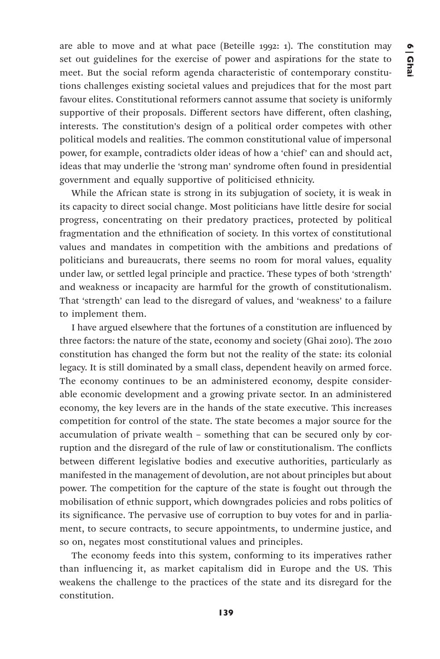are able to move and at what pace (Beteille 1992: 1). The constitution may set out guidelines for the exercise of power and aspirations for the state to meet. But the social reform agenda characteristic of contemporary constitutions challenges existing societal values and prejudices that for the most part favour elites. Constitutional reformers cannot assume that society is uniformly supportive of their proposals. Different sectors have different, often clashing, interests. The constitution's design of a political order competes with other political models and realities. The common constitutional value of impersonal power, for example, contradicts older ideas of how a 'chief' can and should act, ideas that may underlie the 'strong man' syndrome often found in presidential government and equally supportive of politicised ethnicity.

While the African state is strong in its subjugation of society, it is weak in its capacity to direct social change. Most politicians have little desire for social progress, concentrating on their predatory practices, protected by political fragmentation and the ethnification of society. In this vortex of constitutional values and mandates in competition with the ambitions and predations of politicians and bureaucrats, there seems no room for moral values, equality under law, or settled legal principle and practice. These types of both 'strength' and weakness or incapacity are harmful for the growth of constitutionalism. That 'strength' can lead to the disregard of values, and 'weakness' to a failure to implement them.

I have argued elsewhere that the fortunes of a constitution are influenced by three factors: the nature of the state, economy and society (Ghai 2010). The 2010 constitution has changed the form but not the reality of the state: its colonial legacy. It is still dominated by a small class, dependent heavily on armed force. The economy continues to be an administered economy, despite considerable economic development and a growing private sector. In an administered economy, the key levers are in the hands of the state executive. This increases competition for control of the state. The state becomes a major source for the accumulation of private wealth – something that can be secured only by corruption and the disregard of the rule of law or constitutionalism. The conflicts between different legislative bodies and executive authorities, particularly as manifested in the management of devolution, are not about principles but about power. The competition for the capture of the state is fought out through the mobilisation of ethnic support, which downgrades policies and robs politics of its significance. The pervasive use of corruption to buy votes for and in parliament, to secure contracts, to secure appointments, to undermine justice, and so on, negates most constitutional values and principles.

The economy feeds into this system, conforming to its imperatives rather than influencing it, as market capitalism did in Europe and the US. This weakens the challenge to the practices of the state and its disregard for the constitution.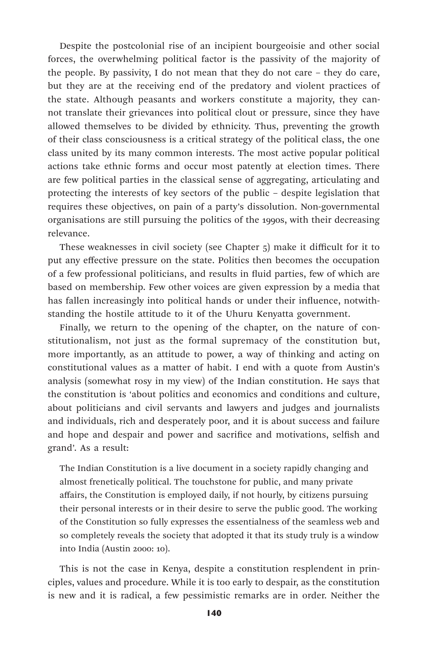Despite the postcolonial rise of an incipient bourgeoisie and other social forces, the overwhelming political factor is the passivity of the majority of the people. By passivity, I do not mean that they do not care – they do care, but they are at the receiving end of the predatory and violent practices of the state. Although peasants and workers constitute a majority, they cannot translate their grievances into political clout or pressure, since they have allowed themselves to be divided by ethnicity. Thus, preventing the growth of their class consciousness is a critical strategy of the political class, the one class united by its many common interests. The most active popular political actions take ethnic forms and occur most patently at election times. There are few political parties in the classical sense of aggregating, articulating and protecting the interests of key sectors of the public – despite legislation that requires these objectives, on pain of a party's dissolution. Non-governmental organisations are still pursuing the politics of the 1990s, with their decreasing relevance.

These weaknesses in civil society (see Chapter 5) make it difficult for it to put any effective pressure on the state. Politics then becomes the occupation of a few professional politicians, and results in fluid parties, few of which are based on membership. Few other voices are given expression by a media that has fallen increasingly into political hands or under their influence, notwithstanding the hostile attitude to it of the Uhuru Kenyatta government.

Finally, we return to the opening of the chapter, on the nature of constitutionalism, not just as the formal supremacy of the constitution but, more importantly, as an attitude to power, a way of thinking and acting on constitutional values as a matter of habit. I end with a quote from Austin's analysis (somewhat rosy in my view) of the Indian constitution. He says that the constitution is 'about politics and economics and conditions and culture, about politicians and civil servants and lawyers and judges and journalists and individuals, rich and desperately poor, and it is about success and failure and hope and despair and power and sacrifice and motivations, selfish and grand'. As a result:

The Indian Constitution is a live document in a society rapidly changing and almost frenetically political. The touchstone for public, and many private affairs, the Constitution is employed daily, if not hourly, by citizens pursuing their personal interests or in their desire to serve the public good. The working of the Constitution so fully expresses the essentialness of the seamless web and so completely reveals the society that adopted it that its study truly is a window into India (Austin 2000: 10).

This is not the case in Kenya, despite a constitution resplendent in principles, values and procedure. While it is too early to despair, as the constitution is new and it is radical, a few pessimistic remarks are in order. Neither the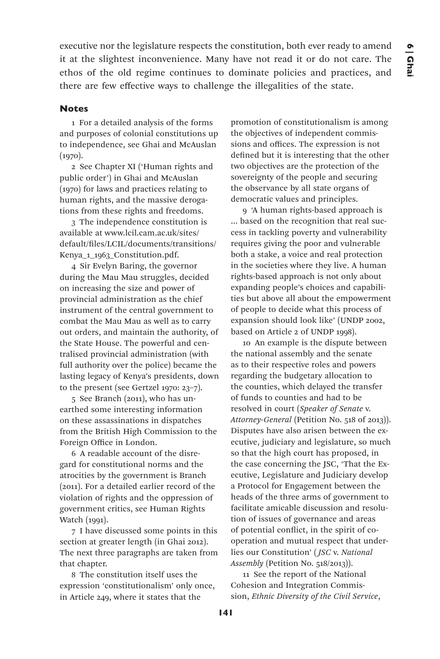executive nor the legislature respects the constitution, both ever ready to amend it at the slightest inconvenience. Many have not read it or do not care. The ethos of the old regime continues to dominate policies and practices, and there are few effective ways to challenge the illegalities of the state.

## **Notes**

1 For a detailed analysis of the forms and purposes of colonial constitutions up to independence, see Ghai and McAuslan  $(1970)$ .

2 See Chapter XI ('Human rights and public order') in Ghai and McAuslan (1970) for laws and practices relating to human rights, and the massive derogations from these rights and freedoms.

3 The independence constitution is available at www.lcil.cam.ac.uk/sites/ default/files/LCIL/documents/transitions/ Kenya\_1\_1963\_Constitution.pdf.

4 Sir Evelyn Baring, the governor during the Mau Mau struggles, decided on increasing the size and power of provincial administration as the chief instrument of the central government to combat the Mau Mau as well as to carry out orders, and maintain the authority, of the State House. The powerful and centralised provincial administration (with full authority over the police) became the lasting legacy of Kenya's presidents, down to the present (see Gertzel 1970: 23–7).

5 See Branch (2011), who has unearthed some interesting information on these assassinations in dispatches from the British High Commission to the Foreign Office in London.

6 A readable account of the disregard for constitutional norms and the atrocities by the government is Branch (2011). For a detailed earlier record of the violation of rights and the oppression of government critics, see Human Rights Watch (1991).

7 I have discussed some points in this section at greater length (in Ghai 2012). The next three paragraphs are taken from that chapter.

8 The constitution itself uses the expression 'constitutionalism' only once, in Article 249, where it states that the

promotion of constitutionalism is among the objectives of independent commissions and offices. The expression is not defined but it is interesting that the other two objectives are the protection of the sovereignty of the people and securing the observance by all state organs of democratic values and principles.

9 'A human rights-based approach is … based on the recognition that real success in tackling poverty and vulnerability requires giving the poor and vulnerable both a stake, a voice and real protection in the societies where they live. A human rights-based approach is not only about expanding people's choices and capabilities but above all about the empowerment of people to decide what this process of expansion should look like' (UNDP 2002, based on Article 2 of UNDP 1998).

10 An example is the dispute between the national assembly and the senate as to their respective roles and powers regarding the budgetary allocation to the counties, which delayed the transfer of funds to counties and had to be resolved in court (*Speaker of Senate* v. *Attorney-General* (Petition No. 518 of 2013)). Disputes have also arisen between the executive, judiciary and legislature, so much so that the high court has proposed, in the case concerning the JSC, 'That the Executive, Legislature and Judiciary develop a Protocol for Engagement between the heads of the three arms of government to facilitate amicable discussion and resolution of issues of governance and areas of potential conflict, in the spirit of cooperation and mutual respect that underlies our Constitution' ( *JSC* v. *National Assembly* (Petition No. 518/2013)).

11 See the report of the National Cohesion and Integration Commission, *Ethnic Diversity of the Civil Service*,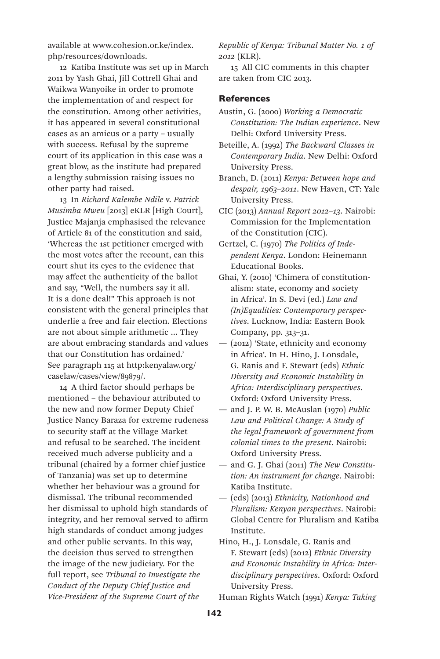available at www.cohesion.or.ke/index. php/resources/downloads.

12 Katiba Institute was set up in March 2011 by Yash Ghai, Jill Cottrell Ghai and Waikwa Wanyoike in order to promote the implementation of and respect for the constitution. Among other activities, it has appeared in several constitutional cases as an amicus or a party – usually with success. Refusal by the supreme court of its application in this case was a great blow, as the institute had prepared a lengthy submission raising issues no other party had raised.

13 In *Richard Kalembe Ndile* v. *Patrick Musimba Mweu* [2013] eKLR [High Court], Justice Majanja emphasised the relevance of Article 81 of the constitution and said, 'Whereas the 1st petitioner emerged with the most votes after the recount, can this court shut its eyes to the evidence that may affect the authenticity of the ballot and say, "Well, the numbers say it all. It is a done deal!" This approach is not consistent with the general principles that underlie a free and fair election. Elections are not about simple arithmetic … They are about embracing standards and values that our Constitution has ordained.' See paragraph 115 at http:kenyalaw.org/ caselaw/cases/view/89879/.

14 A third factor should perhaps be mentioned – the behaviour attributed to the new and now former Deputy Chief Justice Nancy Baraza for extreme rudeness to security staff at the Village Market and refusal to be searched. The incident received much adverse publicity and a tribunal (chaired by a former chief justice of Tanzania) was set up to determine whether her behaviour was a ground for dismissal. The tribunal recommended her dismissal to uphold high standards of integrity, and her removal served to affirm high standards of conduct among judges and other public servants. In this way, the decision thus served to strengthen the image of the new judiciary. For the full report, see *Tribunal to Investigate the Conduct of the Deputy Chief Justice and Vice-President of the Supreme Court of the* 

*Republic of Kenya: Tribunal Matter No. 1 of 2012* (KLR).

15 All CIC comments in this chapter are taken from CIC 2013.

### **References**

- Austin, G. (2000) *Working a Democratic Constitution: The Indian experience*. New Delhi: Oxford University Press.
- Beteille, A. (1992) *The Backward Classes in Contemporary India*. New Delhi: Oxford University Press.
- Branch, D. (2011) *Kenya: Between hope and despair, 1963–2011*. New Haven, CT: Yale University Press.
- CIC (2013) *Annual Report 2012–13*. Nairobi: Commission for the Implementation of the Constitution (CIC).
- Gertzel, C. (1970) *The Politics of Independent Kenya*. London: Heinemann Educational Books.
- Ghai, Y. (2010) 'Chimera of constitutionalism: state, economy and society in Africa'. In S. Devi (ed.) *Law and (In)Equalities: Contemporary perspectives*. Lucknow, India: Eastern Book Company, pp. 313–31.
- (2012) 'State, ethnicity and economy in Africa'. In H. Hino, J. Lonsdale, G. Ranis and F. Stewart (eds) *Ethnic Diversity and Economic Instability in Africa: Interdisciplinary perspectives*. Oxford: Oxford University Press.
- and J. P. W. B. McAuslan (1970) *Public Law and Political Change: A Study of the legal framework of government from colonial times to the present*. Nairobi: Oxford University Press.
- and G. J. Ghai (2011) *The New Constitution: An instrument for change*. Nairobi: Katiba Institute.
- (eds) (2013) *Ethnicity, Nationhood and Pluralism: Kenyan perspectives*. Nairobi: Global Centre for Pluralism and Katiba Institute.
- Hino, H., J. Lonsdale, G. Ranis and F. Stewart (eds) (2012) *Ethnic Diversity and Economic Instability in Africa: Interdisciplinary perspectives*. Oxford: Oxford University Press.
- Human Rights Watch (1991) *Kenya: Taking*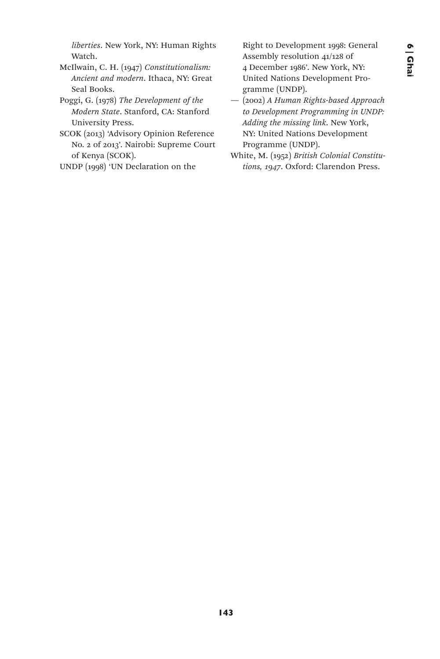*liberties*. New York, NY: Human Rights Watch.

- McIlwain, C. H. (1947) *Constitutionalism: Ancient and modern*. Ithaca, NY: Great Seal Books.
- Poggi, G. (1978) *The Development of the Modern State*. Stanford, CA: Stanford University Press.
- SCOK (2013) 'Advisory Opinion Reference No. 2 of 2013'. Nairobi: Supreme Court of Kenya (SCOK).
- UNDP (1998) 'UN Declaration on the

Right to Development 1998: General Assembly resolution 41/128 of 4 December 1986'. New York, NY: United Nations Development Programme (UNDP).

- (2002) *A Human Rights-based Approach to Development Programming in UNDP: Adding the missing link*. New York, NY: United Nations Development Programme (UNDP).
- White, M. (1952) *British Colonial Constitutions, 1947*. Oxford: Clarendon Press.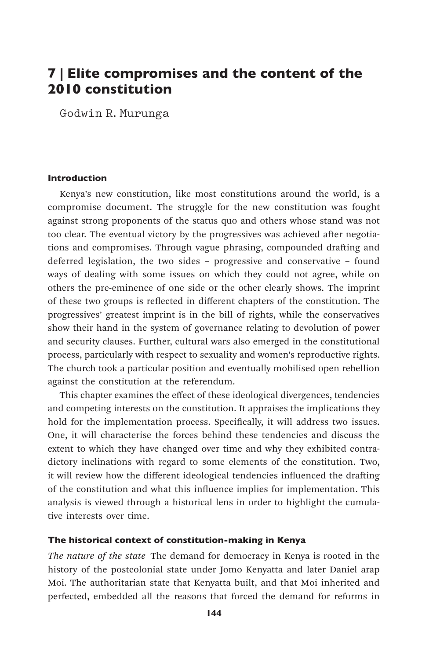# 7 | Elite compromises and the content of the 2010 constitution

Godwin R.Murunga

#### Introduction

Kenya's new constitution, like most constitutions around the world, is a compromise document. The struggle for the new constitution was fought against strong proponents of the status quo and others whose stand was not too clear. The eventual victory by the progressives was achieved after negotiations and compromises. Through vague phrasing, compounded drafting and deferred legislation, the two sides – progressive and conservative – found ways of dealing with some issues on which they could not agree, while on others the pre-eminence of one side or the other clearly shows. The imprint of these two groups is reflected in different chapters of the constitution. The progressives' greatest imprint is in the bill of rights, while the conservatives show their hand in the system of governance relating to devolution of power and security clauses. Further, cultural wars also emerged in the constitutional process, particularly with respect to sexuality and women's reproductive rights. The church took a particular position and eventually mobilised open rebellion against the constitution at the referendum.

This chapter examines the effect of these ideological divergences, tendencies and competing interests on the constitution. It appraises the implications they hold for the implementation process. Specifically, it will address two issues. One, it will characterise the forces behind these tendencies and discuss the extent to which they have changed over time and why they exhibited contradictory inclinations with regard to some elements of the constitution. Two, it will review how the different ideological tendencies influenced the drafting of the constitution and what this influence implies for implementation. This analysis is viewed through a historical lens in order to highlight the cumulative interests over time.

### The historical context of constitution-making in Kenya

*The nature of the state* The demand for democracy in Kenya is rooted in the history of the postcolonial state under Jomo Kenyatta and later Daniel arap Moi. The authoritarian state that Kenyatta built, and that Moi inherited and perfected, embedded all the reasons that forced the demand for reforms in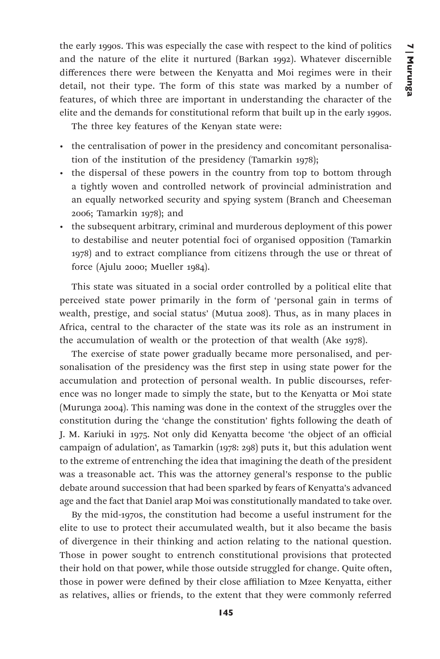the early 1990s. This was especially the case with respect to the kind of politics and the nature of the elite it nurtured (Barkan 1992). Whatever discernible differences there were between the Kenyatta and Moi regimes were in their detail, not their type. The form of this state was marked by a number of features, of which three are important in understanding the character of the elite and the demands for constitutional reform that built up in the early 1990s.

The three key features of the Kenyan state were:

- the centralisation of power in the presidency and concomitant personalisation of the institution of the presidency (Tamarkin 1978);
- the dispersal of these powers in the country from top to bottom through a tightly woven and controlled network of provincial administration and an equally networked security and spying system (Branch and Cheeseman 2006; Tamarkin 1978); and
- the subsequent arbitrary, criminal and murderous deployment of this power to destabilise and neuter potential foci of organised opposition (Tamarkin 1978) and to extract compliance from citizens through the use or threat of force (Ajulu 2000; Mueller 1984).

This state was situated in a social order controlled by a political elite that perceived state power primarily in the form of 'personal gain in terms of wealth, prestige, and social status' (Mutua 2008). Thus, as in many places in Africa, central to the character of the state was its role as an instrument in the accumulation of wealth or the protection of that wealth (Ake 1978).

The exercise of state power gradually became more personalised, and personalisation of the presidency was the first step in using state power for the accumulation and protection of personal wealth. In public discourses, reference was no longer made to simply the state, but to the Kenyatta or Moi state (Murunga 2004). This naming was done in the context of the struggles over the constitution during the 'change the constitution' fights following the death of J. M. Kariuki in 1975. Not only did Kenyatta become 'the object of an official campaign of adulation', as Tamarkin (1978: 298) puts it, but this adulation went to the extreme of entrenching the idea that imagining the death of the president was a treasonable act. This was the attorney general's response to the public debate around succession that had been sparked by fears of Kenyatta's advanced age and the fact that Daniel arap Moi was constitutionally mandated to take over.

By the mid-1970s, the constitution had become a useful instrument for the elite to use to protect their accumulated wealth, but it also became the basis of divergence in their thinking and action relating to the national question. Those in power sought to entrench constitutional provisions that protected their hold on that power, while those outside struggled for change. Quite often, those in power were defined by their close affiliation to Mzee Kenyatta, either as relatives, allies or friends, to the extent that they were commonly referred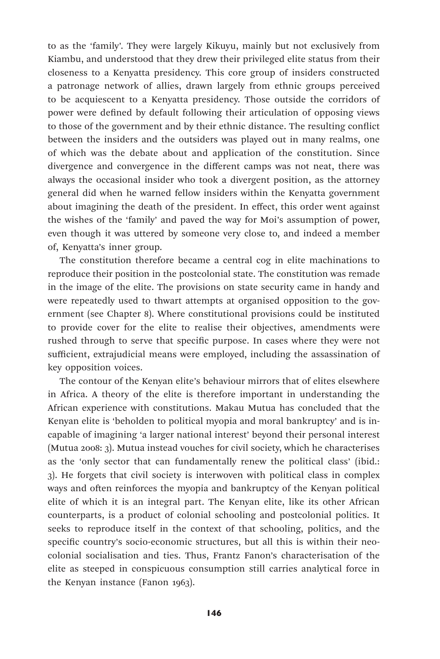to as the 'family'. They were largely Kikuyu, mainly but not exclusively from Kiambu, and understood that they drew their privileged elite status from their closeness to a Kenyatta presidency. This core group of insiders constructed a patronage network of allies, drawn largely from ethnic groups perceived to be acquiescent to a Kenyatta presidency. Those outside the corridors of power were defined by default following their articulation of opposing views to those of the government and by their ethnic distance. The resulting conflict between the insiders and the outsiders was played out in many realms, one of which was the debate about and application of the constitution. Since divergence and convergence in the different camps was not neat, there was always the occasional insider who took a divergent position, as the attorney general did when he warned fellow insiders within the Kenyatta government about imagining the death of the president. In effect, this order went against the wishes of the 'family' and paved the way for Moi's assumption of power, even though it was uttered by someone very close to, and indeed a member of, Kenyatta's inner group.

The constitution therefore became a central cog in elite machinations to reproduce their position in the postcolonial state. The constitution was remade in the image of the elite. The provisions on state security came in handy and were repeatedly used to thwart attempts at organised opposition to the government (see Chapter 8). Where constitutional provisions could be instituted to provide cover for the elite to realise their objectives, amendments were rushed through to serve that specific purpose. In cases where they were not sufficient, extrajudicial means were employed, including the assassination of key opposition voices.

The contour of the Kenyan elite's behaviour mirrors that of elites elsewhere in Africa. A theory of the elite is therefore important in understanding the African experience with constitutions. Makau Mutua has concluded that the Kenyan elite is 'beholden to political myopia and moral bankruptcy' and is incapable of imagining 'a larger national interest' beyond their personal interest (Mutua 2008: 3). Mutua instead vouches for civil society, which he characterises as the 'only sector that can fundamentally renew the political class' (ibid.: 3). He forgets that civil society is interwoven with political class in complex ways and often reinforces the myopia and bankruptcy of the Kenyan political elite of which it is an integral part. The Kenyan elite, like its other African counterparts, is a product of colonial schooling and postcolonial politics. It seeks to reproduce itself in the context of that schooling, politics, and the specific country's socio-economic structures, but all this is within their neocolonial socialisation and ties. Thus, Frantz Fanon's characterisation of the elite as steeped in conspicuous consumption still carries analytical force in the Kenyan instance (Fanon 1963).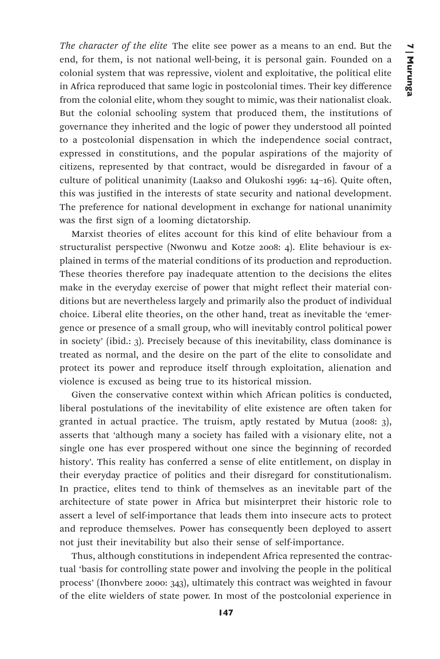*The character of the elite* The elite see power as a means to an end. But the end, for them, is not national well-being, it is personal gain. Founded on a colonial system that was repressive, violent and exploitative, the political elite in Africa reproduced that same logic in postcolonial times. Their key difference from the colonial elite, whom they sought to mimic, was their nationalist cloak. But the colonial schooling system that produced them, the institutions of governance they inherited and the logic of power they understood all pointed to a postcolonial dispensation in which the independence social contract, expressed in constitutions, and the popular aspirations of the majority of citizens, represented by that contract, would be disregarded in favour of a culture of political unanimity (Laakso and Olukoshi 1996: 14–16). Quite often, this was justified in the interests of state security and national development. The preference for national development in exchange for national unanimity was the first sign of a looming dictatorship.

Marxist theories of elites account for this kind of elite behaviour from a structuralist perspective (Nwonwu and Kotze 2008: 4). Elite behaviour is explained in terms of the material conditions of its production and reproduction. These theories therefore pay inadequate attention to the decisions the elites make in the everyday exercise of power that might reflect their material conditions but are nevertheless largely and primarily also the product of individual choice. Liberal elite theories, on the other hand, treat as inevitable the 'emergence or presence of a small group, who will inevitably control political power in society' (ibid.: 3). Precisely because of this inevitability, class dominance is treated as normal, and the desire on the part of the elite to consolidate and protect its power and reproduce itself through exploitation, alienation and violence is excused as being true to its historical mission.

Given the conservative context within which African politics is conducted, liberal postulations of the inevitability of elite existence are often taken for granted in actual practice. The truism, aptly restated by Mutua (2008: 3), asserts that 'although many a society has failed with a visionary elite, not a single one has ever prospered without one since the beginning of recorded history'. This reality has conferred a sense of elite entitlement, on display in their everyday practice of politics and their disregard for constitutionalism. In practice, elites tend to think of themselves as an inevitable part of the architecture of state power in Africa but misinterpret their historic role to assert a level of self-importance that leads them into insecure acts to protect and reproduce themselves. Power has consequently been deployed to assert not just their inevitability but also their sense of self-importance.

Thus, although constitutions in independent Africa represented the contractual 'basis for controlling state power and involving the people in the political process' (Ihonvbere 2000: 343), ultimately this contract was weighted in favour of the elite wielders of state power. In most of the postcolonial experience in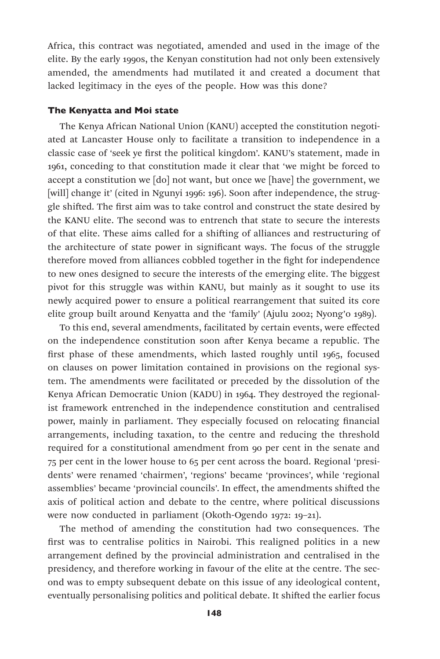Africa, this contract was negotiated, amended and used in the image of the elite. By the early 1990s, the Kenyan constitution had not only been extensively amended, the amendments had mutilated it and created a document that lacked legitimacy in the eyes of the people. How was this done?

### The Kenyatta and Moi state

The Kenya African National Union (KANU) accepted the constitution negotiated at Lancaster House only to facilitate a transition to independence in a classic case of 'seek ye first the political kingdom'. KANU's statement, made in 1961, conceding to that constitution made it clear that 'we might be forced to accept a constitution we [do] not want, but once we [have] the government, we [will] change it' (cited in Ngunyi 1996: 196). Soon after independence, the struggle shifted. The first aim was to take control and construct the state desired by the KANU elite. The second was to entrench that state to secure the interests of that elite. These aims called for a shifting of alliances and restructuring of the architecture of state power in significant ways. The focus of the struggle therefore moved from alliances cobbled together in the fight for independence to new ones designed to secure the interests of the emerging elite. The biggest pivot for this struggle was within KANU, but mainly as it sought to use its newly acquired power to ensure a political rearrangement that suited its core elite group built around Kenyatta and the 'family' (Ajulu 2002; Nyong'o 1989).

To this end, several amendments, facilitated by certain events, were effected on the independence constitution soon after Kenya became a republic. The first phase of these amendments, which lasted roughly until 1965, focused on clauses on power limitation contained in provisions on the regional system. The amendments were facilitated or preceded by the dissolution of the Kenya African Democratic Union (KADU) in 1964. They destroyed the regionalist framework entrenched in the independence constitution and centralised power, mainly in parliament. They especially focused on relocating financial arrangements, including taxation, to the centre and reducing the threshold required for a constitutional amendment from 90 per cent in the senate and 75 per cent in the lower house to 65 per cent across the board. Regional 'presidents' were renamed 'chairmen', 'regions' became 'provinces', while 'regional assemblies' became 'provincial councils'. In effect, the amendments shifted the axis of political action and debate to the centre, where political discussions were now conducted in parliament (Okoth-Ogendo 1972: 19–21).

The method of amending the constitution had two consequences. The first was to centralise politics in Nairobi. This realigned politics in a new arrangement defined by the provincial administration and centralised in the presidency, and therefore working in favour of the elite at the centre. The second was to empty subsequent debate on this issue of any ideological content, eventually personalising politics and political debate. It shifted the earlier focus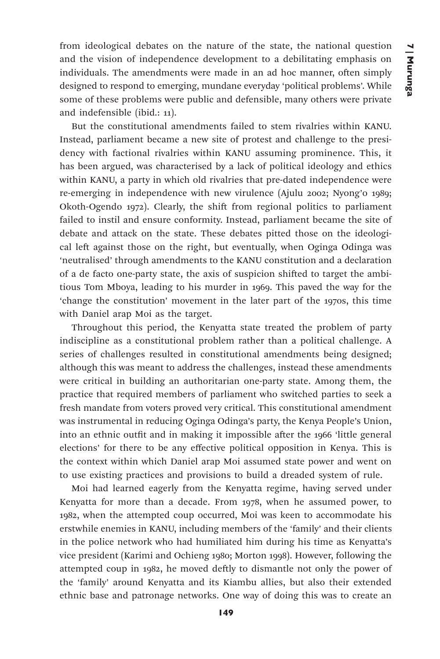from ideological debates on the nature of the state, the national question and the vision of independence development to a debilitating emphasis on individuals. The amendments were made in an ad hoc manner, often simply designed to respond to emerging, mundane everyday 'political problems'. While some of these problems were public and defensible, many others were private and indefensible (ibid.: 11).

But the constitutional amendments failed to stem rivalries within KANU. Instead, parliament became a new site of protest and challenge to the presidency with factional rivalries within KANU assuming prominence. This, it has been argued, was characterised by a lack of political ideology and ethics within KANU, a party in which old rivalries that pre-dated independence were re-emerging in independence with new virulence (Ajulu 2002; Nyong'o 1989; Okoth-Ogendo 1972). Clearly, the shift from regional politics to parliament failed to instil and ensure conformity. Instead, parliament became the site of debate and attack on the state. These debates pitted those on the ideological left against those on the right, but eventually, when Oginga Odinga was 'neutralised' through amendments to the KANU constitution and a declaration of a de facto one-party state, the axis of suspicion shifted to target the ambitious Tom Mboya, leading to his murder in 1969. This paved the way for the 'change the constitution' movement in the later part of the 1970s, this time with Daniel arap Moi as the target.

Throughout this period, the Kenyatta state treated the problem of party indiscipline as a constitutional problem rather than a political challenge. A series of challenges resulted in constitutional amendments being designed; although this was meant to address the challenges, instead these amendments were critical in building an authoritarian one-party state. Among them, the practice that required members of parliament who switched parties to seek a fresh mandate from voters proved very critical. This constitutional amendment was instrumental in reducing Oginga Odinga's party, the Kenya People's Union, into an ethnic outfit and in making it impossible after the 1966 'little general elections' for there to be any effective political opposition in Kenya. This is the context within which Daniel arap Moi assumed state power and went on to use existing practices and provisions to build a dreaded system of rule.

Moi had learned eagerly from the Kenyatta regime, having served under Kenyatta for more than a decade. From 1978, when he assumed power, to 1982, when the attempted coup occurred, Moi was keen to accommodate his erstwhile enemies in KANU, including members of the 'family' and their clients in the police network who had humiliated him during his time as Kenyatta's vice president (Karimi and Ochieng 1980; Morton 1998). However, following the attempted coup in 1982, he moved deftly to dismantle not only the power of the 'family' around Kenyatta and its Kiambu allies, but also their extended ethnic base and patronage networks. One way of doing this was to create an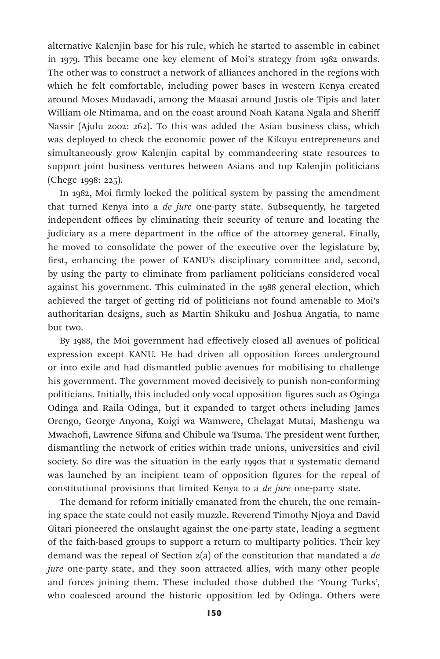alternative Kalenjin base for his rule, which he started to assemble in cabinet in 1979. This became one key element of Moi's strategy from 1982 onwards. The other was to construct a network of alliances anchored in the regions with which he felt comfortable, including power bases in western Kenya created around Moses Mudavadi, among the Maasai around Justis ole Tipis and later William ole Ntimama, and on the coast around Noah Katana Ngala and Sheriff Nassir (Ajulu 2002: 262). To this was added the Asian business class, which was deployed to check the economic power of the Kikuyu entrepreneurs and simultaneously grow Kalenjin capital by commandeering state resources to support joint business ventures between Asians and top Kalenjin politicians (Chege 1998: 225).

In 1982, Moi firmly locked the political system by passing the amendment that turned Kenya into a *de jure* one-party state. Subsequently, he targeted independent offices by eliminating their security of tenure and locating the judiciary as a mere department in the office of the attorney general. Finally, he moved to consolidate the power of the executive over the legislature by, first, enhancing the power of KANU's disciplinary committee and, second, by using the party to eliminate from parliament politicians considered vocal against his government. This culminated in the 1988 general election, which achieved the target of getting rid of politicians not found amenable to Moi's authoritarian designs, such as Martin Shikuku and Joshua Angatia, to name but two.

By 1988, the Moi government had effectively closed all avenues of political expression except KANU. He had driven all opposition forces underground or into exile and had dismantled public avenues for mobilising to challenge his government. The government moved decisively to punish non-conforming politicians. Initially, this included only vocal opposition figures such as Oginga Odinga and Raila Odinga, but it expanded to target others including James Orengo, George Anyona, Koigi wa Wamwere, Chelagat Mutai, Mashengu wa Mwachofi, Lawrence Sifuna and Chibule wa Tsuma. The president went further, dismantling the network of critics within trade unions, universities and civil society. So dire was the situation in the early 1990s that a systematic demand was launched by an incipient team of opposition figures for the repeal of constitutional provisions that limited Kenya to a *de jure* one-party state.

The demand for reform initially emanated from the church, the one remaining space the state could not easily muzzle. Reverend Timothy Njoya and David Gitari pioneered the onslaught against the one-party state, leading a segment of the faith-based groups to support a return to multiparty politics. Their key demand was the repeal of Section 2(a) of the constitution that mandated a *de jure* one-party state, and they soon attracted allies, with many other people and forces joining them. These included those dubbed the 'Young Turks', who coalesced around the historic opposition led by Odinga. Others were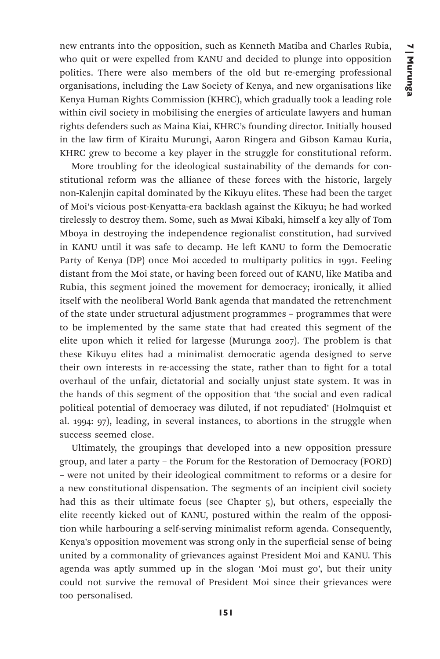new entrants into the opposition, such as Kenneth Matiba and Charles Rubia, who quit or were expelled from KANU and decided to plunge into opposition politics. There were also members of the old but re-emerging professional organisations, including the Law Society of Kenya, and new organisations like Kenya Human Rights Commission (KHRC), which gradually took a leading role within civil society in mobilising the energies of articulate lawyers and human rights defenders such as Maina Kiai, KHRC's founding director. Initially housed in the law firm of Kiraitu Murungi, Aaron Ringera and Gibson Kamau Kuria, KHRC grew to become a key player in the struggle for constitutional reform.

More troubling for the ideological sustainability of the demands for constitutional reform was the alliance of these forces with the historic, largely non-Kalenjin capital dominated by the Kikuyu elites. These had been the target of Moi's vicious post-Kenyatta-era backlash against the Kikuyu; he had worked tirelessly to destroy them. Some, such as Mwai Kibaki, himself a key ally of Tom Mboya in destroying the independence regionalist constitution, had survived in KANU until it was safe to decamp. He left KANU to form the Democratic Party of Kenya (DP) once Moi acceded to multiparty politics in 1991. Feeling distant from the Moi state, or having been forced out of KANU, like Matiba and Rubia, this segment joined the movement for democracy; ironically, it allied itself with the neoliberal World Bank agenda that mandated the retrenchment of the state under structural adjustment programmes – programmes that were to be implemented by the same state that had created this segment of the elite upon which it relied for largesse (Murunga 2007). The problem is that these Kikuyu elites had a minimalist democratic agenda designed to serve their own interests in re-accessing the state, rather than to fight for a total overhaul of the unfair, dictatorial and socially unjust state system. It was in the hands of this segment of the opposition that 'the social and even radical political potential of democracy was diluted, if not repudiated' (Holmquist et al. 1994: 97), leading, in several instances, to abortions in the struggle when success seemed close.

Ultimately, the groupings that developed into a new opposition pressure group, and later a party – the Forum for the Restoration of Democracy (FORD) – were not united by their ideological commitment to reforms or a desire for a new constitutional dispensation. The segments of an incipient civil society had this as their ultimate focus (see Chapter 5), but others, especially the elite recently kicked out of KANU, postured within the realm of the opposition while harbouring a self-serving minimalist reform agenda. Consequently, Kenya's opposition movement was strong only in the superficial sense of being united by a commonality of grievances against President Moi and KANU. This agenda was aptly summed up in the slogan 'Moi must go', but their unity could not survive the removal of President Moi since their grievances were too personalised.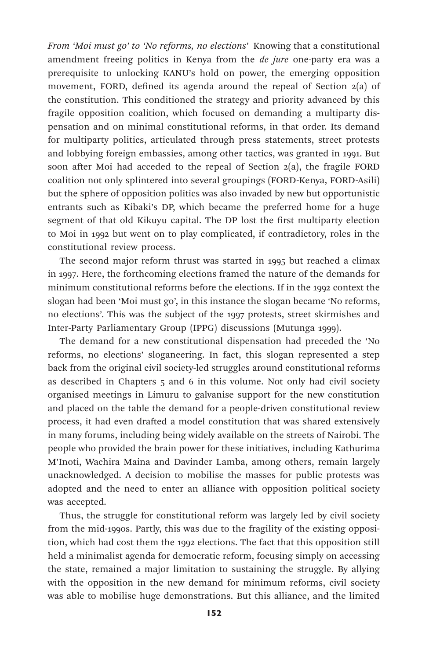*From 'Moi must go' to 'No reforms, no elections'* Knowing that a constitutional amendment freeing politics in Kenya from the *de jure* one-party era was a prerequisite to unlocking KANU's hold on power, the emerging opposition movement, FORD, defined its agenda around the repeal of Section 2(a) of the constitution. This conditioned the strategy and priority advanced by this fragile opposition coalition, which focused on demanding a multiparty dispensation and on minimal constitutional reforms, in that order. Its demand for multiparty politics, articulated through press statements, street protests and lobbying foreign embassies, among other tactics, was granted in 1991. But soon after Moi had acceded to the repeal of Section 2(a), the fragile FORD coalition not only splintered into several groupings (FORD-Kenya, FORD-Asili) but the sphere of opposition politics was also invaded by new but opportunistic entrants such as Kibaki's DP, which became the preferred home for a huge segment of that old Kikuyu capital. The DP lost the first multiparty election to Moi in 1992 but went on to play complicated, if contradictory, roles in the constitutional review process.

The second major reform thrust was started in 1995 but reached a climax in 1997. Here, the forthcoming elections framed the nature of the demands for minimum constitutional reforms before the elections. If in the 1992 context the slogan had been 'Moi must go', in this instance the slogan became 'No reforms, no elections'. This was the subject of the 1997 protests, street skirmishes and Inter-Party Parliamentary Group (IPPG) discussions (Mutunga 1999).

The demand for a new constitutional dispensation had preceded the 'No reforms, no elections' sloganeering. In fact, this slogan represented a step back from the original civil society-led struggles around constitutional reforms as described in Chapters 5 and 6 in this volume. Not only had civil society organised meetings in Limuru to galvanise support for the new constitution and placed on the table the demand for a people-driven constitutional review process, it had even drafted a model constitution that was shared extensively in many forums, including being widely available on the streets of Nairobi. The people who provided the brain power for these initiatives, including Kathurima M'Inoti, Wachira Maina and Davinder Lamba, among others, remain largely unacknowledged. A decision to mobilise the masses for public protests was adopted and the need to enter an alliance with opposition political society was accepted.

Thus, the struggle for constitutional reform was largely led by civil society from the mid-1990s. Partly, this was due to the fragility of the existing opposition, which had cost them the 1992 elections. The fact that this opposition still held a minimalist agenda for democratic reform, focusing simply on accessing the state, remained a major limitation to sustaining the struggle. By allying with the opposition in the new demand for minimum reforms, civil society was able to mobilise huge demonstrations. But this alliance, and the limited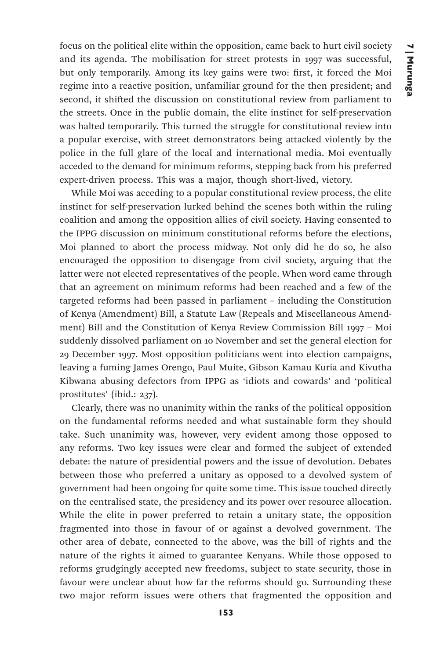focus on the political elite within the opposition, came back to hurt civil society and its agenda. The mobilisation for street protests in 1997 was successful, but only temporarily. Among its key gains were two: first, it forced the Moi regime into a reactive position, unfamiliar ground for the then president; and second, it shifted the discussion on constitutional review from parliament to the streets. Once in the public domain, the elite instinct for self-preservation was halted temporarily. This turned the struggle for constitutional review into a popular exercise, with street demonstrators being attacked violently by the police in the full glare of the local and international media. Moi eventually acceded to the demand for minimum reforms, stepping back from his preferred expert-driven process. This was a major, though short-lived, victory.

While Moi was acceding to a popular constitutional review process, the elite instinct for self-preservation lurked behind the scenes both within the ruling coalition and among the opposition allies of civil society. Having consented to the IPPG discussion on minimum constitutional reforms before the elections, Moi planned to abort the process midway. Not only did he do so, he also encouraged the opposition to disengage from civil society, arguing that the latter were not elected representatives of the people. When word came through that an agreement on minimum reforms had been reached and a few of the targeted reforms had been passed in parliament – including the Constitution of Kenya (Amendment) Bill, a Statute Law (Repeals and Miscellaneous Amendment) Bill and the Constitution of Kenya Review Commission Bill 1997 – Moi suddenly dissolved parliament on 10 November and set the general election for 29 December 1997. Most opposition politicians went into election campaigns, leaving a fuming James Orengo, Paul Muite, Gibson Kamau Kuria and Kivutha Kibwana abusing defectors from IPPG as 'idiots and cowards' and 'political prostitutes' (ibid.: 237).

Clearly, there was no unanimity within the ranks of the political opposition on the fundamental reforms needed and what sustainable form they should take. Such unanimity was, however, very evident among those opposed to any reforms. Two key issues were clear and formed the subject of extended debate: the nature of presidential powers and the issue of devolution. Debates between those who preferred a unitary as opposed to a devolved system of government had been ongoing for quite some time. This issue touched directly on the centralised state, the presidency and its power over resource allocation. While the elite in power preferred to retain a unitary state, the opposition fragmented into those in favour of or against a devolved government. The other area of debate, connected to the above, was the bill of rights and the nature of the rights it aimed to guarantee Kenyans. While those opposed to reforms grudgingly accepted new freedoms, subject to state security, those in favour were unclear about how far the reforms should go. Surrounding these two major reform issues were others that fragmented the opposition and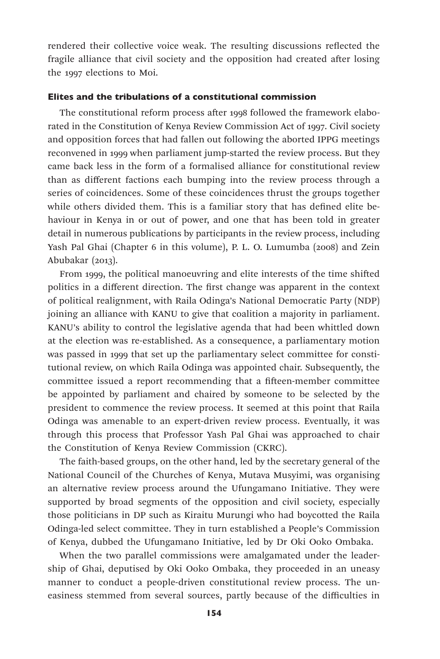rendered their collective voice weak. The resulting discussions reflected the fragile alliance that civil society and the opposition had created after losing the 1997 elections to Moi.

### Elites and the tribulations of a constitutional commission

The constitutional reform process after 1998 followed the framework elaborated in the Constitution of Kenya Review Commission Act of 1997. Civil society and opposition forces that had fallen out following the aborted IPPG meetings reconvened in 1999 when parliament jump-started the review process. But they came back less in the form of a formalised alliance for constitutional review than as different factions each bumping into the review process through a series of coincidences. Some of these coincidences thrust the groups together while others divided them. This is a familiar story that has defined elite behaviour in Kenya in or out of power, and one that has been told in greater detail in numerous publications by participants in the review process, including Yash Pal Ghai (Chapter 6 in this volume), P. L. O. Lumumba (2008) and Zein Abubakar (2013).

From 1999, the political manoeuvring and elite interests of the time shifted politics in a different direction. The first change was apparent in the context of political realignment, with Raila Odinga's National Democratic Party (NDP) joining an alliance with KANU to give that coalition a majority in parliament. KANU's ability to control the legislative agenda that had been whittled down at the election was re-established. As a consequence, a parliamentary motion was passed in 1999 that set up the parliamentary select committee for constitutional review, on which Raila Odinga was appointed chair. Subsequently, the committee issued a report recommending that a fifteen-member committee be appointed by parliament and chaired by someone to be selected by the president to commence the review process. It seemed at this point that Raila Odinga was amenable to an expert-driven review process. Eventually, it was through this process that Professor Yash Pal Ghai was approached to chair the Constitution of Kenya Review Commission (CKRC).

The faith-based groups, on the other hand, led by the secretary general of the National Council of the Churches of Kenya, Mutava Musyimi, was organising an alternative review process around the Ufungamano Initiative. They were supported by broad segments of the opposition and civil society, especially those politicians in DP such as Kiraitu Murungi who had boycotted the Raila Odinga-led select committee. They in turn established a People's Commission of Kenya, dubbed the Ufungamano Initiative, led by Dr Oki Ooko Ombaka.

When the two parallel commissions were amalgamated under the leadership of Ghai, deputised by Oki Ooko Ombaka, they proceeded in an uneasy manner to conduct a people-driven constitutional review process. The uneasiness stemmed from several sources, partly because of the difficulties in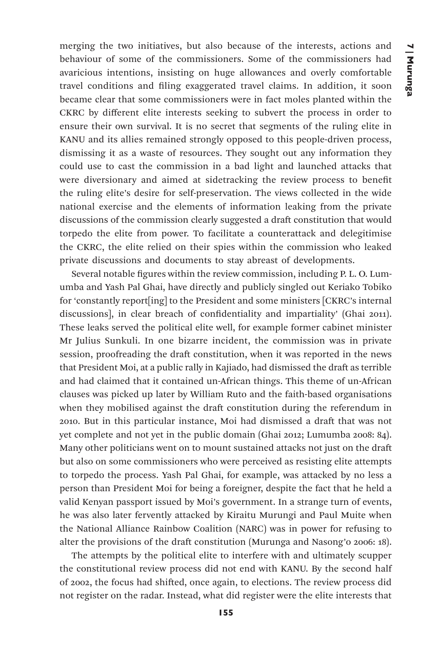merging the two initiatives, but also because of the interests, actions and behaviour of some of the commissioners. Some of the commissioners had avaricious intentions, insisting on huge allowances and overly comfortable travel conditions and filing exaggerated travel claims. In addition, it soon became clear that some commissioners were in fact moles planted within the CKRC by different elite interests seeking to subvert the process in order to ensure their own survival. It is no secret that segments of the ruling elite in KANU and its allies remained strongly opposed to this people-driven process, dismissing it as a waste of resources. They sought out any information they could use to cast the commission in a bad light and launched attacks that were diversionary and aimed at sidetracking the review process to benefit the ruling elite's desire for self-preservation. The views collected in the wide national exercise and the elements of information leaking from the private discussions of the commission clearly suggested a draft constitution that would torpedo the elite from power. To facilitate a counterattack and delegitimise the CKRC, the elite relied on their spies within the commission who leaked private discussions and documents to stay abreast of developments.

Several notable figures within the review commission, including P. L. O. Lumumba and Yash Pal Ghai, have directly and publicly singled out Keriako Tobiko for 'constantly report[ing] to the President and some ministers [CKRC's internal discussions], in clear breach of confidentiality and impartiality' (Ghai 2011). These leaks served the political elite well, for example former cabinet minister Mr Julius Sunkuli. In one bizarre incident, the commission was in private session, proofreading the draft constitution, when it was reported in the news that President Moi, at a public rally in Kajiado, had dismissed the draft as terrible and had claimed that it contained un-African things. This theme of un-African clauses was picked up later by William Ruto and the faith-based organisations when they mobilised against the draft constitution during the referendum in 2010. But in this particular instance, Moi had dismissed a draft that was not yet complete and not yet in the public domain (Ghai 2012; Lumumba 2008: 84). Many other politicians went on to mount sustained attacks not just on the draft but also on some commissioners who were perceived as resisting elite attempts to torpedo the process. Yash Pal Ghai, for example, was attacked by no less a person than President Moi for being a foreigner, despite the fact that he held a valid Kenyan passport issued by Moi's government. In a strange turn of events, he was also later fervently attacked by Kiraitu Murungi and Paul Muite when the National Alliance Rainbow Coalition (NARC) was in power for refusing to alter the provisions of the draft constitution (Murunga and Nasong'o 2006: 18).

The attempts by the political elite to interfere with and ultimately scupper the constitutional review process did not end with KANU. By the second half of 2002, the focus had shifted, once again, to elections. The review process did not register on the radar. Instead, what did register were the elite interests that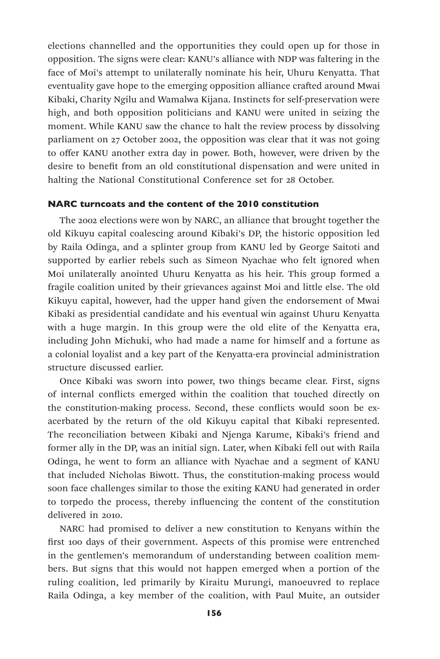elections channelled and the opportunities they could open up for those in opposition. The signs were clear: KANU's alliance with NDP was faltering in the face of Moi's attempt to unilaterally nominate his heir, Uhuru Kenyatta. That eventuality gave hope to the emerging opposition alliance crafted around Mwai Kibaki, Charity Ngilu and Wamalwa Kijana. Instincts for self-preservation were high, and both opposition politicians and KANU were united in seizing the moment. While KANU saw the chance to halt the review process by dissolving parliament on 27 October 2002, the opposition was clear that it was not going to offer KANU another extra day in power. Both, however, were driven by the desire to benefit from an old constitutional dispensation and were united in halting the National Constitutional Conference set for 28 October.

# NARC turncoats and the content of the 2010 constitution

The 2002 elections were won by NARC, an alliance that brought together the old Kikuyu capital coalescing around Kibaki's DP, the historic opposition led by Raila Odinga, and a splinter group from KANU led by George Saitoti and supported by earlier rebels such as Simeon Nyachae who felt ignored when Moi unilaterally anointed Uhuru Kenyatta as his heir. This group formed a fragile coalition united by their grievances against Moi and little else. The old Kikuyu capital, however, had the upper hand given the endorsement of Mwai Kibaki as presidential candidate and his eventual win against Uhuru Kenyatta with a huge margin. In this group were the old elite of the Kenyatta era, including John Michuki, who had made a name for himself and a fortune as a colonial loyalist and a key part of the Kenyatta-era provincial administration structure discussed earlier.

Once Kibaki was sworn into power, two things became clear. First, signs of internal conflicts emerged within the coalition that touched directly on the constitution-making process. Second, these conflicts would soon be exacerbated by the return of the old Kikuyu capital that Kibaki represented. The reconciliation between Kibaki and Njenga Karume, Kibaki's friend and former ally in the DP, was an initial sign. Later, when Kibaki fell out with Raila Odinga, he went to form an alliance with Nyachae and a segment of KANU that included Nicholas Biwott. Thus, the constitution-making process would soon face challenges similar to those the exiting KANU had generated in order to torpedo the process, thereby influencing the content of the constitution delivered in 2010.

NARC had promised to deliver a new constitution to Kenyans within the first 100 days of their government. Aspects of this promise were entrenched in the gentlemen's memorandum of understanding between coalition members. But signs that this would not happen emerged when a portion of the ruling coalition, led primarily by Kiraitu Murungi, manoeuvred to replace Raila Odinga, a key member of the coalition, with Paul Muite, an outsider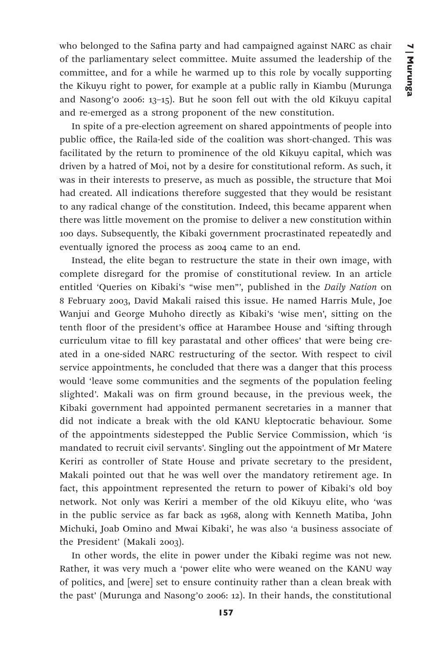who belonged to the Safina party and had campaigned against NARC as chair of the parliamentary select committee. Muite assumed the leadership of the committee, and for a while he warmed up to this role by vocally supporting the Kikuyu right to power, for example at a public rally in Kiambu (Murunga and Nasong'o 2006: 13–15). But he soon fell out with the old Kikuyu capital and re-emerged as a strong proponent of the new constitution.

In spite of a pre-election agreement on shared appointments of people into public office, the Raila-led side of the coalition was short-changed. This was facilitated by the return to prominence of the old Kikuyu capital, which was driven by a hatred of Moi, not by a desire for constitutional reform. As such, it was in their interests to preserve, as much as possible, the structure that Moi had created. All indications therefore suggested that they would be resistant to any radical change of the constitution. Indeed, this became apparent when there was little movement on the promise to deliver a new constitution within 100 days. Subsequently, the Kibaki government procrastinated repeatedly and eventually ignored the process as 2004 came to an end.

Instead, the elite began to restructure the state in their own image, with complete disregard for the promise of constitutional review. In an article entitled 'Queries on Kibaki's "wise men"', published in the *Daily Nation* on 8 February 2003, David Makali raised this issue. He named Harris Mule, Joe Wanjui and George Muhoho directly as Kibaki's 'wise men', sitting on the tenth floor of the president's office at Harambee House and 'sifting through curriculum vitae to fill key parastatal and other offices' that were being created in a one-sided NARC restructuring of the sector. With respect to civil service appointments, he concluded that there was a danger that this process would 'leave some communities and the segments of the population feeling slighted'. Makali was on firm ground because, in the previous week, the Kibaki government had appointed permanent secretaries in a manner that did not indicate a break with the old KANU kleptocratic behaviour. Some of the appointments sidestepped the Public Service Commission, which 'is mandated to recruit civil servants'. Singling out the appointment of Mr Matere Keriri as controller of State House and private secretary to the president, Makali pointed out that he was well over the mandatory retirement age. In fact, this appointment represented the return to power of Kibaki's old boy network. Not only was Keriri a member of the old Kikuyu elite, who 'was in the public service as far back as 1968, along with Kenneth Matiba, John Michuki, Joab Omino and Mwai Kibaki', he was also 'a business associate of the President' (Makali 2003).

In other words, the elite in power under the Kibaki regime was not new. Rather, it was very much a 'power elite who were weaned on the KANU way of politics, and [were] set to ensure continuity rather than a clean break with the past' (Murunga and Nasong'o 2006: 12). In their hands, the constitutional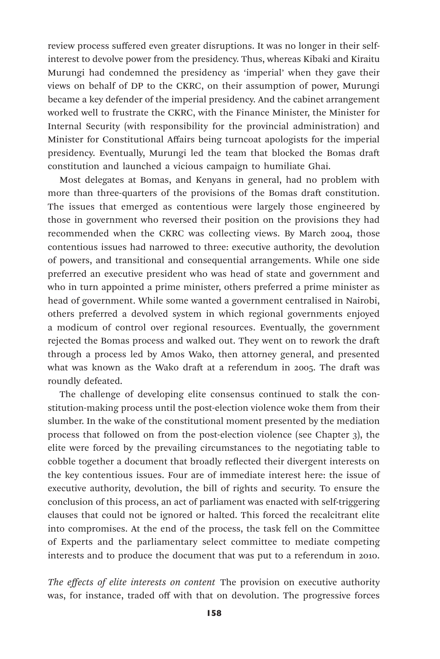review process suffered even greater disruptions. It was no longer in their selfinterest to devolve power from the presidency. Thus, whereas Kibaki and Kiraitu Murungi had condemned the presidency as 'imperial' when they gave their views on behalf of DP to the CKRC, on their assumption of power, Murungi became a key defender of the imperial presidency. And the cabinet arrangement worked well to frustrate the CKRC, with the Finance Minister, the Minister for Internal Security (with responsibility for the provincial administration) and Minister for Constitutional Affairs being turncoat apologists for the imperial presidency. Eventually, Murungi led the team that blocked the Bomas draft constitution and launched a vicious campaign to humiliate Ghai.

Most delegates at Bomas, and Kenyans in general, had no problem with more than three-quarters of the provisions of the Bomas draft constitution. The issues that emerged as contentious were largely those engineered by those in government who reversed their position on the provisions they had recommended when the CKRC was collecting views. By March 2004, those contentious issues had narrowed to three: executive authority, the devolution of powers, and transitional and consequential arrangements. While one side preferred an executive president who was head of state and government and who in turn appointed a prime minister, others preferred a prime minister as head of government. While some wanted a government centralised in Nairobi, others preferred a devolved system in which regional governments enjoyed a modicum of control over regional resources. Eventually, the government rejected the Bomas process and walked out. They went on to rework the draft through a process led by Amos Wako, then attorney general, and presented what was known as the Wako draft at a referendum in 2005. The draft was roundly defeated.

The challenge of developing elite consensus continued to stalk the constitution-making process until the post-election violence woke them from their slumber. In the wake of the constitutional moment presented by the mediation process that followed on from the post-election violence (see Chapter 3), the elite were forced by the prevailing circumstances to the negotiating table to cobble together a document that broadly reflected their divergent interests on the key contentious issues. Four are of immediate interest here: the issue of executive authority, devolution, the bill of rights and security. To ensure the conclusion of this process, an act of parliament was enacted with self-triggering clauses that could not be ignored or halted. This forced the recalcitrant elite into compromises. At the end of the process, the task fell on the Committee of Experts and the parliamentary select committee to mediate competing interests and to produce the document that was put to a referendum in 2010.

*The effects of elite interests on content* The provision on executive authority was, for instance, traded off with that on devolution. The progressive forces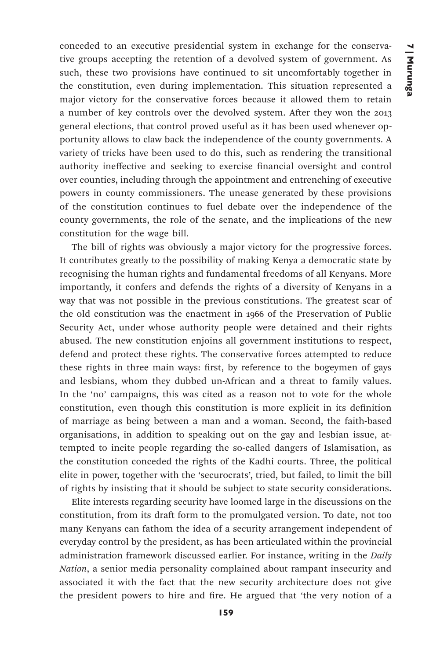conceded to an executive presidential system in exchange for the conservative groups accepting the retention of a devolved system of government. As such, these two provisions have continued to sit uncomfortably together in the constitution, even during implementation. This situation represented a major victory for the conservative forces because it allowed them to retain a number of key controls over the devolved system. After they won the 2013 general elections, that control proved useful as it has been used whenever opportunity allows to claw back the independence of the county governments. A variety of tricks have been used to do this, such as rendering the transitional authority ineffective and seeking to exercise financial oversight and control over counties, including through the appointment and entrenching of executive powers in county commissioners. The unease generated by these provisions of the constitution continues to fuel debate over the independence of the county governments, the role of the senate, and the implications of the new constitution for the wage bill.

The bill of rights was obviously a major victory for the progressive forces. It contributes greatly to the possibility of making Kenya a democratic state by recognising the human rights and fundamental freedoms of all Kenyans. More importantly, it confers and defends the rights of a diversity of Kenyans in a way that was not possible in the previous constitutions. The greatest scar of the old constitution was the enactment in 1966 of the Preservation of Public Security Act, under whose authority people were detained and their rights abused. The new constitution enjoins all government institutions to respect, defend and protect these rights. The conservative forces attempted to reduce these rights in three main ways: first, by reference to the bogeymen of gays and lesbians, whom they dubbed un-African and a threat to family values. In the 'no' campaigns, this was cited as a reason not to vote for the whole constitution, even though this constitution is more explicit in its definition of marriage as being between a man and a woman. Second, the faith-based organisations, in addition to speaking out on the gay and lesbian issue, attempted to incite people regarding the so-called dangers of Islamisation, as the constitution conceded the rights of the Kadhi courts. Three, the political elite in power, together with the 'securocrats', tried, but failed, to limit the bill of rights by insisting that it should be subject to state security considerations.

Elite interests regarding security have loomed large in the discussions on the constitution, from its draft form to the promulgated version. To date, not too many Kenyans can fathom the idea of a security arrangement independent of everyday control by the president, as has been articulated within the provincial administration framework discussed earlier. For instance, writing in the *Daily Nation*, a senior media personality complained about rampant insecurity and associated it with the fact that the new security architecture does not give the president powers to hire and fire. He argued that 'the very notion of a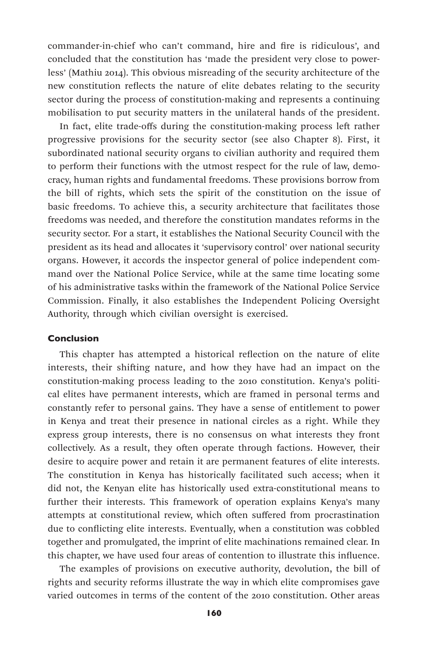commander-in-chief who can't command, hire and fire is ridiculous', and concluded that the constitution has 'made the president very close to powerless' (Mathiu 2014). This obvious misreading of the security architecture of the new constitution reflects the nature of elite debates relating to the security sector during the process of constitution-making and represents a continuing mobilisation to put security matters in the unilateral hands of the president.

In fact, elite trade-offs during the constitution-making process left rather progressive provisions for the security sector (see also Chapter 8). First, it subordinated national security organs to civilian authority and required them to perform their functions with the utmost respect for the rule of law, democracy, human rights and fundamental freedoms. These provisions borrow from the bill of rights, which sets the spirit of the constitution on the issue of basic freedoms. To achieve this, a security architecture that facilitates those freedoms was needed, and therefore the constitution mandates reforms in the security sector. For a start, it establishes the National Security Council with the president as its head and allocates it 'supervisory control' over national security organs. However, it accords the inspector general of police independent command over the National Police Service, while at the same time locating some of his administrative tasks within the framework of the National Police Service Commission. Finally, it also establishes the Independent Policing Oversight Authority, through which civilian oversight is exercised.

### Conclusion

This chapter has attempted a historical reflection on the nature of elite interests, their shifting nature, and how they have had an impact on the constitution-making process leading to the 2010 constitution. Kenya's political elites have permanent interests, which are framed in personal terms and constantly refer to personal gains. They have a sense of entitlement to power in Kenya and treat their presence in national circles as a right. While they express group interests, there is no consensus on what interests they front collectively. As a result, they often operate through factions. However, their desire to acquire power and retain it are permanent features of elite interests. The constitution in Kenya has historically facilitated such access; when it did not, the Kenyan elite has historically used extra-constitutional means to further their interests. This framework of operation explains Kenya's many attempts at constitutional review, which often suffered from procrastination due to conflicting elite interests. Eventually, when a constitution was cobbled together and promulgated, the imprint of elite machinations remained clear. In this chapter, we have used four areas of contention to illustrate this influence.

The examples of provisions on executive authority, devolution, the bill of rights and security reforms illustrate the way in which elite compromises gave varied outcomes in terms of the content of the 2010 constitution. Other areas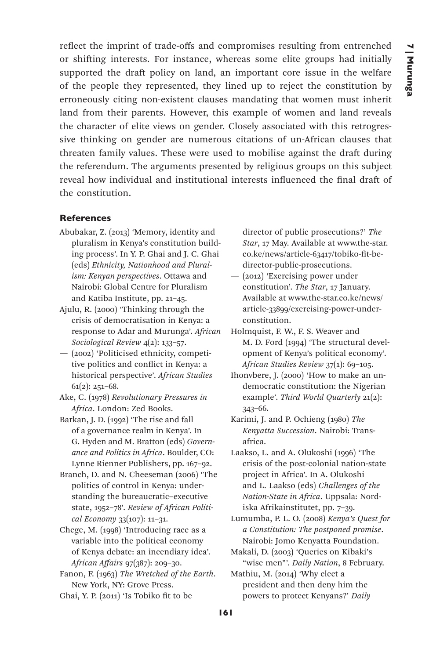reflect the imprint of trade-offs and compromises resulting from entrenched or shifting interests. For instance, whereas some elite groups had initially supported the draft policy on land, an important core issue in the welfare of the people they represented, they lined up to reject the constitution by erroneously citing non-existent clauses mandating that women must inherit land from their parents. However, this example of women and land reveals the character of elite views on gender. Closely associated with this retrogressive thinking on gender are numerous citations of un-African clauses that threaten family values. These were used to mobilise against the draft during the referendum. The arguments presented by religious groups on this subject reveal how individual and institutional interests influenced the final draft of the constitution.

# References

- Abubakar, Z. (2013) 'Memory, identity and pluralism in Kenya's constitution building process'. In Y. P. Ghai and J. C. Ghai (eds) *Ethnicity, Nationhood and Pluralism: Kenyan perspectives*. Ottawa and Nairobi: Global Centre for Pluralism and Katiba Institute, pp. 21–45.
- Ajulu, R. (2000) 'Thinking through the crisis of democratisation in Kenya: a response to Adar and Murunga'. *African Sociological Review* 4(2): 133–57.
- (2002) 'Politicised ethnicity, competitive politics and conflict in Kenya: a historical perspective'. *African Studies* 61(2): 251–68.
- Ake, C. (1978) *Revolutionary Pressures in Africa*. London: Zed Books.
- Barkan, J. D. (1992) 'The rise and fall of a governance realm in Kenya'. In G. Hyden and M. Bratton (eds) *Governance and Politics in Africa*. Boulder, CO: Lynne Rienner Publishers, pp. 167–92.
- Branch, D. and N. Cheeseman (2006) 'The politics of control in Kenya: understanding the bureaucratic–executive state, 1952–78'. *Review of African Political Economy* 33(107): 11–31.
- Chege, M. (1998) 'Introducing race as a variable into the political economy of Kenya debate: an incendiary idea'. *African Affairs* 97(387): 209–30.
- Fanon, F. (1963) *The Wretched of the Earth*. New York, NY: Grove Press.
- Ghai, Y. P. (2011) 'Is Tobiko fit to be

director of public prosecutions?' *The Star*, 17 May. Available at www.the-star. co.ke/news/article-63417/tobiko-fit-bedirector-public-prosecutions.

- (2012) 'Exercising power under constitution'. *The Star*, 17 January. Available at www.the-star.co.ke/news/ article-33899/exercising-power-underconstitution.
- Holmquist, F. W., F. S. Weaver and M. D. Ford (1994) 'The structural development of Kenya's political economy'. *African Studies Review* 37(1): 69–105.
- Ihonvbere, J. (2000) 'How to make an undemocratic constitution: the Nigerian example'. *Third World Quarterly* 21(2): 343–66.
- Karimi, J. and P. Ochieng (1980) *The Kenyatta Succession*. Nairobi: Transafrica.
- Laakso, L. and A. Olukoshi (1996) 'The crisis of the post-colonial nation-state project in Africa'. In A. Olukoshi and L. Laakso (eds) *Challenges of the Nation-State in Africa*. Uppsala: Nordiska Afrikainstitutet, pp. 7–39.
- Lumumba, P. L. O. (2008) *Kenya's Quest for a Constitution: The postponed promise*. Nairobi: Jomo Kenyatta Foundation.
- Makali, D. (2003) 'Queries on Kibaki's "wise men"'. *Daily Nation*, 8 February.
- Mathiu, M. (2014) 'Why elect a president and then deny him the powers to protect Kenyans?' *Daily*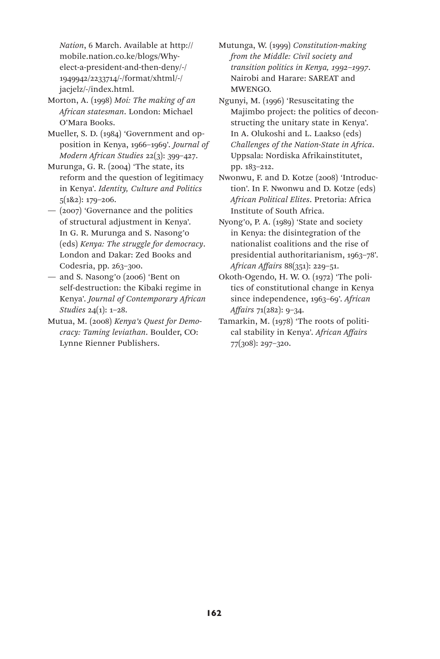*Nation*, 6 March. Available at http:// mobile.nation.co.ke/blogs/Whyelect-a-president-and-then-deny/-/ 1949942/2233714/-/format/xhtml/-/ jacjelz/-/index.html.

- Morton, A. (1998) *Moi: The making of an African statesman*. London: Michael O'Mara Books.
- Mueller, S. D. (1984) 'Government and opposition in Kenya, 1966–1969'. *Journal of Modern African Studies* 22(3): 399–427.
- Murunga, G. R. (2004) 'The state, its reform and the question of legitimacy in Kenya'. *Identity, Culture and Politics* 5(1&2): 179–206.
- (2007) 'Governance and the politics of structural adjustment in Kenya'. In G. R. Murunga and S. Nasong'o (eds) *Kenya: The struggle for democracy*. London and Dakar: Zed Books and Codesria, pp. 263–300.
- and S. Nasong'o (2006) 'Bent on self-destruction: the Kibaki regime in Kenya'. *Journal of Contemporary African Studies* 24(1): 1–28.
- Mutua, M. (2008) *Kenya's Quest for Democracy: Taming leviathan*. Boulder, CO: Lynne Rienner Publishers.
- Mutunga, W. (1999) *Constitution-making from the Middle: Civil society and transition politics in Kenya, 1992–1997*. Nairobi and Harare: SAREAT and **MWENGO**
- Ngunyi, M. (1996) 'Resuscitating the Majimbo project: the politics of deconstructing the unitary state in Kenya'. In A. Olukoshi and L. Laakso (eds) *Challenges of the Nation-State in Africa*. Uppsala: Nordiska Afrikainstitutet, pp. 183–212.
- Nwonwu, F. and D. Kotze (2008) 'Introduction'. In F. Nwonwu and D. Kotze (eds) *African Political Elites*. Pretoria: Africa Institute of South Africa.
- Nyong'o, P. A. (1989) 'State and society in Kenya: the disintegration of the nationalist coalitions and the rise of presidential authoritarianism, 1963–78'. *African Affairs* 88(351): 229–51.
- Okoth-Ogendo, H. W. O. (1972) 'The politics of constitutional change in Kenya since independence, 1963–69'. *African Affairs* 71(282): 9–34.
- Tamarkin, M. (1978) 'The roots of political stability in Kenya'. *African Affairs* 77(308): 297–320.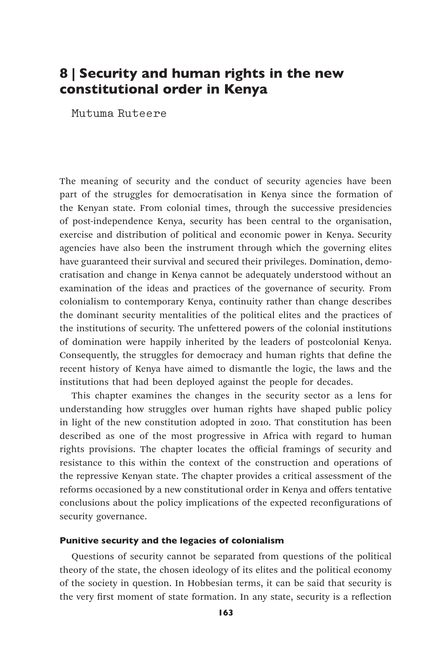# 8 | Security and human rights in the new constitutional order in Kenya

Mutuma Ruteere

The meaning of security and the conduct of security agencies have been part of the struggles for democratisation in Kenya since the formation of the Kenyan state. From colonial times, through the successive presidencies of post-independence Kenya, security has been central to the organisation, exercise and distribution of political and economic power in Kenya. Security agencies have also been the instrument through which the governing elites have guaranteed their survival and secured their privileges. Domination, democratisation and change in Kenya cannot be adequately understood without an examination of the ideas and practices of the governance of security. From colonialism to contemporary Kenya, continuity rather than change describes the dominant security mentalities of the political elites and the practices of the institutions of security. The unfettered powers of the colonial institutions of domination were happily inherited by the leaders of postcolonial Kenya. Consequently, the struggles for democracy and human rights that define the recent history of Kenya have aimed to dismantle the logic, the laws and the institutions that had been deployed against the people for decades.

This chapter examines the changes in the security sector as a lens for understanding how struggles over human rights have shaped public policy in light of the new constitution adopted in 2010. That constitution has been described as one of the most progressive in Africa with regard to human rights provisions. The chapter locates the official framings of security and resistance to this within the context of the construction and operations of the repressive Kenyan state. The chapter provides a critical assessment of the reforms occasioned by a new constitutional order in Kenya and offers tentative conclusions about the policy implications of the expected reconfigurations of security governance.

### Punitive security and the legacies of colonialism

Questions of security cannot be separated from questions of the political theory of the state, the chosen ideology of its elites and the political economy of the society in question. In Hobbesian terms, it can be said that security is the very first moment of state formation. In any state, security is a reflection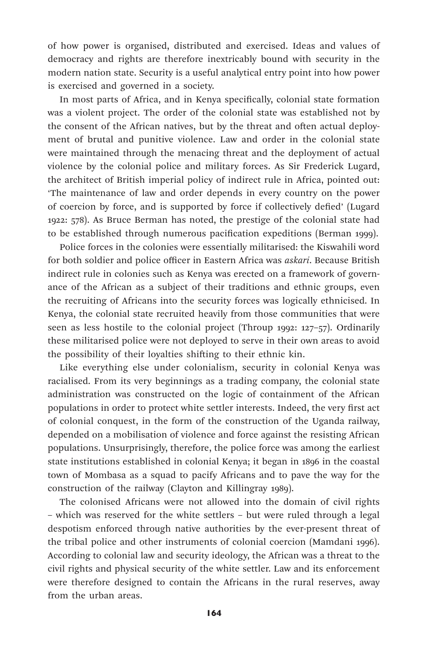of how power is organised, distributed and exercised. Ideas and values of democracy and rights are therefore inextricably bound with security in the modern nation state. Security is a useful analytical entry point into how power is exercised and governed in a society.

In most parts of Africa, and in Kenya specifically, colonial state formation was a violent project. The order of the colonial state was established not by the consent of the African natives, but by the threat and often actual deployment of brutal and punitive violence. Law and order in the colonial state were maintained through the menacing threat and the deployment of actual violence by the colonial police and military forces. As Sir Frederick Lugard, the architect of British imperial policy of indirect rule in Africa, pointed out: 'The maintenance of law and order depends in every country on the power of coercion by force, and is supported by force if collectively defied' (Lugard 1922: 578). As Bruce Berman has noted, the prestige of the colonial state had to be established through numerous pacification expeditions (Berman 1999).

Police forces in the colonies were essentially militarised: the Kiswahili word for both soldier and police officer in Eastern Africa was *askari*. Because British indirect rule in colonies such as Kenya was erected on a framework of governance of the African as a subject of their traditions and ethnic groups, even the recruiting of Africans into the security forces was logically ethnicised. In Kenya, the colonial state recruited heavily from those communities that were seen as less hostile to the colonial project (Throup 1992: 127–57). Ordinarily these militarised police were not deployed to serve in their own areas to avoid the possibility of their loyalties shifting to their ethnic kin.

Like everything else under colonialism, security in colonial Kenya was racialised. From its very beginnings as a trading company, the colonial state administration was constructed on the logic of containment of the African populations in order to protect white settler interests. Indeed, the very first act of colonial conquest, in the form of the construction of the Uganda railway, depended on a mobilisation of violence and force against the resisting African populations. Unsurprisingly, therefore, the police force was among the earliest state institutions established in colonial Kenya; it began in 1896 in the coastal town of Mombasa as a squad to pacify Africans and to pave the way for the construction of the railway (Clayton and Killingray 1989).

The colonised Africans were not allowed into the domain of civil rights – which was reserved for the white settlers – but were ruled through a legal despotism enforced through native authorities by the ever-present threat of the tribal police and other instruments of colonial coercion (Mamdani 1996). According to colonial law and security ideology, the African was a threat to the civil rights and physical security of the white settler. Law and its enforcement were therefore designed to contain the Africans in the rural reserves, away from the urban areas.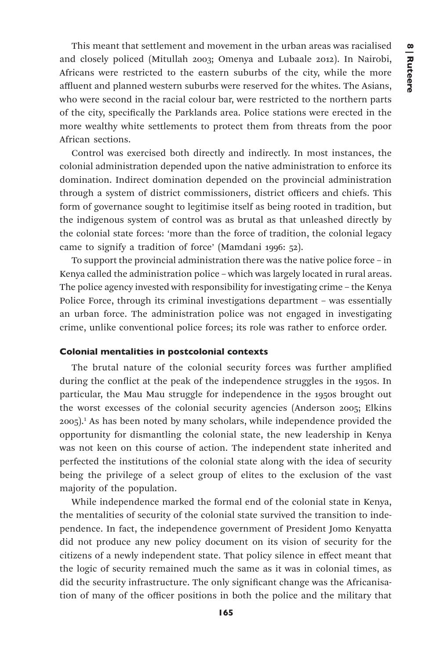This meant that settlement and movement in the urban areas was racialised and closely policed (Mitullah 2003; Omenya and Lubaale 2012). In Nairobi, Africans were restricted to the eastern suburbs of the city, while the more affluent and planned western suburbs were reserved for the whites. The Asians, who were second in the racial colour bar, were restricted to the northern parts of the city, specifically the Parklands area. Police stations were erected in the more wealthy white settlements to protect them from threats from the poor African sections.

Control was exercised both directly and indirectly. In most instances, the colonial administration depended upon the native administration to enforce its domination. Indirect domination depended on the provincial administration through a system of district commissioners, district officers and chiefs. This form of governance sought to legitimise itself as being rooted in tradition, but the indigenous system of control was as brutal as that unleashed directly by the colonial state forces: 'more than the force of tradition, the colonial legacy came to signify a tradition of force' (Mamdani 1996: 52).

To support the provincial administration there was the native police force – in Kenya called the administration police – which was largely located in rural areas. The police agency invested with responsibility for investigating crime – the Kenya Police Force, through its criminal investigations department – was essentially an urban force. The administration police was not engaged in investigating crime, unlike conventional police forces; its role was rather to enforce order.

# Colonial mentalities in postcolonial contexts

The brutal nature of the colonial security forces was further amplified during the conflict at the peak of the independence struggles in the 1950s. In particular, the Mau Mau struggle for independence in the 1950s brought out the worst excesses of the colonial security agencies (Anderson 2005; Elkins 2005).1 As has been noted by many scholars, while independence provided the opportunity for dismantling the colonial state, the new leadership in Kenya was not keen on this course of action. The independent state inherited and perfected the institutions of the colonial state along with the idea of security being the privilege of a select group of elites to the exclusion of the vast majority of the population.

While independence marked the formal end of the colonial state in Kenya, the mentalities of security of the colonial state survived the transition to independence. In fact, the independence government of President Jomo Kenyatta did not produce any new policy document on its vision of security for the citizens of a newly independent state. That policy silence in effect meant that the logic of security remained much the same as it was in colonial times, as did the security infrastructure. The only significant change was the Africanisation of many of the officer positions in both the police and the military that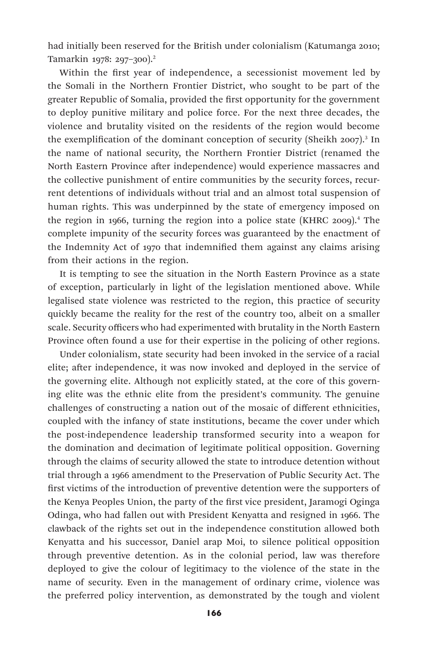had initially been reserved for the British under colonialism (Katumanga 2010; Tamarkin 1978: 297–300).2

Within the first year of independence, a secessionist movement led by the Somali in the Northern Frontier District, who sought to be part of the greater Republic of Somalia, provided the first opportunity for the government to deploy punitive military and police force. For the next three decades, the violence and brutality visited on the residents of the region would become the exemplification of the dominant conception of security (Sheikh 2007).<sup>3</sup> In the name of national security, the Northern Frontier District (renamed the North Eastern Province after independence) would experience massacres and the collective punishment of entire communities by the security forces, recurrent detentions of individuals without trial and an almost total suspension of human rights. This was underpinned by the state of emergency imposed on the region in 1966, turning the region into a police state (KHRC 2009).4 The complete impunity of the security forces was guaranteed by the enactment of the Indemnity Act of 1970 that indemnified them against any claims arising from their actions in the region.

It is tempting to see the situation in the North Eastern Province as a state of exception, particularly in light of the legislation mentioned above. While legalised state violence was restricted to the region, this practice of security quickly became the reality for the rest of the country too, albeit on a smaller scale. Security officers who had experimented with brutality in the North Eastern Province often found a use for their expertise in the policing of other regions.

Under colonialism, state security had been invoked in the service of a racial elite; after independence, it was now invoked and deployed in the service of the governing elite. Although not explicitly stated, at the core of this governing elite was the ethnic elite from the president's community. The genuine challenges of constructing a nation out of the mosaic of different ethnicities, coupled with the infancy of state institutions, became the cover under which the post-independence leadership transformed security into a weapon for the domination and decimation of legitimate political opposition. Governing through the claims of security allowed the state to introduce detention without trial through a 1966 amendment to the Preservation of Public Security Act. The first victims of the introduction of preventive detention were the supporters of the Kenya Peoples Union, the party of the first vice president, Jaramogi Oginga Odinga, who had fallen out with President Kenyatta and resigned in 1966. The clawback of the rights set out in the independence constitution allowed both Kenyatta and his successor, Daniel arap Moi, to silence political opposition through preventive detention. As in the colonial period, law was therefore deployed to give the colour of legitimacy to the violence of the state in the name of security. Even in the management of ordinary crime, violence was the preferred policy intervention, as demonstrated by the tough and violent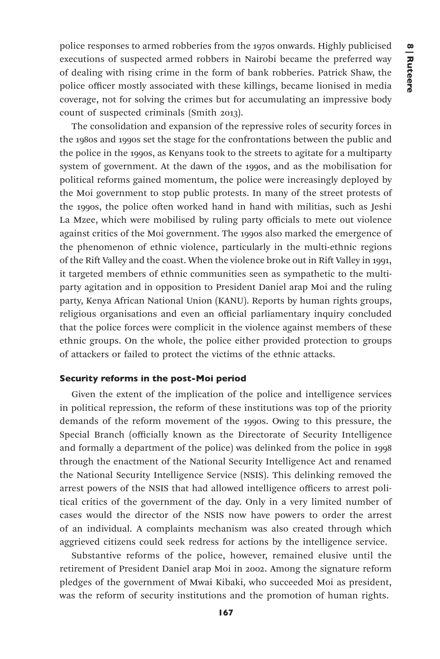police responses to armed robberies from the 1970s onwards. Highly publicised executions of suspected armed robbers in Nairobi became the preferred way of dealing with rising crime in the form of bank robberies. Patrick Shaw, the police officer mostly associated with these killings, became lionised in media coverage, not for solving the crimes but for accumulating an impressive body count of suspected criminals (Smith 2013).

The consolidation and expansion of the repressive roles of security forces in the 1980s and 1990s set the stage for the confrontations between the public and the police in the 1990s, as Kenyans took to the streets to agitate for a multiparty system of government. At the dawn of the 1990s, and as the mobilisation for political reforms gained momentum, the police were increasingly deployed by the Moi government to stop public protests. In many of the street protests of the 1990s, the police often worked hand in hand with militias, such as Jeshi La Mzee, which were mobilised by ruling party officials to mete out violence against critics of the Moi government. The 1990s also marked the emergence of the phenomenon of ethnic violence, particularly in the multi-ethnic regions of the Rift Valley and the coast. When the violence broke out in Rift Valley in 1991, it targeted members of ethnic communities seen as sympathetic to the multiparty agitation and in opposition to President Daniel arap Moi and the ruling party, Kenya African National Union (KANU). Reports by human rights groups, religious organisations and even an official parliamentary inquiry concluded that the police forces were complicit in the violence against members of these ethnic groups. On the whole, the police either provided protection to groups of attackers or failed to protect the victims of the ethnic attacks.

# Security reforms in the post-Moi period

Given the extent of the implication of the police and intelligence services in political repression, the reform of these institutions was top of the priority demands of the reform movement of the 1990s. Owing to this pressure, the Special Branch (officially known as the Directorate of Security Intelligence and formally a department of the police) was delinked from the police in 1998 through the enactment of the National Security Intelligence Act and renamed the National Security Intelligence Service (NSIS). This delinking removed the arrest powers of the NSIS that had allowed intelligence officers to arrest political critics of the government of the day. Only in a very limited number of cases would the director of the NSIS now have powers to order the arrest of an individual. A complaints mechanism was also created through which aggrieved citizens could seek redress for actions by the intelligence service.

Substantive reforms of the police, however, remained elusive until the retirement of President Daniel arap Moi in 2002. Among the signature reform pledges of the government of Mwai Kibaki, who succeeded Moi as president, was the reform of security institutions and the promotion of human rights.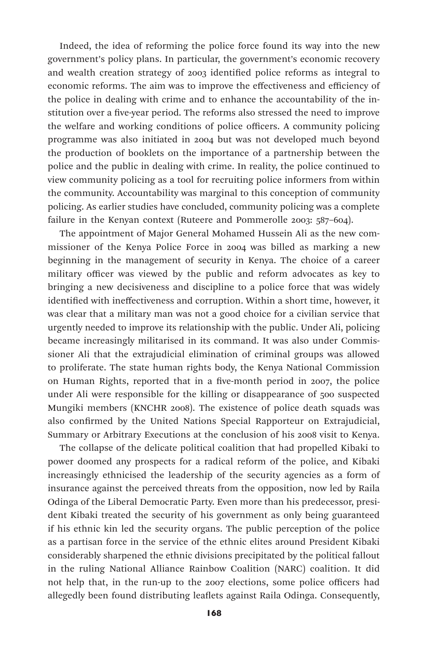Indeed, the idea of reforming the police force found its way into the new government's policy plans. In particular, the government's economic recovery and wealth creation strategy of 2003 identified police reforms as integral to economic reforms. The aim was to improve the effectiveness and efficiency of the police in dealing with crime and to enhance the accountability of the institution over a five-year period. The reforms also stressed the need to improve the welfare and working conditions of police officers. A community policing programme was also initiated in 2004 but was not developed much beyond the production of booklets on the importance of a partnership between the police and the public in dealing with crime. In reality, the police continued to view community policing as a tool for recruiting police informers from within the community. Accountability was marginal to this conception of community policing. As earlier studies have concluded, community policing was a complete failure in the Kenyan context (Ruteere and Pommerolle 2003: 587–604).

The appointment of Major General Mohamed Hussein Ali as the new commissioner of the Kenya Police Force in 2004 was billed as marking a new beginning in the management of security in Kenya. The choice of a career military officer was viewed by the public and reform advocates as key to bringing a new decisiveness and discipline to a police force that was widely identified with ineffectiveness and corruption. Within a short time, however, it was clear that a military man was not a good choice for a civilian service that urgently needed to improve its relationship with the public. Under Ali, policing became increasingly militarised in its command. It was also under Commissioner Ali that the extrajudicial elimination of criminal groups was allowed to proliferate. The state human rights body, the Kenya National Commission on Human Rights, reported that in a five-month period in 2007, the police under Ali were responsible for the killing or disappearance of 500 suspected Mungiki members (KNCHR 2008). The existence of police death squads was also confirmed by the United Nations Special Rapporteur on Extrajudicial, Summary or Arbitrary Executions at the conclusion of his 2008 visit to Kenya.

The collapse of the delicate political coalition that had propelled Kibaki to power doomed any prospects for a radical reform of the police, and Kibaki increasingly ethnicised the leadership of the security agencies as a form of insurance against the perceived threats from the opposition, now led by Raila Odinga of the Liberal Democratic Party. Even more than his predecessor, president Kibaki treated the security of his government as only being guaranteed if his ethnic kin led the security organs. The public perception of the police as a partisan force in the service of the ethnic elites around President Kibaki considerably sharpened the ethnic divisions precipitated by the political fallout in the ruling National Alliance Rainbow Coalition (NARC) coalition. It did not help that, in the run-up to the 2007 elections, some police officers had allegedly been found distributing leaflets against Raila Odinga. Consequently,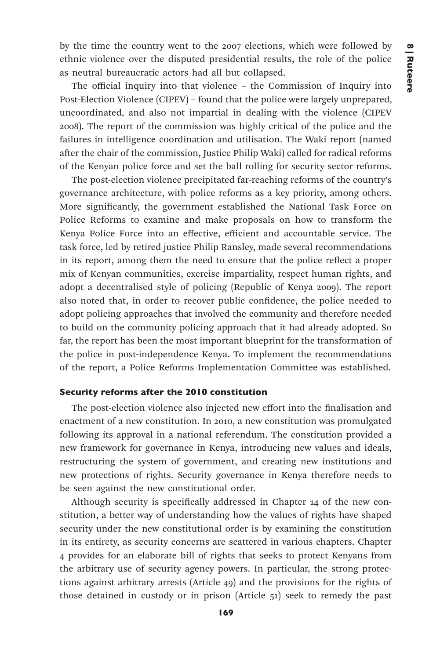by the time the country went to the 2007 elections, which were followed by ethnic violence over the disputed presidential results, the role of the police as neutral bureaucratic actors had all but collapsed.

The official inquiry into that violence – the Commission of Inquiry into Post-Election Violence (CIPEV) – found that the police were largely unprepared, uncoordinated, and also not impartial in dealing with the violence (CIPEV 2008). The report of the commission was highly critical of the police and the failures in intelligence coordination and utilisation. The Waki report (named after the chair of the commission, Justice Philip Waki) called for radical reforms of the Kenyan police force and set the ball rolling for security sector reforms.

The post-election violence precipitated far-reaching reforms of the country's governance architecture, with police reforms as a key priority, among others. More significantly, the government established the National Task Force on Police Reforms to examine and make proposals on how to transform the Kenya Police Force into an effective, efficient and accountable service. The task force, led by retired justice Philip Ransley, made several recommendations in its report, among them the need to ensure that the police reflect a proper mix of Kenyan communities, exercise impartiality, respect human rights, and adopt a decentralised style of policing (Republic of Kenya 2009). The report also noted that, in order to recover public confidence, the police needed to adopt policing approaches that involved the community and therefore needed to build on the community policing approach that it had already adopted. So far, the report has been the most important blueprint for the transformation of the police in post-independence Kenya. To implement the recommendations of the report, a Police Reforms Implementation Committee was established.

### Security reforms after the 2010 constitution

The post-election violence also injected new effort into the finalisation and enactment of a new constitution. In 2010, a new constitution was promulgated following its approval in a national referendum. The constitution provided a new framework for governance in Kenya, introducing new values and ideals, restructuring the system of government, and creating new institutions and new protections of rights. Security governance in Kenya therefore needs to be seen against the new constitutional order.

Although security is specifically addressed in Chapter 14 of the new constitution, a better way of understanding how the values of rights have shaped security under the new constitutional order is by examining the constitution in its entirety, as security concerns are scattered in various chapters. Chapter 4 provides for an elaborate bill of rights that seeks to protect Kenyans from the arbitrary use of security agency powers. In particular, the strong protections against arbitrary arrests (Article 49) and the provisions for the rights of those detained in custody or in prison (Article 51) seek to remedy the past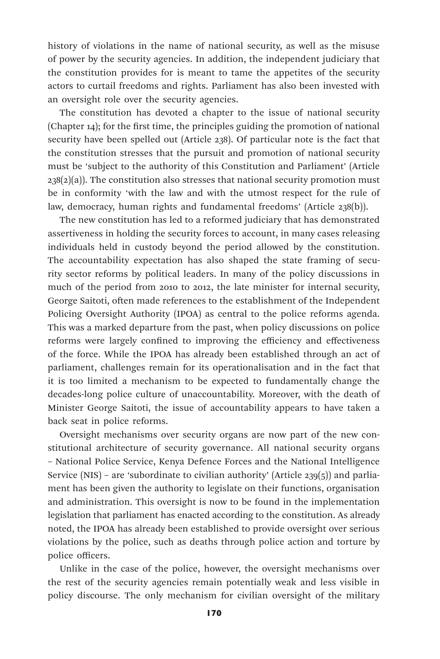history of violations in the name of national security, as well as the misuse of power by the security agencies. In addition, the independent judiciary that the constitution provides for is meant to tame the appetites of the security actors to curtail freedoms and rights. Parliament has also been invested with an oversight role over the security agencies.

The constitution has devoted a chapter to the issue of national security (Chapter 14); for the first time, the principles guiding the promotion of national security have been spelled out (Article 238). Of particular note is the fact that the constitution stresses that the pursuit and promotion of national security must be 'subject to the authority of this Constitution and Parliament' (Article  $238(2)(a)$ ). The constitution also stresses that national security promotion must be in conformity 'with the law and with the utmost respect for the rule of law, democracy, human rights and fundamental freedoms' (Article 238(b)).

The new constitution has led to a reformed judiciary that has demonstrated assertiveness in holding the security forces to account, in many cases releasing individuals held in custody beyond the period allowed by the constitution. The accountability expectation has also shaped the state framing of security sector reforms by political leaders. In many of the policy discussions in much of the period from 2010 to 2012, the late minister for internal security, George Saitoti, often made references to the establishment of the Independent Policing Oversight Authority (IPOA) as central to the police reforms agenda. This was a marked departure from the past, when policy discussions on police reforms were largely confined to improving the efficiency and effectiveness of the force. While the IPOA has already been established through an act of parliament, challenges remain for its operationalisation and in the fact that it is too limited a mechanism to be expected to fundamentally change the decades-long police culture of unaccountability. Moreover, with the death of Minister George Saitoti, the issue of accountability appears to have taken a back seat in police reforms.

Oversight mechanisms over security organs are now part of the new constitutional architecture of security governance. All national security organs – National Police Service, Kenya Defence Forces and the National Intelligence Service (NIS) – are 'subordinate to civilian authority' (Article 239 $(5)$ ) and parliament has been given the authority to legislate on their functions, organisation and administration. This oversight is now to be found in the implementation legislation that parliament has enacted according to the constitution. As already noted, the IPOA has already been established to provide oversight over serious violations by the police, such as deaths through police action and torture by police officers.

Unlike in the case of the police, however, the oversight mechanisms over the rest of the security agencies remain potentially weak and less visible in policy discourse. The only mechanism for civilian oversight of the military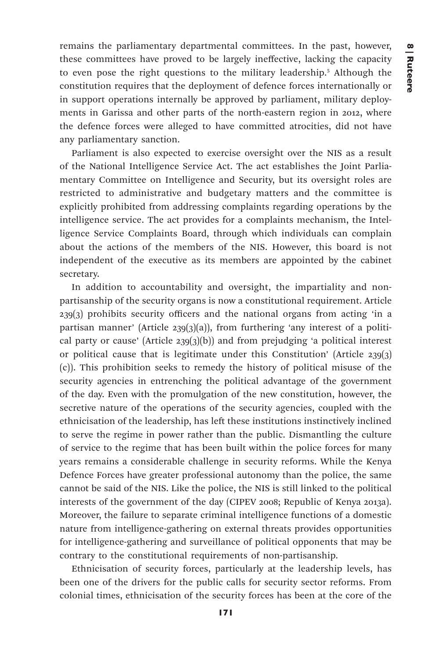remains the parliamentary departmental committees. In the past, however, these committees have proved to be largely ineffective, lacking the capacity to even pose the right questions to the military leadership.5 Although the constitution requires that the deployment of defence forces internationally or in support operations internally be approved by parliament, military deployments in Garissa and other parts of the north-eastern region in 2012, where the defence forces were alleged to have committed atrocities, did not have any parliamentary sanction.

Parliament is also expected to exercise oversight over the NIS as a result of the National Intelligence Service Act. The act establishes the Joint Parliamentary Committee on Intelligence and Security, but its oversight roles are restricted to administrative and budgetary matters and the committee is explicitly prohibited from addressing complaints regarding operations by the intelligence service. The act provides for a complaints mechanism, the Intelligence Service Complaints Board, through which individuals can complain about the actions of the members of the NIS. However, this board is not independent of the executive as its members are appointed by the cabinet secretary.

In addition to accountability and oversight, the impartiality and nonpartisanship of the security organs is now a constitutional requirement. Article 239(3) prohibits security officers and the national organs from acting 'in a partisan manner' (Article 239(3)(a)), from furthering 'any interest of a political party or cause' (Article  $239(3)(b)$ ) and from prejudging 'a political interest or political cause that is legitimate under this Constitution' (Article 239(3) (c)). This prohibition seeks to remedy the history of political misuse of the security agencies in entrenching the political advantage of the government of the day. Even with the promulgation of the new constitution, however, the secretive nature of the operations of the security agencies, coupled with the ethnicisation of the leadership, has left these institutions instinctively inclined to serve the regime in power rather than the public. Dismantling the culture of service to the regime that has been built within the police forces for many years remains a considerable challenge in security reforms. While the Kenya Defence Forces have greater professional autonomy than the police, the same cannot be said of the NIS. Like the police, the NIS is still linked to the political interests of the government of the day (CIPEV 2008; Republic of Kenya 2013a). Moreover, the failure to separate criminal intelligence functions of a domestic nature from intelligence-gathering on external threats provides opportunities for intelligence-gathering and surveillance of political opponents that may be contrary to the constitutional requirements of non-partisanship.

Ethnicisation of security forces, particularly at the leadership levels, has been one of the drivers for the public calls for security sector reforms. From colonial times, ethnicisation of the security forces has been at the core of the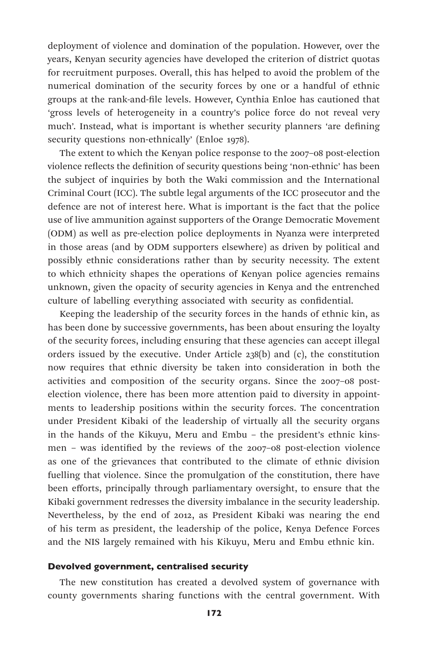deployment of violence and domination of the population. However, over the years, Kenyan security agencies have developed the criterion of district quotas for recruitment purposes. Overall, this has helped to avoid the problem of the numerical domination of the security forces by one or a handful of ethnic groups at the rank-and-file levels. However, Cynthia Enloe has cautioned that 'gross levels of heterogeneity in a country's police force do not reveal very much'. Instead, what is important is whether security planners 'are defining security questions non-ethnically' (Enloe 1978).

The extent to which the Kenyan police response to the 2007–08 post-election violence reflects the definition of security questions being 'non-ethnic' has been the subject of inquiries by both the Waki commission and the International Criminal Court (ICC). The subtle legal arguments of the ICC prosecutor and the defence are not of interest here. What is important is the fact that the police use of live ammunition against supporters of the Orange Democratic Movement (ODM) as well as pre-election police deployments in Nyanza were interpreted in those areas (and by ODM supporters elsewhere) as driven by political and possibly ethnic considerations rather than by security necessity. The extent to which ethnicity shapes the operations of Kenyan police agencies remains unknown, given the opacity of security agencies in Kenya and the entrenched culture of labelling everything associated with security as confidential.

Keeping the leadership of the security forces in the hands of ethnic kin, as has been done by successive governments, has been about ensuring the loyalty of the security forces, including ensuring that these agencies can accept illegal orders issued by the executive. Under Article 238(b) and (c), the constitution now requires that ethnic diversity be taken into consideration in both the activities and composition of the security organs. Since the 2007–08 postelection violence, there has been more attention paid to diversity in appointments to leadership positions within the security forces. The concentration under President Kibaki of the leadership of virtually all the security organs in the hands of the Kikuyu, Meru and Embu – the president's ethnic kinsmen – was identified by the reviews of the 2007–08 post-election violence as one of the grievances that contributed to the climate of ethnic division fuelling that violence. Since the promulgation of the constitution, there have been efforts, principally through parliamentary oversight, to ensure that the Kibaki government redresses the diversity imbalance in the security leadership. Nevertheless, by the end of 2012, as President Kibaki was nearing the end of his term as president, the leadership of the police, Kenya Defence Forces and the NIS largely remained with his Kikuyu, Meru and Embu ethnic kin.

### Devolved government, centralised security

The new constitution has created a devolved system of governance with county governments sharing functions with the central government. With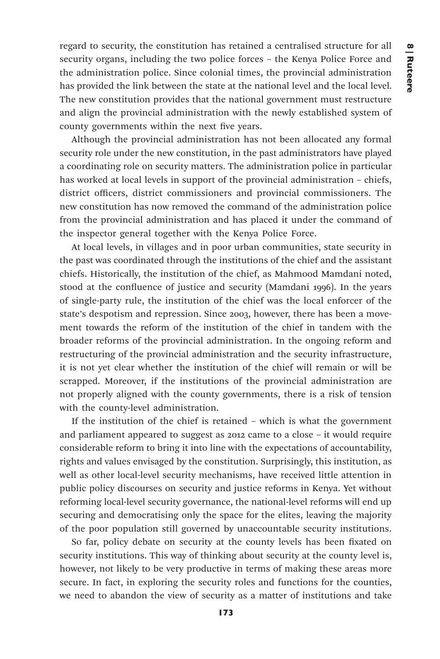regard to security, the constitution has retained a centralised structure for all security organs, including the two police forces – the Kenya Police Force and the administration police. Since colonial times, the provincial administration has provided the link between the state at the national level and the local level. The new constitution provides that the national government must restructure and align the provincial administration with the newly established system of county governments within the next five years.

Although the provincial administration has not been allocated any formal security role under the new constitution, in the past administrators have played a coordinating role on security matters. The administration police in particular has worked at local levels in support of the provincial administration – chiefs, district officers, district commissioners and provincial commissioners. The new constitution has now removed the command of the administration police from the provincial administration and has placed it under the command of the inspector general together with the Kenya Police Force.

At local levels, in villages and in poor urban communities, state security in the past was coordinated through the institutions of the chief and the assistant chiefs. Historically, the institution of the chief, as Mahmood Mamdani noted, stood at the confluence of justice and security (Mamdani 1996). In the years of single-party rule, the institution of the chief was the local enforcer of the state's despotism and repression. Since 2003, however, there has been a movement towards the reform of the institution of the chief in tandem with the broader reforms of the provincial administration. In the ongoing reform and restructuring of the provincial administration and the security infrastructure, it is not yet clear whether the institution of the chief will remain or will be scrapped. Moreover, if the institutions of the provincial administration are not properly aligned with the county governments, there is a risk of tension with the county-level administration.

If the institution of the chief is retained – which is what the government and parliament appeared to suggest as 2012 came to a close – it would require considerable reform to bring it into line with the expectations of accountability, rights and values envisaged by the constitution. Surprisingly, this institution, as well as other local-level security mechanisms, have received little attention in public policy discourses on security and justice reforms in Kenya. Yet without reforming local-level security governance, the national-level reforms will end up securing and democratising only the space for the elites, leaving the majority of the poor population still governed by unaccountable security institutions.

So far, policy debate on security at the county levels has been fixated on security institutions. This way of thinking about security at the county level is, however, not likely to be very productive in terms of making these areas more secure. In fact, in exploring the security roles and functions for the counties, we need to abandon the view of security as a matter of institutions and take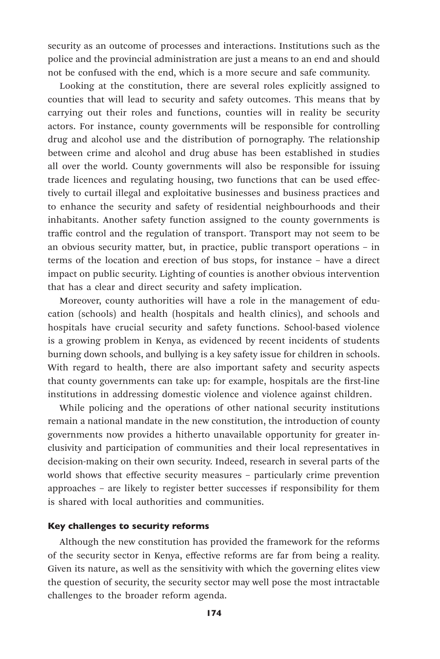security as an outcome of processes and interactions. Institutions such as the police and the provincial administration are just a means to an end and should not be confused with the end, which is a more secure and safe community.

Looking at the constitution, there are several roles explicitly assigned to counties that will lead to security and safety outcomes. This means that by carrying out their roles and functions, counties will in reality be security actors. For instance, county governments will be responsible for controlling drug and alcohol use and the distribution of pornography. The relationship between crime and alcohol and drug abuse has been established in studies all over the world. County governments will also be responsible for issuing trade licences and regulating housing, two functions that can be used effectively to curtail illegal and exploitative businesses and business practices and to enhance the security and safety of residential neighbourhoods and their inhabitants. Another safety function assigned to the county governments is traffic control and the regulation of transport. Transport may not seem to be an obvious security matter, but, in practice, public transport operations – in terms of the location and erection of bus stops, for instance – have a direct impact on public security. Lighting of counties is another obvious intervention that has a clear and direct security and safety implication.

Moreover, county authorities will have a role in the management of education (schools) and health (hospitals and health clinics), and schools and hospitals have crucial security and safety functions. School-based violence is a growing problem in Kenya, as evidenced by recent incidents of students burning down schools, and bullying is a key safety issue for children in schools. With regard to health, there are also important safety and security aspects that county governments can take up: for example, hospitals are the first-line institutions in addressing domestic violence and violence against children.

While policing and the operations of other national security institutions remain a national mandate in the new constitution, the introduction of county governments now provides a hitherto unavailable opportunity for greater inclusivity and participation of communities and their local representatives in decision-making on their own security. Indeed, research in several parts of the world shows that effective security measures – particularly crime prevention approaches – are likely to register better successes if responsibility for them is shared with local authorities and communities.

### Key challenges to security reforms

Although the new constitution has provided the framework for the reforms of the security sector in Kenya, effective reforms are far from being a reality. Given its nature, as well as the sensitivity with which the governing elites view the question of security, the security sector may well pose the most intractable challenges to the broader reform agenda.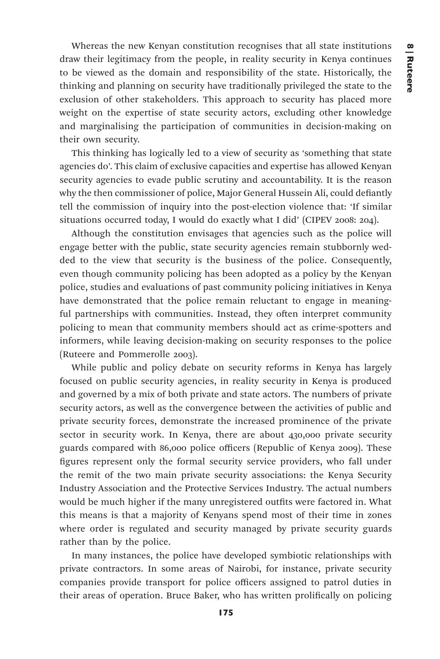Whereas the new Kenyan constitution recognises that all state institutions draw their legitimacy from the people, in reality security in Kenya continues to be viewed as the domain and responsibility of the state. Historically, the thinking and planning on security have traditionally privileged the state to the exclusion of other stakeholders. This approach to security has placed more weight on the expertise of state security actors, excluding other knowledge and marginalising the participation of communities in decision-making on their own security.

This thinking has logically led to a view of security as 'something that state agencies do'. This claim of exclusive capacities and expertise has allowed Kenyan security agencies to evade public scrutiny and accountability. It is the reason why the then commissioner of police, Major General Hussein Ali, could defiantly tell the commission of inquiry into the post-election violence that: 'If similar situations occurred today, I would do exactly what I did' (CIPEV 2008: 204).

Although the constitution envisages that agencies such as the police will engage better with the public, state security agencies remain stubbornly wedded to the view that security is the business of the police. Consequently, even though community policing has been adopted as a policy by the Kenyan police, studies and evaluations of past community policing initiatives in Kenya have demonstrated that the police remain reluctant to engage in meaningful partnerships with communities. Instead, they often interpret community policing to mean that community members should act as crime-spotters and informers, while leaving decision-making on security responses to the police (Ruteere and Pommerolle 2003).

While public and policy debate on security reforms in Kenya has largely focused on public security agencies, in reality security in Kenya is produced and governed by a mix of both private and state actors. The numbers of private security actors, as well as the convergence between the activities of public and private security forces, demonstrate the increased prominence of the private sector in security work. In Kenya, there are about 430,000 private security guards compared with 86,000 police officers (Republic of Kenya 2009). These figures represent only the formal security service providers, who fall under the remit of the two main private security associations: the Kenya Security Industry Association and the Protective Services Industry. The actual numbers would be much higher if the many unregistered outfits were factored in. What this means is that a majority of Kenyans spend most of their time in zones where order is regulated and security managed by private security guards rather than by the police.

In many instances, the police have developed symbiotic relationships with private contractors. In some areas of Nairobi, for instance, private security companies provide transport for police officers assigned to patrol duties in their areas of operation. Bruce Baker, who has written prolifically on policing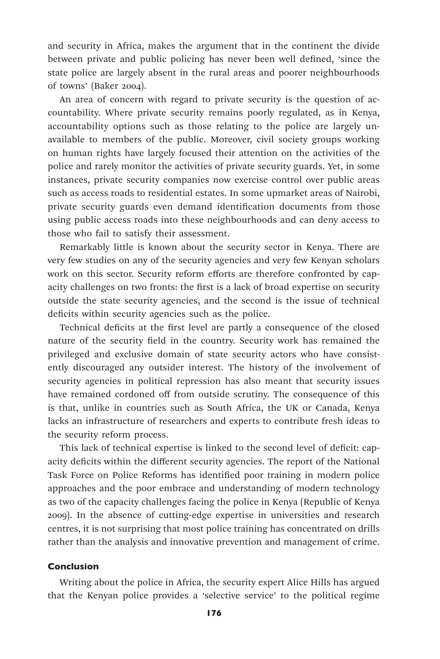and security in Africa, makes the argument that in the continent the divide between private and public policing has never been well defined, 'since the state police are largely absent in the rural areas and poorer neighbourhoods of towns' (Baker 2004).

An area of concern with regard to private security is the question of accountability. Where private security remains poorly regulated, as in Kenya, accountability options such as those relating to the police are largely unavailable to members of the public. Moreover, civil society groups working on human rights have largely focused their attention on the activities of the police and rarely monitor the activities of private security guards. Yet, in some instances, private security companies now exercise control over public areas such as access roads to residential estates. In some upmarket areas of Nairobi, private security guards even demand identification documents from those using public access roads into these neighbourhoods and can deny access to those who fail to satisfy their assessment.

Remarkably little is known about the security sector in Kenya. There are very few studies on any of the security agencies and very few Kenyan scholars work on this sector. Security reform efforts are therefore confronted by capacity challenges on two fronts: the first is a lack of broad expertise on security outside the state security agencies, and the second is the issue of technical deficits within security agencies such as the police.

Technical deficits at the first level are partly a consequence of the closed nature of the security field in the country. Security work has remained the privileged and exclusive domain of state security actors who have consistently discouraged any outsider interest. The history of the involvement of security agencies in political repression has also meant that security issues have remained cordoned off from outside scrutiny. The consequence of this is that, unlike in countries such as South Africa, the UK or Canada, Kenya lacks an infrastructure of researchers and experts to contribute fresh ideas to the security reform process.

This lack of technical expertise is linked to the second level of deficit: capacity deficits within the different security agencies. The report of the National Task Force on Police Reforms has identified poor training in modern police approaches and the poor embrace and understanding of modern technology as two of the capacity challenges facing the police in Kenya (Republic of Kenya 2009). In the absence of cutting-edge expertise in universities and research centres, it is not surprising that most police training has concentrated on drills rather than the analysis and innovative prevention and management of crime.

### Conclusion

Writing about the police in Africa, the security expert Alice Hills has argued that the Kenyan police provides a 'selective service' to the political regime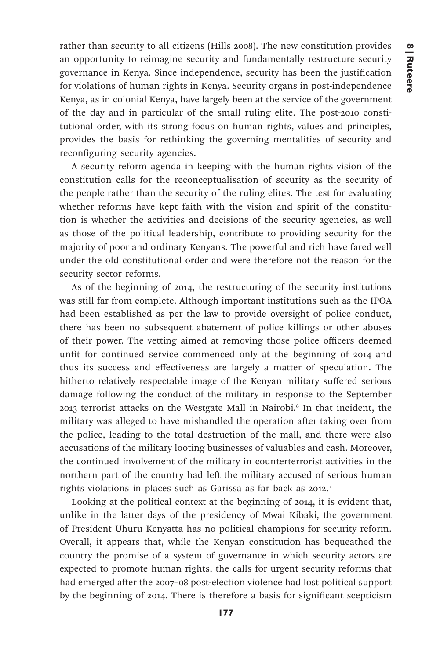rather than security to all citizens (Hills 2008). The new constitution provides an opportunity to reimagine security and fundamentally restructure security governance in Kenya. Since independence, security has been the justification for violations of human rights in Kenya. Security organs in post-independence Kenya, as in colonial Kenya, have largely been at the service of the government of the day and in particular of the small ruling elite. The post-2010 constitutional order, with its strong focus on human rights, values and principles, provides the basis for rethinking the governing mentalities of security and reconfiguring security agencies.

A security reform agenda in keeping with the human rights vision of the constitution calls for the reconceptualisation of security as the security of the people rather than the security of the ruling elites. The test for evaluating whether reforms have kept faith with the vision and spirit of the constitution is whether the activities and decisions of the security agencies, as well as those of the political leadership, contribute to providing security for the majority of poor and ordinary Kenyans. The powerful and rich have fared well under the old constitutional order and were therefore not the reason for the security sector reforms.

As of the beginning of 2014, the restructuring of the security institutions was still far from complete. Although important institutions such as the IPOA had been established as per the law to provide oversight of police conduct, there has been no subsequent abatement of police killings or other abuses of their power. The vetting aimed at removing those police officers deemed unfit for continued service commenced only at the beginning of 2014 and thus its success and effectiveness are largely a matter of speculation. The hitherto relatively respectable image of the Kenyan military suffered serious damage following the conduct of the military in response to the September 2013 terrorist attacks on the Westgate Mall in Nairobi.6 In that incident, the military was alleged to have mishandled the operation after taking over from the police, leading to the total destruction of the mall, and there were also accusations of the military looting businesses of valuables and cash. Moreover, the continued involvement of the military in counterterrorist activities in the northern part of the country had left the military accused of serious human rights violations in places such as Garissa as far back as 2012.<sup>7</sup>

Looking at the political context at the beginning of 2014, it is evident that, unlike in the latter days of the presidency of Mwai Kibaki, the government of President Uhuru Kenyatta has no political champions for security reform. Overall, it appears that, while the Kenyan constitution has bequeathed the country the promise of a system of governance in which security actors are expected to promote human rights, the calls for urgent security reforms that had emerged after the 2007–08 post-election violence had lost political support by the beginning of 2014. There is therefore a basis for significant scepticism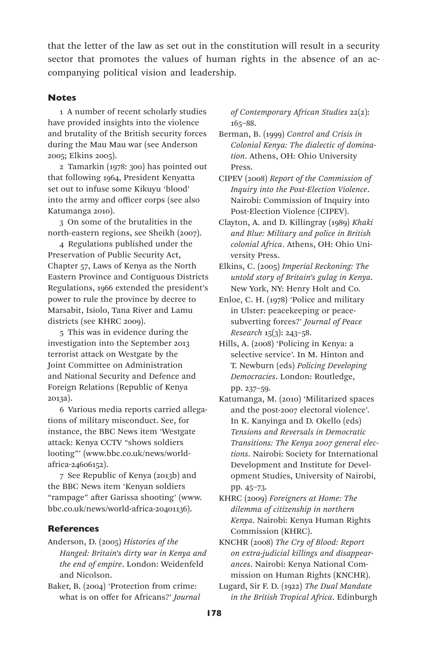that the letter of the law as set out in the constitution will result in a security sector that promotes the values of human rights in the absence of an accompanying political vision and leadership.

### **Notes**

1 A number of recent scholarly studies have provided insights into the violence and brutality of the British security forces during the Mau Mau war (see Anderson 2005; Elkins 2005).

2 Tamarkin (1978: 300) has pointed out that following 1964, President Kenyatta set out to infuse some Kikuyu 'blood' into the army and officer corps (see also Katumanga 2010).

3 On some of the brutalities in the north-eastern regions, see Sheikh (2007).

4 Regulations published under the Preservation of Public Security Act, Chapter 57, Laws of Kenya as the North Eastern Province and Contiguous Districts Regulations, 1966 extended the president's power to rule the province by decree to Marsabit, Isiolo, Tana River and Lamu districts (see KHRC 2009).

5 This was in evidence during the investigation into the September 2013 terrorist attack on Westgate by the Joint Committee on Administration and National Security and Defence and Foreign Relations (Republic of Kenya 2013a).

6 Various media reports carried allegations of military misconduct. See, for instance, the BBC News item 'Westgate attack: Kenya CCTV "shows soldiers looting"' (www.bbc.co.uk/news/worldafrica-24606152).

7 See Republic of Kenya (2013b) and the BBC News item 'Kenyan soldiers "rampage" after Garissa shooting' (www. bbc.co.uk/news/world-africa-20401136).

#### **References**

Anderson, D. (2005) *Histories of the Hanged: Britain's dirty war in Kenya and the end of empire*. London: Weidenfeld and Nicolson.

Baker, B. (2004) 'Protection from crime: what is on offer for Africans?' *Journal*  *of Contemporary African Studies* 22(2): 165–88.

Berman, B. (1999) *Control and Crisis in Colonial Kenya: The dialectic of domination*. Athens, OH: Ohio University Press.

- CIPEV (2008) *Report of the Commission of Inquiry into the Post-Election Violence*. Nairobi: Commission of Inquiry into Post-Election Violence (CIPEV).
- Clayton, A. and D. Killingray (1989) *Khaki and Blue: Military and police in British colonial Africa*. Athens, OH: Ohio University Press.
- Elkins, C. (2005) *Imperial Reckoning: The untold story of Britain's gulag in Kenya*. New York, NY: Henry Holt and Co.

Enloe, C. H. (1978) 'Police and military in Ulster: peacekeeping or peacesubverting forces?' *Journal of Peace Research* 15(3): 243–58.

Hills, A. (2008) 'Policing in Kenya: a selective service'. In M. Hinton and T. Newburn (eds) *Policing Developing Democracies*. London: Routledge, pp. 237–59.

- Katumanga, M. (2010) 'Militarized spaces and the post-2007 electoral violence'. In K. Kanyinga and D. Okello (eds) *Tensions and Reversals in Democratic Transitions: The Kenya 2007 general elections*. Nairobi: Society for International Development and Institute for Development Studies, University of Nairobi, pp. 45–73.
- KHRC (2009) *Foreigners at Home: The dilemma of citizenship in northern Kenya*. Nairobi: Kenya Human Rights Commission (KHRC).

KNCHR (2008) *The Cry of Blood: Report on extra-judicial killings and disappearances*. Nairobi: Kenya National Commission on Human Rights (KNCHR).

Lugard, Sir F. D. (1922) *The Dual Mandate in the British Tropical Africa*. Edinburgh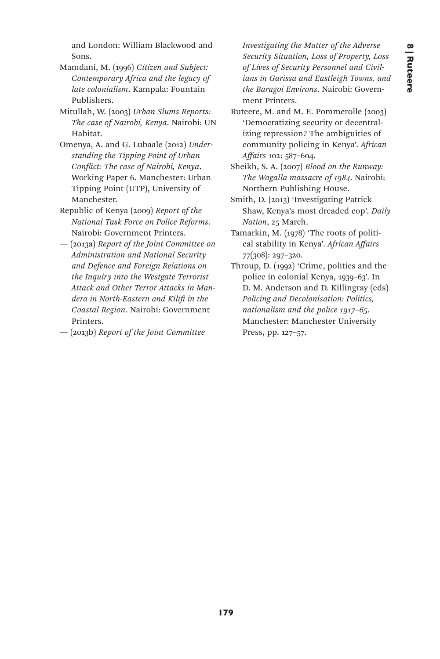and London: William Blackwood and Sons.

- Mamdani, M. (1996) *Citizen and Subject: Contemporary Africa and the legacy of late colonialism*. Kampala: Fountain Publishers.
- Mitullah, W. (2003) *Urban Slums Reports: The case of Nairobi, Kenya*. Nairobi: UN Habitat.
- Omenya, A. and G. Lubaale (2012) *Understanding the Tipping Point of Urban Conflict: The case of Nairobi, Kenya*. Working Paper 6. Manchester: Urban Tipping Point (UTP), University of Manchester.
- Republic of Kenya (2009) *Report of the National Task Force on Police Reforms*. Nairobi: Government Printers.
- (2013a) *Report of the Joint Committee on Administration and National Security and Defence and Foreign Relations on the Inquiry into the Westgate Terrorist Attack and Other Terror Attacks in Mandera in North-Eastern and Kilifi in the Coastal Region*. Nairobi: Government Printers.
- (2013b) *Report of the Joint Committee*

*Investigating the Matter of the Adverse Security Situation, Loss of Property, Loss of Lives of Security Personnel and Civilians in Garissa and Eastleigh Towns, and the Baragoi Environs*. Nairobi: Government Printers.

- Ruteere, M. and M. E. Pommerolle (2003) 'Democratizing security or decentralizing repression? The ambiguities of community policing in Kenya'. *African Affairs* 102: 587–604.
- Sheikh, S. A. (2007) *Blood on the Runway: The Wagalla massacre of 1984*. Nairobi: Northern Publishing House.
- Smith, D. (2013) 'Investigating Patrick Shaw, Kenya's most dreaded cop'. *Daily Nation*, 25 March.
- Tamarkin, M. (1978) 'The roots of political stability in Kenya'. *African Affairs* 77(308): 297–320.
- Throup, D. (1992) 'Crime, politics and the police in colonial Kenya, 1939–63'. In D. M. Anderson and D. Killingray (eds) *Policing and Decolonisation: Politics, nationalism and the police 1917–65*. Manchester: Manchester University Press, pp. 127–57.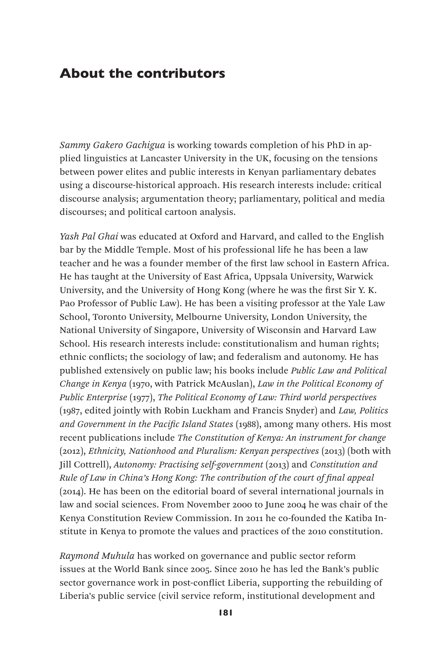# About the contributors

*Sammy Gakero Gachigua* is working towards completion of his PhD in applied linguistics at Lancaster University in the UK, focusing on the tensions between power elites and public interests in Kenyan parliamentary debates using a discourse-historical approach. His research interests include: critical discourse analysis; argumentation theory; parliamentary, political and media discourses; and political cartoon analysis.

*Yash Pal Ghai* was educated at Oxford and Harvard, and called to the English bar by the Middle Temple. Most of his professional life he has been a law teacher and he was a founder member of the first law school in Eastern Africa. He has taught at the University of East Africa, Uppsala University, Warwick University, and the University of Hong Kong (where he was the first Sir Y. K. Pao Professor of Public Law). He has been a visiting professor at the Yale Law School, Toronto University, Melbourne University, London University, the National University of Singapore, University of Wisconsin and Harvard Law School. His research interests include: constitutionalism and human rights; ethnic conflicts; the sociology of law; and federalism and autonomy. He has published extensively on public law; his books include *Public Law and Political Change in Kenya* (1970, with Patrick McAuslan), *Law in the Political Economy of Public Enterprise* (1977), *The Political Economy of Law: Third world perspectives* (1987, edited jointly with Robin Luckham and Francis Snyder) and *Law, Politics and Government in the Pacific Island States* (1988), among many others. His most recent publications include *The Constitution of Kenya: An instrument for change* (2012), *Ethnicity, Nationhood and Pluralism: Kenyan perspectives* (2013) (both with Jill Cottrell), *Autonomy: Practising self-government* (2013) and *Constitution and Rule of Law in China's Hong Kong: The contribution of the court of final appeal* (2014). He has been on the editorial board of several international journals in law and social sciences. From November 2000 to June 2004 he was chair of the Kenya Constitution Review Commission. In 2011 he co-founded the Katiba Institute in Kenya to promote the values and practices of the 2010 constitution.

*Raymond Muhula* has worked on governance and public sector reform issues at the World Bank since 2005. Since 2010 he has led the Bank's public sector governance work in post-conflict Liberia, supporting the rebuilding of Liberia's public service (civil service reform, institutional development and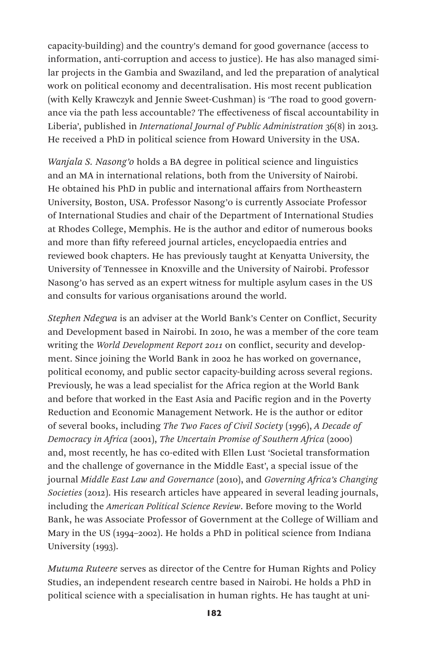capacity-building) and the country's demand for good governance (access to information, anti-corruption and access to justice). He has also managed similar projects in the Gambia and Swaziland, and led the preparation of analytical work on political economy and decentralisation. His most recent publication (with Kelly Krawczyk and Jennie Sweet-Cushman) is 'The road to good governance via the path less accountable? The effectiveness of fiscal accountability in Liberia', published in *International Journal of Public Administration* 36(8) in 2013. He received a PhD in political science from Howard University in the USA.

*Wanjala S. Nasong'o* holds a BA degree in political science and linguistics and an MA in international relations, both from the University of Nairobi. He obtained his PhD in public and international affairs from Northeastern University, Boston, USA. Professor Nasong'o is currently Associate Professor of International Studies and chair of the Department of International Studies at Rhodes College, Memphis. He is the author and editor of numerous books and more than fifty refereed journal articles, encyclopaedia entries and reviewed book chapters. He has previously taught at Kenyatta University, the University of Tennessee in Knoxville and the University of Nairobi. Professor Nasong'o has served as an expert witness for multiple asylum cases in the US and consults for various organisations around the world.

*Stephen Ndegwa* is an adviser at the World Bank's Center on Conflict, Security and Development based in Nairobi. In 2010, he was a member of the core team writing the *World Development Report 2011* on conflict, security and development. Since joining the World Bank in 2002 he has worked on governance, political economy, and public sector capacity-building across several regions. Previously, he was a lead specialist for the Africa region at the World Bank and before that worked in the East Asia and Pacific region and in the Poverty Reduction and Economic Management Network. He is the author or editor of several books, including *The Two Faces of Civil Society* (1996), *A Decade of Democracy in Africa* (2001), *The Uncertain Promise of Southern Africa* (2000) and, most recently, he has co-edited with Ellen Lust 'Societal transformation and the challenge of governance in the Middle East', a special issue of the journal *Middle East Law and Governance* (2010), and *Governing Africa's Changing Societies* (2012). His research articles have appeared in several leading journals, including the *American Political Science Review*. Before moving to the World Bank, he was Associate Professor of Government at the College of William and Mary in the US (1994–2002). He holds a PhD in political science from Indiana University (1993).

*Mutuma Ruteere* serves as director of the Centre for Human Rights and Policy Studies, an independent research centre based in Nairobi. He holds a PhD in political science with a specialisation in human rights. He has taught at uni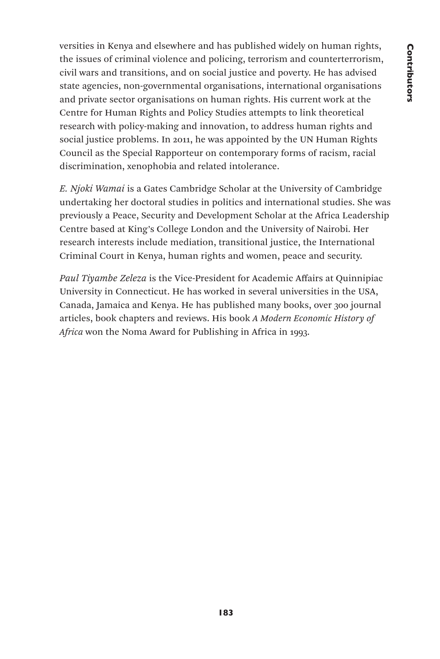versities in Kenya and elsewhere and has published widely on human rights, the issues of criminal violence and policing, terrorism and counterterrorism, civil wars and transitions, and on social justice and poverty. He has advised state agencies, non-governmental organisations, international organisations and private sector organisations on human rights. His current work at the Centre for Human Rights and Policy Studies attempts to link theoretical research with policy-making and innovation, to address human rights and social justice problems. In 2011, he was appointed by the UN Human Rights Council as the Special Rapporteur on contemporary forms of racism, racial discrimination, xenophobia and related intolerance.

*E. Njoki Wamai* is a Gates Cambridge Scholar at the University of Cambridge undertaking her doctoral studies in politics and international studies. She was previously a Peace, Security and Development Scholar at the Africa Leadership Centre based at King's College London and the University of Nairobi. Her research interests include mediation, transitional justice, the International Criminal Court in Kenya, human rights and women, peace and security.

*Paul Tiyambe Zeleza* is the Vice-President for Academic Affairs at Quinnipiac University in Connecticut. He has worked in several universities in the USA, Canada, Jamaica and Kenya. He has published many books, over 300 journal articles, book chapters and reviews. His book *A Modern Economic History of Africa* won the Noma Award for Publishing in Africa in 1993.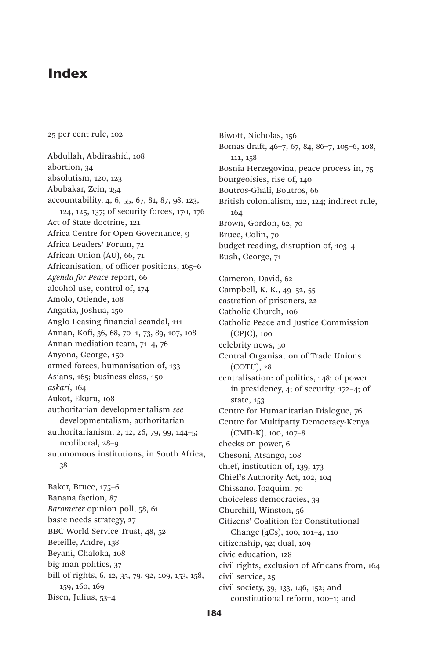# Index

25 per cent rule, 102

Abdullah, Abdirashid, 108 abortion, 34 absolutism, 120, 123 Abubakar, Zein, 154 accountability, 4, 6, 55, 67, 81, 87, 98, 123, 124, 125, 137; of security forces, 170, 176 Act of State doctrine, 121 Africa Centre for Open Governance, 9 Africa Leaders' Forum, 72 African Union (AU), 66, 71 Africanisation, of officer positions, 165–6 *Agenda for Peace* report, 66 alcohol use, control of, 174 Amolo, Otiende, 108 Angatia, Joshua, 150 Anglo Leasing financial scandal, 111 Annan, Kofi, 36, 68, 70–1, 73, 89, 107, 108 Annan mediation team, 71–4, 76 Anyona, George, 150 armed forces, humanisation of, 133 Asians, 165; business class, 150 *askari*, 164 Aukot, Ekuru, 108 authoritarian developmentalism *see*  developmentalism, authoritarian authoritarianism, 2, 12, 26, 79, 99, 144–5; neoliberal, 28–9 autonomous institutions, in South Africa, 38

Baker, Bruce, 175–6 Banana faction, 87 *Barometer* opinion poll, 58, 61 basic needs strategy, 27 BBC World Service Trust, 48, 52 Beteille, Andre, 138 Beyani, Chaloka, 108 big man politics, 37 bill of rights, 6, 12, 35, 79, 92, 109, 153, 158, 159, 160, 169 Bisen, Julius, 53–4

Biwott, Nicholas, 156 Bomas draft, 46–7, 67, 84, 86–7, 105–6, 108, 111, 158 Bosnia Herzegovina, peace process in, 75 bourgeoisies, rise of, 140 Boutros-Ghali, Boutros, 66 British colonialism, 122, 124; indirect rule, 164 Brown, Gordon, 62, 70 Bruce, Colin, 70 budget-reading, disruption of, 103–4 Bush, George, 71 Cameron, David, 62 Campbell, K. K., 49–52, 55 castration of prisoners, 22 Catholic Church, 106 Catholic Peace and Justice Commission (CPJC), 100 celebrity news, 50 Central Organisation of Trade Unions (COTU), 28 centralisation: of politics, 148; of power in presidency, 4; of security, 172–4; of state, 153 Centre for Humanitarian Dialogue, 76 Centre for Multiparty Democracy-Kenya (CMD-K), 100, 107–8 checks on power, 6 Chesoni, Atsango, 108 chief, institution of, 139, 173 Chief's Authority Act, 102, 104 Chissano, Joaquim, 70 choiceless democracies, 39 Churchill, Winston, 56 Citizens' Coalition for Constitutional Change (4Cs), 100, 101–4, 110 citizenship, 92; dual, 109 civic education, 128 civil rights, exclusion of Africans from, 164 civil service, 25 civil society, 39, 133, 146, 152; and constitutional reform, 100–1; and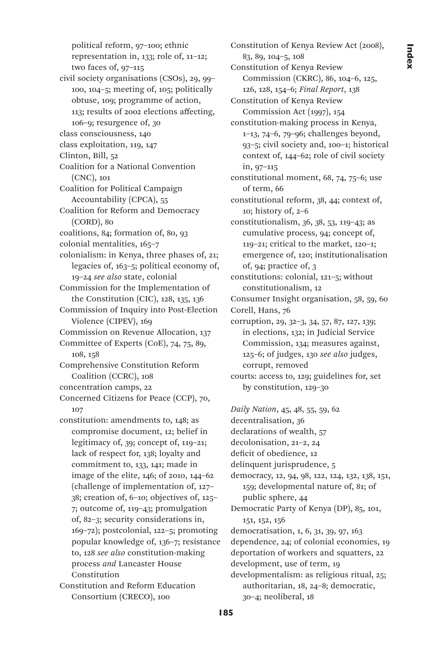political reform, 97–100; ethnic representation in, 133; role of, 11–12; two faces of, 97–115 civil society organisations (CSOs), 29, 99– 100, 104–5; meeting of, 105; politically obtuse, 109; programme of action, 113; results of 2002 elections affecting, 106–9; resurgence of, 30 class consciousness, 140 class exploitation, 119, 147 Clinton, Bill, 52 Coalition for a National Convention (CNC), 101 Coalition for Political Campaign Accountability (CPCA), 55 Coalition for Reform and Democracy (CORD), 80 coalitions, 84; formation of, 80, 93 colonial mentalities, 165–7 colonialism: in Kenya, three phases of, 21; legacies of, 163–5; political economy of, 19–24 *see also* state, colonial Commission for the Implementation of the Constitution (CIC), 128, 135, 136 Commission of Inquiry into Post-Election Violence (CIPEV), 169 Commission on Revenue Allocation, 137 Committee of Experts (CoE), 74, 75, 89, 108, 158 Comprehensive Constitution Reform Coalition (CCRC), 108 concentration camps, 22 Concerned Citizens for Peace (CCP), 70, 107 constitution: amendments to, 148; as compromise document, 12; belief in legitimacy of, 39; concept of, 119–21; lack of respect for, 138; loyalty and commitment to, 133, 141; made in image of the elite, 146; of 2010, 144–62 (challenge of implementation of, 127– 38; creation of, 6–10; objectives of, 125– 7; outcome of, 119–43; promulgation of, 82–3; security considerations in, 169–72); postcolonial, 122–5; promoting popular knowledge of, 136–7; resistance to, 128 *see also* constitution-making process *and* Lancaster House Constitution Constitution and Reform Education

Consortium (CRECO), 100

Constitution of Kenya Review Act (2008), 83, 89, 104–5, 108 Constitution of Kenya Review Commission (CKRC), 86, 104–6, 125, 126, 128, 154–6; *Final Report*, 138 Constitution of Kenya Review Commission Act (1997), 154 constitution-making process in Kenya, 1–13, 74–6, 79–96; challenges beyond, 93–5; civil society and, 100–1; historical context of, 144–62; role of civil society in, 97–115 constitutional moment, 68, 74, 75–6; use of term, 66 constitutional reform, 38, 44; context of, 10; history of, 2–6 constitutionalism, 36, 38, 53, 119–43; as cumulative process, 94; concept of, 119–21; critical to the market, 120–1; emergence of, 120; institutionalisation of, 94; practice of, 3 constitutions: colonial, 121–5; without constitutionalism, 12 Consumer Insight organisation, 58, 59, 60 Corell, Hans, 76 corruption, 29, 32–3, 34, 57, 87, 127, 139; in elections, 132; in Judicial Service Commission, 134; measures against, 125–6; of judges, 130 *see also* judges, corrupt, removed courts: access to, 129; guidelines for, set by constitution, 129–30 *Daily Nation*, 45, 48, 55, 59, 62

decentralisation, 36 declarations of wealth, 57 decolonisation, 21–2, 24 deficit of obedience, 12 delinquent jurisprudence, 5 democracy, 12, 94, 98, 122, 124, 132, 138, 151, 159; developmental nature of, 81; of public sphere, 44 Democratic Party of Kenya (DP), 85, 101, 151, 152, 156 democratisation, 1, 6, 31, 39, 97, 163 dependence, 24; of colonial economies, 19 deportation of workers and squatters, 22 development, use of term, 19 developmentalism: as religious ritual, 25; authoritarian, 18, 24–8; democratic, 30–4; neoliberal, 18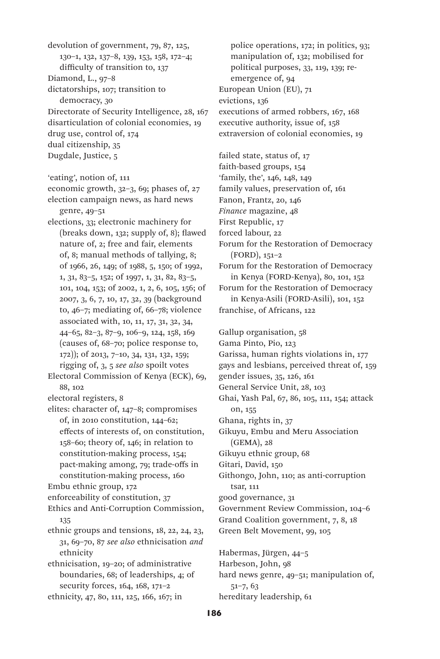devolution of government, 79, 87, 125, 130–1, 132, 137–8, 139, 153, 158, 172–4; difficulty of transition to, 137 Diamond, L., 97–8 dictatorships, 107; transition to democracy, 30 Directorate of Security Intelligence, 28, 167 disarticulation of colonial economies, 19 drug use, control of, 174 dual citizenship, 35 Dugdale, Justice, 5 'eating', notion of, 111 economic growth, 32–3, 69; phases of, 27 election campaign news, as hard news genre, 49–51 elections, 33; electronic machinery for (breaks down, 132; supply of, 8); flawed nature of, 2; free and fair, elements of, 8; manual methods of tallying, 8; of 1966, 26, 149; of 1988, 5, 150; of 1992, 1, 31, 83–5, 152; of 1997, 1, 31, 82, 83–5, 101, 104, 153; of 2002, 1, 2, 6, 105, 156; of 2007, 3, 6, 7, 10, 17, 32, 39 (background to, 46–7; mediating of, 66–78; violence associated with, 10, 11, 17, 31, 32, 34, 44–65, 82–3, 87–9, 106–9, 124, 158, 169 (causes of, 68–70; police response to, 172)); of 2013, 7–10, 34, 131, 132, 159; rigging of, 3, 5 *see also* spoilt votes Electoral Commission of Kenya (ECK), 69, 88, 102 electoral registers, 8 elites: character of, 147–8; compromises of, in 2010 constitution, 144–62; effects of interests of, on constitution, 158–60; theory of, 146; in relation to constitution-making process, 154; pact-making among, 79; trade-offs in constitution-making process, 160 Embu ethnic group, 172 enforceability of constitution, 37 Ethics and Anti-Corruption Commission, 135 ethnic groups and tensions, 18, 22, 24, 23, 31, 69–70, 87 *see also* ethnicisation *and*  ethnicity ethnicisation, 19–20; of administrative boundaries, 68; of leaderships, 4; of security forces, 164, 168, 171–2

ethnicity, 47, 80, 111, 125, 166, 167; in

police operations, 172; in politics, 93; manipulation of, 132; mobilised for political purposes, 33, 119, 139; reemergence of, 94 European Union (EU), 71 evictions, 136 executions of armed robbers, 167, 168 executive authority, issue of, 158 extraversion of colonial economies, 19

failed state, status of, 17 faith-based groups, 154 'family, the', 146, 148, 149

family values, preservation of, 161

Fanon, Frantz, 20, 146

*Finance* magazine, 48

First Republic, 17 forced labour, 22

Forum for the Restoration of Democracy (FORD), 151–2

Forum for the Restoration of Democracy in Kenya (FORD-Kenya), 80, 101, 152

Forum for the Restoration of Democracy in Kenya-Asili (FORD-Asili), 101, 152 franchise, of Africans, 122

Gallup organisation, 58 Gama Pinto, Pio, 123 Garissa, human rights violations in, 177 gays and lesbians, perceived threat of, 159 gender issues, 35, 126, 161 General Service Unit, 28, 103 Ghai, Yash Pal, 67, 86, 105, 111, 154; attack on, 155 Ghana, rights in, 37 Gikuyu, Embu and Meru Association (GEMA), 28 Gikuyu ethnic group, 68

Gitari, David, 150

Githongo, John, 110; as anti-corruption tsar, 111

good governance, 31

Government Review Commission, 104–6

Grand Coalition government, 7, 8, 18

Green Belt Movement, 99, 105

Habermas, Jürgen, 44–5

Harbeson, John, 98

hard news genre, 49–51; manipulation of, 51–7, 63 hereditary leadership, 61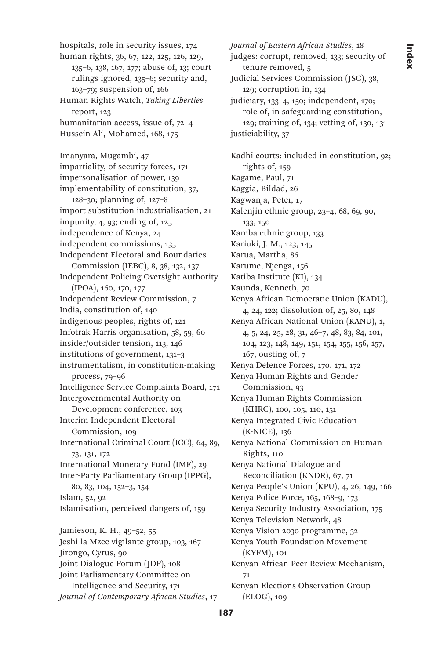hospitals, role in security issues, 174 human rights, 36, 67, 122, 125, 126, 129, 135–6, 138, 167, 177; abuse of, 13; court rulings ignored, 135–6; security and, 163–79; suspension of, 166 Human Rights Watch, *Taking Liberties*  report, 123 humanitarian access, issue of, 72–4 Hussein Ali, Mohamed, 168, 175

Imanyara, Mugambi, 47 impartiality, of security forces, 171 impersonalisation of power, 139 implementability of constitution, 37, 128–30; planning of, 127–8 import substitution industrialisation, 21 impunity, 4, 93; ending of, 125 independence of Kenya, 24 independent commissions, 135 Independent Electoral and Boundaries Commission (IEBC), 8, 38, 132, 137 Independent Policing Oversight Authority (IPOA), 160, 170, 177 Independent Review Commission, 7 India, constitution of, 140 indigenous peoples, rights of, 121 Infotrak Harris organisation, 58, 59, 60 insider/outsider tension, 113, 146 institutions of government, 131–3 instrumentalism, in constitution-making process, 79–96 Intelligence Service Complaints Board, 171 Intergovernmental Authority on Development conference, 103 Interim Independent Electoral Commission, 109 International Criminal Court (ICC), 64, 89, 73, 131, 172 International Monetary Fund (IMF), 29 Inter-Party Parliamentary Group (IPPG), 80, 83, 104, 152–3, 154 Islam, 52, 92 Islamisation, perceived dangers of, 159 Jamieson, K. H., 49–52, 55 Jeshi la Mzee vigilante group, 103, 167 Jirongo, Cyrus, 90 Joint Dialogue Forum (JDF), 108 Joint Parliamentary Committee on Intelligence and Security, 171

*Journal of Contemporary African Studies*, 17

*Journal of Eastern African Studies*, 18 judges: corrupt, removed, 133; security of tenure removed, 5 Judicial Services Commission (JSC), 38, 129; corruption in, 134 judiciary, 133–4, 150; independent, 170; role of, in safeguarding constitution, 129; training of, 134; vetting of, 130, 131 justiciability, 37 Kadhi courts: included in constitution, 92; rights of, 159 Kagame, Paul, 71 Kaggia, Bildad, 26 Kagwanja, Peter, 17 Kalenjin ethnic group, 23–4, 68, 69, 90, 133, 150 Kamba ethnic group, 133 Kariuki, J. M., 123, 145 Karua, Martha, 86 Karume, Njenga, 156 Katiba Institute (KI), 134 Kaunda, Kenneth, 70 Kenya African Democratic Union (KADU), 4, 24, 122; dissolution of, 25, 80, 148 Kenya African National Union (KANU), 1, 4, 5, 24, 25, 28, 31, 46–7, 48, 83, 84, 101, 104, 123, 148, 149, 151, 154, 155, 156, 157, 167, ousting of, 7 Kenya Defence Forces, 170, 171, 172 Kenya Human Rights and Gender Commission, 93 Kenya Human Rights Commission (KHRC), 100, 105, 110, 151 Kenya Integrated Civic Education (K-NICE), 136 Kenya National Commission on Human Rights, 110 Kenya National Dialogue and Reconciliation (KNDR), 67, 71 Kenya People's Union (KPU), 4, 26, 149, 166 Kenya Police Force, 165, 168–9, 173 Kenya Security Industry Association, 175 Kenya Television Network, 48 Kenya Vision 2030 programme, 32 Kenya Youth Foundation Movement (KYFM), 101 Kenyan African Peer Review Mechanism, 71 Kenyan Elections Observation Group (ELOG), 109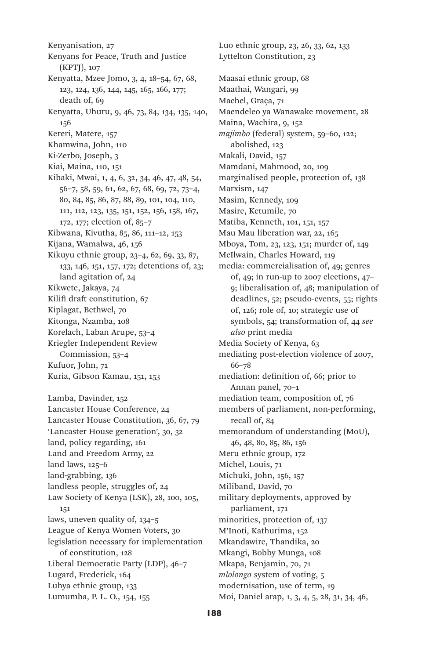Kenyanisation, 27 Kenyans for Peace, Truth and Justice (KPTJ), 107 Kenyatta, Mzee Jomo, 3, 4, 18–54, 67, 68, 123, 124, 136, 144, 145, 165, 166, 177; death of, 69 Kenyatta, Uhuru, 9, 46, 73, 84, 134, 135, 140, 156 Kereri, Matere, 157 Khamwina, John, 110 Ki-Zerbo, Joseph, 3 Kiai, Maina, 110, 151 Kibaki, Mwai, 1, 4, 6, 32, 34, 46, 47, 48, 54, 56–7, 58, 59, 61, 62, 67, 68, 69, 72, 73–4, 80, 84, 85, 86, 87, 88, 89, 101, 104, 110, 111, 112, 123, 135, 151, 152, 156, 158, 167, 172, 177; election of, 85–7 Kibwana, Kivutha, 85, 86, 111–12, 153 Kijana, Wamalwa, 46, 156 Kikuyu ethnic group, 23–4, 62, 69, 33, 87, 133, 146, 151, 157, 172; detentions of, 23; land agitation of, 24 Kikwete, Jakaya, 74 Kilifi draft constitution, 67 Kiplagat, Bethwel, 70 Kitonga, Nzamba, 108 Korelach, Laban Arupe, 53–4 Kriegler Independent Review Commission, 53–4 Kufuor, John, 71 Kuria, Gibson Kamau, 151, 153 Lamba, Davinder, 152 Lancaster House Conference, 24 Lancaster House Constitution, 36, 67, 79 'Lancaster House generation', 30, 32 land, policy regarding, 161 Land and Freedom Army, 22 land laws, 125–6 land-grabbing, 136 landless people, struggles of, 24 Law Society of Kenya (LSK), 28, 100, 105, 151 laws, uneven quality of, 134–5 League of Kenya Women Voters, 30 legislation necessary for implementation of constitution, 128 Liberal Democratic Party (LDP), 46–7 Lugard, Frederick, 164 Luhya ethnic group, 133

Lumumba, P. L. O., 154, 155

Luo ethnic group, 23, 26, 33, 62, 133 Lyttelton Constitution, 23 Maasai ethnic group, 68 Maathai, Wangari, 99 Machel, Graça, 71 Maendeleo ya Wanawake movement, 28 Maina, Wachira, 9, 152 *majimbo* (federal) system, 59–60, 122; abolished, 123 Makali, David, 157 Mamdani, Mahmood, 20, 109 marginalised people, protection of, 138 Marxism, 147 Masim, Kennedy, 109 Masire, Ketumile, 70 Matiba, Kenneth, 101, 151, 157 Mau Mau liberation war, 22, 165 Mboya, Tom, 23, 123, 151; murder of, 149 McIlwain, Charles Howard, 119 media: commercialisation of, 49; genres of, 49; in run-up to 2007 elections, 47– 9; liberalisation of, 48; manipulation of deadlines, 52; pseudo-events, 55; rights of, 126; role of, 10; strategic use of symbols, 54; transformation of, 44 *see also* print media Media Society of Kenya, 63 mediating post-election violence of 2007, 66–78 mediation: definition of, 66; prior to Annan panel, 70–1 mediation team, composition of, 76 members of parliament, non-performing, recall of, 84 memorandum of understanding (MoU), 46, 48, 80, 85, 86, 156 Meru ethnic group, 172 Michel, Louis, 71 Michuki, John, 156, 157 Miliband, David, 70 military deployments, approved by parliament, 171 minorities, protection of, 137 M'Inoti, Kathurima, 152 Mkandawire, Thandika, 20 Mkangi, Bobby Munga, 108 Mkapa, Benjamin, 70, 71 *mlolongo* system of voting, 5 modernisation, use of term, 19 Moi, Daniel arap, 1, 3, 4, 5, 28, 31, 34, 46,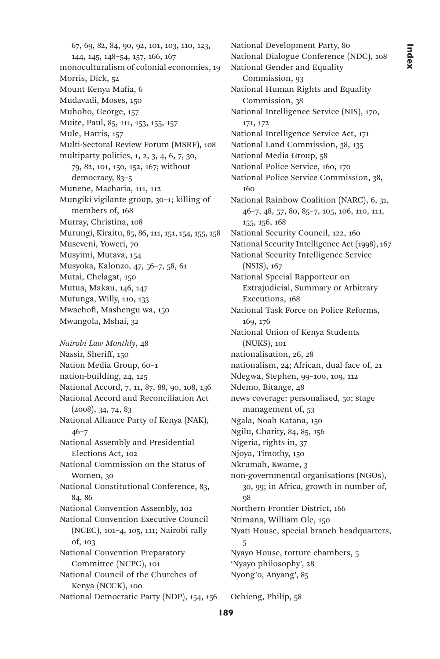67, 69, 82, 84, 90, 92, 101, 103, 110, 123, 144, 145, 148–54, 157, 166, 167 monoculturalism of colonial economies, 19 Morris, Dick, 52 Mount Kenya Mafia, 6 Mudavadi, Moses, 150 Muhoho, George, 157 Muite, Paul, 85, 111, 153, 155, 157 Mule, Harris, 157 Multi-Sectoral Review Forum (MSRF), 108 multiparty politics, 1, 2, 3, 4, 6, 7, 30, 79, 82, 101, 150, 152, 167; without democracy, 83–5 Munene, Macharia, 111, 112 Mungiki vigilante group, 30–1; killing of members of, 168 Murray, Christina, 108 Murungi, Kiraitu, 85, 86, 111, 151, 154, 155, 158 Museveni, Yoweri, 70 Musyimi, Mutava, 154 Musyoka, Kalonzo, 47, 56–7, 58, 61 Mutai, Chelagat, 150 Mutua, Makau, 146, 147 Mutunga, Willy, 110, 133 Mwachofi, Mashengu wa, 150 Mwangola, Mshai, 32

*Nairobi Law Monthly*, 48 Nassir, Sheriff, 150 Nation Media Group, 60–1 nation-building, 24, 125 National Accord, 7, 11, 87, 88, 90, 108, 136 National Accord and Reconciliation Act (2008), 34, 74, 83 National Alliance Party of Kenya (NAK), 46–7 National Assembly and Presidential Elections Act, 102 National Commission on the Status of Women, 30 National Constitutional Conference, 83, 84, 86 National Convention Assembly, 102 National Convention Executive Council (NCEC), 101–4, 105, 111; Nairobi rally of, 103 National Convention Preparatory Committee (NCPC), 101 National Council of the Churches of Kenya (NCCK), 100 National Democratic Party (NDP), 154, 156

National Development Party, 80 National Dialogue Conference (NDC), 108 National Gender and Equality Commission, 93 National Human Rights and Equality Commission, 38 National Intelligence Service (NIS), 170, 171, 172 National Intelligence Service Act, 171 National Land Commission, 38, 135 National Media Group, 58 National Police Service, 160, 170 National Police Service Commission, 38, 160 National Rainbow Coalition (NARC), 6, 31, 46–7, 48, 57, 80, 85–7, 105, 106, 110, 111, 155, 156, 168 National Security Council, 122, 160 National Security Intelligence Act (1998), 167 National Security Intelligence Service (NSIS), 167 National Special Rapporteur on Extrajudicial, Summary or Arbitrary Executions, 168 National Task Force on Police Reforms, 169, 176 National Union of Kenya Students (NUKS), 101 nationalisation, 26, 28 nationalism, 24; African, dual face of, 21 Ndegwa, Stephen, 99–100, 109, 112 Ndemo, Bitange, 48 news coverage: personalised, 50; stage management of, 53 Ngala, Noah Katana, 150 Ngilu, Charity, 84, 85, 156 Nigeria, rights in, 37 Njoya, Timothy, 150 Nkrumah, Kwame, 3 non-governmental organisations (NGOs), 30, 99; in Africa, growth in number of, 98 Northern Frontier District, 166 Ntimana, William Ole, 150 Nyati House, special branch headquarters, 5 Nyayo House, torture chambers, 5 'Nyayo philosophy', 28 Nyong'o, Anyang', 85

Ochieng, Philip, 58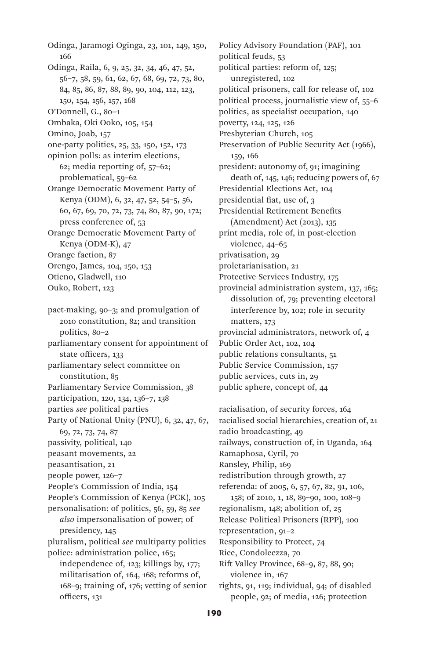Odinga, Jaramogi Oginga, 23, 101, 149, 150, 166 Odinga, Raila, 6, 9, 25, 32, 34, 46, 47, 52, 56–7, 58, 59, 61, 62, 67, 68, 69, 72, 73, 80, 84, 85, 86, 87, 88, 89, 90, 104, 112, 123, 150, 154, 156, 157, 168 O'Donnell, G., 80–1 Ombaka, Oki Ooko, 105, 154 Omino, Joab, 157 one-party politics, 25, 33, 150, 152, 173 opinion polls: as interim elections, 62; media reporting of, 57–62; problematical, 59–62 Orange Democratic Movement Party of Kenya (ODM), 6, 32, 47, 52, 54–5, 56, 60, 67, 69, 70, 72, 73, 74, 80, 87, 90, 172; press conference of, 53 Orange Democratic Movement Party of Kenya (ODM-K), 47 Orange faction, 87 Orengo, James, 104, 150, 153 Otieno, Gladwell, 110

Ouko, Robert, 123

pact-making, 90–3; and promulgation of 2010 constitution, 82; and transition politics, 80–2 parliamentary consent for appointment of

state officers, 133 parliamentary select committee on

constitution, 85

Parliamentary Service Commission, 38

participation, 120, 134, 136–7, 138

parties *see* political parties

Party of National Unity (PNU), 6, 32, 47, 67, 69, 72, 73, 74, 87 passivity, political, 140 peasant movements, 22 peasantisation, 21 people power, 126–7 People's Commission of India, 154 People's Commission of Kenya (PCK), 105

personalisation: of politics, 56, 59, 85 *see also* impersonalisation of power; of presidency, 145 pluralism, political *see* multiparty politics

police: administration police, 165; independence of, 123; killings by, 177; militarisation of, 164, 168; reforms of, 168–9; training of, 176; vetting of senior officers, 131

Policy Advisory Foundation (PAF), 101 political feuds, 53 political parties: reform of, 125; unregistered, 102 political prisoners, call for release of, 102 political process, journalistic view of, 55–6 politics, as specialist occupation, 140 poverty, 124, 125, 126 Presbyterian Church, 105 Preservation of Public Security Act (1966), 159, 166 president: autonomy of, 91; imagining death of, 145, 146; reducing powers of, 67 Presidential Elections Act, 104 presidential fiat, use of, 3 Presidential Retirement Benefits (Amendment) Act (2013), 135 print media, role of, in post-election violence, 44–65 privatisation, 29 proletarianisation, 21 Protective Services Industry, 175 provincial administration system, 137, 165; dissolution of, 79; preventing electoral interference by, 102; role in security matters, 173 provincial administrators, network of, 4 Public Order Act, 102, 104 public relations consultants, 51 Public Service Commission, 157 public services, cuts in, 29

public sphere, concept of, 44

racialisation, of security forces, 164 racialised social hierarchies, creation of, 21 radio broadcasting, 49 railways, construction of, in Uganda, 164 Ramaphosa, Cyril, 70 Ransley, Philip, 169 redistribution through growth, 27 referenda: of 2005, 6, 57, 67, 82, 91, 106, 158; of 2010, 1, 18, 89–90, 100, 108–9 regionalism, 148; abolition of, 25 Release Political Prisoners (RPP), 100 representation, 91–2 Responsibility to Protect, 74 Rice, Condoleezza, 70 Rift Valley Province, 68–9, 87, 88, 90; violence in, 167 rights, 91, 119; individual, 94; of disabled

people, 92; of media, 126; protection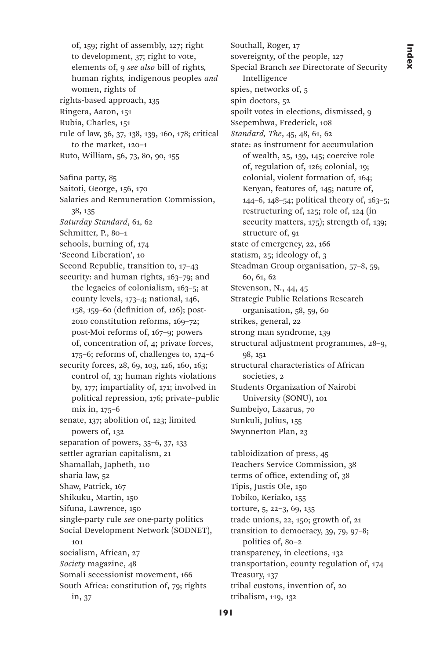of, 159; right of assembly, 127; right to development, 37; right to vote, elements of, 9 *see also* bill of rights*,* human rights*,* indigenous peoples *and*  women, rights of rights-based approach, 135 Ringera, Aaron, 151 Rubia, Charles, 151 rule of law, 36, 37, 138, 139, 160, 178; critical to the market, 120–1 Ruto, William, 56, 73, 80, 90, 155 Safina party, 85 Saitoti, George, 156, 170 Salaries and Remuneration Commission, 38, 135 *Saturday Standard*, 61, 62 Schmitter, P., 80–1 schools, burning of, 174 'Second Liberation', 10 Second Republic, transition to, 17–43 security: and human rights, 163-79; and the legacies of colonialism, 163–5; at county levels, 173–4; national, 146, 158, 159–60 (definition of, 126); post-2010 constitution reforms, 169–72; post-Moi reforms of, 167–9; powers of, concentration of, 4; private forces, 175–6; reforms of, challenges to, 174–6 security forces, 28, 69, 103, 126, 160, 163; control of, 13; human rights violations by, 177; impartiality of, 171; involved in political repression, 176; private–public mix in, 175–6 senate, 137; abolition of, 123; limited powers of, 132 separation of powers, 35–6, 37, 133 settler agrarian capitalism, 21 Shamallah, Japheth, 110 sharia law, 52 Shaw, Patrick, 167 Shikuku, Martin, 150 Sifuna, Lawrence, 150 single-party rule *see* one-party politics Social Development Network (SODNET), 101 socialism, African, 27 *Society* magazine, 48 Somali secessionist movement, 166 South Africa: constitution of, 79; rights in, 37

Southall, Roger, 17 sovereignty, of the people, 127 Special Branch *see* Directorate of Security Intelligence spies, networks of, 5 spin doctors, 52 spoilt votes in elections, dismissed, 9 Ssepembwa, Frederick, 108 *Standard, The*, 45, 48, 61, 62 state: as instrument for accumulation of wealth, 25, 139, 145; coercive role of, regulation of, 126; colonial, 19; colonial, violent formation of, 164; Kenyan, features of, 145; nature of, 144–6, 148–54; political theory of, 163–5; restructuring of, 125; role of, 124 (in security matters, 175); strength of, 139; structure of, 91 state of emergency, 22, 166 statism, 25; ideology of, 3 Steadman Group organisation, 57–8, 59, 60, 61, 62 Stevenson, N., 44, 45 Strategic Public Relations Research organisation, 58, 59, 60 strikes, general, 22 strong man syndrome, 139 structural adjustment programmes, 28–9, 98, 151 structural characteristics of African societies, 2 Students Organization of Nairobi University (SONU), 101 Sumbeiyo, Lazarus, 70 Sunkuli, Julius, 155 Swynnerton Plan, 23 tabloidization of press, 45 Teachers Service Commission, 38 terms of office, extending of, 38 Tipis, Justis Ole, 150 Tobiko, Keriako, 155 torture, 5, 22–3, 69, 135

trade unions, 22, 150; growth of, 21 transition to democracy, 39, 79, 97–8; politics of, 80–2 transparency, in elections, 132 transportation, county regulation of, 174 Treasury, 137 tribal custons, invention of, 20 tribalism, 119, 132